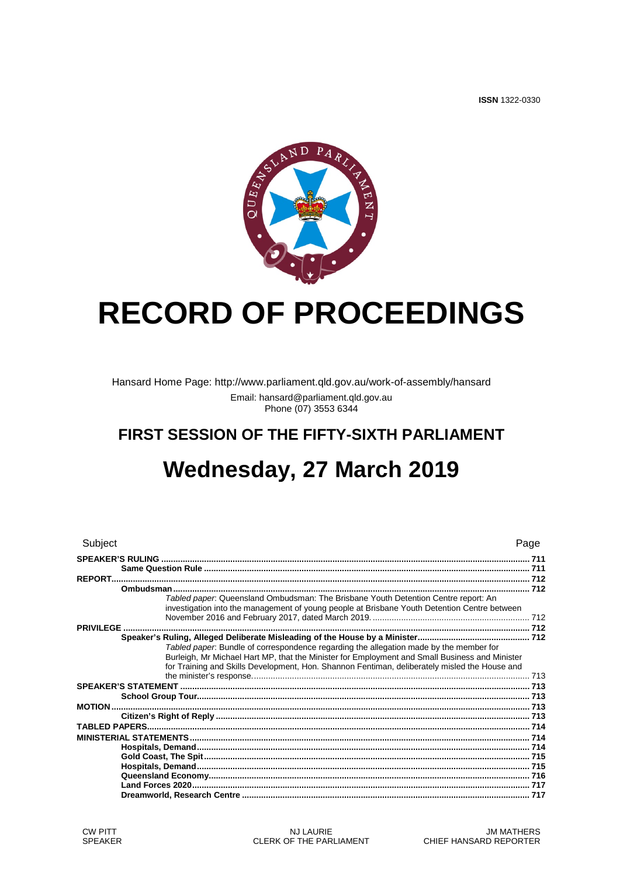**ISSN 1322-0330** 



# **RECORD OF PROCEEDINGS**

Hansard Home Page: http://www.parliament.qld.gov.au/work-of-assembly/hansard Email: hansard@parliament.qld.gov.au<br>Phone (07) 3553 6344

## FIRST SESSION OF THE FIFTY-SIXTH PARLIAMENT Wednesday, 27 March 2019

| Subject                                                                                                                                                                                                                                                                                   | Page |
|-------------------------------------------------------------------------------------------------------------------------------------------------------------------------------------------------------------------------------------------------------------------------------------------|------|
|                                                                                                                                                                                                                                                                                           |      |
|                                                                                                                                                                                                                                                                                           |      |
|                                                                                                                                                                                                                                                                                           |      |
| Tabled paper: Queensland Ombudsman: The Brisbane Youth Detention Centre report: An<br>investigation into the management of young people at Brisbane Youth Detention Centre between                                                                                                        |      |
|                                                                                                                                                                                                                                                                                           |      |
|                                                                                                                                                                                                                                                                                           |      |
| Tabled paper. Bundle of correspondence regarding the allegation made by the member for<br>Burleigh, Mr Michael Hart MP, that the Minister for Employment and Small Business and Minister<br>for Training and Skills Development, Hon. Shannon Fentiman, deliberately misled the House and |      |
|                                                                                                                                                                                                                                                                                           |      |
|                                                                                                                                                                                                                                                                                           |      |
|                                                                                                                                                                                                                                                                                           |      |
|                                                                                                                                                                                                                                                                                           |      |
|                                                                                                                                                                                                                                                                                           |      |
|                                                                                                                                                                                                                                                                                           |      |
|                                                                                                                                                                                                                                                                                           |      |
|                                                                                                                                                                                                                                                                                           |      |
|                                                                                                                                                                                                                                                                                           |      |
|                                                                                                                                                                                                                                                                                           |      |
|                                                                                                                                                                                                                                                                                           |      |
|                                                                                                                                                                                                                                                                                           |      |
|                                                                                                                                                                                                                                                                                           |      |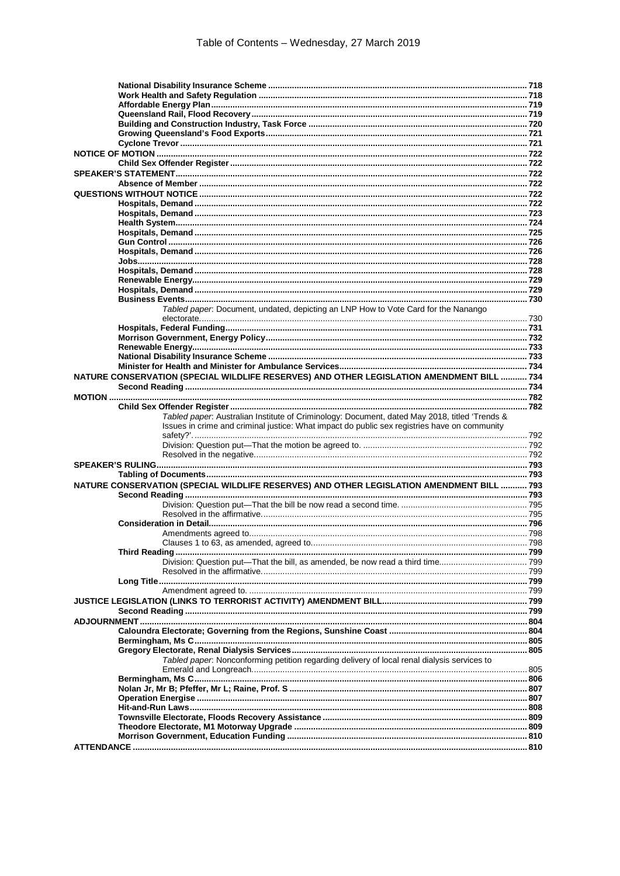| Tabled paper. Document, undated, depicting an LNP How to Vote Card for the Nanango            |  |
|-----------------------------------------------------------------------------------------------|--|
|                                                                                               |  |
|                                                                                               |  |
|                                                                                               |  |
|                                                                                               |  |
|                                                                                               |  |
| NATURE CONSERVATION (SPECIAL WILDLIFE RESERVES) AND OTHER LEGISLATION AMENDMENT BILL  734     |  |
|                                                                                               |  |
|                                                                                               |  |
| Tabled paper. Australian Institute of Criminology: Document, dated May 2018, titled 'Trends & |  |
| Issues in crime and criminal justice: What impact do public sex registries have on community  |  |
|                                                                                               |  |
|                                                                                               |  |
|                                                                                               |  |
|                                                                                               |  |
|                                                                                               |  |
| NATURE CONSERVATION (SPECIAL WILDLIFE RESERVES) AND OTHER LEGISLATION AMENDMENT BILL  793     |  |
|                                                                                               |  |
|                                                                                               |  |
|                                                                                               |  |
|                                                                                               |  |
|                                                                                               |  |
|                                                                                               |  |
|                                                                                               |  |
|                                                                                               |  |
|                                                                                               |  |
|                                                                                               |  |
|                                                                                               |  |
|                                                                                               |  |
|                                                                                               |  |
|                                                                                               |  |
|                                                                                               |  |
| Tabled paper. Nonconforming petition regarding delivery of local renal dialysis services to   |  |
|                                                                                               |  |
|                                                                                               |  |
|                                                                                               |  |
|                                                                                               |  |
|                                                                                               |  |
|                                                                                               |  |
|                                                                                               |  |
|                                                                                               |  |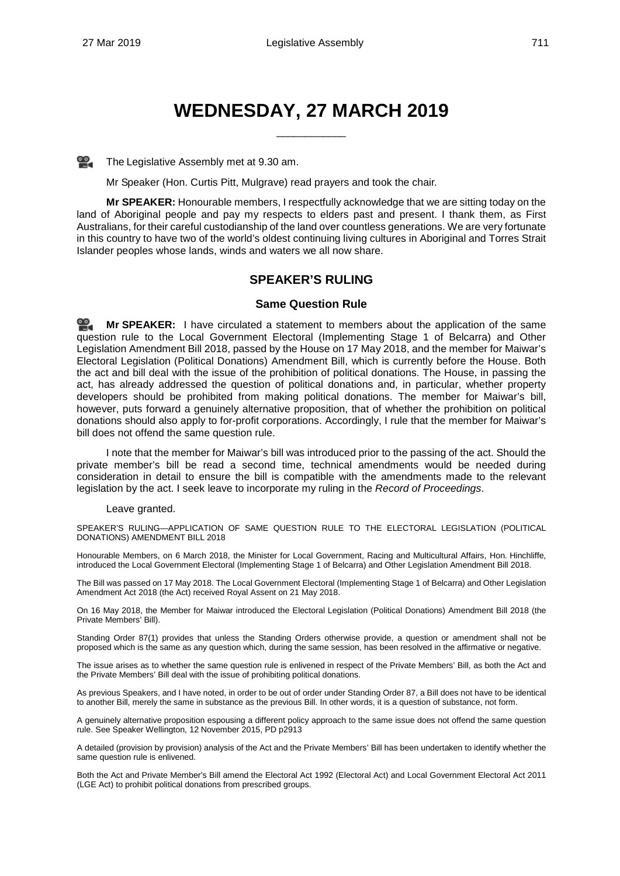### **WEDNESDAY, 27 MARCH 2019**

\_\_\_\_\_\_\_\_\_\_\_\_

The Legislative Assembly met at 9.30 am.

Mr Speaker (Hon. Curtis Pitt, Mulgrave) read prayers and took the chair.

**Mr SPEAKER:** Honourable members, I respectfully acknowledge that we are sitting today on the land of Aboriginal people and pay my respects to elders past and present. I thank them, as First Australians, for their careful custodianship of the land over countless generations. We are very fortunate in this country to have two of the world's oldest continuing living cultures in Aboriginal and Torres Strait Islander peoples whose lands, winds and waters we all now share.

#### **SPEAKER'S RULING**

#### **Same Question Rule**

<span id="page-2-1"></span><span id="page-2-0"></span>≌. **Mr [SPEAKER:](http://www.parliament.qld.gov.au/docs/find.aspx?id=0Mba20190327_093149)** I have circulated a statement to members about the application of the same question rule to the Local Government Electoral (Implementing Stage 1 of Belcarra) and Other Legislation Amendment Bill 2018, passed by the House on 17 May 2018, and the member for Maiwar's Electoral Legislation (Political Donations) Amendment Bill, which is currently before the House. Both the act and bill deal with the issue of the prohibition of political donations. The House, in passing the act, has already addressed the question of political donations and, in particular, whether property developers should be prohibited from making political donations. The member for Maiwar's bill, however, puts forward a genuinely alternative proposition, that of whether the prohibition on political donations should also apply to for-profit corporations. Accordingly, I rule that the member for Maiwar's bill does not offend the same question rule.

I note that the member for Maiwar's bill was introduced prior to the passing of the act. Should the private member's bill be read a second time, technical amendments would be needed during consideration in detail to ensure the bill is compatible with the amendments made to the relevant legislation by the act. I seek leave to incorporate my ruling in the *Record of Proceedings*.

#### Leave granted.

SPEAKER'S RULING—APPLICATION OF SAME QUESTION RULE TO THE ELECTORAL LEGISLATION (POLITICAL DONATIONS) AMENDMENT BILL 2018

Honourable Members, on 6 March 2018, the Minister for Local Government, Racing and Multicultural Affairs, Hon. Hinchliffe, introduced the Local Government Electoral (Implementing Stage 1 of Belcarra) and Other Legislation Amendment Bill 2018.

The Bill was passed on 17 May 2018. The Local Government Electoral (Implementing Stage 1 of Belcarra) and Other Legislation Amendment Act 2018 (the Act) received Royal Assent on 21 May 2018.

On 16 May 2018, the Member for Maiwar introduced the Electoral Legislation (Political Donations) Amendment Bill 2018 (the Private Members' Bill).

Standing Order 87(1) provides that unless the Standing Orders otherwise provide, a question or amendment shall not be proposed which is the same as any question which, during the same session, has been resolved in the affirmative or negative.

The issue arises as to whether the same question rule is enlivened in respect of the Private Members' Bill, as both the Act and the Private Members' Bill deal with the issue of prohibiting political donations.

As previous Speakers, and I have noted, in order to be out of order under Standing Order 87, a Bill does not have to be identical to another Bill, merely the same in substance as the previous Bill. In other words, it is a question of substance, not form.

A genuinely alternative proposition espousing a different policy approach to the same issue does not offend the same question rule. See Speaker Wellington, 12 November 2015, PD p2913

A detailed (provision by provision) analysis of the Act and the Private Members' Bill has been undertaken to identify whether the same question rule is enlivened.

Both the Act and Private Member's Bill amend the Electoral Act 1992 (Electoral Act) and Local Government Electoral Act 2011 (LGE Act) to prohibit political donations from prescribed groups.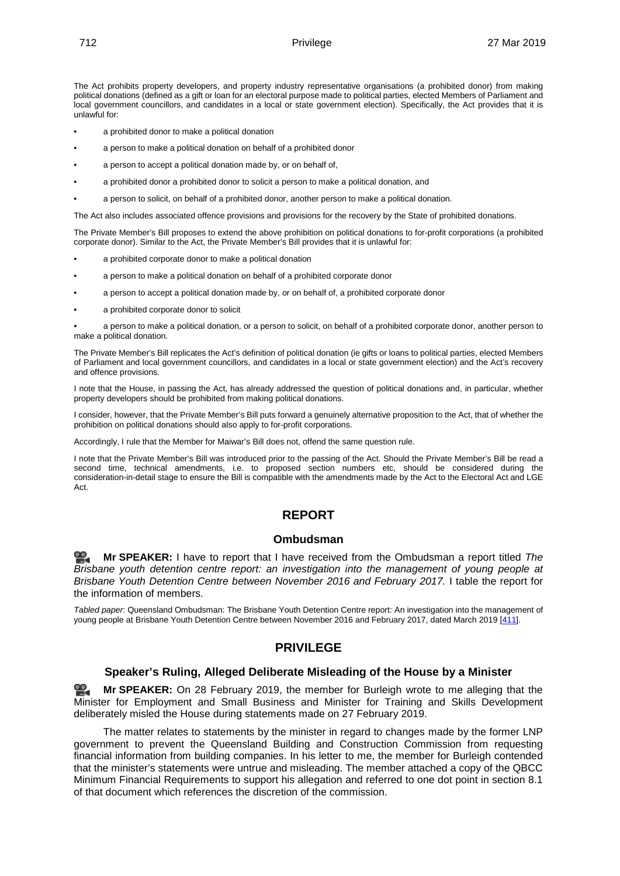The Act prohibits property developers, and property industry representative organisations (a prohibited donor) from making political donations (defined as a gift or loan for an electoral purpose made to political parties, elected Members of Parliament and local government councillors, and candidates in a local or state government election). Specifically, the Act provides that it is unlawful for:

- a prohibited donor to make a political donation
- a person to make a political donation on behalf of a prohibited donor
- a person to accept a political donation made by, or on behalf of,
- a prohibited donor a prohibited donor to solicit a person to make a political donation, and
- a person to solicit, on behalf of a prohibited donor, another person to make a political donation.

The Act also includes associated offence provisions and provisions for the recovery by the State of prohibited donations.

The Private Member's Bill proposes to extend the above prohibition on political donations to for-profit corporations (a prohibited corporate donor). Similar to the Act, the Private Member's Bill provides that it is unlawful for:

- a prohibited corporate donor to make a political donation
- a person to make a political donation on behalf of a prohibited corporate donor
- a person to accept a political donation made by, or on behalf of, a prohibited corporate donor
- a prohibited corporate donor to solicit

• a person to make a political donation, or a person to solicit, on behalf of a prohibited corporate donor, another person to make a political donation.

The Private Member's Bill replicates the Act's definition of political donation (ie gifts or loans to political parties, elected Members of Parliament and local government councillors, and candidates in a local or state government election) and the Act's recovery and offence provisions.

I note that the House, in passing the Act, has already addressed the question of political donations and, in particular, whether property developers should be prohibited from making political donations.

I consider, however, that the Private Member's Bill puts forward a genuinely alternative proposition to the Act, that of whether the prohibition on political donations should also apply to for-profit corporations.

Accordingly, I rule that the Member for Maiwar's Bill does not, offend the same question rule.

<span id="page-3-0"></span>I note that the Private Member's Bill was introduced prior to the passing of the Act. Should the Private Member's Bill be read a second time, technical amendments, i.e. to proposed section numbers etc, should be considered during the consideration-in-detail stage to ensure the Bill is compatible with the amendments made by the Act to the Electoral Act and LGE Act.

#### **REPORT**

#### **Ombudsman**

<span id="page-3-1"></span>**Mr [SPEAKER:](http://www.parliament.qld.gov.au/docs/find.aspx?id=0Mba20190327_093305)** I have to report that I have received from the Ombudsman a report titled *The Brisbane youth detention centre report: an investigation into the management of young people at Brisbane Youth Detention Centre between November 2016 and February 2017.* I table the report for the information of members.

<span id="page-3-3"></span><span id="page-3-2"></span>*Tabled paper*: Queensland Ombudsman: The Brisbane Youth Detention Centre report: An investigation into the management of young people at Brisbane Youth Detention Centre between November 2016 and February 2017, dated March 2019 [\[411\]](http://www.parliament.qld.gov.au/docs/find.aspx?id=5619T411).

#### **PRIVILEGE**

#### **Speaker's Ruling, Alleged Deliberate Misleading of the House by a Minister**

<span id="page-3-4"></span>**Mr [SPEAKER:](http://www.parliament.qld.gov.au/docs/find.aspx?id=0Mba20190327_093325)** On 28 February 2019, the member for Burleigh wrote to me alleging that the Minister for Employment and Small Business and Minister for Training and Skills Development deliberately misled the House during statements made on 27 February 2019.

The matter relates to statements by the minister in regard to changes made by the former LNP government to prevent the Queensland Building and Construction Commission from requesting financial information from building companies. In his letter to me, the member for Burleigh contended that the minister's statements were untrue and misleading. The member attached a copy of the QBCC Minimum Financial Requirements to support his allegation and referred to one dot point in section 8.1 of that document which references the discretion of the commission.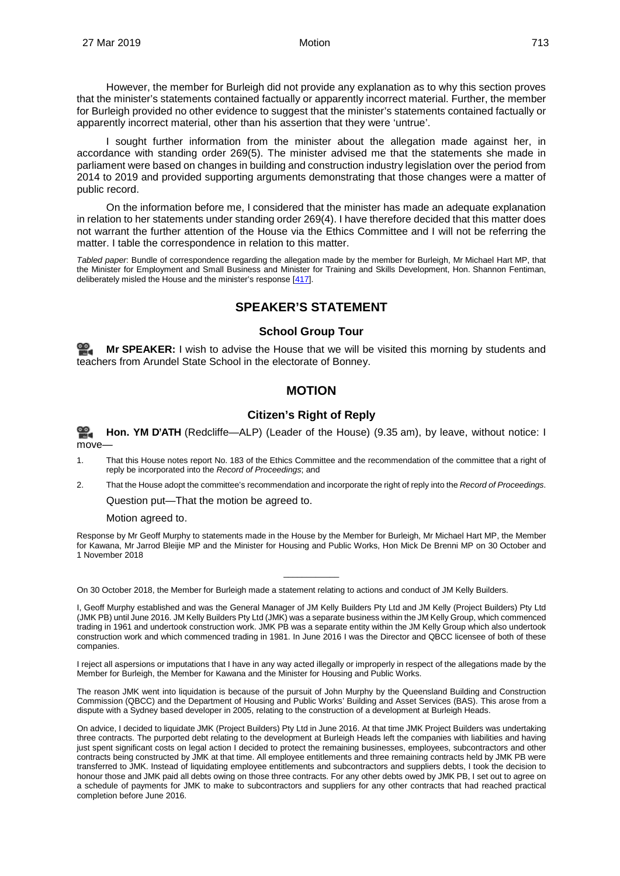However, the member for Burleigh did not provide any explanation as to why this section proves that the minister's statements contained factually or apparently incorrect material. Further, the member for Burleigh provided no other evidence to suggest that the minister's statements contained factually or apparently incorrect material, other than his assertion that they were 'untrue'.

I sought further information from the minister about the allegation made against her, in accordance with standing order 269(5). The minister advised me that the statements she made in parliament were based on changes in building and construction industry legislation over the period from 2014 to 2019 and provided supporting arguments demonstrating that those changes were a matter of public record.

On the information before me, I considered that the minister has made an adequate explanation in relation to her statements under standing order 269(4). I have therefore decided that this matter does not warrant the further attention of the House via the Ethics Committee and I will not be referring the matter. I table the correspondence in relation to this matter.

<span id="page-4-1"></span><span id="page-4-0"></span>*Tabled paper*: Bundle of correspondence regarding the allegation made by the member for Burleigh, Mr Michael Hart MP, that the Minister for Employment and Small Business and Minister for Training and Skills Development, Hon. Shannon Fentiman, deliberately misled the House and the minister's response [\[417\].](http://www.parliament.qld.gov.au/docs/find.aspx?id=5619T417)

#### **SPEAKER'S STATEMENT**

#### **School Group Tour**

<span id="page-4-3"></span><span id="page-4-2"></span>**Mr [SPEAKER:](http://www.parliament.qld.gov.au/docs/find.aspx?id=0Mba20190327_093513)** I wish to advise the House that we will be visited this morning by students and teachers from Arundel State School in the electorate of Bonney.

#### **MOTION**

#### **Citizen's Right of Reply**

<span id="page-4-4"></span>**[Hon. YM](http://www.parliament.qld.gov.au/docs/find.aspx?id=0Mba20190327_093541) D'ATH** (Redcliffe—ALP) (Leader of the House) (9.35 am), by leave, without notice: I ≌. move-

- 1. That this House notes report No. 183 of the Ethics Committee and the recommendation of the committee that a right of reply be incorporated into the *Record of Proceedings*; and
- 2. That the House adopt the committee's recommendation and incorporate the right of reply into the *Record of Proceedings*.

Question put—That the motion be agreed to.

Motion agreed to.

Response by Mr Geoff Murphy to statements made in the House by the Member for Burleigh, Mr Michael Hart MP, the Member for Kawana, Mr Jarrod Bleijie MP and the Minister for Housing and Public Works, Hon Mick De Brenni MP on 30 October and 1 November 2018

 $\overline{\phantom{a}}$  , where  $\overline{\phantom{a}}$ 

On 30 October 2018, the Member for Burleigh made a statement relating to actions and conduct of JM Kelly Builders.

I, Geoff Murphy established and was the General Manager of JM Kelly Builders Pty Ltd and JM Kelly (Project Builders) Pty Ltd (JMK PB) until June 2016. JM Kelly Builders Pty Ltd (JMK) was a separate business within the JM Kelly Group, which commenced trading in 1961 and undertook construction work. JMK PB was a separate entity within the JM Kelly Group which also undertook construction work and which commenced trading in 1981. In June 2016 I was the Director and QBCC licensee of both of these companies.

I reject all aspersions or imputations that I have in any way acted illegally or improperly in respect of the allegations made by the Member for Burleigh, the Member for Kawana and the Minister for Housing and Public Works.

The reason JMK went into liquidation is because of the pursuit of John Murphy by the Queensland Building and Construction Commission (QBCC) and the Department of Housing and Public Works' Building and Asset Services (BAS). This arose from a dispute with a Sydney based developer in 2005, relating to the construction of a development at Burleigh Heads.

On advice, I decided to liquidate JMK (Project Builders) Pty Ltd in June 2016. At that time JMK Project Builders was undertaking three contracts. The purported debt relating to the development at Burleigh Heads left the companies with liabilities and having just spent significant costs on legal action I decided to protect the remaining businesses, employees, subcontractors and other contracts being constructed by JMK at that time. All employee entitlements and three remaining contracts held by JMK PB were transferred to JMK. Instead of liquidating employee entitlements and subcontractors and suppliers debts, I took the decision to honour those and JMK paid all debts owing on those three contracts. For any other debts owed by JMK PB, I set out to agree on a schedule of payments for JMK to make to subcontractors and suppliers for any other contracts that had reached practical completion before June 2016.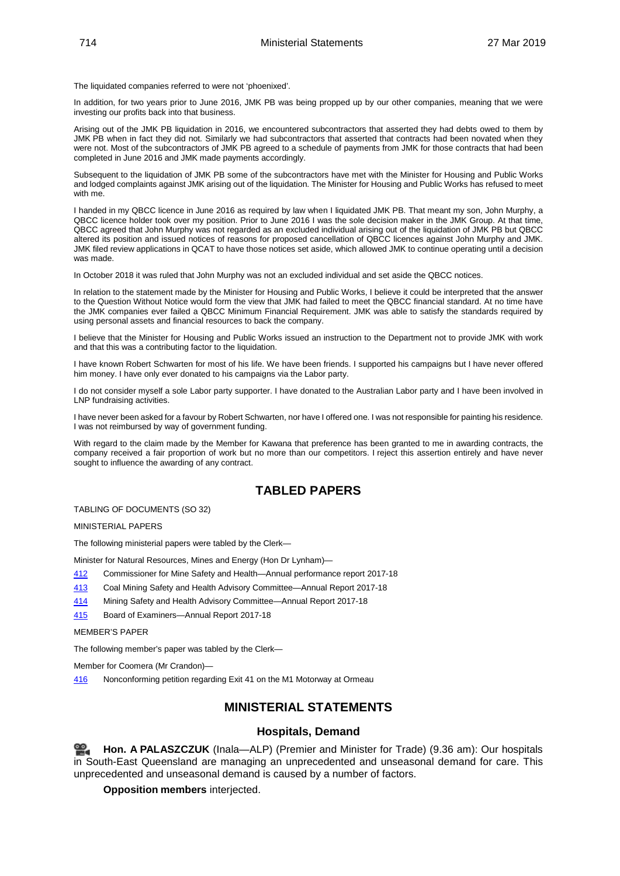The liquidated companies referred to were not 'phoenixed'.

In addition, for two years prior to June 2016, JMK PB was being propped up by our other companies, meaning that we were investing our profits back into that business.

Arising out of the JMK PB liquidation in 2016, we encountered subcontractors that asserted they had debts owed to them by JMK PB when in fact they did not. Similarly we had subcontractors that asserted that contracts had been novated when they were not. Most of the subcontractors of JMK PB agreed to a schedule of payments from JMK for those contracts that had been completed in June 2016 and JMK made payments accordingly.

Subsequent to the liquidation of JMK PB some of the subcontractors have met with the Minister for Housing and Public Works and lodged complaints against JMK arising out of the liquidation. The Minister for Housing and Public Works has refused to meet with me

I handed in my QBCC licence in June 2016 as required by law when I liquidated JMK PB. That meant my son, John Murphy, a QBCC licence holder took over my position. Prior to June 2016 I was the sole decision maker in the JMK Group. At that time, QBCC agreed that John Murphy was not regarded as an excluded individual arising out of the liquidation of JMK PB but QBCC altered its position and issued notices of reasons for proposed cancellation of QBCC licences against John Murphy and JMK. JMK filed review applications in QCAT to have those notices set aside, which allowed JMK to continue operating until a decision was made.

In October 2018 it was ruled that John Murphy was not an excluded individual and set aside the QBCC notices.

In relation to the statement made by the Minister for Housing and Public Works, I believe it could be interpreted that the answer to the Question Without Notice would form the view that JMK had failed to meet the QBCC financial standard. At no time have the JMK companies ever failed a QBCC Minimum Financial Requirement. JMK was able to satisfy the standards required by using personal assets and financial resources to back the company.

I believe that the Minister for Housing and Public Works issued an instruction to the Department not to provide JMK with work and that this was a contributing factor to the liquidation.

I have known Robert Schwarten for most of his life. We have been friends. I supported his campaigns but I have never offered him money. I have only ever donated to his campaigns via the Labor party.

I do not consider myself a sole Labor party supporter. I have donated to the Australian Labor party and I have been involved in LNP fundraising activities.

I have never been asked for a favour by Robert Schwarten, nor have I offered one. I was not responsible for painting his residence. I was not reimbursed by way of government funding.

With regard to the claim made by the Member for Kawana that preference has been granted to me in awarding contracts, the company received a fair proportion of work but no more than our competitors. I reject this assertion entirely and have never sought to influence the awarding of any contract.

### **TABLED PAPERS**

<span id="page-5-0"></span>TABLING OF DOCUMENTS (SO 32)

MINISTERIAL PAPERS

The following ministerial papers were tabled by the Clerk—

Minister for Natural Resources, Mines and Energy (Hon Dr Lynham)—

- [412](http://www.parliament.qld.gov.au/docs/find.aspx?id=5619T412) Commissioner for Mine Safety and Health—Annual performance report 2017-18
- [413](http://www.parliament.qld.gov.au/docs/find.aspx?id=5619T413) Coal Mining Safety and Health Advisory Committee—Annual Report 2017-18
- [414](http://www.parliament.qld.gov.au/docs/find.aspx?id=5619T414) Mining Safety and Health Advisory Committee—Annual Report 2017-18
- [415](http://www.parliament.qld.gov.au/docs/find.aspx?id=5619T415) Board of Examiners—Annual Report 2017-18

MEMBER'S PAPER

The following member's paper was tabled by the Clerk—

Member for Coomera (Mr Crandon)—

<span id="page-5-1"></span>[416](http://www.parliament.qld.gov.au/docs/find.aspx?id=5619T416) Nonconforming petition regarding Exit 41 on the M1 Motorway at Ormeau

#### **MINISTERIAL STATEMENTS**

#### **Hospitals, Demand**

<span id="page-5-2"></span>**Hon. A [PALASZCZUK](http://www.parliament.qld.gov.au/docs/find.aspx?id=0Mba20190327_093636)** (Inala—ALP) (Premier and Minister for Trade) (9.36 am): Our hospitals in South-East Queensland are managing an unprecedented and unseasonal demand for care. This unprecedented and unseasonal demand is caused by a number of factors.

**Opposition members** interjected.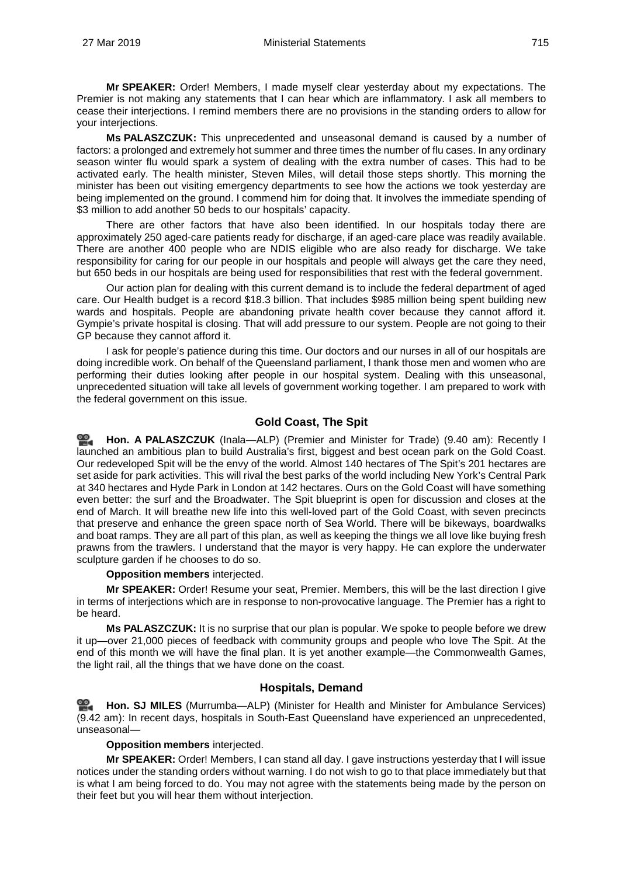**Mr SPEAKER:** Order! Members, I made myself clear yesterday about my expectations. The Premier is not making any statements that I can hear which are inflammatory. I ask all members to cease their interjections. I remind members there are no provisions in the standing orders to allow for your interjections.

**Ms PALASZCZUK:** This unprecedented and unseasonal demand is caused by a number of factors: a prolonged and extremely hot summer and three times the number of flu cases. In any ordinary season winter flu would spark a system of dealing with the extra number of cases. This had to be activated early. The health minister, Steven Miles, will detail those steps shortly. This morning the minister has been out visiting emergency departments to see how the actions we took yesterday are being implemented on the ground. I commend him for doing that. It involves the immediate spending of \$3 million to add another 50 beds to our hospitals' capacity.

There are other factors that have also been identified. In our hospitals today there are approximately 250 aged-care patients ready for discharge, if an aged-care place was readily available. There are another 400 people who are NDIS eligible who are also ready for discharge. We take responsibility for caring for our people in our hospitals and people will always get the care they need, but 650 beds in our hospitals are being used for responsibilities that rest with the federal government.

Our action plan for dealing with this current demand is to include the federal department of aged care. Our Health budget is a record \$18.3 billion. That includes \$985 million being spent building new wards and hospitals. People are abandoning private health cover because they cannot afford it. Gympie's private hospital is closing. That will add pressure to our system. People are not going to their GP because they cannot afford it.

I ask for people's patience during this time. Our doctors and our nurses in all of our hospitals are doing incredible work. On behalf of the Queensland parliament, I thank those men and women who are performing their duties looking after people in our hospital system. Dealing with this unseasonal, unprecedented situation will take all levels of government working together. I am prepared to work with the federal government on this issue.

#### **Gold Coast, The Spit**

<span id="page-6-0"></span>**Hon. A [PALASZCZUK](http://www.parliament.qld.gov.au/docs/find.aspx?id=0Mba20190327_094013)** (Inala—ALP) (Premier and Minister for Trade) (9.40 am): Recently I launched an ambitious plan to build Australia's first, biggest and best ocean park on the Gold Coast. Our redeveloped Spit will be the envy of the world. Almost 140 hectares of The Spit's 201 hectares are set aside for park activities. This will rival the best parks of the world including New York's Central Park at 340 hectares and Hyde Park in London at 142 hectares. Ours on the Gold Coast will have something even better: the surf and the Broadwater. The Spit blueprint is open for discussion and closes at the end of March. It will breathe new life into this well-loved part of the Gold Coast, with seven precincts that preserve and enhance the green space north of Sea World. There will be bikeways, boardwalks and boat ramps. They are all part of this plan, as well as keeping the things we all love like buying fresh prawns from the trawlers. I understand that the mayor is very happy. He can explore the underwater sculpture garden if he chooses to do so.

#### **Opposition members** interjected.

**Mr SPEAKER:** Order! Resume your seat, Premier. Members, this will be the last direction I give in terms of interjections which are in response to non-provocative language. The Premier has a right to be heard.

**Ms PALASZCZUK:** It is no surprise that our plan is popular. We spoke to people before we drew it up—over 21,000 pieces of feedback with community groups and people who love The Spit. At the end of this month we will have the final plan. It is yet another example—the Commonwealth Games, the light rail, all the things that we have done on the coast.

#### **Hospitals, Demand**

<span id="page-6-1"></span>**[Hon. SJ MILES](http://www.parliament.qld.gov.au/docs/find.aspx?id=0Mba20190327_094207)** (Murrumba—ALP) (Minister for Health and Minister for Ambulance Services) (9.42 am): In recent days, hospitals in South-East Queensland have experienced an unprecedented, unseasonal—

#### **Opposition members** interjected.

**Mr SPEAKER:** Order! Members, I can stand all day. I gave instructions yesterday that I will issue notices under the standing orders without warning. I do not wish to go to that place immediately but that is what I am being forced to do. You may not agree with the statements being made by the person on their feet but you will hear them without interjection.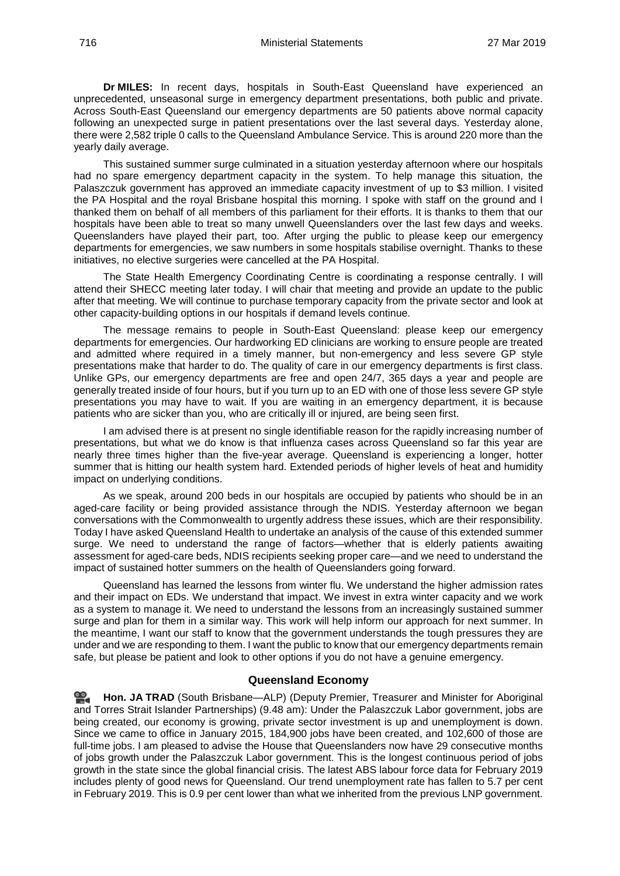**Dr MILES:** In recent days, hospitals in South-East Queensland have experienced an unprecedented, unseasonal surge in emergency department presentations, both public and private. Across South-East Queensland our emergency departments are 50 patients above normal capacity following an unexpected surge in patient presentations over the last several days. Yesterday alone, there were 2,582 triple 0 calls to the Queensland Ambulance Service. This is around 220 more than the yearly daily average.

This sustained summer surge culminated in a situation yesterday afternoon where our hospitals had no spare emergency department capacity in the system. To help manage this situation, the Palaszczuk government has approved an immediate capacity investment of up to \$3 million. I visited the PA Hospital and the royal Brisbane hospital this morning. I spoke with staff on the ground and I thanked them on behalf of all members of this parliament for their efforts. It is thanks to them that our hospitals have been able to treat so many unwell Queenslanders over the last few days and weeks. Queenslanders have played their part, too. After urging the public to please keep our emergency departments for emergencies, we saw numbers in some hospitals stabilise overnight. Thanks to these initiatives, no elective surgeries were cancelled at the PA Hospital.

The State Health Emergency Coordinating Centre is coordinating a response centrally. I will attend their SHECC meeting later today. I will chair that meeting and provide an update to the public after that meeting. We will continue to purchase temporary capacity from the private sector and look at other capacity-building options in our hospitals if demand levels continue.

The message remains to people in South-East Queensland: please keep our emergency departments for emergencies. Our hardworking ED clinicians are working to ensure people are treated and admitted where required in a timely manner, but non-emergency and less severe GP style presentations make that harder to do. The quality of care in our emergency departments is first class. Unlike GPs, our emergency departments are free and open 24/7, 365 days a year and people are generally treated inside of four hours, but if you turn up to an ED with one of those less severe GP style presentations you may have to wait. If you are waiting in an emergency department, it is because patients who are sicker than you, who are critically ill or injured, are being seen first.

I am advised there is at present no single identifiable reason for the rapidly increasing number of presentations, but what we do know is that influenza cases across Queensland so far this year are nearly three times higher than the five-year average. Queensland is experiencing a longer, hotter summer that is hitting our health system hard. Extended periods of higher levels of heat and humidity impact on underlying conditions.

As we speak, around 200 beds in our hospitals are occupied by patients who should be in an aged-care facility or being provided assistance through the NDIS. Yesterday afternoon we began conversations with the Commonwealth to urgently address these issues, which are their responsibility. Today I have asked Queensland Health to undertake an analysis of the cause of this extended summer surge. We need to understand the range of factors—whether that is elderly patients awaiting assessment for aged-care beds, NDIS recipients seeking proper care—and we need to understand the impact of sustained hotter summers on the health of Queenslanders going forward.

Queensland has learned the lessons from winter flu. We understand the higher admission rates and their impact on EDs. We understand that impact. We invest in extra winter capacity and we work as a system to manage it. We need to understand the lessons from an increasingly sustained summer surge and plan for them in a similar way. This work will help inform our approach for next summer. In the meantime, I want our staff to know that the government understands the tough pressures they are under and we are responding to them. I want the public to know that our emergency departments remain safe, but please be patient and look to other options if you do not have a genuine emergency.

#### **Queensland Economy**

<span id="page-7-0"></span>**[Hon. JA](http://www.parliament.qld.gov.au/docs/find.aspx?id=0Mba20190327_094818) TRAD** (South Brisbane—ALP) (Deputy Premier, Treasurer and Minister for Aboriginal and Torres Strait Islander Partnerships) (9.48 am): Under the Palaszczuk Labor government, jobs are being created, our economy is growing, private sector investment is up and unemployment is down. Since we came to office in January 2015, 184,900 jobs have been created, and 102,600 of those are full-time jobs. I am pleased to advise the House that Queenslanders now have 29 consecutive months of jobs growth under the Palaszczuk Labor government. This is the longest continuous period of jobs growth in the state since the global financial crisis. The latest ABS labour force data for February 2019 includes plenty of good news for Queensland. Our trend unemployment rate has fallen to 5.7 per cent in February 2019. This is 0.9 per cent lower than what we inherited from the previous LNP government.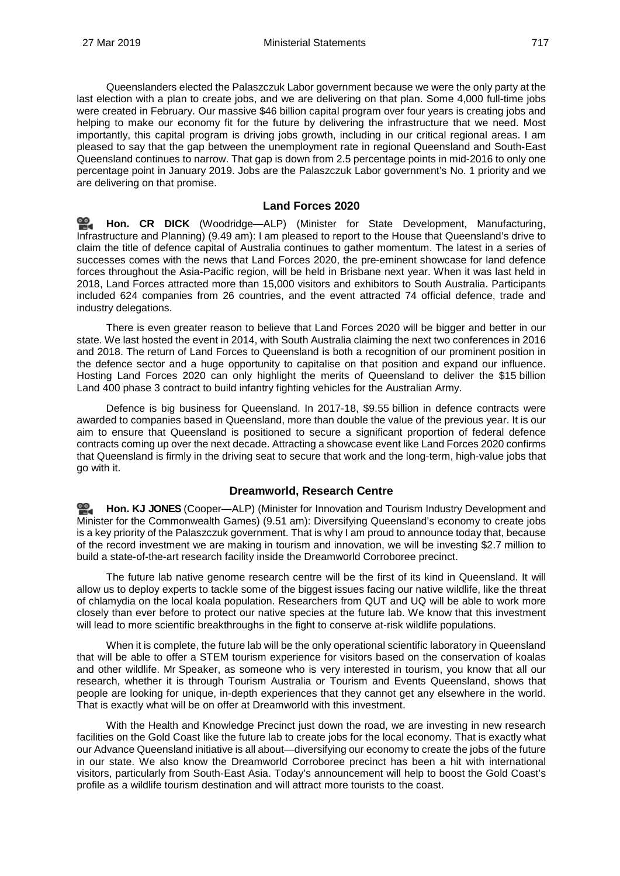Queenslanders elected the Palaszczuk Labor government because we were the only party at the last election with a plan to create jobs, and we are delivering on that plan. Some 4,000 full-time jobs were created in February. Our massive \$46 billion capital program over four years is creating jobs and helping to make our economy fit for the future by delivering the infrastructure that we need. Most importantly, this capital program is driving jobs growth, including in our critical regional areas. I am pleased to say that the gap between the unemployment rate in regional Queensland and South-East Queensland continues to narrow. That gap is down from 2.5 percentage points in mid-2016 to only one percentage point in January 2019. Jobs are the Palaszczuk Labor government's No. 1 priority and we are delivering on that promise.

#### **Land Forces 2020**

<span id="page-8-0"></span>**[Hon. CR DICK](http://www.parliament.qld.gov.au/docs/find.aspx?id=0Mba20190327_095006)** (Woodridge—ALP) (Minister for State Development, Manufacturing, Infrastructure and Planning) (9.49 am): I am pleased to report to the House that Queensland's drive to claim the title of defence capital of Australia continues to gather momentum. The latest in a series of successes comes with the news that Land Forces 2020, the pre-eminent showcase for land defence forces throughout the Asia-Pacific region, will be held in Brisbane next year. When it was last held in 2018, Land Forces attracted more than 15,000 visitors and exhibitors to South Australia. Participants included 624 companies from 26 countries, and the event attracted 74 official defence, trade and industry delegations.

There is even greater reason to believe that Land Forces 2020 will be bigger and better in our state. We last hosted the event in 2014, with South Australia claiming the next two conferences in 2016 and 2018. The return of Land Forces to Queensland is both a recognition of our prominent position in the defence sector and a huge opportunity to capitalise on that position and expand our influence. Hosting Land Forces 2020 can only highlight the merits of Queensland to deliver the \$15 billion Land 400 phase 3 contract to build infantry fighting vehicles for the Australian Army.

Defence is big business for Queensland. In 2017-18, \$9.55 billion in defence contracts were awarded to companies based in Queensland, more than double the value of the previous year. It is our aim to ensure that Queensland is positioned to secure a significant proportion of federal defence contracts coming up over the next decade. Attracting a showcase event like Land Forces 2020 confirms that Queensland is firmly in the driving seat to secure that work and the long-term, high-value jobs that go with it.

#### **Dreamworld, Research Centre**

<span id="page-8-1"></span>≌. **[Hon. KJ JONES](http://www.parliament.qld.gov.au/docs/find.aspx?id=0Mba20190327_095159)** (Cooper—ALP) (Minister for Innovation and Tourism Industry Development and Minister for the Commonwealth Games) (9.51 am): Diversifying Queensland's economy to create jobs is a key priority of the Palaszczuk government. That is why I am proud to announce today that, because of the record investment we are making in tourism and innovation, we will be investing \$2.7 million to build a state-of-the-art research facility inside the Dreamworld Corroboree precinct.

The future lab native genome research centre will be the first of its kind in Queensland. It will allow us to deploy experts to tackle some of the biggest issues facing our native wildlife, like the threat of chlamydia on the local koala population. Researchers from QUT and UQ will be able to work more closely than ever before to protect our native species at the future lab. We know that this investment will lead to more scientific breakthroughs in the fight to conserve at-risk wildlife populations.

When it is complete, the future lab will be the only operational scientific laboratory in Queensland that will be able to offer a STEM tourism experience for visitors based on the conservation of koalas and other wildlife. Mr Speaker, as someone who is very interested in tourism, you know that all our research, whether it is through Tourism Australia or Tourism and Events Queensland, shows that people are looking for unique, in-depth experiences that they cannot get any elsewhere in the world. That is exactly what will be on offer at Dreamworld with this investment.

With the Health and Knowledge Precinct just down the road, we are investing in new research facilities on the Gold Coast like the future lab to create jobs for the local economy. That is exactly what our Advance Queensland initiative is all about—diversifying our economy to create the jobs of the future in our state. We also know the Dreamworld Corroboree precinct has been a hit with international visitors, particularly from South-East Asia. Today's announcement will help to boost the Gold Coast's profile as a wildlife tourism destination and will attract more tourists to the coast.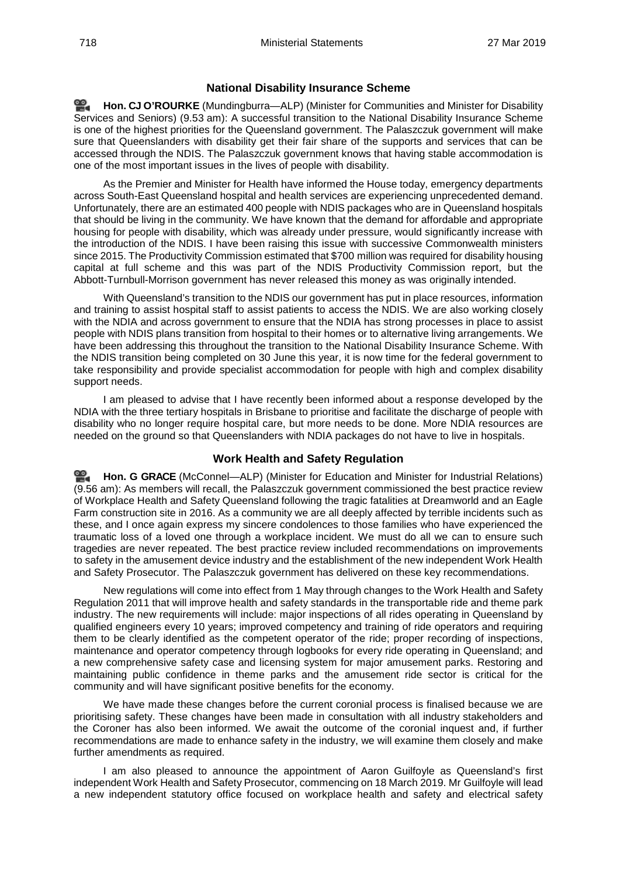#### **National Disability Insurance Scheme**

<span id="page-9-0"></span>≌. **Hon. CJ [O'ROURKE](http://www.parliament.qld.gov.au/docs/find.aspx?id=0Mba20190327_095349)** (Mundingburra—ALP) (Minister for Communities and Minister for Disability Services and Seniors) (9.53 am): A successful transition to the National Disability Insurance Scheme is one of the highest priorities for the Queensland government. The Palaszczuk government will make sure that Queenslanders with disability get their fair share of the supports and services that can be accessed through the NDIS. The Palaszczuk government knows that having stable accommodation is one of the most important issues in the lives of people with disability.

As the Premier and Minister for Health have informed the House today, emergency departments across South-East Queensland hospital and health services are experiencing unprecedented demand. Unfortunately, there are an estimated 400 people with NDIS packages who are in Queensland hospitals that should be living in the community. We have known that the demand for affordable and appropriate housing for people with disability, which was already under pressure, would significantly increase with the introduction of the NDIS. I have been raising this issue with successive Commonwealth ministers since 2015. The Productivity Commission estimated that \$700 million was required for disability housing capital at full scheme and this was part of the NDIS Productivity Commission report, but the Abbott-Turnbull-Morrison government has never released this money as was originally intended.

With Queensland's transition to the NDIS our government has put in place resources, information and training to assist hospital staff to assist patients to access the NDIS. We are also working closely with the NDIA and across government to ensure that the NDIA has strong processes in place to assist people with NDIS plans transition from hospital to their homes or to alternative living arrangements. We have been addressing this throughout the transition to the National Disability Insurance Scheme. With the NDIS transition being completed on 30 June this year, it is now time for the federal government to take responsibility and provide specialist accommodation for people with high and complex disability support needs.

I am pleased to advise that I have recently been informed about a response developed by the NDIA with the three tertiary hospitals in Brisbane to prioritise and facilitate the discharge of people with disability who no longer require hospital care, but more needs to be done. More NDIA resources are needed on the ground so that Queenslanders with NDIA packages do not have to live in hospitals.

#### **Work Health and Safety Regulation**

<span id="page-9-1"></span>≌. **[Hon. G GRACE](http://www.parliament.qld.gov.au/docs/find.aspx?id=0Mba20190327_095625)** (McConnel—ALP) (Minister for Education and Minister for Industrial Relations) (9.56 am): As members will recall, the Palaszczuk government commissioned the best practice review of Workplace Health and Safety Queensland following the tragic fatalities at Dreamworld and an Eagle Farm construction site in 2016. As a community we are all deeply affected by terrible incidents such as these, and I once again express my sincere condolences to those families who have experienced the traumatic loss of a loved one through a workplace incident. We must do all we can to ensure such tragedies are never repeated. The best practice review included recommendations on improvements to safety in the amusement device industry and the establishment of the new independent Work Health and Safety Prosecutor. The Palaszczuk government has delivered on these key recommendations.

New regulations will come into effect from 1 May through changes to the Work Health and Safety Regulation 2011 that will improve health and safety standards in the transportable ride and theme park industry. The new requirements will include: major inspections of all rides operating in Queensland by qualified engineers every 10 years; improved competency and training of ride operators and requiring them to be clearly identified as the competent operator of the ride; proper recording of inspections, maintenance and operator competency through logbooks for every ride operating in Queensland; and a new comprehensive safety case and licensing system for major amusement parks. Restoring and maintaining public confidence in theme parks and the amusement ride sector is critical for the community and will have significant positive benefits for the economy.

We have made these changes before the current coronial process is finalised because we are prioritising safety. These changes have been made in consultation with all industry stakeholders and the Coroner has also been informed. We await the outcome of the coronial inquest and, if further recommendations are made to enhance safety in the industry, we will examine them closely and make further amendments as required.

I am also pleased to announce the appointment of Aaron Guilfoyle as Queensland's first independent Work Health and Safety Prosecutor, commencing on 18 March 2019. Mr Guilfoyle will lead a new independent statutory office focused on workplace health and safety and electrical safety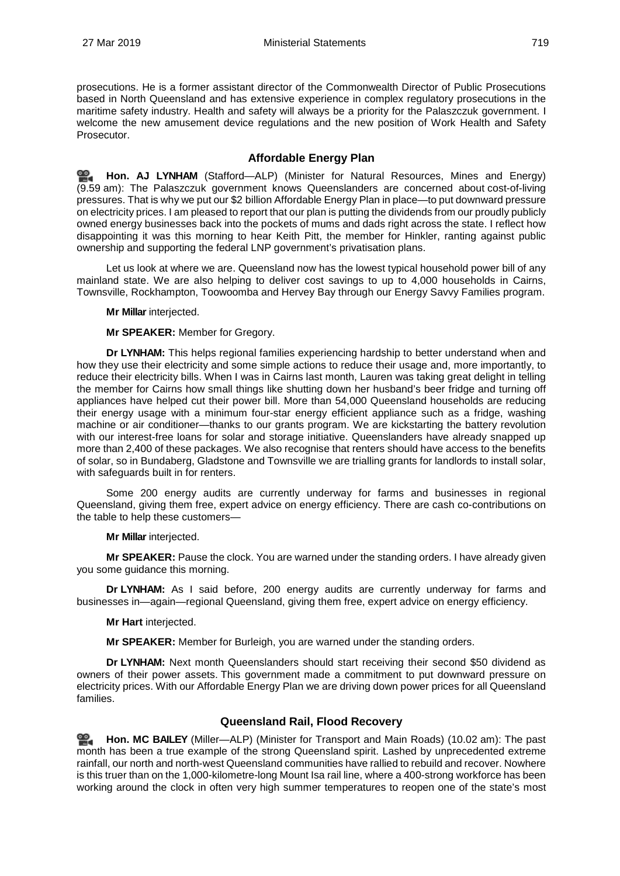prosecutions. He is a former assistant director of the Commonwealth Director of Public Prosecutions based in North Queensland and has extensive experience in complex regulatory prosecutions in the maritime safety industry. Health and safety will always be a priority for the Palaszczuk government. I welcome the new amusement device regulations and the new position of Work Health and Safety Prosecutor.

#### <span id="page-10-0"></span>**Affordable Energy Plan**

**[Hon. AJ LYNHAM](http://www.parliament.qld.gov.au/docs/find.aspx?id=0Mba20190327_095920)** (Stafford—ALP) (Minister for Natural Resources, Mines and Energy) (9.59 am): The Palaszczuk government knows Queenslanders are concerned about cost-of-living pressures. That is why we put our \$2 billion Affordable Energy Plan in place—to put downward pressure on electricity prices. I am pleased to report that our plan is putting the dividends from our proudly publicly owned energy businesses back into the pockets of mums and dads right across the state. I reflect how disappointing it was this morning to hear Keith Pitt, the member for Hinkler, ranting against public ownership and supporting the federal LNP government's privatisation plans.

Let us look at where we are. Queensland now has the lowest typical household power bill of any mainland state. We are also helping to deliver cost savings to up to 4,000 households in Cairns, Townsville, Rockhampton, Toowoomba and Hervey Bay through our Energy Savvy Families program.

**Mr Millar** interjected.

#### **Mr SPEAKER:** Member for Gregory.

**Dr LYNHAM:** This helps regional families experiencing hardship to better understand when and how they use their electricity and some simple actions to reduce their usage and, more importantly, to reduce their electricity bills. When I was in Cairns last month, Lauren was taking great delight in telling the member for Cairns how small things like shutting down her husband's beer fridge and turning off appliances have helped cut their power bill. More than 54,000 Queensland households are reducing their energy usage with a minimum four-star energy efficient appliance such as a fridge, washing machine or air conditioner—thanks to our grants program. We are kickstarting the battery revolution with our interest-free loans for solar and storage initiative. Queenslanders have already snapped up more than 2,400 of these packages. We also recognise that renters should have access to the benefits of solar, so in Bundaberg, Gladstone and Townsville we are trialling grants for landlords to install solar, with safeguards built in for renters.

Some 200 energy audits are currently underway for farms and businesses in regional Queensland, giving them free, expert advice on energy efficiency. There are cash co-contributions on the table to help these customers—

#### **Mr Millar** interjected.

**Mr SPEAKER:** Pause the clock. You are warned under the standing orders. I have already given you some guidance this morning.

**Dr LYNHAM:** As I said before, 200 energy audits are currently underway for farms and businesses in—again—regional Queensland, giving them free, expert advice on energy efficiency.

**Mr Hart** interjected.

**Mr SPEAKER:** Member for Burleigh, you are warned under the standing orders.

**Dr LYNHAM:** Next month Queenslanders should start receiving their second \$50 dividend as owners of their power assets. This government made a commitment to put downward pressure on electricity prices. With our Affordable Energy Plan we are driving down power prices for all Queensland families.

#### **Queensland Rail, Flood Recovery**

<span id="page-10-1"></span>ை. **[Hon. MC BAILEY](http://www.parliament.qld.gov.au/docs/find.aspx?id=0Mba20190327_100252)** (Miller—ALP) (Minister for Transport and Main Roads) (10.02 am): The past month has been a true example of the strong Queensland spirit. Lashed by unprecedented extreme rainfall, our north and north-west Queensland communities have rallied to rebuild and recover. Nowhere is this truer than on the 1,000-kilometre-long Mount Isa rail line, where a 400-strong workforce has been working around the clock in often very high summer temperatures to reopen one of the state's most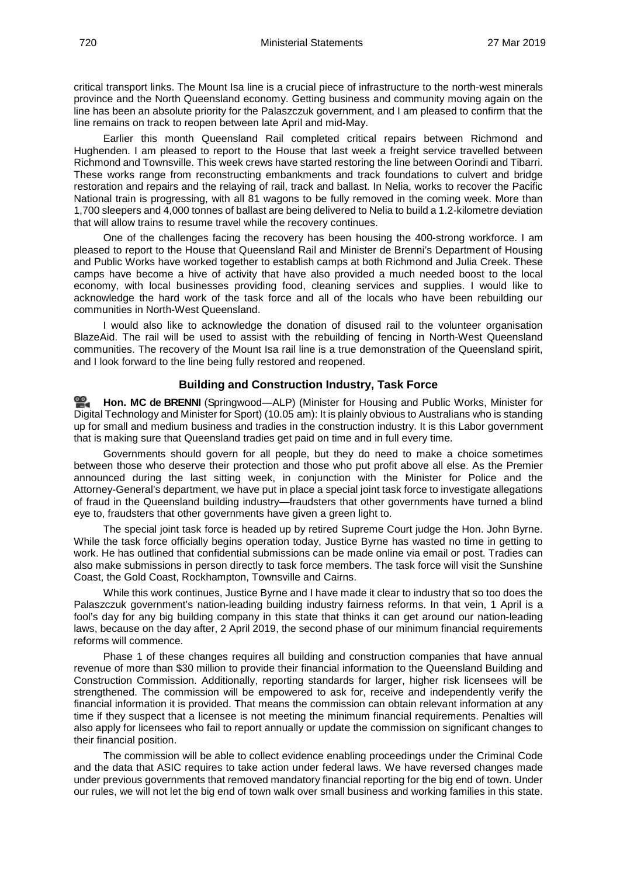critical transport links. The Mount Isa line is a crucial piece of infrastructure to the north-west minerals province and the North Queensland economy. Getting business and community moving again on the line has been an absolute priority for the Palaszczuk government, and I am pleased to confirm that the line remains on track to reopen between late April and mid-May.

Earlier this month Queensland Rail completed critical repairs between Richmond and Hughenden. I am pleased to report to the House that last week a freight service travelled between Richmond and Townsville. This week crews have started restoring the line between Oorindi and Tibarri. These works range from reconstructing embankments and track foundations to culvert and bridge restoration and repairs and the relaying of rail, track and ballast. In Nelia, works to recover the Pacific National train is progressing, with all 81 wagons to be fully removed in the coming week. More than 1,700 sleepers and 4,000 tonnes of ballast are being delivered to Nelia to build a 1.2-kilometre deviation that will allow trains to resume travel while the recovery continues.

One of the challenges facing the recovery has been housing the 400-strong workforce. I am pleased to report to the House that Queensland Rail and Minister de Brenni's Department of Housing and Public Works have worked together to establish camps at both Richmond and Julia Creek. These camps have become a hive of activity that have also provided a much needed boost to the local economy, with local businesses providing food, cleaning services and supplies. I would like to acknowledge the hard work of the task force and all of the locals who have been rebuilding our communities in North-West Queensland.

I would also like to acknowledge the donation of disused rail to the volunteer organisation BlazeAid. The rail will be used to assist with the rebuilding of fencing in North-West Queensland communities. The recovery of the Mount Isa rail line is a true demonstration of the Queensland spirit, and I look forward to the line being fully restored and reopened.

#### **Building and Construction Industry, Task Force**

<span id="page-11-0"></span>**Hon. MC [de BRENNI](http://www.parliament.qld.gov.au/docs/find.aspx?id=0Mba20190327_100525)** (Springwood—ALP) (Minister for Housing and Public Works, Minister for Digital Technology and Minister for Sport) (10.05 am): It is plainly obvious to Australians who is standing up for small and medium business and tradies in the construction industry. It is this Labor government that is making sure that Queensland tradies get paid on time and in full every time.

Governments should govern for all people, but they do need to make a choice sometimes between those who deserve their protection and those who put profit above all else. As the Premier announced during the last sitting week, in conjunction with the Minister for Police and the Attorney-General's department, we have put in place a special joint task force to investigate allegations of fraud in the Queensland building industry—fraudsters that other governments have turned a blind eye to, fraudsters that other governments have given a green light to.

The special joint task force is headed up by retired Supreme Court judge the Hon. John Byrne. While the task force officially begins operation today, Justice Byrne has wasted no time in getting to work. He has outlined that confidential submissions can be made online via email or post. Tradies can also make submissions in person directly to task force members. The task force will visit the Sunshine Coast, the Gold Coast, Rockhampton, Townsville and Cairns.

While this work continues, Justice Byrne and I have made it clear to industry that so too does the Palaszczuk government's nation-leading building industry fairness reforms. In that vein, 1 April is a fool's day for any big building company in this state that thinks it can get around our nation-leading laws, because on the day after, 2 April 2019, the second phase of our minimum financial requirements reforms will commence.

Phase 1 of these changes requires all building and construction companies that have annual revenue of more than \$30 million to provide their financial information to the Queensland Building and Construction Commission. Additionally, reporting standards for larger, higher risk licensees will be strengthened. The commission will be empowered to ask for, receive and independently verify the financial information it is provided. That means the commission can obtain relevant information at any time if they suspect that a licensee is not meeting the minimum financial requirements. Penalties will also apply for licensees who fail to report annually or update the commission on significant changes to their financial position.

The commission will be able to collect evidence enabling proceedings under the Criminal Code and the data that ASIC requires to take action under federal laws. We have reversed changes made under previous governments that removed mandatory financial reporting for the big end of town. Under our rules, we will not let the big end of town walk over small business and working families in this state.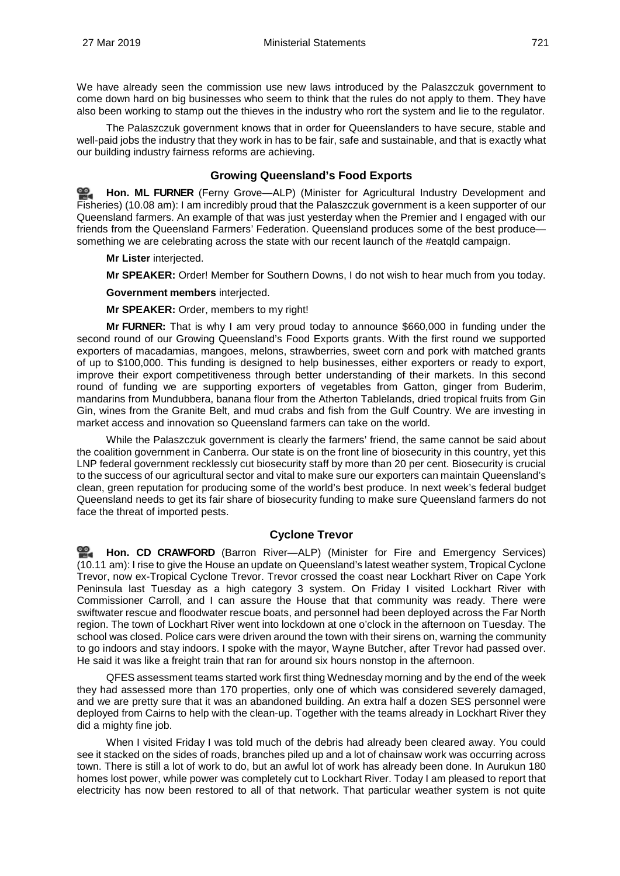We have already seen the commission use new laws introduced by the Palaszczuk government to come down hard on big businesses who seem to think that the rules do not apply to them. They have also been working to stamp out the thieves in the industry who rort the system and lie to the regulator.

The Palaszczuk government knows that in order for Queenslanders to have secure, stable and well-paid jobs the industry that they work in has to be fair, safe and sustainable, and that is exactly what our building industry fairness reforms are achieving.

#### **Growing Queensland's Food Exports**

<span id="page-12-0"></span>≌. **[Hon. ML](http://www.parliament.qld.gov.au/docs/find.aspx?id=0Mba20190327_100852) FURNER** (Ferny Grove—ALP) (Minister for Agricultural Industry Development and Fisheries) (10.08 am): I am incredibly proud that the Palaszczuk government is a keen supporter of our Queensland farmers. An example of that was just yesterday when the Premier and I engaged with our friends from the Queensland Farmers' Federation. Queensland produces some of the best produce something we are celebrating across the state with our recent launch of the #eatqld campaign.

**Mr Lister** interjected.

**Mr SPEAKER:** Order! Member for Southern Downs, I do not wish to hear much from you today.

**Government members** interjected.

**Mr SPEAKER:** Order, members to my right!

**Mr FURNER:** That is why I am very proud today to announce \$660,000 in funding under the second round of our Growing Queensland's Food Exports grants. With the first round we supported exporters of macadamias, mangoes, melons, strawberries, sweet corn and pork with matched grants of up to \$100,000. This funding is designed to help businesses, either exporters or ready to export, improve their export competitiveness through better understanding of their markets. In this second round of funding we are supporting exporters of vegetables from Gatton, ginger from Buderim, mandarins from Mundubbera, banana flour from the Atherton Tablelands, dried tropical fruits from Gin Gin, wines from the Granite Belt, and mud crabs and fish from the Gulf Country. We are investing in market access and innovation so Queensland farmers can take on the world.

While the Palaszczuk government is clearly the farmers' friend, the same cannot be said about the coalition government in Canberra. Our state is on the front line of biosecurity in this country, yet this LNP federal government recklessly cut biosecurity staff by more than 20 per cent. Biosecurity is crucial to the success of our agricultural sector and vital to make sure our exporters can maintain Queensland's clean, green reputation for producing some of the world's best produce. In next week's federal budget Queensland needs to get its fair share of biosecurity funding to make sure Queensland farmers do not face the threat of imported pests.

#### **Cyclone Trevor**

<span id="page-12-1"></span>**Hon. CD [CRAWFORD](http://www.parliament.qld.gov.au/docs/find.aspx?id=0Mba20190327_101124)** (Barron River—ALP) (Minister for Fire and Emergency Services) (10.11 am): I rise to give the House an update on Queensland's latest weather system, Tropical Cyclone Trevor, now ex-Tropical Cyclone Trevor. Trevor crossed the coast near Lockhart River on Cape York Peninsula last Tuesday as a high category 3 system. On Friday I visited Lockhart River with Commissioner Carroll, and I can assure the House that that community was ready. There were swiftwater rescue and floodwater rescue boats, and personnel had been deployed across the Far North region. The town of Lockhart River went into lockdown at one o'clock in the afternoon on Tuesday. The school was closed. Police cars were driven around the town with their sirens on, warning the community to go indoors and stay indoors. I spoke with the mayor, Wayne Butcher, after Trevor had passed over. He said it was like a freight train that ran for around six hours nonstop in the afternoon.

QFES assessment teams started work first thing Wednesday morning and by the end of the week they had assessed more than 170 properties, only one of which was considered severely damaged, and we are pretty sure that it was an abandoned building. An extra half a dozen SES personnel were deployed from Cairns to help with the clean-up. Together with the teams already in Lockhart River they did a mighty fine job.

When I visited Friday I was told much of the debris had already been cleared away. You could see it stacked on the sides of roads, branches piled up and a lot of chainsaw work was occurring across town. There is still a lot of work to do, but an awful lot of work has already been done. In Aurukun 180 homes lost power, while power was completely cut to Lockhart River. Today I am pleased to report that electricity has now been restored to all of that network. That particular weather system is not quite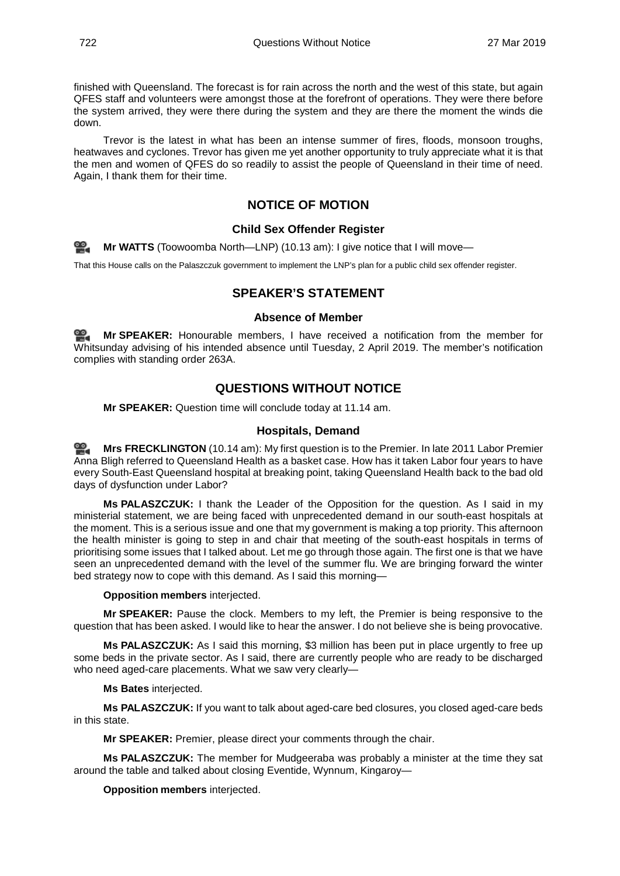finished with Queensland. The forecast is for rain across the north and the west of this state, but again QFES staff and volunteers were amongst those at the forefront of operations. They were there before the system arrived, they were there during the system and they are there the moment the winds die down.

<span id="page-13-0"></span>Trevor is the latest in what has been an intense summer of fires, floods, monsoon troughs, heatwaves and cyclones. Trevor has given me yet another opportunity to truly appreciate what it is that the men and women of QFES do so readily to assist the people of Queensland in their time of need. Again, I thank them for their time.

#### **NOTICE OF MOTION**

#### **Child Sex Offender Register**

<span id="page-13-1"></span>**Mr [WATTS](http://www.parliament.qld.gov.au/docs/find.aspx?id=0Mba20190327_101403)** (Toowoomba North—LNP) (10.13 am): I give notice that I will move—

<span id="page-13-2"></span>That this House calls on the Palaszczuk government to implement the LNP's plan for a public child sex offender register.

#### **SPEAKER'S STATEMENT**

#### **Absence of Member**

<span id="page-13-4"></span><span id="page-13-3"></span>**Mr [SPEAKER:](http://www.parliament.qld.gov.au/docs/find.aspx?id=0Mba20190327_101421)** Honourable members, I have received a notification from the member for Whitsunday advising of his intended absence until Tuesday, 2 April 2019. The member's notification complies with standing order 263A.

#### **QUESTIONS WITHOUT NOTICE**

**Mr SPEAKER:** Question time will conclude today at 11.14 am.

#### **Hospitals, Demand**

<span id="page-13-5"></span>**Mrs [FRECKLINGTON](http://www.parliament.qld.gov.au/docs/find.aspx?id=0Mba20190327_101442)** (10.14 am): My first question is to the Premier. In late 2011 Labor Premier Anna Bligh referred to Queensland Health as a basket case. How has it taken Labor four years to have every South-East Queensland hospital at breaking point, taking Queensland Health back to the bad old days of dysfunction under Labor?

**Ms PALASZCZUK:** I thank the Leader of the Opposition for the question. As I said in my ministerial statement, we are being faced with unprecedented demand in our south-east hospitals at the moment. This is a serious issue and one that my government is making a top priority. This afternoon the health minister is going to step in and chair that meeting of the south-east hospitals in terms of prioritising some issues that I talked about. Let me go through those again. The first one is that we have seen an unprecedented demand with the level of the summer flu. We are bringing forward the winter bed strategy now to cope with this demand. As I said this morning—

**Opposition members** interjected.

**Mr SPEAKER:** Pause the clock. Members to my left, the Premier is being responsive to the question that has been asked. I would like to hear the answer. I do not believe she is being provocative.

**Ms PALASZCZUK:** As I said this morning, \$3 million has been put in place urgently to free up some beds in the private sector. As I said, there are currently people who are ready to be discharged who need aged-care placements. What we saw very clearly—

**Ms Bates** interjected.

**Ms PALASZCZUK:** If you want to talk about aged-care bed closures, you closed aged-care beds in this state.

**Mr SPEAKER:** Premier, please direct your comments through the chair.

**Ms PALASZCZUK:** The member for Mudgeeraba was probably a minister at the time they sat around the table and talked about closing Eventide, Wynnum, Kingaroy—

**Opposition members** interjected.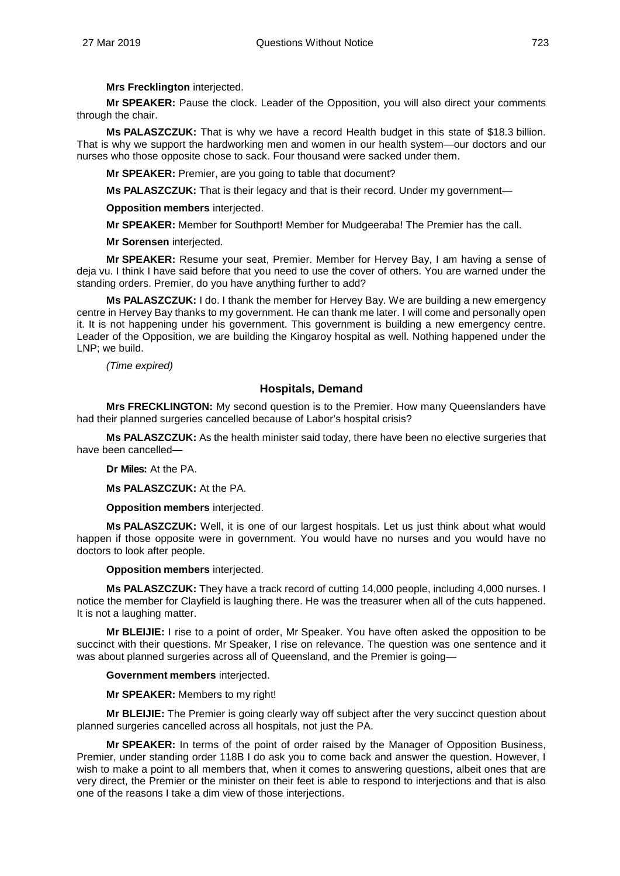**Mrs Frecklington** interjected.

**Mr SPEAKER:** Pause the clock. Leader of the Opposition, you will also direct your comments through the chair.

**Ms PALASZCZUK:** That is why we have a record Health budget in this state of \$18.3 billion. That is why we support the hardworking men and women in our health system—our doctors and our nurses who those opposite chose to sack. Four thousand were sacked under them.

**Mr SPEAKER:** Premier, are you going to table that document?

**Ms PALASZCZUK:** That is their legacy and that is their record. Under my government—

**Opposition members** interjected.

**Mr SPEAKER:** Member for Southport! Member for Mudgeeraba! The Premier has the call.

**Mr Sorensen** interjected.

**Mr SPEAKER:** Resume your seat, Premier. Member for Hervey Bay, I am having a sense of deja vu. I think I have said before that you need to use the cover of others. You are warned under the standing orders. Premier, do you have anything further to add?

**Ms PALASZCZUK:** I do. I thank the member for Hervey Bay. We are building a new emergency centre in Hervey Bay thanks to my government. He can thank me later. I will come and personally open it. It is not happening under his government. This government is building a new emergency centre. Leader of the Opposition, we are building the Kingaroy hospital as well. Nothing happened under the LNP; we build.

*(Time expired)*

#### <span id="page-14-0"></span>**Hospitals, Demand**

**Mrs FRECKLINGTON:** My second question is to the Premier. How many Queenslanders have had their planned surgeries cancelled because of Labor's hospital crisis?

**Ms PALASZCZUK:** As the health minister said today, there have been no elective surgeries that have been cancelled—

**Dr Miles:** At the PA.

**Ms PALASZCZUK:** At the PA.

**Opposition members** interjected.

**Ms PALASZCZUK:** Well, it is one of our largest hospitals. Let us just think about what would happen if those opposite were in government. You would have no nurses and you would have no doctors to look after people.

#### **Opposition members** interjected.

**Ms PALASZCZUK:** They have a track record of cutting 14,000 people, including 4,000 nurses. I notice the member for Clayfield is laughing there. He was the treasurer when all of the cuts happened. It is not a laughing matter.

**Mr BLEIJIE:** I rise to a point of order, Mr Speaker. You have often asked the opposition to be succinct with their questions. Mr Speaker, I rise on relevance. The question was one sentence and it was about planned surgeries across all of Queensland, and the Premier is going—

#### **Government members** interjected.

**Mr SPEAKER:** Members to my right!

**Mr BLEIJIE:** The Premier is going clearly way off subject after the very succinct question about planned surgeries cancelled across all hospitals, not just the PA.

**Mr SPEAKER:** In terms of the point of order raised by the Manager of Opposition Business, Premier, under standing order 118B I do ask you to come back and answer the question. However, I wish to make a point to all members that, when it comes to answering questions, albeit ones that are very direct, the Premier or the minister on their feet is able to respond to interjections and that is also one of the reasons I take a dim view of those interjections.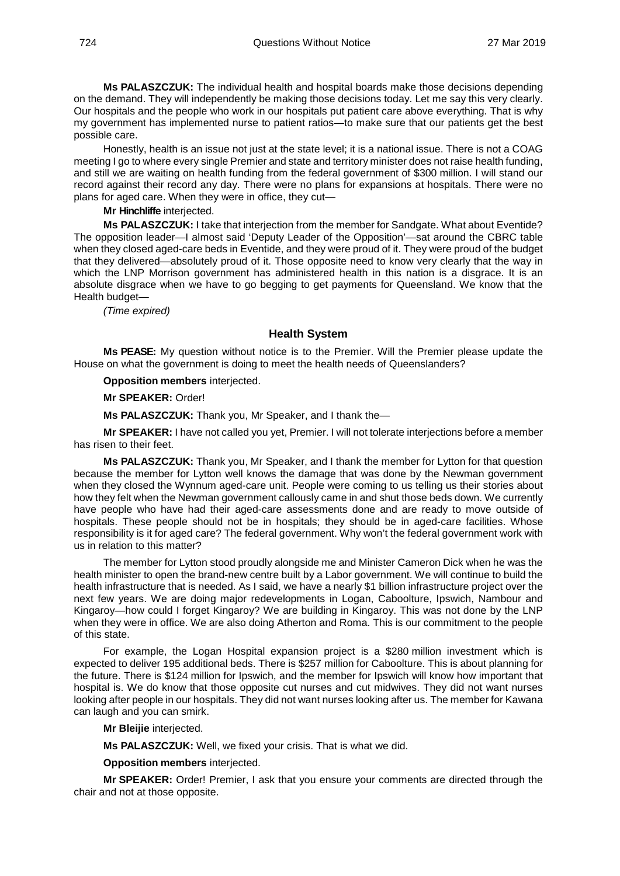**Ms PALASZCZUK:** The individual health and hospital boards make those decisions depending on the demand. They will independently be making those decisions today. Let me say this very clearly. Our hospitals and the people who work in our hospitals put patient care above everything. That is why my government has implemented nurse to patient ratios—to make sure that our patients get the best possible care.

Honestly, health is an issue not just at the state level; it is a national issue. There is not a COAG meeting I go to where every single Premier and state and territory minister does not raise health funding, and still we are waiting on health funding from the federal government of \$300 million. I will stand our record against their record any day. There were no plans for expansions at hospitals. There were no plans for aged care. When they were in office, they cut—

**Mr Hinchliffe** interjected.

**Ms PALASZCZUK:** I take that interjection from the member for Sandgate. What about Eventide? The opposition leader—I almost said 'Deputy Leader of the Opposition'—sat around the CBRC table when they closed aged-care beds in Eventide, and they were proud of it. They were proud of the budget that they delivered—absolutely proud of it. Those opposite need to know very clearly that the way in which the LNP Morrison government has administered health in this nation is a disgrace. It is an absolute disgrace when we have to go begging to get payments for Queensland. We know that the Health budget—

*(Time expired)*

#### **Health System**

<span id="page-15-0"></span>**Ms PEASE:** My question without notice is to the Premier. Will the Premier please update the House on what the government is doing to meet the health needs of Queenslanders?

**Opposition members** interjected.

**Mr SPEAKER:** Order!

**Ms PALASZCZUK:** Thank you, Mr Speaker, and I thank the—

**Mr SPEAKER:** I have not called you yet, Premier. I will not tolerate interjections before a member has risen to their feet.

**Ms PALASZCZUK:** Thank you, Mr Speaker, and I thank the member for Lytton for that question because the member for Lytton well knows the damage that was done by the Newman government when they closed the Wynnum aged-care unit. People were coming to us telling us their stories about how they felt when the Newman government callously came in and shut those beds down. We currently have people who have had their aged-care assessments done and are ready to move outside of hospitals. These people should not be in hospitals; they should be in aged-care facilities. Whose responsibility is it for aged care? The federal government. Why won't the federal government work with us in relation to this matter?

The member for Lytton stood proudly alongside me and Minister Cameron Dick when he was the health minister to open the brand-new centre built by a Labor government. We will continue to build the health infrastructure that is needed. As I said, we have a nearly \$1 billion infrastructure project over the next few years. We are doing major redevelopments in Logan, Caboolture, Ipswich, Nambour and Kingaroy—how could I forget Kingaroy? We are building in Kingaroy. This was not done by the LNP when they were in office. We are also doing Atherton and Roma. This is our commitment to the people of this state.

For example, the Logan Hospital expansion project is a \$280 million investment which is expected to deliver 195 additional beds. There is \$257 million for Caboolture. This is about planning for the future. There is \$124 million for Ipswich, and the member for Ipswich will know how important that hospital is. We do know that those opposite cut nurses and cut midwives. They did not want nurses looking after people in our hospitals. They did not want nurses looking after us. The member for Kawana can laugh and you can smirk.

**Mr Bleijie** interjected.

**Ms PALASZCZUK:** Well, we fixed your crisis. That is what we did.

**Opposition members** interjected.

**Mr SPEAKER:** Order! Premier, I ask that you ensure your comments are directed through the chair and not at those opposite.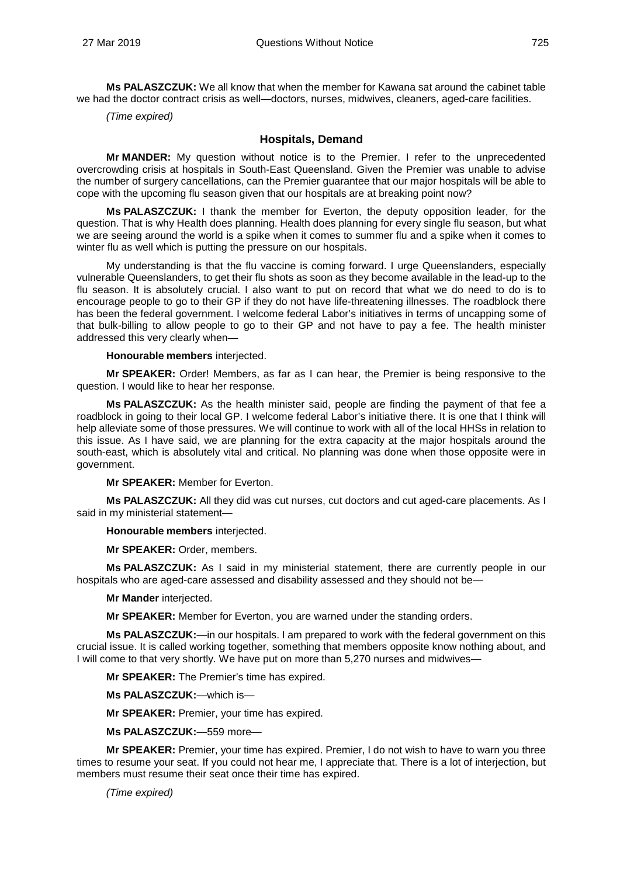**Ms PALASZCZUK:** We all know that when the member for Kawana sat around the cabinet table we had the doctor contract crisis as well—doctors, nurses, midwives, cleaners, aged-care facilities.

*(Time expired)*

#### **Hospitals, Demand**

<span id="page-16-0"></span>**Mr MANDER:** My question without notice is to the Premier. I refer to the unprecedented overcrowding crisis at hospitals in South-East Queensland. Given the Premier was unable to advise the number of surgery cancellations, can the Premier guarantee that our major hospitals will be able to cope with the upcoming flu season given that our hospitals are at breaking point now?

**Ms PALASZCZUK:** I thank the member for Everton, the deputy opposition leader, for the question. That is why Health does planning. Health does planning for every single flu season, but what we are seeing around the world is a spike when it comes to summer flu and a spike when it comes to winter flu as well which is putting the pressure on our hospitals.

My understanding is that the flu vaccine is coming forward. I urge Queenslanders, especially vulnerable Queenslanders, to get their flu shots as soon as they become available in the lead-up to the flu season. It is absolutely crucial. I also want to put on record that what we do need to do is to encourage people to go to their GP if they do not have life-threatening illnesses. The roadblock there has been the federal government. I welcome federal Labor's initiatives in terms of uncapping some of that bulk-billing to allow people to go to their GP and not have to pay a fee. The health minister addressed this very clearly when—

#### **Honourable members** interjected.

**Mr SPEAKER:** Order! Members, as far as I can hear, the Premier is being responsive to the question. I would like to hear her response.

**Ms PALASZCZUK:** As the health minister said, people are finding the payment of that fee a roadblock in going to their local GP. I welcome federal Labor's initiative there. It is one that I think will help alleviate some of those pressures. We will continue to work with all of the local HHSs in relation to this issue. As I have said, we are planning for the extra capacity at the major hospitals around the south-east, which is absolutely vital and critical. No planning was done when those opposite were in government.

**Mr SPEAKER:** Member for Everton.

**Ms PALASZCZUK:** All they did was cut nurses, cut doctors and cut aged-care placements. As I said in my ministerial statement—

**Honourable members** interjected.

**Mr SPEAKER:** Order, members.

**Ms PALASZCZUK:** As I said in my ministerial statement, there are currently people in our hospitals who are aged-care assessed and disability assessed and they should not be—

**Mr Mander** interjected.

**Mr SPEAKER:** Member for Everton, you are warned under the standing orders.

**Ms PALASZCZUK:**—in our hospitals. I am prepared to work with the federal government on this crucial issue. It is called working together, something that members opposite know nothing about, and I will come to that very shortly. We have put on more than 5,270 nurses and midwives—

**Mr SPEAKER:** The Premier's time has expired.

**Ms PALASZCZUK:**—which is—

**Mr SPEAKER:** Premier, your time has expired.

**Ms PALASZCZUK:**—559 more—

**Mr SPEAKER:** Premier, your time has expired. Premier, I do not wish to have to warn you three times to resume your seat. If you could not hear me, I appreciate that. There is a lot of interjection, but members must resume their seat once their time has expired.

*(Time expired)*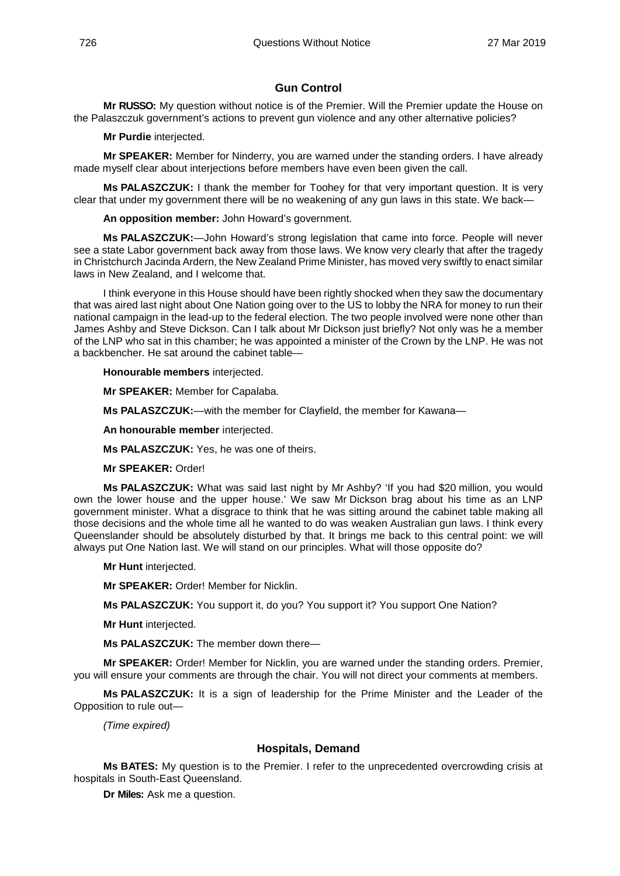#### **Gun Control**

<span id="page-17-0"></span>**Mr RUSSO:** My question without notice is of the Premier. Will the Premier update the House on the Palaszczuk government's actions to prevent gun violence and any other alternative policies?

**Mr Purdie** interjected.

**Mr SPEAKER:** Member for Ninderry, you are warned under the standing orders. I have already made myself clear about interjections before members have even been given the call.

**Ms PALASZCZUK:** I thank the member for Toohey for that very important question. It is very clear that under my government there will be no weakening of any gun laws in this state. We back—

**An opposition member:** John Howard's government.

**Ms PALASZCZUK:**—John Howard's strong legislation that came into force. People will never see a state Labor government back away from those laws. We know very clearly that after the tragedy in Christchurch Jacinda Ardern, the New Zealand Prime Minister, has moved very swiftly to enact similar laws in New Zealand, and I welcome that.

I think everyone in this House should have been rightly shocked when they saw the documentary that was aired last night about One Nation going over to the US to lobby the NRA for money to run their national campaign in the lead-up to the federal election. The two people involved were none other than James Ashby and Steve Dickson. Can I talk about Mr Dickson just briefly? Not only was he a member of the LNP who sat in this chamber; he was appointed a minister of the Crown by the LNP. He was not a backbencher. He sat around the cabinet table—

**Honourable members** interjected.

**Mr SPEAKER:** Member for Capalaba.

**Ms PALASZCZUK:**—with the member for Clayfield, the member for Kawana—

**An honourable member** interjected.

**Ms PALASZCZUK:** Yes, he was one of theirs.

**Mr SPEAKER:** Order!

**Ms PALASZCZUK:** What was said last night by Mr Ashby? 'If you had \$20 million, you would own the lower house and the upper house.' We saw Mr Dickson brag about his time as an LNP government minister. What a disgrace to think that he was sitting around the cabinet table making all those decisions and the whole time all he wanted to do was weaken Australian gun laws. I think every Queenslander should be absolutely disturbed by that. It brings me back to this central point: we will always put One Nation last. We will stand on our principles. What will those opposite do?

**Mr Hunt** interjected.

**Mr SPEAKER:** Order! Member for Nicklin.

**Ms PALASZCZUK:** You support it, do you? You support it? You support One Nation?

**Mr Hunt** interjected.

**Ms PALASZCZUK:** The member down there—

**Mr SPEAKER:** Order! Member for Nicklin, you are warned under the standing orders. Premier, you will ensure your comments are through the chair. You will not direct your comments at members.

**Ms PALASZCZUK:** It is a sign of leadership for the Prime Minister and the Leader of the Opposition to rule out—

*(Time expired)*

#### **Hospitals, Demand**

<span id="page-17-1"></span>**Ms BATES:** My question is to the Premier. I refer to the unprecedented overcrowding crisis at hospitals in South-East Queensland.

**Dr Miles:** Ask me a question.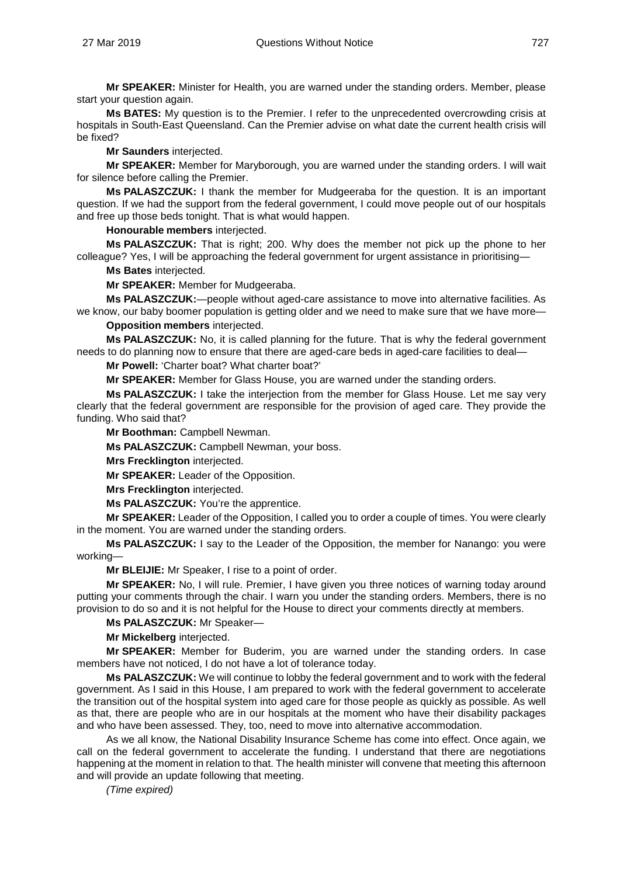**Mr SPEAKER:** Minister for Health, you are warned under the standing orders. Member, please start your question again.

**Ms BATES:** My question is to the Premier. I refer to the unprecedented overcrowding crisis at hospitals in South-East Queensland. Can the Premier advise on what date the current health crisis will be fixed?

**Mr Saunders** interjected.

**Mr SPEAKER:** Member for Maryborough, you are warned under the standing orders. I will wait for silence before calling the Premier.

**Ms PALASZCZUK:** I thank the member for Mudgeeraba for the question. It is an important question. If we had the support from the federal government, I could move people out of our hospitals and free up those beds tonight. That is what would happen.

#### **Honourable members** interjected.

**Ms PALASZCZUK:** That is right; 200. Why does the member not pick up the phone to her colleague? Yes, I will be approaching the federal government for urgent assistance in prioritising—

**Ms Bates** interjected.

**Mr SPEAKER:** Member for Mudgeeraba.

**Ms PALASZCZUK:**—people without aged-care assistance to move into alternative facilities. As we know, our baby boomer population is getting older and we need to make sure that we have more—

#### **Opposition members** interjected.

**Ms PALASZCZUK:** No, it is called planning for the future. That is why the federal government needs to do planning now to ensure that there are aged-care beds in aged-care facilities to deal—

**Mr Powell:** 'Charter boat? What charter boat?'

**Mr SPEAKER:** Member for Glass House, you are warned under the standing orders.

**Ms PALASZCZUK:** I take the interjection from the member for Glass House. Let me say very clearly that the federal government are responsible for the provision of aged care. They provide the funding. Who said that?

**Mr Boothman:** Campbell Newman.

**Ms PALASZCZUK:** Campbell Newman, your boss.

**Mrs Frecklington** interjected.

**Mr SPEAKER:** Leader of the Opposition.

**Mrs Frecklington** interjected.

**Ms PALASZCZUK:** You're the apprentice.

**Mr SPEAKER:** Leader of the Opposition, I called you to order a couple of times. You were clearly in the moment. You are warned under the standing orders.

**Ms PALASZCZUK:** I say to the Leader of the Opposition, the member for Nanango: you were working—

**Mr BLEIJIE:** Mr Speaker, I rise to a point of order.

**Mr SPEAKER:** No, I will rule. Premier, I have given you three notices of warning today around putting your comments through the chair. I warn you under the standing orders. Members, there is no provision to do so and it is not helpful for the House to direct your comments directly at members.

**Ms PALASZCZUK:** Mr Speaker—

**Mr Mickelberg** interjected.

**Mr SPEAKER:** Member for Buderim, you are warned under the standing orders. In case members have not noticed, I do not have a lot of tolerance today.

**Ms PALASZCZUK:** We will continue to lobby the federal government and to work with the federal government. As I said in this House, I am prepared to work with the federal government to accelerate the transition out of the hospital system into aged care for those people as quickly as possible. As well as that, there are people who are in our hospitals at the moment who have their disability packages and who have been assessed. They, too, need to move into alternative accommodation.

As we all know, the National Disability Insurance Scheme has come into effect. Once again, we call on the federal government to accelerate the funding. I understand that there are negotiations happening at the moment in relation to that. The health minister will convene that meeting this afternoon and will provide an update following that meeting.

*(Time expired)*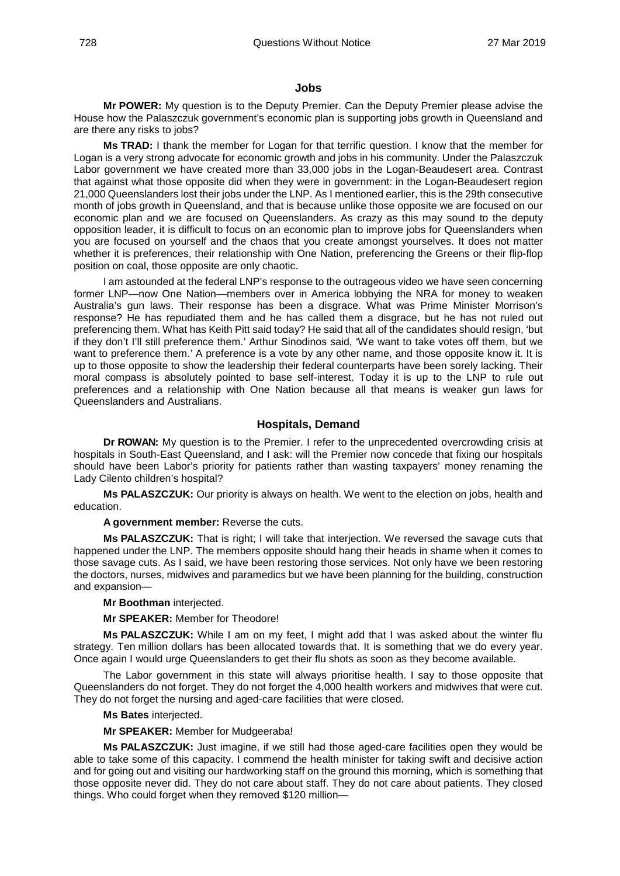#### <span id="page-19-0"></span>**Jobs**

**Mr POWER:** My question is to the Deputy Premier. Can the Deputy Premier please advise the House how the Palaszczuk government's economic plan is supporting jobs growth in Queensland and are there any risks to jobs?

**Ms TRAD:** I thank the member for Logan for that terrific question. I know that the member for Logan is a very strong advocate for economic growth and jobs in his community. Under the Palaszczuk Labor government we have created more than 33,000 jobs in the Logan-Beaudesert area. Contrast that against what those opposite did when they were in government: in the Logan-Beaudesert region 21,000 Queenslanders lost their jobs under the LNP. As I mentioned earlier, this is the 29th consecutive month of jobs growth in Queensland, and that is because unlike those opposite we are focused on our economic plan and we are focused on Queenslanders. As crazy as this may sound to the deputy opposition leader, it is difficult to focus on an economic plan to improve jobs for Queenslanders when you are focused on yourself and the chaos that you create amongst yourselves. It does not matter whether it is preferences, their relationship with One Nation, preferencing the Greens or their flip-flop position on coal, those opposite are only chaotic.

I am astounded at the federal LNP's response to the outrageous video we have seen concerning former LNP—now One Nation—members over in America lobbying the NRA for money to weaken Australia's gun laws. Their response has been a disgrace. What was Prime Minister Morrison's response? He has repudiated them and he has called them a disgrace, but he has not ruled out preferencing them. What has Keith Pitt said today? He said that all of the candidates should resign, 'but if they don't I'll still preference them.' Arthur Sinodinos said, 'We want to take votes off them, but we want to preference them.' A preference is a vote by any other name, and those opposite know it. It is up to those opposite to show the leadership their federal counterparts have been sorely lacking. Their moral compass is absolutely pointed to base self-interest. Today it is up to the LNP to rule out preferences and a relationship with One Nation because all that means is weaker gun laws for Queenslanders and Australians.

#### **Hospitals, Demand**

<span id="page-19-1"></span>**Dr ROWAN:** My question is to the Premier. I refer to the unprecedented overcrowding crisis at hospitals in South-East Queensland, and I ask: will the Premier now concede that fixing our hospitals should have been Labor's priority for patients rather than wasting taxpayers' money renaming the Lady Cilento children's hospital?

**Ms PALASZCZUK:** Our priority is always on health. We went to the election on jobs, health and education.

#### **A government member:** Reverse the cuts.

**Ms PALASZCZUK:** That is right; I will take that interjection. We reversed the savage cuts that happened under the LNP. The members opposite should hang their heads in shame when it comes to those savage cuts. As I said, we have been restoring those services. Not only have we been restoring the doctors, nurses, midwives and paramedics but we have been planning for the building, construction and expansion—

#### **Mr Boothman** interjected.

**Mr SPEAKER:** Member for Theodore!

**Ms PALASZCZUK:** While I am on my feet, I might add that I was asked about the winter flu strategy. Ten million dollars has been allocated towards that. It is something that we do every year. Once again I would urge Queenslanders to get their flu shots as soon as they become available.

The Labor government in this state will always prioritise health. I say to those opposite that Queenslanders do not forget. They do not forget the 4,000 health workers and midwives that were cut. They do not forget the nursing and aged-care facilities that were closed.

#### **Ms Bates** interjected.

**Mr SPEAKER:** Member for Mudgeeraba!

**Ms PALASZCZUK:** Just imagine, if we still had those aged-care facilities open they would be able to take some of this capacity. I commend the health minister for taking swift and decisive action and for going out and visiting our hardworking staff on the ground this morning, which is something that those opposite never did. They do not care about staff. They do not care about patients. They closed things. Who could forget when they removed \$120 million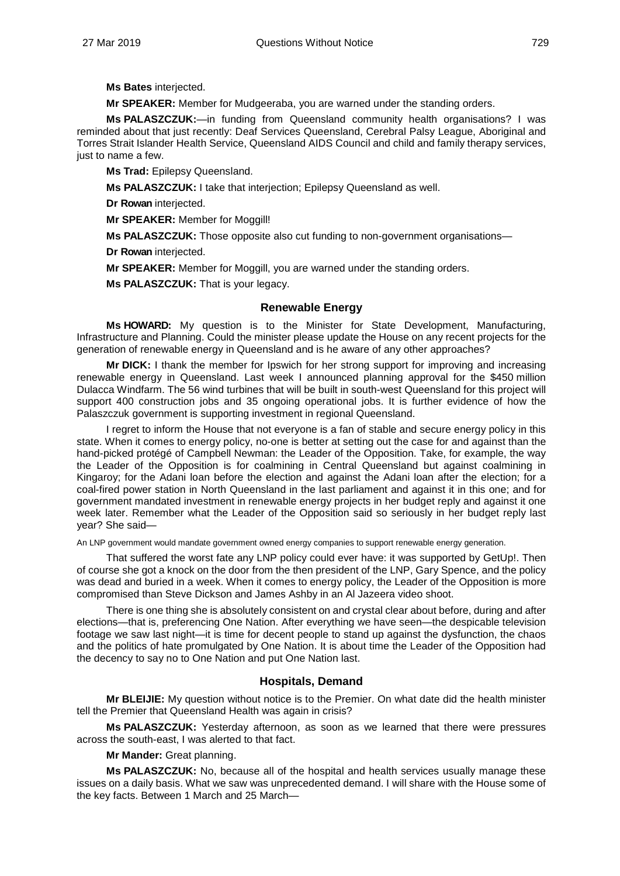**Ms Bates** interjected.

**Mr SPEAKER:** Member for Mudgeeraba, you are warned under the standing orders.

**Ms PALASZCZUK:**—in funding from Queensland community health organisations? I was reminded about that just recently: Deaf Services Queensland, Cerebral Palsy League, Aboriginal and Torres Strait Islander Health Service, Queensland AIDS Council and child and family therapy services, just to name a few.

**Ms Trad:** Epilepsy Queensland.

**Ms PALASZCZUK:** I take that interjection; Epilepsy Queensland as well.

**Dr Rowan** interjected.

**Mr SPEAKER:** Member for Moggill!

**Ms PALASZCZUK:** Those opposite also cut funding to non-government organisations—

**Dr Rowan** interjected.

**Mr SPEAKER:** Member for Moggill, you are warned under the standing orders.

**Ms PALASZCZUK:** That is your legacy.

#### **Renewable Energy**

<span id="page-20-0"></span>**Ms HOWARD:** My question is to the Minister for State Development, Manufacturing, Infrastructure and Planning. Could the minister please update the House on any recent projects for the generation of renewable energy in Queensland and is he aware of any other approaches?

**Mr DICK:** I thank the member for Ipswich for her strong support for improving and increasing renewable energy in Queensland. Last week I announced planning approval for the \$450 million Dulacca Windfarm. The 56 wind turbines that will be built in south-west Queensland for this project will support 400 construction jobs and 35 ongoing operational jobs. It is further evidence of how the Palaszczuk government is supporting investment in regional Queensland.

I regret to inform the House that not everyone is a fan of stable and secure energy policy in this state. When it comes to energy policy, no-one is better at setting out the case for and against than the hand-picked protégé of Campbell Newman: the Leader of the Opposition. Take, for example, the way the Leader of the Opposition is for coalmining in Central Queensland but against coalmining in Kingaroy; for the Adani loan before the election and against the Adani loan after the election; for a coal-fired power station in North Queensland in the last parliament and against it in this one; and for government mandated investment in renewable energy projects in her budget reply and against it one week later. Remember what the Leader of the Opposition said so seriously in her budget reply last year? She said—

An LNP government would mandate government owned energy companies to support renewable energy generation.

That suffered the worst fate any LNP policy could ever have: it was supported by GetUp!. Then of course she got a knock on the door from the then president of the LNP, Gary Spence, and the policy was dead and buried in a week. When it comes to energy policy, the Leader of the Opposition is more compromised than Steve Dickson and James Ashby in an Al Jazeera video shoot.

There is one thing she is absolutely consistent on and crystal clear about before, during and after elections—that is, preferencing One Nation. After everything we have seen—the despicable television footage we saw last night—it is time for decent people to stand up against the dysfunction, the chaos and the politics of hate promulgated by One Nation. It is about time the Leader of the Opposition had the decency to say no to One Nation and put One Nation last.

#### **Hospitals, Demand**

<span id="page-20-1"></span>**Mr BLEIJIE:** My question without notice is to the Premier. On what date did the health minister tell the Premier that Queensland Health was again in crisis?

**Ms PALASZCZUK:** Yesterday afternoon, as soon as we learned that there were pressures across the south-east, I was alerted to that fact.

**Mr Mander:** Great planning.

**Ms PALASZCZUK:** No, because all of the hospital and health services usually manage these issues on a daily basis. What we saw was unprecedented demand. I will share with the House some of the key facts. Between 1 March and 25 March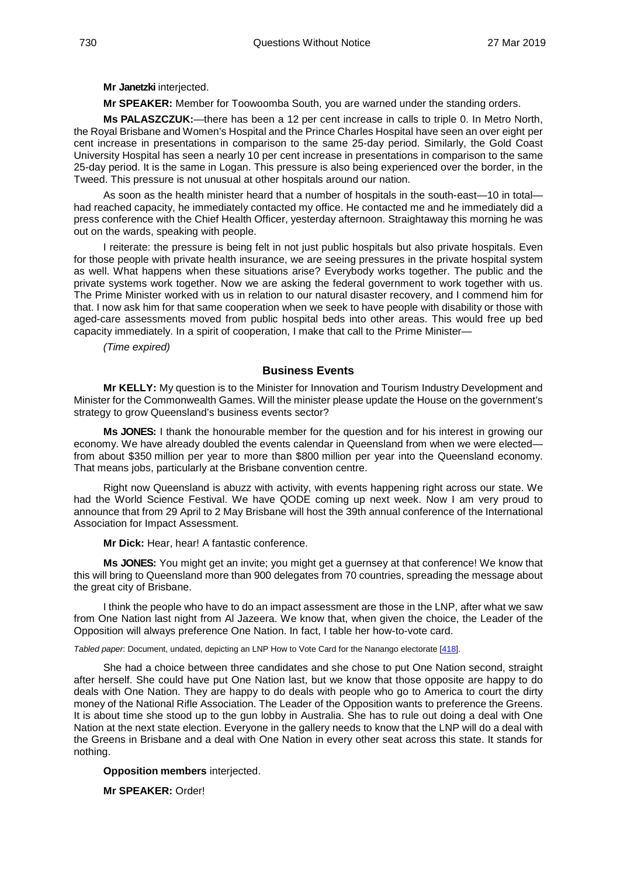**Mr Janetzki** interjected.

**Mr SPEAKER:** Member for Toowoomba South, you are warned under the standing orders.

**Ms PALASZCZUK:**—there has been a 12 per cent increase in calls to triple 0. In Metro North, the Royal Brisbane and Women's Hospital and the Prince Charles Hospital have seen an over eight per cent increase in presentations in comparison to the same 25-day period. Similarly, the Gold Coast University Hospital has seen a nearly 10 per cent increase in presentations in comparison to the same 25-day period. It is the same in Logan. This pressure is also being experienced over the border, in the Tweed. This pressure is not unusual at other hospitals around our nation.

As soon as the health minister heard that a number of hospitals in the south-east—10 in total had reached capacity, he immediately contacted my office. He contacted me and he immediately did a press conference with the Chief Health Officer, yesterday afternoon. Straightaway this morning he was out on the wards, speaking with people.

I reiterate: the pressure is being felt in not just public hospitals but also private hospitals. Even for those people with private health insurance, we are seeing pressures in the private hospital system as well. What happens when these situations arise? Everybody works together. The public and the private systems work together. Now we are asking the federal government to work together with us. The Prime Minister worked with us in relation to our natural disaster recovery, and I commend him for that. I now ask him for that same cooperation when we seek to have people with disability or those with aged-care assessments moved from public hospital beds into other areas. This would free up bed capacity immediately. In a spirit of cooperation, I make that call to the Prime Minister—

*(Time expired)*

#### **Business Events**

<span id="page-21-0"></span>**Mr KELLY:** My question is to the Minister for Innovation and Tourism Industry Development and Minister for the Commonwealth Games. Will the minister please update the House on the government's strategy to grow Queensland's business events sector?

**Ms JONES:** I thank the honourable member for the question and for his interest in growing our economy. We have already doubled the events calendar in Queensland from when we were elected from about \$350 million per year to more than \$800 million per year into the Queensland economy. That means jobs, particularly at the Brisbane convention centre.

Right now Queensland is abuzz with activity, with events happening right across our state. We had the World Science Festival. We have QODE coming up next week. Now I am very proud to announce that from 29 April to 2 May Brisbane will host the 39th annual conference of the International Association for Impact Assessment.

**Mr Dick:** Hear, hear! A fantastic conference.

**Ms JONES:** You might get an invite; you might get a guernsey at that conference! We know that this will bring to Queensland more than 900 delegates from 70 countries, spreading the message about the great city of Brisbane.

I think the people who have to do an impact assessment are those in the LNP, after what we saw from One Nation last night from Al Jazeera. We know that, when given the choice, the Leader of the Opposition will always preference One Nation. In fact, I table her how-to-vote card.

<span id="page-21-1"></span>*Tabled paper*: Document, undated, depicting an LNP How to Vote Card for the Nanango electorate [\[418\]](http://www.parliament.qld.gov.au/docs/find.aspx?id=5619T418).

She had a choice between three candidates and she chose to put One Nation second, straight after herself. She could have put One Nation last, but we know that those opposite are happy to do deals with One Nation. They are happy to do deals with people who go to America to court the dirty money of the National Rifle Association. The Leader of the Opposition wants to preference the Greens. It is about time she stood up to the gun lobby in Australia. She has to rule out doing a deal with One Nation at the next state election. Everyone in the gallery needs to know that the LNP will do a deal with the Greens in Brisbane and a deal with One Nation in every other seat across this state. It stands for nothing.

#### **Opposition members** interjected.

**Mr SPEAKER:** Order!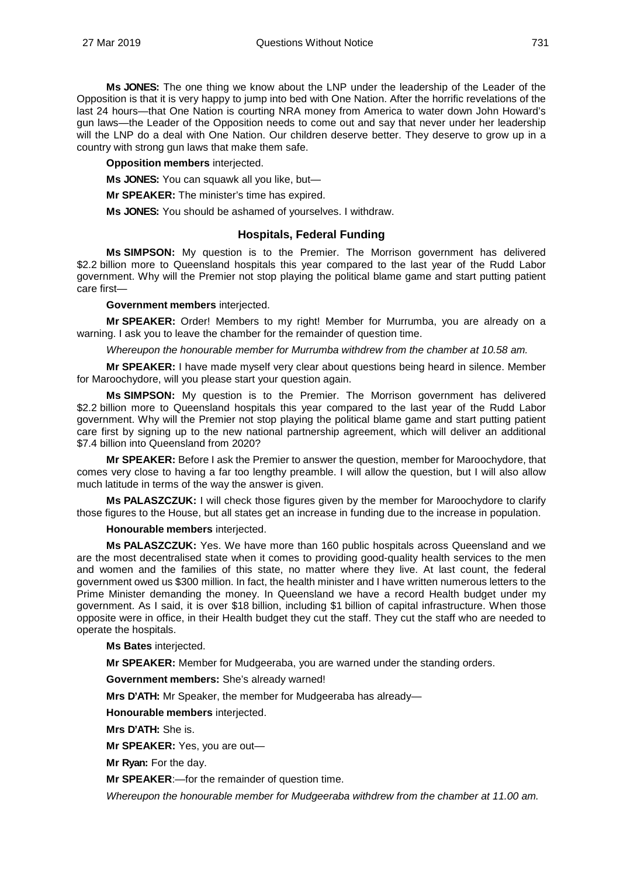**Ms JONES:** The one thing we know about the LNP under the leadership of the Leader of the Opposition is that it is very happy to jump into bed with One Nation. After the horrific revelations of the last 24 hours—that One Nation is courting NRA money from America to water down John Howard's gun laws—the Leader of the Opposition needs to come out and say that never under her leadership will the LNP do a deal with One Nation. Our children deserve better. They deserve to grow up in a country with strong gun laws that make them safe.

**Opposition members** interjected.

**Ms JONES:** You can squawk all you like, but—

**Mr SPEAKER:** The minister's time has expired.

**Ms JONES:** You should be ashamed of yourselves. I withdraw.

#### **Hospitals, Federal Funding**

<span id="page-22-0"></span>**Ms SIMPSON:** My question is to the Premier. The Morrison government has delivered \$2.2 billion more to Queensland hospitals this year compared to the last year of the Rudd Labor government. Why will the Premier not stop playing the political blame game and start putting patient care first—

#### **Government members** interjected.

**Mr SPEAKER:** Order! Members to my right! Member for Murrumba, you are already on a warning. I ask you to leave the chamber for the remainder of question time.

*Whereupon the honourable member for Murrumba withdrew from the chamber at 10.58 am.* 

**Mr SPEAKER:** I have made myself very clear about questions being heard in silence. Member for Maroochydore, will you please start your question again.

**Ms SIMPSON:** My question is to the Premier. The Morrison government has delivered \$2.2 billion more to Queensland hospitals this year compared to the last year of the Rudd Labor government. Why will the Premier not stop playing the political blame game and start putting patient care first by signing up to the new national partnership agreement, which will deliver an additional \$7.4 billion into Queensland from 2020?

**Mr SPEAKER:** Before I ask the Premier to answer the question, member for Maroochydore, that comes very close to having a far too lengthy preamble. I will allow the question, but I will also allow much latitude in terms of the way the answer is given.

**Ms PALASZCZUK:** I will check those figures given by the member for Maroochydore to clarify those figures to the House, but all states get an increase in funding due to the increase in population.

**Honourable members** interjected.

**Ms PALASZCZUK:** Yes. We have more than 160 public hospitals across Queensland and we are the most decentralised state when it comes to providing good-quality health services to the men and women and the families of this state, no matter where they live. At last count, the federal government owed us \$300 million. In fact, the health minister and I have written numerous letters to the Prime Minister demanding the money. In Queensland we have a record Health budget under my government. As I said, it is over \$18 billion, including \$1 billion of capital infrastructure. When those opposite were in office, in their Health budget they cut the staff. They cut the staff who are needed to operate the hospitals.

#### **Ms Bates** interjected.

**Mr SPEAKER:** Member for Mudgeeraba, you are warned under the standing orders.

**Government members:** She's already warned!

**Mrs D'ATH:** Mr Speaker, the member for Mudgeeraba has already—

**Honourable members** interjected.

**Mrs D'ATH:** She is.

**Mr SPEAKER:** Yes, you are out—

**Mr Ryan:** For the day.

**Mr SPEAKER**:—for the remainder of question time.

*Whereupon the honourable member for Mudgeeraba withdrew from the chamber at 11.00 am.*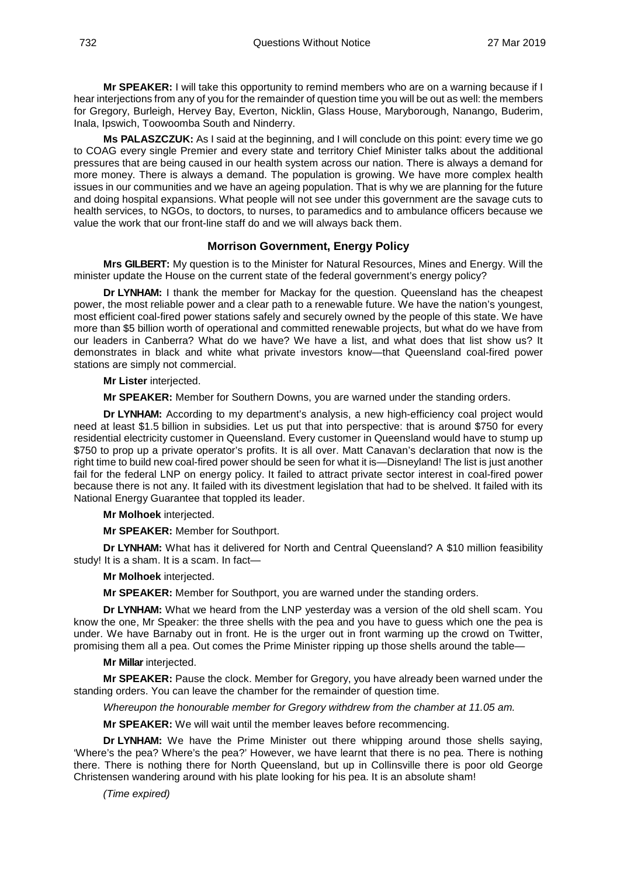**Mr SPEAKER:** I will take this opportunity to remind members who are on a warning because if I hear interjections from any of you for the remainder of question time you will be out as well: the members for Gregory, Burleigh, Hervey Bay, Everton, Nicklin, Glass House, Maryborough, Nanango, Buderim, Inala, Ipswich, Toowoomba South and Ninderry.

**Ms PALASZCZUK:** As I said at the beginning, and I will conclude on this point: every time we go to COAG every single Premier and every state and territory Chief Minister talks about the additional pressures that are being caused in our health system across our nation. There is always a demand for more money. There is always a demand. The population is growing. We have more complex health issues in our communities and we have an ageing population. That is why we are planning for the future and doing hospital expansions. What people will not see under this government are the savage cuts to health services, to NGOs, to doctors, to nurses, to paramedics and to ambulance officers because we value the work that our front-line staff do and we will always back them.

#### **Morrison Government, Energy Policy**

<span id="page-23-0"></span>**Mrs GILBERT:** My question is to the Minister for Natural Resources, Mines and Energy. Will the minister update the House on the current state of the federal government's energy policy?

**Dr LYNHAM:** I thank the member for Mackay for the question. Queensland has the cheapest power, the most reliable power and a clear path to a renewable future. We have the nation's youngest, most efficient coal-fired power stations safely and securely owned by the people of this state. We have more than \$5 billion worth of operational and committed renewable projects, but what do we have from our leaders in Canberra? What do we have? We have a list, and what does that list show us? It demonstrates in black and white what private investors know—that Queensland coal-fired power stations are simply not commercial.

#### **Mr Lister** interjected.

**Mr SPEAKER:** Member for Southern Downs, you are warned under the standing orders.

**Dr LYNHAM:** According to my department's analysis, a new high-efficiency coal project would need at least \$1.5 billion in subsidies. Let us put that into perspective: that is around \$750 for every residential electricity customer in Queensland. Every customer in Queensland would have to stump up \$750 to prop up a private operator's profits. It is all over. Matt Canavan's declaration that now is the right time to build new coal-fired power should be seen for what it is—Disneyland! The list is just another fail for the federal LNP on energy policy. It failed to attract private sector interest in coal-fired power because there is not any. It failed with its divestment legislation that had to be shelved. It failed with its National Energy Guarantee that toppled its leader.

#### **Mr Molhoek** interjected.

**Mr SPEAKER:** Member for Southport.

**Dr LYNHAM:** What has it delivered for North and Central Queensland? A \$10 million feasibility study! It is a sham. It is a scam. In fact—

#### **Mr Molhoek** interjected.

**Mr SPEAKER:** Member for Southport, you are warned under the standing orders.

**Dr LYNHAM:** What we heard from the LNP yesterday was a version of the old shell scam. You know the one, Mr Speaker: the three shells with the pea and you have to guess which one the pea is under. We have Barnaby out in front. He is the urger out in front warming up the crowd on Twitter, promising them all a pea. Out comes the Prime Minister ripping up those shells around the table—

#### **Mr Millar** interjected.

**Mr SPEAKER:** Pause the clock. Member for Gregory, you have already been warned under the standing orders. You can leave the chamber for the remainder of question time.

*Whereupon the honourable member for Gregory withdrew from the chamber at 11.05 am.* 

**Mr SPEAKER:** We will wait until the member leaves before recommencing.

**Dr LYNHAM:** We have the Prime Minister out there whipping around those shells saying, 'Where's the pea? Where's the pea?' However, we have learnt that there is no pea. There is nothing there. There is nothing there for North Queensland, but up in Collinsville there is poor old George Christensen wandering around with his plate looking for his pea. It is an absolute sham!

*(Time expired)*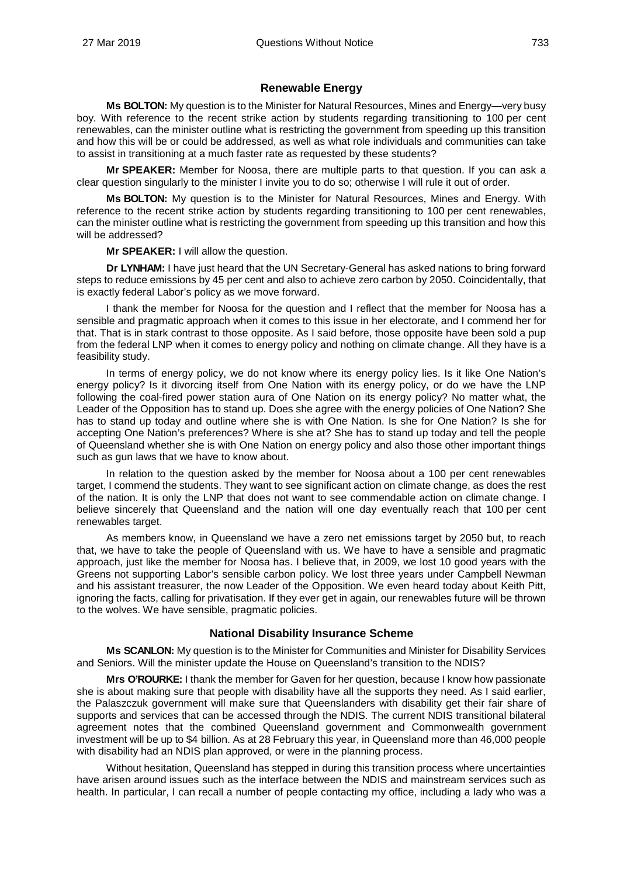#### **Renewable Energy**

<span id="page-24-0"></span>**Ms BOLTON:** My question is to the Minister for Natural Resources, Mines and Energy—very busy boy. With reference to the recent strike action by students regarding transitioning to 100 per cent renewables, can the minister outline what is restricting the government from speeding up this transition and how this will be or could be addressed, as well as what role individuals and communities can take to assist in transitioning at a much faster rate as requested by these students?

**Mr SPEAKER:** Member for Noosa, there are multiple parts to that question. If you can ask a clear question singularly to the minister I invite you to do so; otherwise I will rule it out of order.

**Ms BOLTON:** My question is to the Minister for Natural Resources, Mines and Energy. With reference to the recent strike action by students regarding transitioning to 100 per cent renewables, can the minister outline what is restricting the government from speeding up this transition and how this will be addressed?

**Mr SPEAKER:** I will allow the question.

**Dr LYNHAM:** I have just heard that the UN Secretary-General has asked nations to bring forward steps to reduce emissions by 45 per cent and also to achieve zero carbon by 2050. Coincidentally, that is exactly federal Labor's policy as we move forward.

I thank the member for Noosa for the question and I reflect that the member for Noosa has a sensible and pragmatic approach when it comes to this issue in her electorate, and I commend her for that. That is in stark contrast to those opposite. As I said before, those opposite have been sold a pup from the federal LNP when it comes to energy policy and nothing on climate change. All they have is a feasibility study.

In terms of energy policy, we do not know where its energy policy lies. Is it like One Nation's energy policy? Is it divorcing itself from One Nation with its energy policy, or do we have the LNP following the coal-fired power station aura of One Nation on its energy policy? No matter what, the Leader of the Opposition has to stand up. Does she agree with the energy policies of One Nation? She has to stand up today and outline where she is with One Nation. Is she for One Nation? Is she for accepting One Nation's preferences? Where is she at? She has to stand up today and tell the people of Queensland whether she is with One Nation on energy policy and also those other important things such as gun laws that we have to know about.

In relation to the question asked by the member for Noosa about a 100 per cent renewables target, I commend the students. They want to see significant action on climate change, as does the rest of the nation. It is only the LNP that does not want to see commendable action on climate change. I believe sincerely that Queensland and the nation will one day eventually reach that 100 per cent renewables target.

As members know, in Queensland we have a zero net emissions target by 2050 but, to reach that, we have to take the people of Queensland with us. We have to have a sensible and pragmatic approach, just like the member for Noosa has. I believe that, in 2009, we lost 10 good years with the Greens not supporting Labor's sensible carbon policy. We lost three years under Campbell Newman and his assistant treasurer, the now Leader of the Opposition. We even heard today about Keith Pitt, ignoring the facts, calling for privatisation. If they ever get in again, our renewables future will be thrown to the wolves. We have sensible, pragmatic policies.

#### **National Disability Insurance Scheme**

<span id="page-24-1"></span>**Ms SCANLON:** My question is to the Minister for Communities and Minister for Disability Services and Seniors. Will the minister update the House on Queensland's transition to the NDIS?

**Mrs O'ROURKE:** I thank the member for Gaven for her question, because I know how passionate she is about making sure that people with disability have all the supports they need. As I said earlier, the Palaszczuk government will make sure that Queenslanders with disability get their fair share of supports and services that can be accessed through the NDIS. The current NDIS transitional bilateral agreement notes that the combined Queensland government and Commonwealth government investment will be up to \$4 billion. As at 28 February this year, in Queensland more than 46,000 people with disability had an NDIS plan approved, or were in the planning process.

Without hesitation, Queensland has stepped in during this transition process where uncertainties have arisen around issues such as the interface between the NDIS and mainstream services such as health. In particular, I can recall a number of people contacting my office, including a lady who was a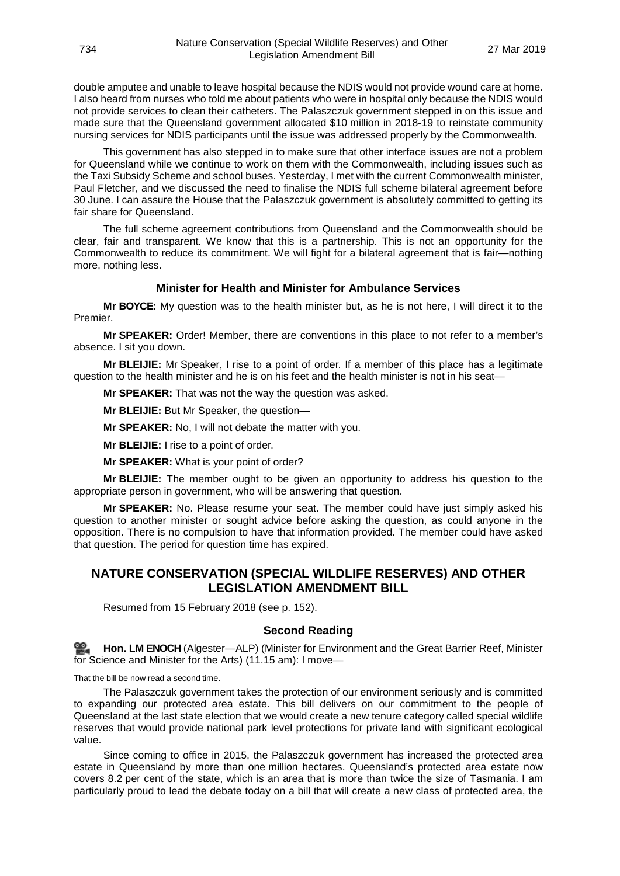double amputee and unable to leave hospital because the NDIS would not provide wound care at home. I also heard from nurses who told me about patients who were in hospital only because the NDIS would not provide services to clean their catheters. The Palaszczuk government stepped in on this issue and made sure that the Queensland government allocated \$10 million in 2018-19 to reinstate community nursing services for NDIS participants until the issue was addressed properly by the Commonwealth.

This government has also stepped in to make sure that other interface issues are not a problem for Queensland while we continue to work on them with the Commonwealth, including issues such as the Taxi Subsidy Scheme and school buses. Yesterday, I met with the current Commonwealth minister, Paul Fletcher, and we discussed the need to finalise the NDIS full scheme bilateral agreement before 30 June. I can assure the House that the Palaszczuk government is absolutely committed to getting its fair share for Queensland.

The full scheme agreement contributions from Queensland and the Commonwealth should be clear, fair and transparent. We know that this is a partnership. This is not an opportunity for the Commonwealth to reduce its commitment. We will fight for a bilateral agreement that is fair—nothing more, nothing less.

#### **Minister for Health and Minister for Ambulance Services**

<span id="page-25-0"></span>**Mr BOYCE:** My question was to the health minister but, as he is not here, I will direct it to the Premier.

**Mr SPEAKER:** Order! Member, there are conventions in this place to not refer to a member's absence. I sit you down.

**Mr BLEIJIE:** Mr Speaker, I rise to a point of order. If a member of this place has a legitimate question to the health minister and he is on his feet and the health minister is not in his seat-

**Mr SPEAKER:** That was not the way the question was asked.

**Mr BLEIJIE:** But Mr Speaker, the question—

**Mr SPEAKER:** No, I will not debate the matter with you.

**Mr BLEIJIE:** I rise to a point of order.

**Mr SPEAKER:** What is your point of order?

**Mr BLEIJIE:** The member ought to be given an opportunity to address his question to the appropriate person in government, who will be answering that question.

**Mr SPEAKER:** No. Please resume your seat. The member could have just simply asked his question to another minister or sought advice before asking the question, as could anyone in the opposition. There is no compulsion to have that information provided. The member could have asked that question. The period for question time has expired.

#### <span id="page-25-1"></span>**NATURE CONSERVATION (SPECIAL WILDLIFE RESERVES) AND OTHER LEGISLATION AMENDMENT BILL**

Resumed from 15 February 2018 (see p. 152).

#### **Second Reading**

<span id="page-25-2"></span>**[Hon. LM](http://www.parliament.qld.gov.au/docs/find.aspx?id=0Mba20190327_111543) ENOCH** (Algester—ALP) (Minister for Environment and the Great Barrier Reef, Minister for Science and Minister for the Arts) (11.15 am): I move—

That the bill be now read a second time.

The Palaszczuk government takes the protection of our environment seriously and is committed to expanding our protected area estate. This bill delivers on our commitment to the people of Queensland at the last state election that we would create a new tenure category called special wildlife reserves that would provide national park level protections for private land with significant ecological value.

Since coming to office in 2015, the Palaszczuk government has increased the protected area estate in Queensland by more than one million hectares. Queensland's protected area estate now covers 8.2 per cent of the state, which is an area that is more than twice the size of Tasmania. I am particularly proud to lead the debate today on a bill that will create a new class of protected area, the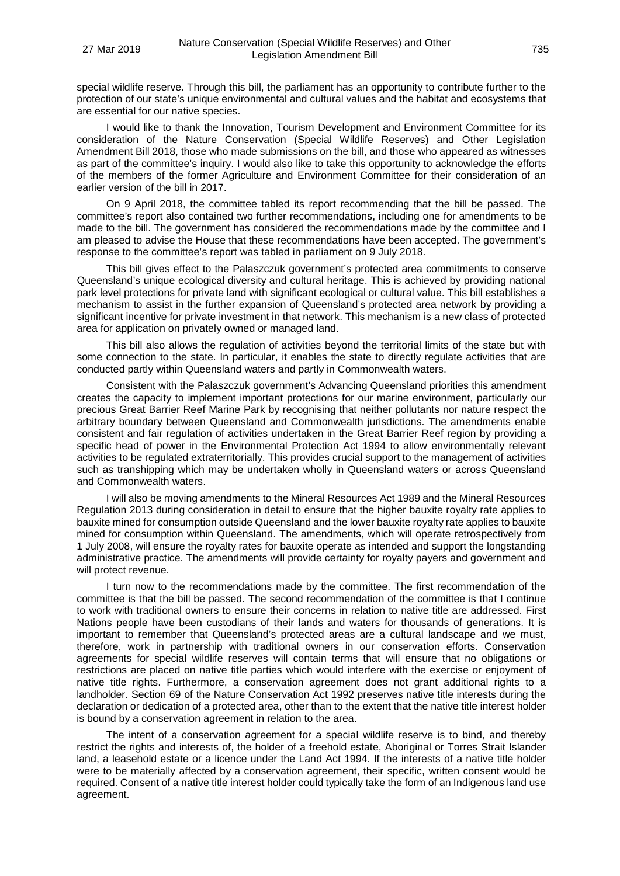special wildlife reserve. Through this bill, the parliament has an opportunity to contribute further to the protection of our state's unique environmental and cultural values and the habitat and ecosystems that are essential for our native species.

I would like to thank the Innovation, Tourism Development and Environment Committee for its consideration of the Nature Conservation (Special Wildlife Reserves) and Other Legislation Amendment Bill 2018, those who made submissions on the bill, and those who appeared as witnesses as part of the committee's inquiry. I would also like to take this opportunity to acknowledge the efforts of the members of the former Agriculture and Environment Committee for their consideration of an earlier version of the bill in 2017.

On 9 April 2018, the committee tabled its report recommending that the bill be passed. The committee's report also contained two further recommendations, including one for amendments to be made to the bill. The government has considered the recommendations made by the committee and I am pleased to advise the House that these recommendations have been accepted. The government's response to the committee's report was tabled in parliament on 9 July 2018.

This bill gives effect to the Palaszczuk government's protected area commitments to conserve Queensland's unique ecological diversity and cultural heritage. This is achieved by providing national park level protections for private land with significant ecological or cultural value. This bill establishes a mechanism to assist in the further expansion of Queensland's protected area network by providing a significant incentive for private investment in that network. This mechanism is a new class of protected area for application on privately owned or managed land.

This bill also allows the regulation of activities beyond the territorial limits of the state but with some connection to the state. In particular, it enables the state to directly regulate activities that are conducted partly within Queensland waters and partly in Commonwealth waters.

Consistent with the Palaszczuk government's Advancing Queensland priorities this amendment creates the capacity to implement important protections for our marine environment, particularly our precious Great Barrier Reef Marine Park by recognising that neither pollutants nor nature respect the arbitrary boundary between Queensland and Commonwealth jurisdictions. The amendments enable consistent and fair regulation of activities undertaken in the Great Barrier Reef region by providing a specific head of power in the Environmental Protection Act 1994 to allow environmentally relevant activities to be regulated extraterritorially. This provides crucial support to the management of activities such as transhipping which may be undertaken wholly in Queensland waters or across Queensland and Commonwealth waters.

I will also be moving amendments to the Mineral Resources Act 1989 and the Mineral Resources Regulation 2013 during consideration in detail to ensure that the higher bauxite royalty rate applies to bauxite mined for consumption outside Queensland and the lower bauxite royalty rate applies to bauxite mined for consumption within Queensland. The amendments, which will operate retrospectively from 1 July 2008, will ensure the royalty rates for bauxite operate as intended and support the longstanding administrative practice. The amendments will provide certainty for royalty payers and government and will protect revenue.

I turn now to the recommendations made by the committee. The first recommendation of the committee is that the bill be passed. The second recommendation of the committee is that I continue to work with traditional owners to ensure their concerns in relation to native title are addressed. First Nations people have been custodians of their lands and waters for thousands of generations. It is important to remember that Queensland's protected areas are a cultural landscape and we must, therefore, work in partnership with traditional owners in our conservation efforts. Conservation agreements for special wildlife reserves will contain terms that will ensure that no obligations or restrictions are placed on native title parties which would interfere with the exercise or enjoyment of native title rights. Furthermore, a conservation agreement does not grant additional rights to a landholder. Section 69 of the Nature Conservation Act 1992 preserves native title interests during the declaration or dedication of a protected area, other than to the extent that the native title interest holder is bound by a conservation agreement in relation to the area.

The intent of a conservation agreement for a special wildlife reserve is to bind, and thereby restrict the rights and interests of, the holder of a freehold estate, Aboriginal or Torres Strait Islander land, a leasehold estate or a licence under the Land Act 1994. If the interests of a native title holder were to be materially affected by a conservation agreement, their specific, written consent would be required. Consent of a native title interest holder could typically take the form of an Indigenous land use agreement.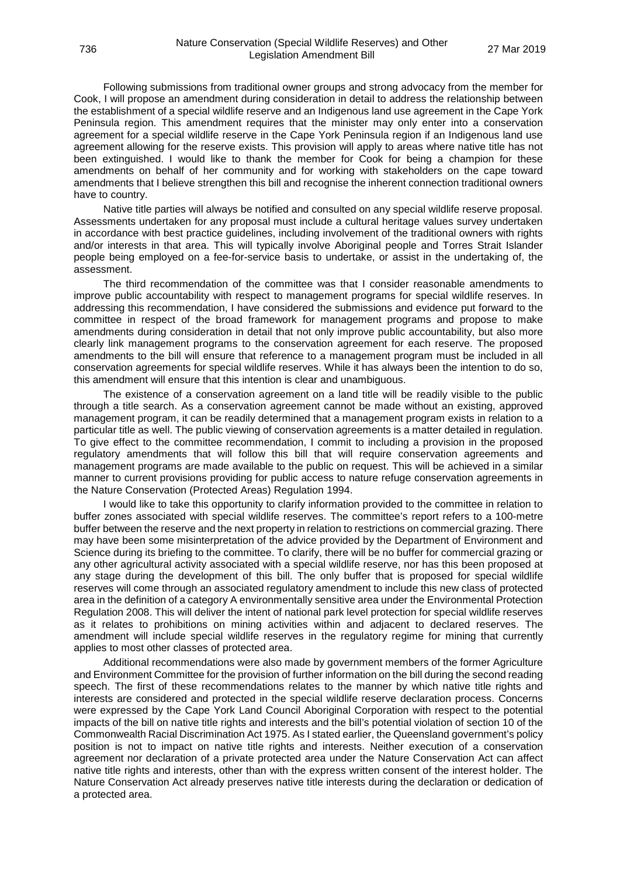Following submissions from traditional owner groups and strong advocacy from the member for Cook, I will propose an amendment during consideration in detail to address the relationship between the establishment of a special wildlife reserve and an Indigenous land use agreement in the Cape York Peninsula region. This amendment requires that the minister may only enter into a conservation agreement for a special wildlife reserve in the Cape York Peninsula region if an Indigenous land use agreement allowing for the reserve exists. This provision will apply to areas where native title has not been extinguished. I would like to thank the member for Cook for being a champion for these amendments on behalf of her community and for working with stakeholders on the cape toward amendments that I believe strengthen this bill and recognise the inherent connection traditional owners have to country.

Native title parties will always be notified and consulted on any special wildlife reserve proposal. Assessments undertaken for any proposal must include a cultural heritage values survey undertaken in accordance with best practice guidelines, including involvement of the traditional owners with rights and/or interests in that area. This will typically involve Aboriginal people and Torres Strait Islander people being employed on a fee-for-service basis to undertake, or assist in the undertaking of, the assessment.

The third recommendation of the committee was that I consider reasonable amendments to improve public accountability with respect to management programs for special wildlife reserves. In addressing this recommendation, I have considered the submissions and evidence put forward to the committee in respect of the broad framework for management programs and propose to make amendments during consideration in detail that not only improve public accountability, but also more clearly link management programs to the conservation agreement for each reserve. The proposed amendments to the bill will ensure that reference to a management program must be included in all conservation agreements for special wildlife reserves. While it has always been the intention to do so, this amendment will ensure that this intention is clear and unambiguous.

The existence of a conservation agreement on a land title will be readily visible to the public through a title search. As a conservation agreement cannot be made without an existing, approved management program, it can be readily determined that a management program exists in relation to a particular title as well. The public viewing of conservation agreements is a matter detailed in regulation. To give effect to the committee recommendation, I commit to including a provision in the proposed regulatory amendments that will follow this bill that will require conservation agreements and management programs are made available to the public on request. This will be achieved in a similar manner to current provisions providing for public access to nature refuge conservation agreements in the Nature Conservation (Protected Areas) Regulation 1994.

I would like to take this opportunity to clarify information provided to the committee in relation to buffer zones associated with special wildlife reserves. The committee's report refers to a 100-metre buffer between the reserve and the next property in relation to restrictions on commercial grazing. There may have been some misinterpretation of the advice provided by the Department of Environment and Science during its briefing to the committee. To clarify, there will be no buffer for commercial grazing or any other agricultural activity associated with a special wildlife reserve, nor has this been proposed at any stage during the development of this bill. The only buffer that is proposed for special wildlife reserves will come through an associated regulatory amendment to include this new class of protected area in the definition of a category A environmentally sensitive area under the Environmental Protection Regulation 2008. This will deliver the intent of national park level protection for special wildlife reserves as it relates to prohibitions on mining activities within and adjacent to declared reserves. The amendment will include special wildlife reserves in the regulatory regime for mining that currently applies to most other classes of protected area.

Additional recommendations were also made by government members of the former Agriculture and Environment Committee for the provision of further information on the bill during the second reading speech. The first of these recommendations relates to the manner by which native title rights and interests are considered and protected in the special wildlife reserve declaration process. Concerns were expressed by the Cape York Land Council Aboriginal Corporation with respect to the potential impacts of the bill on native title rights and interests and the bill's potential violation of section 10 of the Commonwealth Racial Discrimination Act 1975. As I stated earlier, the Queensland government's policy position is not to impact on native title rights and interests. Neither execution of a conservation agreement nor declaration of a private protected area under the Nature Conservation Act can affect native title rights and interests, other than with the express written consent of the interest holder. The Nature Conservation Act already preserves native title interests during the declaration or dedication of a protected area.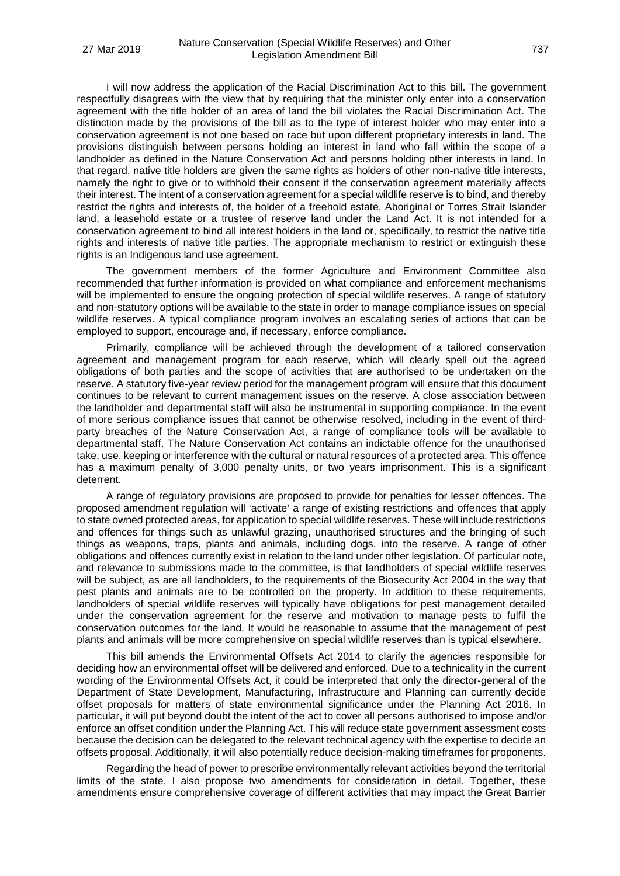I will now address the application of the Racial Discrimination Act to this bill. The government respectfully disagrees with the view that by requiring that the minister only enter into a conservation agreement with the title holder of an area of land the bill violates the Racial Discrimination Act. The distinction made by the provisions of the bill as to the type of interest holder who may enter into a conservation agreement is not one based on race but upon different proprietary interests in land. The provisions distinguish between persons holding an interest in land who fall within the scope of a landholder as defined in the Nature Conservation Act and persons holding other interests in land. In that regard, native title holders are given the same rights as holders of other non-native title interests, namely the right to give or to withhold their consent if the conservation agreement materially affects their interest. The intent of a conservation agreement for a special wildlife reserve is to bind, and thereby restrict the rights and interests of, the holder of a freehold estate, Aboriginal or Torres Strait Islander land, a leasehold estate or a trustee of reserve land under the Land Act. It is not intended for a conservation agreement to bind all interest holders in the land or, specifically, to restrict the native title rights and interests of native title parties. The appropriate mechanism to restrict or extinguish these rights is an Indigenous land use agreement.

The government members of the former Agriculture and Environment Committee also recommended that further information is provided on what compliance and enforcement mechanisms will be implemented to ensure the ongoing protection of special wildlife reserves. A range of statutory and non-statutory options will be available to the state in order to manage compliance issues on special wildlife reserves. A typical compliance program involves an escalating series of actions that can be employed to support, encourage and, if necessary, enforce compliance.

Primarily, compliance will be achieved through the development of a tailored conservation agreement and management program for each reserve, which will clearly spell out the agreed obligations of both parties and the scope of activities that are authorised to be undertaken on the reserve. A statutory five-year review period for the management program will ensure that this document continues to be relevant to current management issues on the reserve. A close association between the landholder and departmental staff will also be instrumental in supporting compliance. In the event of more serious compliance issues that cannot be otherwise resolved, including in the event of thirdparty breaches of the Nature Conservation Act, a range of compliance tools will be available to departmental staff. The Nature Conservation Act contains an indictable offence for the unauthorised take, use, keeping or interference with the cultural or natural resources of a protected area. This offence has a maximum penalty of 3,000 penalty units, or two years imprisonment. This is a significant deterrent.

A range of regulatory provisions are proposed to provide for penalties for lesser offences. The proposed amendment regulation will 'activate' a range of existing restrictions and offences that apply to state owned protected areas, for application to special wildlife reserves. These will include restrictions and offences for things such as unlawful grazing, unauthorised structures and the bringing of such things as weapons, traps, plants and animals, including dogs, into the reserve. A range of other obligations and offences currently exist in relation to the land under other legislation. Of particular note, and relevance to submissions made to the committee, is that landholders of special wildlife reserves will be subject, as are all landholders, to the requirements of the Biosecurity Act 2004 in the way that pest plants and animals are to be controlled on the property. In addition to these requirements, landholders of special wildlife reserves will typically have obligations for pest management detailed under the conservation agreement for the reserve and motivation to manage pests to fulfil the conservation outcomes for the land. It would be reasonable to assume that the management of pest plants and animals will be more comprehensive on special wildlife reserves than is typical elsewhere.

This bill amends the Environmental Offsets Act 2014 to clarify the agencies responsible for deciding how an environmental offset will be delivered and enforced. Due to a technicality in the current wording of the Environmental Offsets Act, it could be interpreted that only the director-general of the Department of State Development, Manufacturing, Infrastructure and Planning can currently decide offset proposals for matters of state environmental significance under the Planning Act 2016. In particular, it will put beyond doubt the intent of the act to cover all persons authorised to impose and/or enforce an offset condition under the Planning Act. This will reduce state government assessment costs because the decision can be delegated to the relevant technical agency with the expertise to decide an offsets proposal. Additionally, it will also potentially reduce decision-making timeframes for proponents.

Regarding the head of power to prescribe environmentally relevant activities beyond the territorial limits of the state, I also propose two amendments for consideration in detail. Together, these amendments ensure comprehensive coverage of different activities that may impact the Great Barrier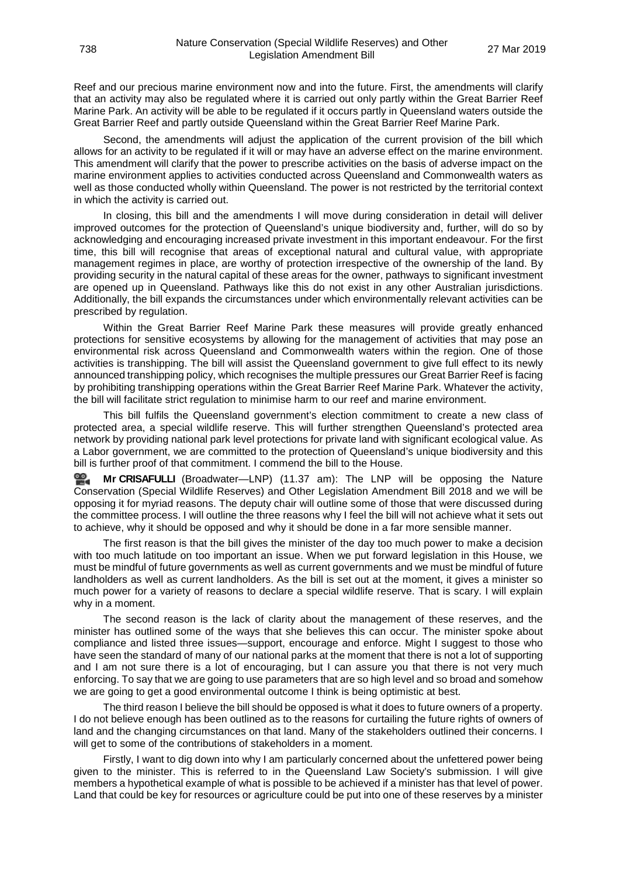Reef and our precious marine environment now and into the future. First, the amendments will clarify that an activity may also be regulated where it is carried out only partly within the Great Barrier Reef Marine Park. An activity will be able to be regulated if it occurs partly in Queensland waters outside the Great Barrier Reef and partly outside Queensland within the Great Barrier Reef Marine Park.

Second, the amendments will adjust the application of the current provision of the bill which allows for an activity to be regulated if it will or may have an adverse effect on the marine environment. This amendment will clarify that the power to prescribe activities on the basis of adverse impact on the marine environment applies to activities conducted across Queensland and Commonwealth waters as well as those conducted wholly within Queensland. The power is not restricted by the territorial context in which the activity is carried out.

In closing, this bill and the amendments I will move during consideration in detail will deliver improved outcomes for the protection of Queensland's unique biodiversity and, further, will do so by acknowledging and encouraging increased private investment in this important endeavour. For the first time, this bill will recognise that areas of exceptional natural and cultural value, with appropriate management regimes in place, are worthy of protection irrespective of the ownership of the land. By providing security in the natural capital of these areas for the owner, pathways to significant investment are opened up in Queensland. Pathways like this do not exist in any other Australian jurisdictions. Additionally, the bill expands the circumstances under which environmentally relevant activities can be prescribed by regulation.

Within the Great Barrier Reef Marine Park these measures will provide greatly enhanced protections for sensitive ecosystems by allowing for the management of activities that may pose an environmental risk across Queensland and Commonwealth waters within the region. One of those activities is transhipping. The bill will assist the Queensland government to give full effect to its newly announced transhipping policy, which recognises the multiple pressures our Great Barrier Reef is facing by prohibiting transhipping operations within the Great Barrier Reef Marine Park. Whatever the activity, the bill will facilitate strict regulation to minimise harm to our reef and marine environment.

This bill fulfils the Queensland government's election commitment to create a new class of protected area, a special wildlife reserve. This will further strengthen Queensland's protected area network by providing national park level protections for private land with significant ecological value. As a Labor government, we are committed to the protection of Queensland's unique biodiversity and this bill is further proof of that commitment. I commend the bill to the House.

**Mr [CRISAFULLI](http://www.parliament.qld.gov.au/docs/find.aspx?id=0Mba20190327_113650)** (Broadwater—LNP) (11.37 am): The LNP will be opposing the Nature Conservation (Special Wildlife Reserves) and Other Legislation Amendment Bill 2018 and we will be opposing it for myriad reasons. The deputy chair will outline some of those that were discussed during the committee process. I will outline the three reasons why I feel the bill will not achieve what it sets out to achieve, why it should be opposed and why it should be done in a far more sensible manner.

The first reason is that the bill gives the minister of the day too much power to make a decision with too much latitude on too important an issue. When we put forward legislation in this House, we must be mindful of future governments as well as current governments and we must be mindful of future landholders as well as current landholders. As the bill is set out at the moment, it gives a minister so much power for a variety of reasons to declare a special wildlife reserve. That is scary. I will explain why in a moment.

The second reason is the lack of clarity about the management of these reserves, and the minister has outlined some of the ways that she believes this can occur. The minister spoke about compliance and listed three issues—support, encourage and enforce. Might I suggest to those who have seen the standard of many of our national parks at the moment that there is not a lot of supporting and I am not sure there is a lot of encouraging, but I can assure you that there is not very much enforcing. To say that we are going to use parameters that are so high level and so broad and somehow we are going to get a good environmental outcome I think is being optimistic at best.

The third reason I believe the bill should be opposed is what it does to future owners of a property. I do not believe enough has been outlined as to the reasons for curtailing the future rights of owners of land and the changing circumstances on that land. Many of the stakeholders outlined their concerns. I will get to some of the contributions of stakeholders in a moment.

Firstly, I want to dig down into why I am particularly concerned about the unfettered power being given to the minister. This is referred to in the Queensland Law Society's submission. I will give members a hypothetical example of what is possible to be achieved if a minister has that level of power. Land that could be key for resources or agriculture could be put into one of these reserves by a minister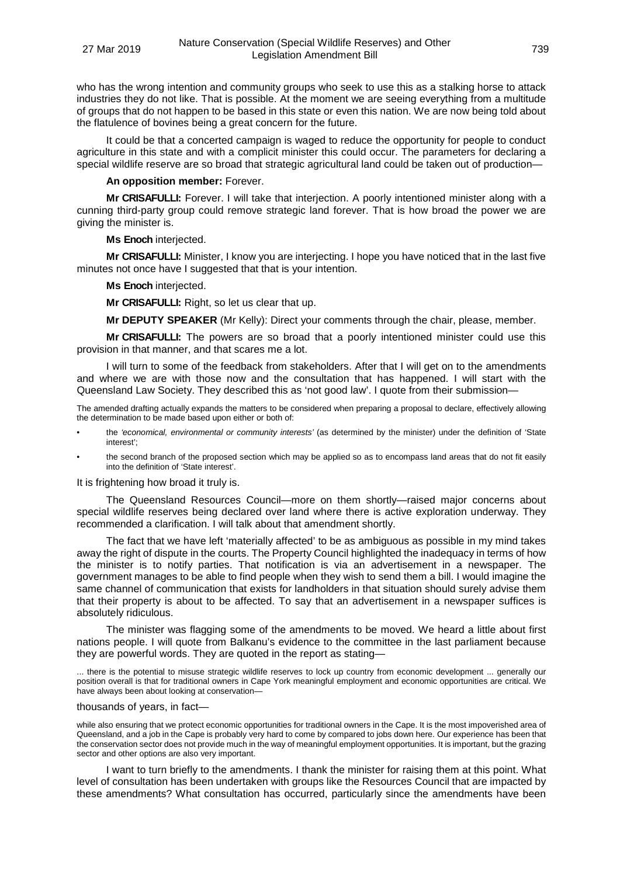who has the wrong intention and community groups who seek to use this as a stalking horse to attack industries they do not like. That is possible. At the moment we are seeing everything from a multitude of groups that do not happen to be based in this state or even this nation. We are now being told about the flatulence of bovines being a great concern for the future.

It could be that a concerted campaign is waged to reduce the opportunity for people to conduct agriculture in this state and with a complicit minister this could occur. The parameters for declaring a special wildlife reserve are so broad that strategic agricultural land could be taken out of production—

#### **An opposition member:** Forever.

**Mr CRISAFULLI:** Forever. I will take that interjection. A poorly intentioned minister along with a cunning third-party group could remove strategic land forever. That is how broad the power we are giving the minister is.

#### **Ms Enoch** interjected.

**Mr CRISAFULLI:** Minister, I know you are interjecting. I hope you have noticed that in the last five minutes not once have I suggested that that is your intention.

#### **Ms Enoch** interjected.

**Mr CRISAFULLI:** Right, so let us clear that up.

**Mr DEPUTY SPEAKER** (Mr Kelly): Direct your comments through the chair, please, member.

**Mr CRISAFULLI:** The powers are so broad that a poorly intentioned minister could use this provision in that manner, and that scares me a lot.

I will turn to some of the feedback from stakeholders. After that I will get on to the amendments and where we are with those now and the consultation that has happened. I will start with the Queensland Law Society. They described this as 'not good law'. I quote from their submission—

The amended drafting actually expands the matters to be considered when preparing a proposal to declare, effectively allowing the determination to be made based upon either or both of:

- the *'economical, environmental or community interests'* (as determined by the minister) under the definition of 'State interest';
- the second branch of the proposed section which may be applied so as to encompass land areas that do not fit easily into the definition of 'State interest'.

It is frightening how broad it truly is.

The Queensland Resources Council—more on them shortly—raised major concerns about special wildlife reserves being declared over land where there is active exploration underway. They recommended a clarification. I will talk about that amendment shortly.

The fact that we have left 'materially affected' to be as ambiguous as possible in my mind takes away the right of dispute in the courts. The Property Council highlighted the inadequacy in terms of how the minister is to notify parties. That notification is via an advertisement in a newspaper. The government manages to be able to find people when they wish to send them a bill. I would imagine the same channel of communication that exists for landholders in that situation should surely advise them that their property is about to be affected. To say that an advertisement in a newspaper suffices is absolutely ridiculous.

The minister was flagging some of the amendments to be moved. We heard a little about first nations people. I will quote from Balkanu's evidence to the committee in the last parliament because they are powerful words. They are quoted in the report as stating—

... there is the potential to misuse strategic wildlife reserves to lock up country from economic development ... generally our position overall is that for traditional owners in Cape York meaningful employment and economic opportunities are critical. We have always been about looking at conservation—

#### thousands of years, in fact—

while also ensuring that we protect economic opportunities for traditional owners in the Cape. It is the most impoverished area of Queensland, and a job in the Cape is probably very hard to come by compared to jobs down here. Our experience has been that the conservation sector does not provide much in the way of meaningful employment opportunities. It is important, but the grazing sector and other options are also very important.

I want to turn briefly to the amendments. I thank the minister for raising them at this point. What level of consultation has been undertaken with groups like the Resources Council that are impacted by these amendments? What consultation has occurred, particularly since the amendments have been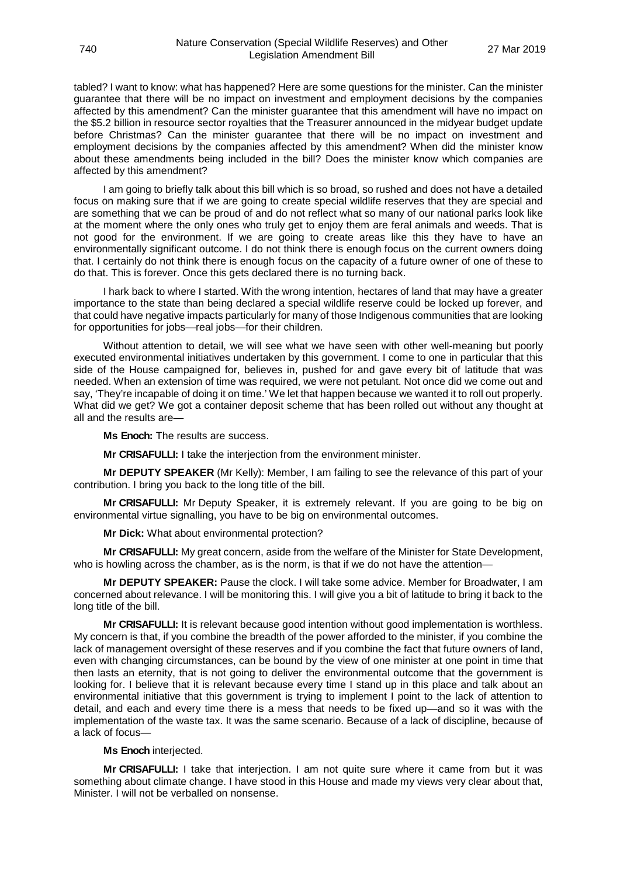tabled? I want to know: what has happened? Here are some questions for the minister. Can the minister guarantee that there will be no impact on investment and employment decisions by the companies affected by this amendment? Can the minister guarantee that this amendment will have no impact on the \$5.2 billion in resource sector royalties that the Treasurer announced in the midyear budget update before Christmas? Can the minister guarantee that there will be no impact on investment and employment decisions by the companies affected by this amendment? When did the minister know about these amendments being included in the bill? Does the minister know which companies are affected by this amendment?

I am going to briefly talk about this bill which is so broad, so rushed and does not have a detailed focus on making sure that if we are going to create special wildlife reserves that they are special and are something that we can be proud of and do not reflect what so many of our national parks look like at the moment where the only ones who truly get to enjoy them are feral animals and weeds. That is not good for the environment. If we are going to create areas like this they have to have an environmentally significant outcome. I do not think there is enough focus on the current owners doing that. I certainly do not think there is enough focus on the capacity of a future owner of one of these to do that. This is forever. Once this gets declared there is no turning back.

I hark back to where I started. With the wrong intention, hectares of land that may have a greater importance to the state than being declared a special wildlife reserve could be locked up forever, and that could have negative impacts particularly for many of those Indigenous communities that are looking for opportunities for jobs—real jobs—for their children.

Without attention to detail, we will see what we have seen with other well-meaning but poorly executed environmental initiatives undertaken by this government. I come to one in particular that this side of the House campaigned for, believes in, pushed for and gave every bit of latitude that was needed. When an extension of time was required, we were not petulant. Not once did we come out and say, 'They're incapable of doing it on time.' We let that happen because we wanted it to roll out properly. What did we get? We got a container deposit scheme that has been rolled out without any thought at all and the results are—

**Ms Enoch:** The results are success.

**Mr CRISAFULLI:** I take the interjection from the environment minister.

**Mr DEPUTY SPEAKER** (Mr Kelly): Member, I am failing to see the relevance of this part of your contribution. I bring you back to the long title of the bill.

**Mr CRISAFULLI:** Mr Deputy Speaker, it is extremely relevant. If you are going to be big on environmental virtue signalling, you have to be big on environmental outcomes.

**Mr Dick:** What about environmental protection?

**Mr CRISAFULLI:** My great concern, aside from the welfare of the Minister for State Development, who is howling across the chamber, as is the norm, is that if we do not have the attention—

**Mr DEPUTY SPEAKER:** Pause the clock. I will take some advice. Member for Broadwater, I am concerned about relevance. I will be monitoring this. I will give you a bit of latitude to bring it back to the long title of the bill.

**Mr CRISAFULLI:** It is relevant because good intention without good implementation is worthless. My concern is that, if you combine the breadth of the power afforded to the minister, if you combine the lack of management oversight of these reserves and if you combine the fact that future owners of land, even with changing circumstances, can be bound by the view of one minister at one point in time that then lasts an eternity, that is not going to deliver the environmental outcome that the government is looking for. I believe that it is relevant because every time I stand up in this place and talk about an environmental initiative that this government is trying to implement I point to the lack of attention to detail, and each and every time there is a mess that needs to be fixed up—and so it was with the implementation of the waste tax. It was the same scenario. Because of a lack of discipline, because of a lack of focus—

#### **Ms Enoch** interjected.

**Mr CRISAFULLI:** I take that interjection. I am not quite sure where it came from but it was something about climate change. I have stood in this House and made my views very clear about that, Minister. I will not be verballed on nonsense.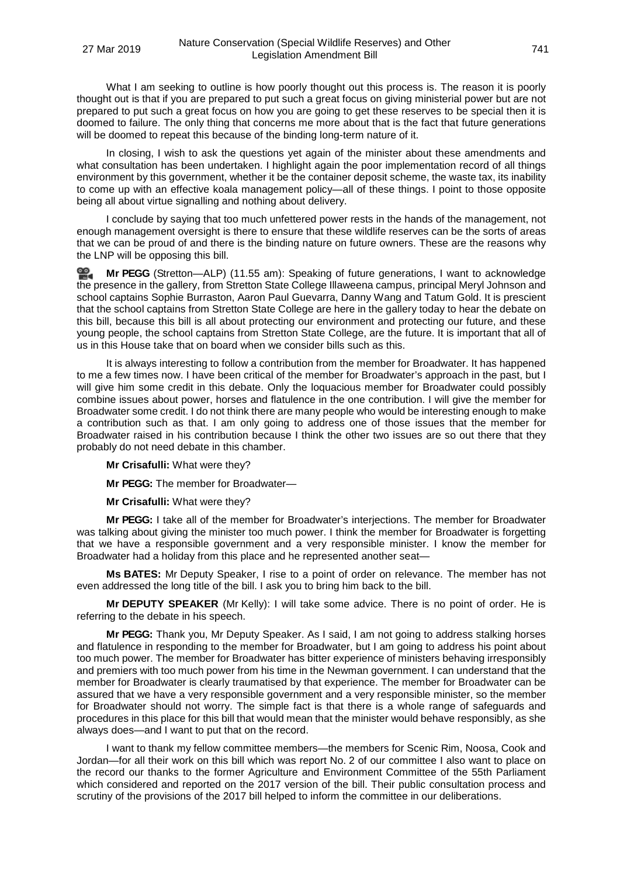What I am seeking to outline is how poorly thought out this process is. The reason it is poorly thought out is that if you are prepared to put such a great focus on giving ministerial power but are not prepared to put such a great focus on how you are going to get these reserves to be special then it is doomed to failure. The only thing that concerns me more about that is the fact that future generations will be doomed to repeat this because of the binding long-term nature of it.

In closing, I wish to ask the questions yet again of the minister about these amendments and what consultation has been undertaken. I highlight again the poor implementation record of all things environment by this government, whether it be the container deposit scheme, the waste tax, its inability to come up with an effective koala management policy—all of these things. I point to those opposite being all about virtue signalling and nothing about delivery.

I conclude by saying that too much unfettered power rests in the hands of the management, not enough management oversight is there to ensure that these wildlife reserves can be the sorts of areas that we can be proud of and there is the binding nature on future owners. These are the reasons why the LNP will be opposing this bill.

≌. **Mr [PEGG](http://www.parliament.qld.gov.au/docs/find.aspx?id=0Mba20190327_115553)** (Stretton—ALP) (11.55 am): Speaking of future generations, I want to acknowledge the presence in the gallery, from Stretton State College Illaweena campus, principal Meryl Johnson and school captains Sophie Burraston, Aaron Paul Guevarra, Danny Wang and Tatum Gold. It is prescient that the school captains from Stretton State College are here in the gallery today to hear the debate on this bill, because this bill is all about protecting our environment and protecting our future, and these young people, the school captains from Stretton State College, are the future. It is important that all of us in this House take that on board when we consider bills such as this.

It is always interesting to follow a contribution from the member for Broadwater. It has happened to me a few times now. I have been critical of the member for Broadwater's approach in the past, but I will give him some credit in this debate. Only the loquacious member for Broadwater could possibly combine issues about power, horses and flatulence in the one contribution. I will give the member for Broadwater some credit. I do not think there are many people who would be interesting enough to make a contribution such as that. I am only going to address one of those issues that the member for Broadwater raised in his contribution because I think the other two issues are so out there that they probably do not need debate in this chamber.

**Mr Crisafulli:** What were they?

**Mr PEGG:** The member for Broadwater—

**Mr Crisafulli:** What were they?

**Mr PEGG:** I take all of the member for Broadwater's interjections. The member for Broadwater was talking about giving the minister too much power. I think the member for Broadwater is forgetting that we have a responsible government and a very responsible minister. I know the member for Broadwater had a holiday from this place and he represented another seat—

**Ms BATES:** Mr Deputy Speaker, I rise to a point of order on relevance. The member has not even addressed the long title of the bill. I ask you to bring him back to the bill.

**Mr DEPUTY SPEAKER** (Mr Kelly): I will take some advice. There is no point of order. He is referring to the debate in his speech.

**Mr PEGG:** Thank you, Mr Deputy Speaker. As I said, I am not going to address stalking horses and flatulence in responding to the member for Broadwater, but I am going to address his point about too much power. The member for Broadwater has bitter experience of ministers behaving irresponsibly and premiers with too much power from his time in the Newman government. I can understand that the member for Broadwater is clearly traumatised by that experience. The member for Broadwater can be assured that we have a very responsible government and a very responsible minister, so the member for Broadwater should not worry. The simple fact is that there is a whole range of safeguards and procedures in this place for this bill that would mean that the minister would behave responsibly, as she always does—and I want to put that on the record.

I want to thank my fellow committee members—the members for Scenic Rim, Noosa, Cook and Jordan—for all their work on this bill which was report No. 2 of our committee I also want to place on the record our thanks to the former Agriculture and Environment Committee of the 55th Parliament which considered and reported on the 2017 version of the bill. Their public consultation process and scrutiny of the provisions of the 2017 bill helped to inform the committee in our deliberations.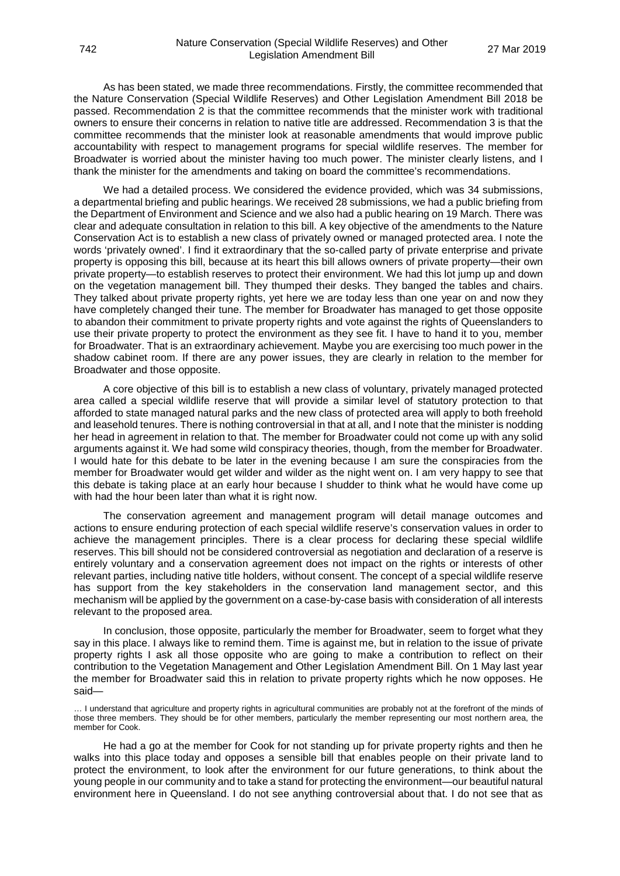As has been stated, we made three recommendations. Firstly, the committee recommended that the Nature Conservation (Special Wildlife Reserves) and Other Legislation Amendment Bill 2018 be passed. Recommendation 2 is that the committee recommends that the minister work with traditional owners to ensure their concerns in relation to native title are addressed. Recommendation 3 is that the committee recommends that the minister look at reasonable amendments that would improve public accountability with respect to management programs for special wildlife reserves. The member for Broadwater is worried about the minister having too much power. The minister clearly listens, and I thank the minister for the amendments and taking on board the committee's recommendations.

We had a detailed process. We considered the evidence provided, which was 34 submissions, a departmental briefing and public hearings. We received 28 submissions, we had a public briefing from the Department of Environment and Science and we also had a public hearing on 19 March. There was clear and adequate consultation in relation to this bill. A key objective of the amendments to the Nature Conservation Act is to establish a new class of privately owned or managed protected area. I note the words 'privately owned'. I find it extraordinary that the so-called party of private enterprise and private property is opposing this bill, because at its heart this bill allows owners of private property—their own private property—to establish reserves to protect their environment. We had this lot jump up and down on the vegetation management bill. They thumped their desks. They banged the tables and chairs. They talked about private property rights, yet here we are today less than one year on and now they have completely changed their tune. The member for Broadwater has managed to get those opposite to abandon their commitment to private property rights and vote against the rights of Queenslanders to use their private property to protect the environment as they see fit. I have to hand it to you, member for Broadwater. That is an extraordinary achievement. Maybe you are exercising too much power in the shadow cabinet room. If there are any power issues, they are clearly in relation to the member for Broadwater and those opposite.

A core objective of this bill is to establish a new class of voluntary, privately managed protected area called a special wildlife reserve that will provide a similar level of statutory protection to that afforded to state managed natural parks and the new class of protected area will apply to both freehold and leasehold tenures. There is nothing controversial in that at all, and I note that the minister is nodding her head in agreement in relation to that. The member for Broadwater could not come up with any solid arguments against it. We had some wild conspiracy theories, though, from the member for Broadwater. I would hate for this debate to be later in the evening because I am sure the conspiracies from the member for Broadwater would get wilder and wilder as the night went on. I am very happy to see that this debate is taking place at an early hour because I shudder to think what he would have come up with had the hour been later than what it is right now.

The conservation agreement and management program will detail manage outcomes and actions to ensure enduring protection of each special wildlife reserve's conservation values in order to achieve the management principles. There is a clear process for declaring these special wildlife reserves. This bill should not be considered controversial as negotiation and declaration of a reserve is entirely voluntary and a conservation agreement does not impact on the rights or interests of other relevant parties, including native title holders, without consent. The concept of a special wildlife reserve has support from the key stakeholders in the conservation land management sector, and this mechanism will be applied by the government on a case-by-case basis with consideration of all interests relevant to the proposed area.

In conclusion, those opposite, particularly the member for Broadwater, seem to forget what they say in this place. I always like to remind them. Time is against me, but in relation to the issue of private property rights I ask all those opposite who are going to make a contribution to reflect on their contribution to the Vegetation Management and Other Legislation Amendment Bill. On 1 May last year the member for Broadwater said this in relation to private property rights which he now opposes. He said—

… I understand that agriculture and property rights in agricultural communities are probably not at the forefront of the minds of those three members. They should be for other members, particularly the member representing our most northern area, the member for Cook.

He had a go at the member for Cook for not standing up for private property rights and then he walks into this place today and opposes a sensible bill that enables people on their private land to protect the environment, to look after the environment for our future generations, to think about the young people in our community and to take a stand for protecting the environment—our beautiful natural environment here in Queensland. I do not see anything controversial about that. I do not see that as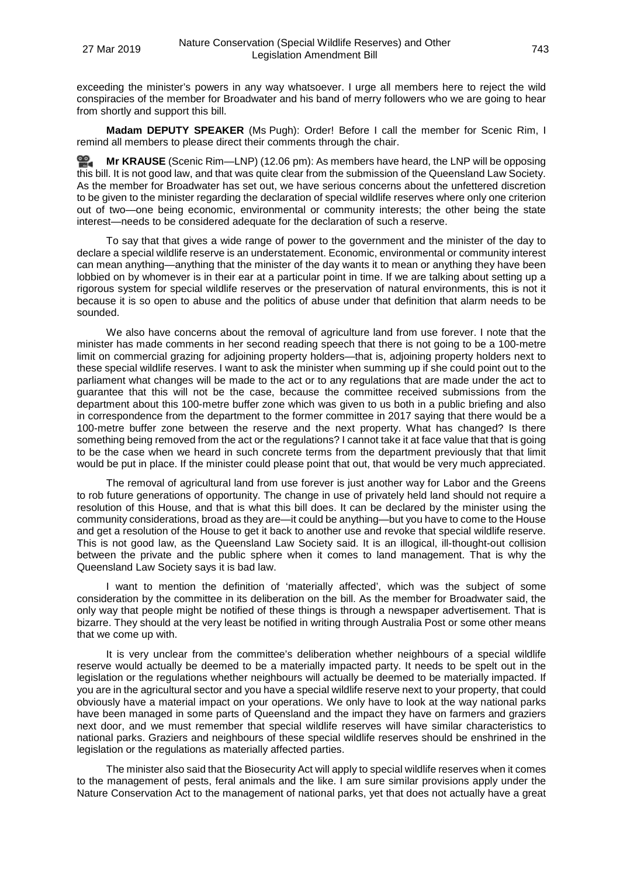exceeding the minister's powers in any way whatsoever. I urge all members here to reject the wild conspiracies of the member for Broadwater and his band of merry followers who we are going to hear from shortly and support this bill.

**Madam DEPUTY SPEAKER** (Ms Pugh): Order! Before I call the member for Scenic Rim, I remind all members to please direct their comments through the chair.

**Mr [KRAUSE](http://www.parliament.qld.gov.au/docs/find.aspx?id=0Mba20190327_120626)** (Scenic Rim—LNP) (12.06 pm): As members have heard, the LNP will be opposing this bill. It is not good law, and that was quite clear from the submission of the Queensland Law Society. As the member for Broadwater has set out, we have serious concerns about the unfettered discretion to be given to the minister regarding the declaration of special wildlife reserves where only one criterion out of two—one being economic, environmental or community interests; the other being the state interest—needs to be considered adequate for the declaration of such a reserve.

To say that that gives a wide range of power to the government and the minister of the day to declare a special wildlife reserve is an understatement. Economic, environmental or community interest can mean anything—anything that the minister of the day wants it to mean or anything they have been lobbied on by whomever is in their ear at a particular point in time. If we are talking about setting up a rigorous system for special wildlife reserves or the preservation of natural environments, this is not it because it is so open to abuse and the politics of abuse under that definition that alarm needs to be sounded.

We also have concerns about the removal of agriculture land from use forever. I note that the minister has made comments in her second reading speech that there is not going to be a 100-metre limit on commercial grazing for adjoining property holders—that is, adjoining property holders next to these special wildlife reserves. I want to ask the minister when summing up if she could point out to the parliament what changes will be made to the act or to any regulations that are made under the act to guarantee that this will not be the case, because the committee received submissions from the department about this 100-metre buffer zone which was given to us both in a public briefing and also in correspondence from the department to the former committee in 2017 saying that there would be a 100-metre buffer zone between the reserve and the next property. What has changed? Is there something being removed from the act or the regulations? I cannot take it at face value that that is going to be the case when we heard in such concrete terms from the department previously that that limit would be put in place. If the minister could please point that out, that would be very much appreciated.

The removal of agricultural land from use forever is just another way for Labor and the Greens to rob future generations of opportunity. The change in use of privately held land should not require a resolution of this House, and that is what this bill does. It can be declared by the minister using the community considerations, broad as they are—it could be anything—but you have to come to the House and get a resolution of the House to get it back to another use and revoke that special wildlife reserve. This is not good law, as the Queensland Law Society said. It is an illogical, ill-thought-out collision between the private and the public sphere when it comes to land management. That is why the Queensland Law Society says it is bad law.

I want to mention the definition of 'materially affected', which was the subject of some consideration by the committee in its deliberation on the bill. As the member for Broadwater said, the only way that people might be notified of these things is through a newspaper advertisement. That is bizarre. They should at the very least be notified in writing through Australia Post or some other means that we come up with.

It is very unclear from the committee's deliberation whether neighbours of a special wildlife reserve would actually be deemed to be a materially impacted party. It needs to be spelt out in the legislation or the regulations whether neighbours will actually be deemed to be materially impacted. If you are in the agricultural sector and you have a special wildlife reserve next to your property, that could obviously have a material impact on your operations. We only have to look at the way national parks have been managed in some parts of Queensland and the impact they have on farmers and graziers next door, and we must remember that special wildlife reserves will have similar characteristics to national parks. Graziers and neighbours of these special wildlife reserves should be enshrined in the legislation or the regulations as materially affected parties.

The minister also said that the Biosecurity Act will apply to special wildlife reserves when it comes to the management of pests, feral animals and the like. I am sure similar provisions apply under the Nature Conservation Act to the management of national parks, yet that does not actually have a great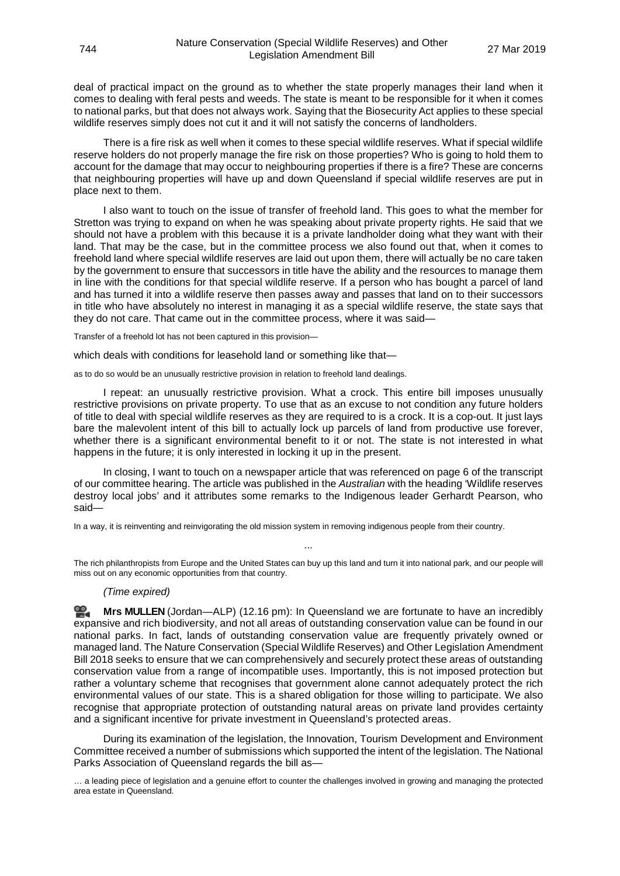deal of practical impact on the ground as to whether the state properly manages their land when it comes to dealing with feral pests and weeds. The state is meant to be responsible for it when it comes to national parks, but that does not always work. Saying that the Biosecurity Act applies to these special wildlife reserves simply does not cut it and it will not satisfy the concerns of landholders.

There is a fire risk as well when it comes to these special wildlife reserves. What if special wildlife reserve holders do not properly manage the fire risk on those properties? Who is going to hold them to account for the damage that may occur to neighbouring properties if there is a fire? These are concerns that neighbouring properties will have up and down Queensland if special wildlife reserves are put in place next to them.

I also want to touch on the issue of transfer of freehold land. This goes to what the member for Stretton was trying to expand on when he was speaking about private property rights. He said that we should not have a problem with this because it is a private landholder doing what they want with their land. That may be the case, but in the committee process we also found out that, when it comes to freehold land where special wildlife reserves are laid out upon them, there will actually be no care taken by the government to ensure that successors in title have the ability and the resources to manage them in line with the conditions for that special wildlife reserve. If a person who has bought a parcel of land and has turned it into a wildlife reserve then passes away and passes that land on to their successors in title who have absolutely no interest in managing it as a special wildlife reserve, the state says that they do not care. That came out in the committee process, where it was said—

Transfer of a freehold lot has not been captured in this provision—

which deals with conditions for leasehold land or something like that—

as to do so would be an unusually restrictive provision in relation to freehold land dealings.

I repeat: an unusually restrictive provision. What a crock. This entire bill imposes unusually restrictive provisions on private property. To use that as an excuse to not condition any future holders of title to deal with special wildlife reserves as they are required to is a crock. It is a cop-out. It just lays bare the malevolent intent of this bill to actually lock up parcels of land from productive use forever, whether there is a significant environmental benefit to it or not. The state is not interested in what happens in the future; it is only interested in locking it up in the present.

In closing, I want to touch on a newspaper article that was referenced on page 6 of the transcript of our committee hearing. The article was published in the *Australian* with the heading 'Wildlife reserves destroy local jobs' and it attributes some remarks to the Indigenous leader Gerhardt Pearson, who said—

In a way, it is reinventing and reinvigorating the old mission system in removing indigenous people from their country.

The rich philanthropists from Europe and the United States can buy up this land and turn it into national park, and our people will miss out on any economic opportunities from that country.

...

#### *(Time expired)*

ᢁ. **Mrs [MULLEN](http://www.parliament.qld.gov.au/docs/find.aspx?id=0Mba20190327_121626)** (Jordan—ALP) (12.16 pm): In Queensland we are fortunate to have an incredibly expansive and rich biodiversity, and not all areas of outstanding conservation value can be found in our national parks. In fact, lands of outstanding conservation value are frequently privately owned or managed land. The Nature Conservation (Special Wildlife Reserves) and Other Legislation Amendment Bill 2018 seeks to ensure that we can comprehensively and securely protect these areas of outstanding conservation value from a range of incompatible uses. Importantly, this is not imposed protection but rather a voluntary scheme that recognises that government alone cannot adequately protect the rich environmental values of our state. This is a shared obligation for those willing to participate. We also recognise that appropriate protection of outstanding natural areas on private land provides certainty and a significant incentive for private investment in Queensland's protected areas.

During its examination of the legislation, the Innovation, Tourism Development and Environment Committee received a number of submissions which supported the intent of the legislation. The National Parks Association of Queensland regards the bill as—

... a leading piece of legislation and a genuine effort to counter the challenges involved in growing and managing the protected area estate in Queensland.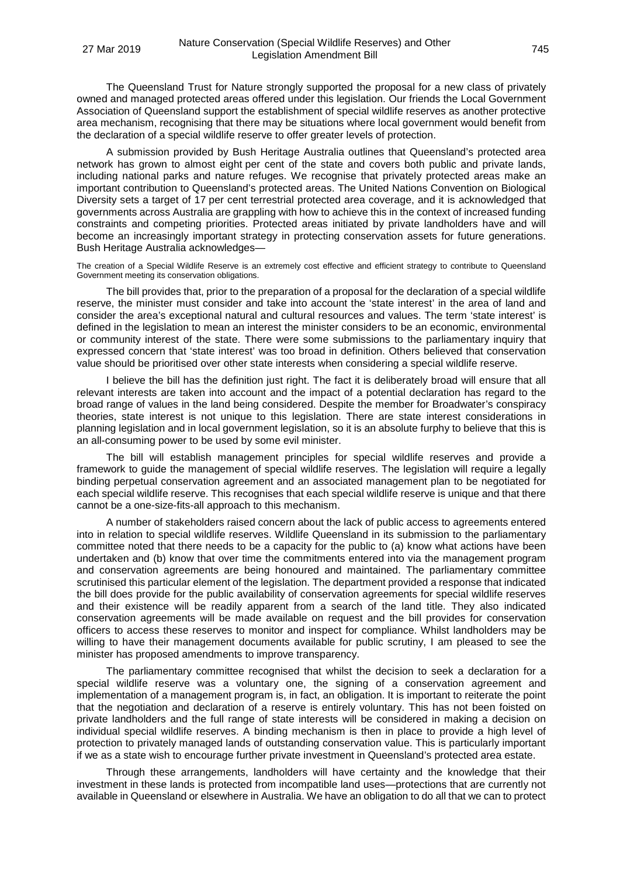The Queensland Trust for Nature strongly supported the proposal for a new class of privately owned and managed protected areas offered under this legislation. Our friends the Local Government Association of Queensland support the establishment of special wildlife reserves as another protective area mechanism, recognising that there may be situations where local government would benefit from the declaration of a special wildlife reserve to offer greater levels of protection.

A submission provided by Bush Heritage Australia outlines that Queensland's protected area network has grown to almost eight per cent of the state and covers both public and private lands, including national parks and nature refuges. We recognise that privately protected areas make an important contribution to Queensland's protected areas. The United Nations Convention on Biological Diversity sets a target of 17 per cent terrestrial protected area coverage, and it is acknowledged that governments across Australia are grappling with how to achieve this in the context of increased funding constraints and competing priorities. Protected areas initiated by private landholders have and will become an increasingly important strategy in protecting conservation assets for future generations. Bush Heritage Australia acknowledges—

The creation of a Special Wildlife Reserve is an extremely cost effective and efficient strategy to contribute to Queensland Government meeting its conservation obligations.

The bill provides that, prior to the preparation of a proposal for the declaration of a special wildlife reserve, the minister must consider and take into account the 'state interest' in the area of land and consider the area's exceptional natural and cultural resources and values. The term 'state interest' is defined in the legislation to mean an interest the minister considers to be an economic, environmental or community interest of the state. There were some submissions to the parliamentary inquiry that expressed concern that 'state interest' was too broad in definition. Others believed that conservation value should be prioritised over other state interests when considering a special wildlife reserve.

I believe the bill has the definition just right. The fact it is deliberately broad will ensure that all relevant interests are taken into account and the impact of a potential declaration has regard to the broad range of values in the land being considered. Despite the member for Broadwater's conspiracy theories, state interest is not unique to this legislation. There are state interest considerations in planning legislation and in local government legislation, so it is an absolute furphy to believe that this is an all-consuming power to be used by some evil minister.

The bill will establish management principles for special wildlife reserves and provide a framework to guide the management of special wildlife reserves. The legislation will require a legally binding perpetual conservation agreement and an associated management plan to be negotiated for each special wildlife reserve. This recognises that each special wildlife reserve is unique and that there cannot be a one-size-fits-all approach to this mechanism.

A number of stakeholders raised concern about the lack of public access to agreements entered into in relation to special wildlife reserves. Wildlife Queensland in its submission to the parliamentary committee noted that there needs to be a capacity for the public to (a) know what actions have been undertaken and (b) know that over time the commitments entered into via the management program and conservation agreements are being honoured and maintained. The parliamentary committee scrutinised this particular element of the legislation. The department provided a response that indicated the bill does provide for the public availability of conservation agreements for special wildlife reserves and their existence will be readily apparent from a search of the land title. They also indicated conservation agreements will be made available on request and the bill provides for conservation officers to access these reserves to monitor and inspect for compliance. Whilst landholders may be willing to have their management documents available for public scrutiny, I am pleased to see the minister has proposed amendments to improve transparency.

The parliamentary committee recognised that whilst the decision to seek a declaration for a special wildlife reserve was a voluntary one, the signing of a conservation agreement and implementation of a management program is, in fact, an obligation. It is important to reiterate the point that the negotiation and declaration of a reserve is entirely voluntary. This has not been foisted on private landholders and the full range of state interests will be considered in making a decision on individual special wildlife reserves. A binding mechanism is then in place to provide a high level of protection to privately managed lands of outstanding conservation value. This is particularly important if we as a state wish to encourage further private investment in Queensland's protected area estate.

Through these arrangements, landholders will have certainty and the knowledge that their investment in these lands is protected from incompatible land uses—protections that are currently not available in Queensland or elsewhere in Australia. We have an obligation to do all that we can to protect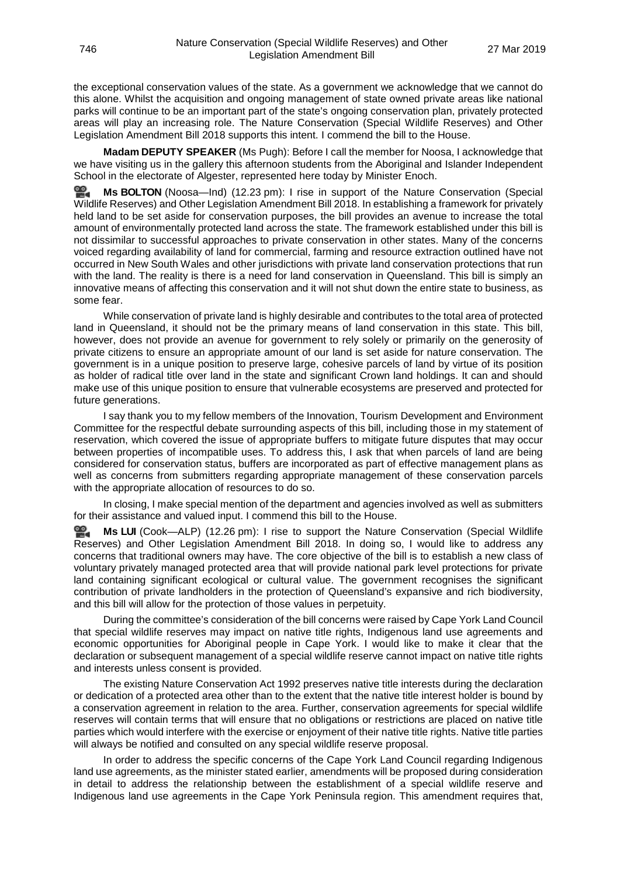the exceptional conservation values of the state. As a government we acknowledge that we cannot do this alone. Whilst the acquisition and ongoing management of state owned private areas like national parks will continue to be an important part of the state's ongoing conservation plan, privately protected areas will play an increasing role. The Nature Conservation (Special Wildlife Reserves) and Other Legislation Amendment Bill 2018 supports this intent. I commend the bill to the House.

**Madam DEPUTY SPEAKER** (Ms Pugh): Before I call the member for Noosa, I acknowledge that we have visiting us in the gallery this afternoon students from the Aboriginal and Islander Independent School in the electorate of Algester, represented here today by Minister Enoch.

ഇ **Ms [BOLTON](http://www.parliament.qld.gov.au/docs/find.aspx?id=0Mba20190327_122325)** (Noosa—Ind) (12.23 pm): I rise in support of the Nature Conservation (Special Wildlife Reserves) and Other Legislation Amendment Bill 2018. In establishing a framework for privately held land to be set aside for conservation purposes, the bill provides an avenue to increase the total amount of environmentally protected land across the state. The framework established under this bill is not dissimilar to successful approaches to private conservation in other states. Many of the concerns voiced regarding availability of land for commercial, farming and resource extraction outlined have not occurred in New South Wales and other jurisdictions with private land conservation protections that run with the land. The reality is there is a need for land conservation in Queensland. This bill is simply an innovative means of affecting this conservation and it will not shut down the entire state to business, as some fear.

While conservation of private land is highly desirable and contributes to the total area of protected land in Queensland, it should not be the primary means of land conservation in this state. This bill, however, does not provide an avenue for government to rely solely or primarily on the generosity of private citizens to ensure an appropriate amount of our land is set aside for nature conservation. The government is in a unique position to preserve large, cohesive parcels of land by virtue of its position as holder of radical title over land in the state and significant Crown land holdings. It can and should make use of this unique position to ensure that vulnerable ecosystems are preserved and protected for future generations.

I say thank you to my fellow members of the Innovation, Tourism Development and Environment Committee for the respectful debate surrounding aspects of this bill, including those in my statement of reservation, which covered the issue of appropriate buffers to mitigate future disputes that may occur between properties of incompatible uses. To address this, I ask that when parcels of land are being considered for conservation status, buffers are incorporated as part of effective management plans as well as concerns from submitters regarding appropriate management of these conservation parcels with the appropriate allocation of resources to do so.

In closing, I make special mention of the department and agencies involved as well as submitters for their assistance and valued input. I commend this bill to the House.

≌. **Ms [LUI](http://www.parliament.qld.gov.au/docs/find.aspx?id=0Mba20190327_122620)** (Cook—ALP) (12.26 pm): I rise to support the Nature Conservation (Special Wildlife Reserves) and Other Legislation Amendment Bill 2018. In doing so, I would like to address any concerns that traditional owners may have. The core objective of the bill is to establish a new class of voluntary privately managed protected area that will provide national park level protections for private land containing significant ecological or cultural value. The government recognises the significant contribution of private landholders in the protection of Queensland's expansive and rich biodiversity, and this bill will allow for the protection of those values in perpetuity.

During the committee's consideration of the bill concerns were raised by Cape York Land Council that special wildlife reserves may impact on native title rights, Indigenous land use agreements and economic opportunities for Aboriginal people in Cape York. I would like to make it clear that the declaration or subsequent management of a special wildlife reserve cannot impact on native title rights and interests unless consent is provided.

The existing Nature Conservation Act 1992 preserves native title interests during the declaration or dedication of a protected area other than to the extent that the native title interest holder is bound by a conservation agreement in relation to the area. Further, conservation agreements for special wildlife reserves will contain terms that will ensure that no obligations or restrictions are placed on native title parties which would interfere with the exercise or enjoyment of their native title rights. Native title parties will always be notified and consulted on any special wildlife reserve proposal.

In order to address the specific concerns of the Cape York Land Council regarding Indigenous land use agreements, as the minister stated earlier, amendments will be proposed during consideration in detail to address the relationship between the establishment of a special wildlife reserve and Indigenous land use agreements in the Cape York Peninsula region. This amendment requires that,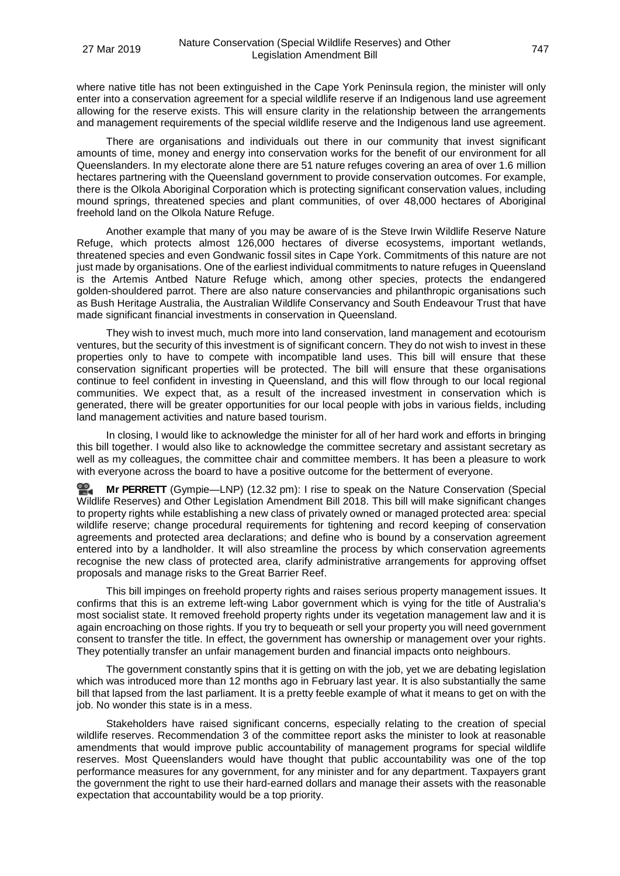where native title has not been extinguished in the Cape York Peninsula region, the minister will only enter into a conservation agreement for a special wildlife reserve if an Indigenous land use agreement allowing for the reserve exists. This will ensure clarity in the relationship between the arrangements and management requirements of the special wildlife reserve and the Indigenous land use agreement.

There are organisations and individuals out there in our community that invest significant amounts of time, money and energy into conservation works for the benefit of our environment for all Queenslanders. In my electorate alone there are 51 nature refuges covering an area of over 1.6 million hectares partnering with the Queensland government to provide conservation outcomes. For example, there is the Olkola Aboriginal Corporation which is protecting significant conservation values, including mound springs, threatened species and plant communities, of over 48,000 hectares of Aboriginal freehold land on the Olkola Nature Refuge.

Another example that many of you may be aware of is the Steve Irwin Wildlife Reserve Nature Refuge, which protects almost 126,000 hectares of diverse ecosystems, important wetlands, threatened species and even Gondwanic fossil sites in Cape York. Commitments of this nature are not just made by organisations. One of the earliest individual commitments to nature refuges in Queensland is the Artemis Antbed Nature Refuge which, among other species, protects the endangered golden-shouldered parrot. There are also nature conservancies and philanthropic organisations such as Bush Heritage Australia, the Australian Wildlife Conservancy and South Endeavour Trust that have made significant financial investments in conservation in Queensland.

They wish to invest much, much more into land conservation, land management and ecotourism ventures, but the security of this investment is of significant concern. They do not wish to invest in these properties only to have to compete with incompatible land uses. This bill will ensure that these conservation significant properties will be protected. The bill will ensure that these organisations continue to feel confident in investing in Queensland, and this will flow through to our local regional communities. We expect that, as a result of the increased investment in conservation which is generated, there will be greater opportunities for our local people with jobs in various fields, including land management activities and nature based tourism.

In closing, I would like to acknowledge the minister for all of her hard work and efforts in bringing this bill together. I would also like to acknowledge the committee secretary and assistant secretary as well as my colleagues, the committee chair and committee members. It has been a pleasure to work with everyone across the board to have a positive outcome for the betterment of everyone.

**Mr [PERRETT](http://www.parliament.qld.gov.au/docs/find.aspx?id=0Mba20190327_123205)** (Gympie—LNP) (12.32 pm): I rise to speak on the Nature Conservation (Special Wildlife Reserves) and Other Legislation Amendment Bill 2018. This bill will make significant changes to property rights while establishing a new class of privately owned or managed protected area: special wildlife reserve; change procedural requirements for tightening and record keeping of conservation agreements and protected area declarations; and define who is bound by a conservation agreement entered into by a landholder. It will also streamline the process by which conservation agreements recognise the new class of protected area, clarify administrative arrangements for approving offset proposals and manage risks to the Great Barrier Reef.

This bill impinges on freehold property rights and raises serious property management issues. It confirms that this is an extreme left-wing Labor government which is vying for the title of Australia's most socialist state. It removed freehold property rights under its vegetation management law and it is again encroaching on those rights. If you try to bequeath or sell your property you will need government consent to transfer the title. In effect, the government has ownership or management over your rights. They potentially transfer an unfair management burden and financial impacts onto neighbours.

The government constantly spins that it is getting on with the job, yet we are debating legislation which was introduced more than 12 months ago in February last year. It is also substantially the same bill that lapsed from the last parliament. It is a pretty feeble example of what it means to get on with the job. No wonder this state is in a mess.

Stakeholders have raised significant concerns, especially relating to the creation of special wildlife reserves. Recommendation 3 of the committee report asks the minister to look at reasonable amendments that would improve public accountability of management programs for special wildlife reserves. Most Queenslanders would have thought that public accountability was one of the top performance measures for any government, for any minister and for any department. Taxpayers grant the government the right to use their hard-earned dollars and manage their assets with the reasonable expectation that accountability would be a top priority.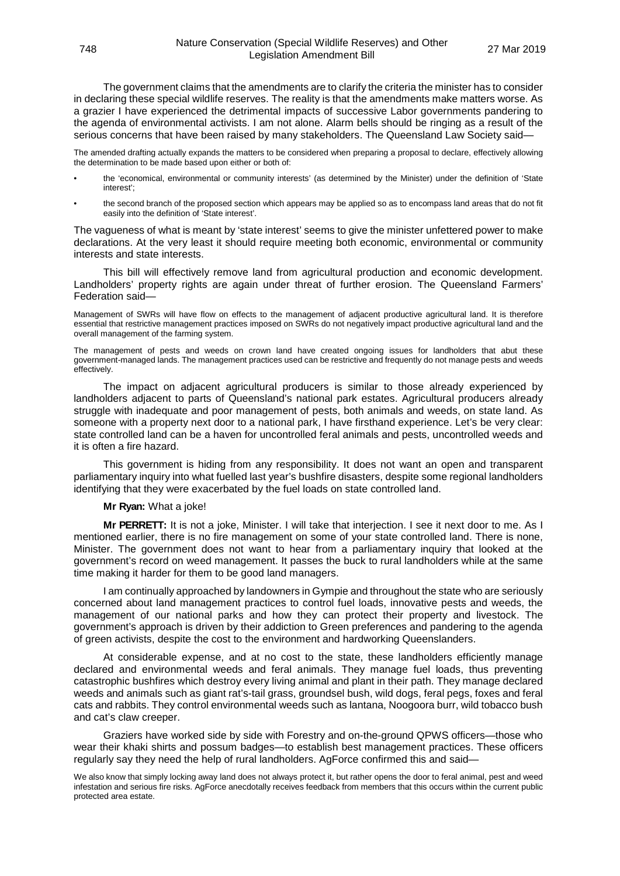The government claims that the amendments are to clarify the criteria the minister has to consider in declaring these special wildlife reserves. The reality is that the amendments make matters worse. As a grazier I have experienced the detrimental impacts of successive Labor governments pandering to the agenda of environmental activists. I am not alone. Alarm bells should be ringing as a result of the serious concerns that have been raised by many stakeholders. The Queensland Law Society said—

The amended drafting actually expands the matters to be considered when preparing a proposal to declare, effectively allowing the determination to be made based upon either or both of:

- the 'economical, environmental or community interests' (as determined by the Minister) under the definition of 'State interest';
- the second branch of the proposed section which appears may be applied so as to encompass land areas that do not fit easily into the definition of 'State interest'.

The vagueness of what is meant by 'state interest' seems to give the minister unfettered power to make declarations. At the very least it should require meeting both economic, environmental or community interests and state interests.

This bill will effectively remove land from agricultural production and economic development. Landholders' property rights are again under threat of further erosion. The Queensland Farmers' Federation said—

Management of SWRs will have flow on effects to the management of adjacent productive agricultural land. It is therefore essential that restrictive management practices imposed on SWRs do not negatively impact productive agricultural land and the overall management of the farming system.

The management of pests and weeds on crown land have created ongoing issues for landholders that abut these government-managed lands. The management practices used can be restrictive and frequently do not manage pests and weeds effectively.

The impact on adjacent agricultural producers is similar to those already experienced by landholders adjacent to parts of Queensland's national park estates. Agricultural producers already struggle with inadequate and poor management of pests, both animals and weeds, on state land. As someone with a property next door to a national park, I have firsthand experience. Let's be very clear: state controlled land can be a haven for uncontrolled feral animals and pests, uncontrolled weeds and it is often a fire hazard.

This government is hiding from any responsibility. It does not want an open and transparent parliamentary inquiry into what fuelled last year's bushfire disasters, despite some regional landholders identifying that they were exacerbated by the fuel loads on state controlled land.

### **Mr Ryan:** What a joke!

**Mr PERRETT:** It is not a joke, Minister. I will take that interjection. I see it next door to me. As I mentioned earlier, there is no fire management on some of your state controlled land. There is none, Minister. The government does not want to hear from a parliamentary inquiry that looked at the government's record on weed management. It passes the buck to rural landholders while at the same time making it harder for them to be good land managers.

I am continually approached by landowners in Gympie and throughout the state who are seriously concerned about land management practices to control fuel loads, innovative pests and weeds, the management of our national parks and how they can protect their property and livestock. The government's approach is driven by their addiction to Green preferences and pandering to the agenda of green activists, despite the cost to the environment and hardworking Queenslanders.

At considerable expense, and at no cost to the state, these landholders efficiently manage declared and environmental weeds and feral animals. They manage fuel loads, thus preventing catastrophic bushfires which destroy every living animal and plant in their path. They manage declared weeds and animals such as giant rat's-tail grass, groundsel bush, wild dogs, feral pegs, foxes and feral cats and rabbits. They control environmental weeds such as lantana, Noogoora burr, wild tobacco bush and cat's claw creeper.

Graziers have worked side by side with Forestry and on-the-ground QPWS officers—those who wear their khaki shirts and possum badges—to establish best management practices. These officers regularly say they need the help of rural landholders. AgForce confirmed this and said—

We also know that simply locking away land does not always protect it, but rather opens the door to feral animal, pest and weed infestation and serious fire risks. AgForce anecdotally receives feedback from members that this occurs within the current public protected area estate.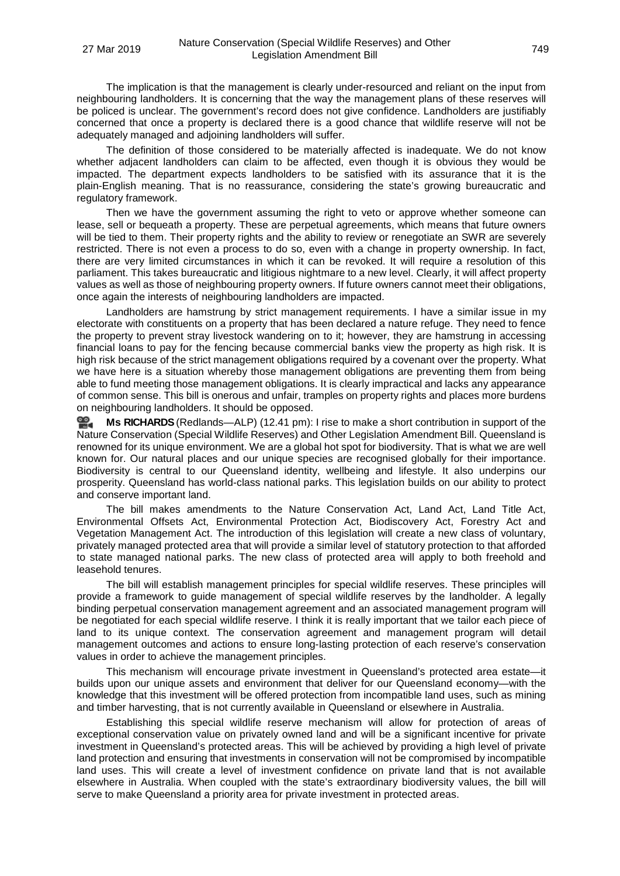The implication is that the management is clearly under-resourced and reliant on the input from neighbouring landholders. It is concerning that the way the management plans of these reserves will be policed is unclear. The government's record does not give confidence. Landholders are justifiably concerned that once a property is declared there is a good chance that wildlife reserve will not be adequately managed and adjoining landholders will suffer.

The definition of those considered to be materially affected is inadequate. We do not know whether adjacent landholders can claim to be affected, even though it is obvious they would be impacted. The department expects landholders to be satisfied with its assurance that it is the plain-English meaning. That is no reassurance, considering the state's growing bureaucratic and regulatory framework.

Then we have the government assuming the right to veto or approve whether someone can lease, sell or bequeath a property. These are perpetual agreements, which means that future owners will be tied to them. Their property rights and the ability to review or renegotiate an SWR are severely restricted. There is not even a process to do so, even with a change in property ownership. In fact, there are very limited circumstances in which it can be revoked. It will require a resolution of this parliament. This takes bureaucratic and litigious nightmare to a new level. Clearly, it will affect property values as well as those of neighbouring property owners. If future owners cannot meet their obligations, once again the interests of neighbouring landholders are impacted.

Landholders are hamstrung by strict management requirements. I have a similar issue in my electorate with constituents on a property that has been declared a nature refuge. They need to fence the property to prevent stray livestock wandering on to it; however, they are hamstrung in accessing financial loans to pay for the fencing because commercial banks view the property as high risk. It is high risk because of the strict management obligations required by a covenant over the property. What we have here is a situation whereby those management obligations are preventing them from being able to fund meeting those management obligations. It is clearly impractical and lacks any appearance of common sense. This bill is onerous and unfair, tramples on property rights and places more burdens on neighbouring landholders. It should be opposed.

**Ms [RICHARDS](http://www.parliament.qld.gov.au/docs/find.aspx?id=0Mba20190327_124203)** (Redlands—ALP) (12.41 pm): I rise to make a short contribution in support of the Nature Conservation (Special Wildlife Reserves) and Other Legislation Amendment Bill. Queensland is renowned for its unique environment. We are a global hot spot for biodiversity. That is what we are well known for. Our natural places and our unique species are recognised globally for their importance. Biodiversity is central to our Queensland identity, wellbeing and lifestyle. It also underpins our prosperity. Queensland has world-class national parks. This legislation builds on our ability to protect and conserve important land.

The bill makes amendments to the Nature Conservation Act, Land Act, Land Title Act, Environmental Offsets Act, Environmental Protection Act, Biodiscovery Act, Forestry Act and Vegetation Management Act. The introduction of this legislation will create a new class of voluntary, privately managed protected area that will provide a similar level of statutory protection to that afforded to state managed national parks. The new class of protected area will apply to both freehold and leasehold tenures.

The bill will establish management principles for special wildlife reserves. These principles will provide a framework to guide management of special wildlife reserves by the landholder. A legally binding perpetual conservation management agreement and an associated management program will be negotiated for each special wildlife reserve. I think it is really important that we tailor each piece of land to its unique context. The conservation agreement and management program will detail management outcomes and actions to ensure long-lasting protection of each reserve's conservation values in order to achieve the management principles.

This mechanism will encourage private investment in Queensland's protected area estate—it builds upon our unique assets and environment that deliver for our Queensland economy—with the knowledge that this investment will be offered protection from incompatible land uses, such as mining and timber harvesting, that is not currently available in Queensland or elsewhere in Australia.

Establishing this special wildlife reserve mechanism will allow for protection of areas of exceptional conservation value on privately owned land and will be a significant incentive for private investment in Queensland's protected areas. This will be achieved by providing a high level of private land protection and ensuring that investments in conservation will not be compromised by incompatible land uses. This will create a level of investment confidence on private land that is not available elsewhere in Australia. When coupled with the state's extraordinary biodiversity values, the bill will serve to make Queensland a priority area for private investment in protected areas.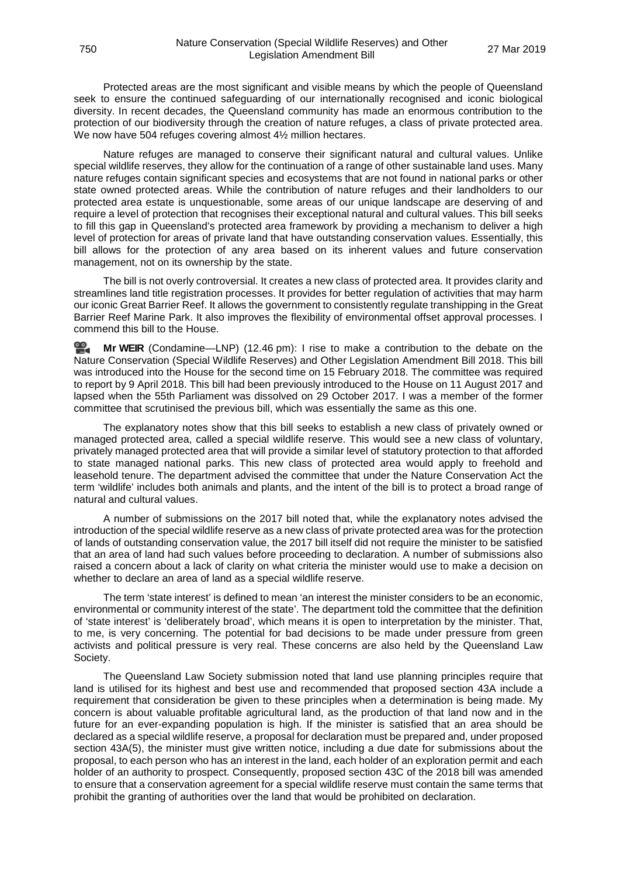Protected areas are the most significant and visible means by which the people of Queensland seek to ensure the continued safeguarding of our internationally recognised and iconic biological diversity. In recent decades, the Queensland community has made an enormous contribution to the protection of our biodiversity through the creation of nature refuges, a class of private protected area. We now have 504 refuges covering almost 4½ million hectares.

Nature refuges are managed to conserve their significant natural and cultural values. Unlike special wildlife reserves, they allow for the continuation of a range of other sustainable land uses. Many nature refuges contain significant species and ecosystems that are not found in national parks or other state owned protected areas. While the contribution of nature refuges and their landholders to our protected area estate is unquestionable, some areas of our unique landscape are deserving of and require a level of protection that recognises their exceptional natural and cultural values. This bill seeks to fill this gap in Queensland's protected area framework by providing a mechanism to deliver a high level of protection for areas of private land that have outstanding conservation values. Essentially, this bill allows for the protection of any area based on its inherent values and future conservation management, not on its ownership by the state.

The bill is not overly controversial. It creates a new class of protected area. It provides clarity and streamlines land title registration processes. It provides for better regulation of activities that may harm our iconic Great Barrier Reef. It allows the government to consistently regulate transhipping in the Great Barrier Reef Marine Park. It also improves the flexibility of environmental offset approval processes. I commend this bill to the House.

≌. **Mr [WEIR](http://www.parliament.qld.gov.au/docs/find.aspx?id=0Mba20190327_124637)** (Condamine—LNP) (12.46 pm): I rise to make a contribution to the debate on the Nature Conservation (Special Wildlife Reserves) and Other Legislation Amendment Bill 2018. This bill was introduced into the House for the second time on 15 February 2018. The committee was required to report by 9 April 2018. This bill had been previously introduced to the House on 11 August 2017 and lapsed when the 55th Parliament was dissolved on 29 October 2017. I was a member of the former committee that scrutinised the previous bill, which was essentially the same as this one.

The explanatory notes show that this bill seeks to establish a new class of privately owned or managed protected area, called a special wildlife reserve. This would see a new class of voluntary, privately managed protected area that will provide a similar level of statutory protection to that afforded to state managed national parks. This new class of protected area would apply to freehold and leasehold tenure. The department advised the committee that under the Nature Conservation Act the term 'wildlife' includes both animals and plants, and the intent of the bill is to protect a broad range of natural and cultural values.

A number of submissions on the 2017 bill noted that, while the explanatory notes advised the introduction of the special wildlife reserve as a new class of private protected area was for the protection of lands of outstanding conservation value, the 2017 bill itself did not require the minister to be satisfied that an area of land had such values before proceeding to declaration. A number of submissions also raised a concern about a lack of clarity on what criteria the minister would use to make a decision on whether to declare an area of land as a special wildlife reserve.

The term 'state interest' is defined to mean 'an interest the minister considers to be an economic, environmental or community interest of the state'. The department told the committee that the definition of 'state interest' is 'deliberately broad', which means it is open to interpretation by the minister. That, to me, is very concerning. The potential for bad decisions to be made under pressure from green activists and political pressure is very real. These concerns are also held by the Queensland Law Society.

The Queensland Law Society submission noted that land use planning principles require that land is utilised for its highest and best use and recommended that proposed section 43A include a requirement that consideration be given to these principles when a determination is being made. My concern is about valuable profitable agricultural land, as the production of that land now and in the future for an ever-expanding population is high. If the minister is satisfied that an area should be declared as a special wildlife reserve, a proposal for declaration must be prepared and, under proposed section 43A(5), the minister must give written notice, including a due date for submissions about the proposal, to each person who has an interest in the land, each holder of an exploration permit and each holder of an authority to prospect. Consequently, proposed section 43C of the 2018 bill was amended to ensure that a conservation agreement for a special wildlife reserve must contain the same terms that prohibit the granting of authorities over the land that would be prohibited on declaration.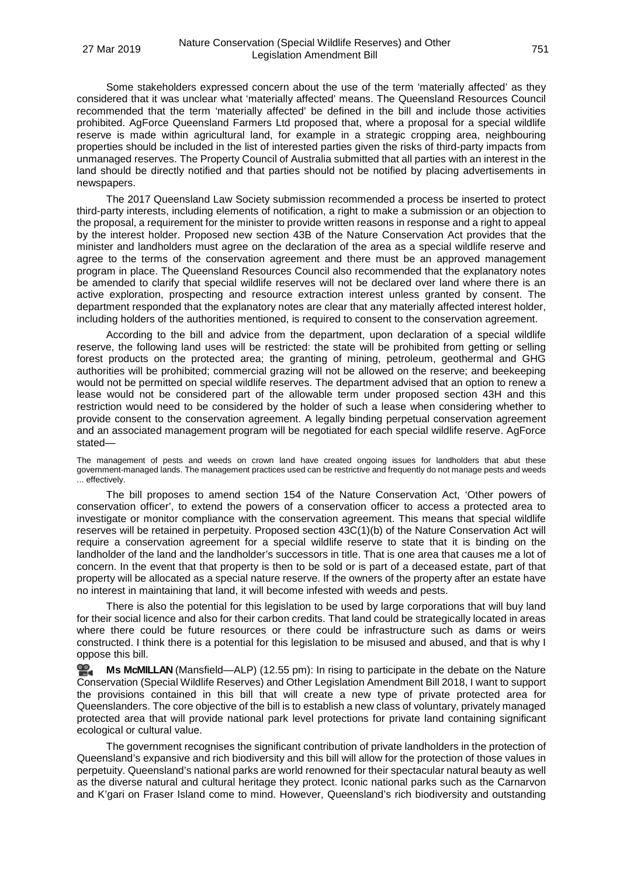Some stakeholders expressed concern about the use of the term 'materially affected' as they considered that it was unclear what 'materially affected' means. The Queensland Resources Council recommended that the term 'materially affected' be defined in the bill and include those activities prohibited. AgForce Queensland Farmers Ltd proposed that, where a proposal for a special wildlife reserve is made within agricultural land, for example in a strategic cropping area, neighbouring properties should be included in the list of interested parties given the risks of third-party impacts from unmanaged reserves. The Property Council of Australia submitted that all parties with an interest in the land should be directly notified and that parties should not be notified by placing advertisements in newspapers.

The 2017 Queensland Law Society submission recommended a process be inserted to protect third-party interests, including elements of notification, a right to make a submission or an objection to the proposal, a requirement for the minister to provide written reasons in response and a right to appeal by the interest holder. Proposed new section 43B of the Nature Conservation Act provides that the minister and landholders must agree on the declaration of the area as a special wildlife reserve and agree to the terms of the conservation agreement and there must be an approved management program in place. The Queensland Resources Council also recommended that the explanatory notes be amended to clarify that special wildlife reserves will not be declared over land where there is an active exploration, prospecting and resource extraction interest unless granted by consent. The department responded that the explanatory notes are clear that any materially affected interest holder, including holders of the authorities mentioned, is required to consent to the conservation agreement.

According to the bill and advice from the department, upon declaration of a special wildlife reserve, the following land uses will be restricted: the state will be prohibited from getting or selling forest products on the protected area; the granting of mining, petroleum, geothermal and GHG authorities will be prohibited; commercial grazing will not be allowed on the reserve; and beekeeping would not be permitted on special wildlife reserves. The department advised that an option to renew a lease would not be considered part of the allowable term under proposed section 43H and this restriction would need to be considered by the holder of such a lease when considering whether to provide consent to the conservation agreement. A legally binding perpetual conservation agreement and an associated management program will be negotiated for each special wildlife reserve. AgForce stated—

The management of pests and weeds on crown land have created ongoing issues for landholders that abut these government-managed lands. The management practices used can be restrictive and frequently do not manage pests and weeds ... effectively.

The bill proposes to amend section 154 of the Nature Conservation Act, 'Other powers of conservation officer', to extend the powers of a conservation officer to access a protected area to investigate or monitor compliance with the conservation agreement. This means that special wildlife reserves will be retained in perpetuity. Proposed section 43C(1)(b) of the Nature Conservation Act will require a conservation agreement for a special wildlife reserve to state that it is binding on the landholder of the land and the landholder's successors in title. That is one area that causes me a lot of concern. In the event that that property is then to be sold or is part of a deceased estate, part of that property will be allocated as a special nature reserve. If the owners of the property after an estate have no interest in maintaining that land, it will become infested with weeds and pests.

There is also the potential for this legislation to be used by large corporations that will buy land for their social licence and also for their carbon credits. That land could be strategically located in areas where there could be future resources or there could be infrastructure such as dams or weirs constructed. I think there is a potential for this legislation to be misused and abused, and that is why I oppose this bill.

≌. **Ms [McMILLAN](http://www.parliament.qld.gov.au/docs/find.aspx?id=0Mba20190327_125519)** (Mansfield—ALP) (12.55 pm): In rising to participate in the debate on the Nature Conservation (Special Wildlife Reserves) and Other Legislation Amendment Bill 2018, I want to support the provisions contained in this bill that will create a new type of private protected area for Queenslanders. The core objective of the bill is to establish a new class of voluntary, privately managed protected area that will provide national park level protections for private land containing significant ecological or cultural value.

The government recognises the significant contribution of private landholders in the protection of Queensland's expansive and rich biodiversity and this bill will allow for the protection of those values in perpetuity. Queensland's national parks are world renowned for their spectacular natural beauty as well as the diverse natural and cultural heritage they protect. Iconic national parks such as the Carnarvon and K'gari on Fraser Island come to mind. However, Queensland's rich biodiversity and outstanding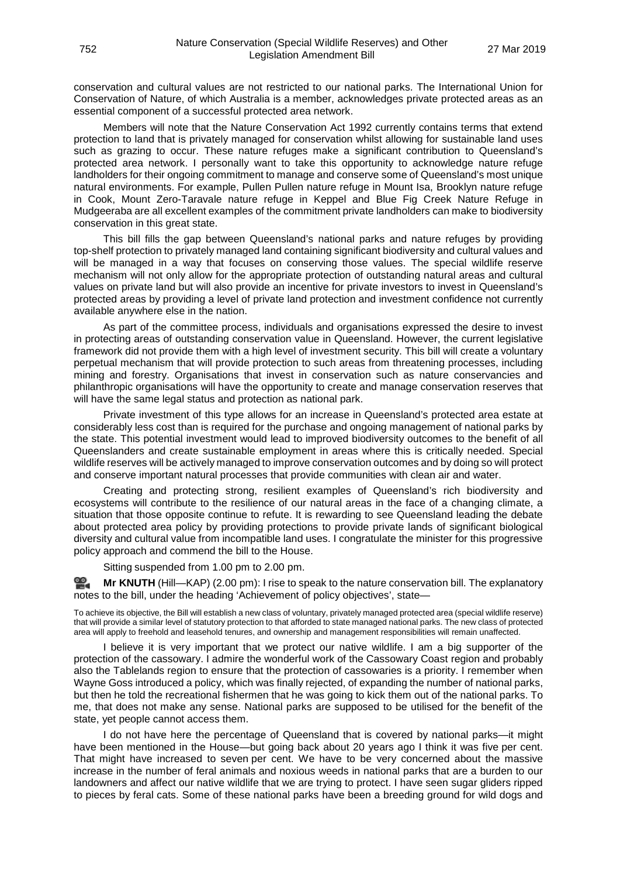conservation and cultural values are not restricted to our national parks. The International Union for Conservation of Nature, of which Australia is a member, acknowledges private protected areas as an essential component of a successful protected area network.

Members will note that the Nature Conservation Act 1992 currently contains terms that extend protection to land that is privately managed for conservation whilst allowing for sustainable land uses such as grazing to occur. These nature refuges make a significant contribution to Queensland's protected area network. I personally want to take this opportunity to acknowledge nature refuge landholders for their ongoing commitment to manage and conserve some of Queensland's most unique natural environments. For example, Pullen Pullen nature refuge in Mount Isa, Brooklyn nature refuge in Cook, Mount Zero-Taravale nature refuge in Keppel and Blue Fig Creek Nature Refuge in Mudgeeraba are all excellent examples of the commitment private landholders can make to biodiversity conservation in this great state.

This bill fills the gap between Queensland's national parks and nature refuges by providing top-shelf protection to privately managed land containing significant biodiversity and cultural values and will be managed in a way that focuses on conserving those values. The special wildlife reserve mechanism will not only allow for the appropriate protection of outstanding natural areas and cultural values on private land but will also provide an incentive for private investors to invest in Queensland's protected areas by providing a level of private land protection and investment confidence not currently available anywhere else in the nation.

As part of the committee process, individuals and organisations expressed the desire to invest in protecting areas of outstanding conservation value in Queensland. However, the current legislative framework did not provide them with a high level of investment security. This bill will create a voluntary perpetual mechanism that will provide protection to such areas from threatening processes, including mining and forestry. Organisations that invest in conservation such as nature conservancies and philanthropic organisations will have the opportunity to create and manage conservation reserves that will have the same legal status and protection as national park.

Private investment of this type allows for an increase in Queensland's protected area estate at considerably less cost than is required for the purchase and ongoing management of national parks by the state. This potential investment would lead to improved biodiversity outcomes to the benefit of all Queenslanders and create sustainable employment in areas where this is critically needed. Special wildlife reserves will be actively managed to improve conservation outcomes and by doing so will protect and conserve important natural processes that provide communities with clean air and water.

Creating and protecting strong, resilient examples of Queensland's rich biodiversity and ecosystems will contribute to the resilience of our natural areas in the face of a changing climate, a situation that those opposite continue to refute. It is rewarding to see Queensland leading the debate about protected area policy by providing protections to provide private lands of significant biological diversity and cultural value from incompatible land uses. I congratulate the minister for this progressive policy approach and commend the bill to the House.

Sitting suspended from 1.00 pm to 2.00 pm.

≌2. **Mr [KNUTH](http://www.parliament.qld.gov.au/docs/find.aspx?id=0Mba20190327_140036)** (Hill—KAP) (2.00 pm): I rise to speak to the nature conservation bill. The explanatory notes to the bill, under the heading 'Achievement of policy objectives', state—

To achieve its objective, the Bill will establish a new class of voluntary, privately managed protected area (special wildlife reserve) that will provide a similar level of statutory protection to that afforded to state managed national parks. The new class of protected area will apply to freehold and leasehold tenures, and ownership and management responsibilities will remain unaffected.

I believe it is very important that we protect our native wildlife. I am a big supporter of the protection of the cassowary. I admire the wonderful work of the Cassowary Coast region and probably also the Tablelands region to ensure that the protection of cassowaries is a priority. I remember when Wayne Goss introduced a policy, which was finally rejected, of expanding the number of national parks, but then he told the recreational fishermen that he was going to kick them out of the national parks. To me, that does not make any sense. National parks are supposed to be utilised for the benefit of the state, yet people cannot access them.

I do not have here the percentage of Queensland that is covered by national parks—it might have been mentioned in the House—but going back about 20 years ago I think it was five per cent. That might have increased to seven per cent. We have to be very concerned about the massive increase in the number of feral animals and noxious weeds in national parks that are a burden to our landowners and affect our native wildlife that we are trying to protect. I have seen sugar gliders ripped to pieces by feral cats. Some of these national parks have been a breeding ground for wild dogs and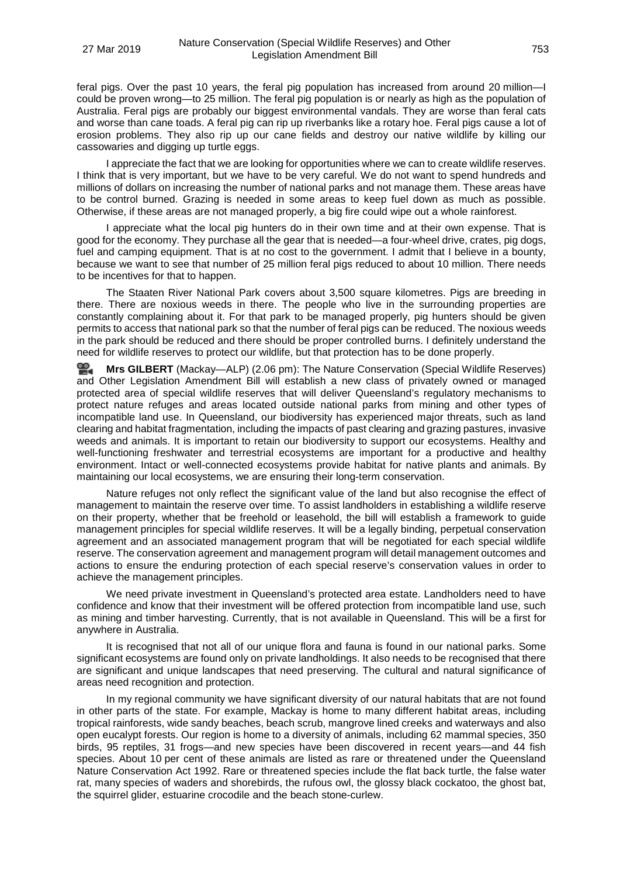feral pigs. Over the past 10 years, the feral pig population has increased from around 20 million—I could be proven wrong—to 25 million. The feral pig population is or nearly as high as the population of Australia. Feral pigs are probably our biggest environmental vandals. They are worse than feral cats and worse than cane toads. A feral pig can rip up riverbanks like a rotary hoe. Feral pigs cause a lot of erosion problems. They also rip up our cane fields and destroy our native wildlife by killing our cassowaries and digging up turtle eggs.

I appreciate the fact that we are looking for opportunities where we can to create wildlife reserves. I think that is very important, but we have to be very careful. We do not want to spend hundreds and millions of dollars on increasing the number of national parks and not manage them. These areas have to be control burned. Grazing is needed in some areas to keep fuel down as much as possible. Otherwise, if these areas are not managed properly, a big fire could wipe out a whole rainforest.

I appreciate what the local pig hunters do in their own time and at their own expense. That is good for the economy. They purchase all the gear that is needed—a four-wheel drive, crates, pig dogs, fuel and camping equipment. That is at no cost to the government. I admit that I believe in a bounty, because we want to see that number of 25 million feral pigs reduced to about 10 million. There needs to be incentives for that to happen.

The Staaten River National Park covers about 3,500 square kilometres. Pigs are breeding in there. There are noxious weeds in there. The people who live in the surrounding properties are constantly complaining about it. For that park to be managed properly, pig hunters should be given permits to access that national park so that the number of feral pigs can be reduced. The noxious weeds in the park should be reduced and there should be proper controlled burns. I definitely understand the need for wildlife reserves to protect our wildlife, but that protection has to be done properly.

**Mrs [GILBERT](http://www.parliament.qld.gov.au/docs/find.aspx?id=0Mba20190327_140629)** (Mackay—ALP) (2.06 pm): The Nature Conservation (Special Wildlife Reserves) and Other Legislation Amendment Bill will establish a new class of privately owned or managed protected area of special wildlife reserves that will deliver Queensland's regulatory mechanisms to protect nature refuges and areas located outside national parks from mining and other types of incompatible land use. In Queensland, our biodiversity has experienced major threats, such as land clearing and habitat fragmentation, including the impacts of past clearing and grazing pastures, invasive weeds and animals. It is important to retain our biodiversity to support our ecosystems. Healthy and well-functioning freshwater and terrestrial ecosystems are important for a productive and healthy environment. Intact or well-connected ecosystems provide habitat for native plants and animals. By maintaining our local ecosystems, we are ensuring their long-term conservation.

Nature refuges not only reflect the significant value of the land but also recognise the effect of management to maintain the reserve over time. To assist landholders in establishing a wildlife reserve on their property, whether that be freehold or leasehold, the bill will establish a framework to guide management principles for special wildlife reserves. It will be a legally binding, perpetual conservation agreement and an associated management program that will be negotiated for each special wildlife reserve. The conservation agreement and management program will detail management outcomes and actions to ensure the enduring protection of each special reserve's conservation values in order to achieve the management principles.

We need private investment in Queensland's protected area estate. Landholders need to have confidence and know that their investment will be offered protection from incompatible land use, such as mining and timber harvesting. Currently, that is not available in Queensland. This will be a first for anywhere in Australia.

It is recognised that not all of our unique flora and fauna is found in our national parks. Some significant ecosystems are found only on private landholdings. It also needs to be recognised that there are significant and unique landscapes that need preserving. The cultural and natural significance of areas need recognition and protection.

In my regional community we have significant diversity of our natural habitats that are not found in other parts of the state. For example, Mackay is home to many different habitat areas, including tropical rainforests, wide sandy beaches, beach scrub, mangrove lined creeks and waterways and also open eucalypt forests. Our region is home to a diversity of animals, including 62 mammal species, 350 birds, 95 reptiles, 31 frogs—and new species have been discovered in recent years—and 44 fish species. About 10 per cent of these animals are listed as rare or threatened under the Queensland Nature Conservation Act 1992. Rare or threatened species include the flat back turtle, the false water rat, many species of waders and shorebirds, the rufous owl, the glossy black cockatoo, the ghost bat, the squirrel glider, estuarine crocodile and the beach stone-curlew.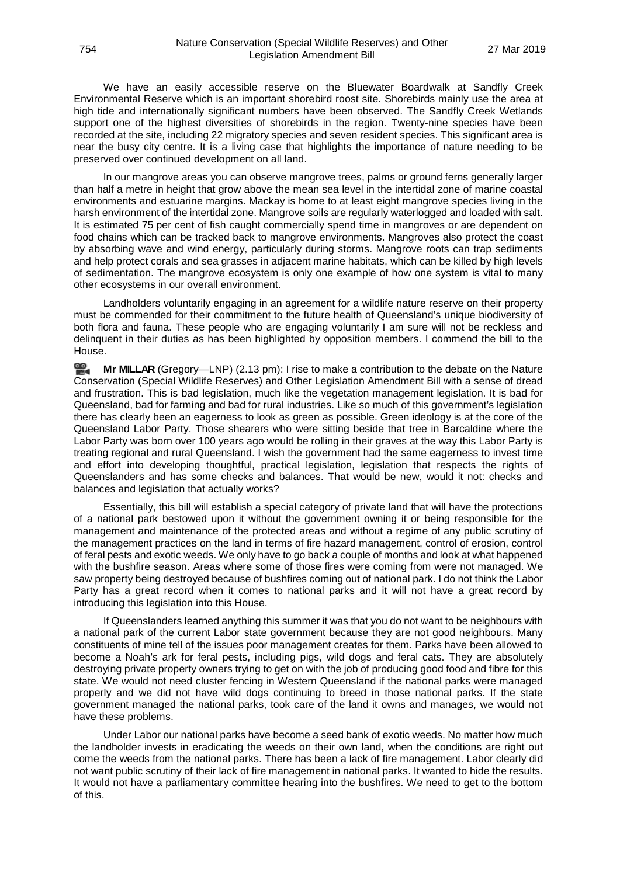We have an easily accessible reserve on the Bluewater Boardwalk at Sandfly Creek Environmental Reserve which is an important shorebird roost site. Shorebirds mainly use the area at high tide and internationally significant numbers have been observed. The Sandfly Creek Wetlands support one of the highest diversities of shorebirds in the region. Twenty-nine species have been recorded at the site, including 22 migratory species and seven resident species. This significant area is near the busy city centre. It is a living case that highlights the importance of nature needing to be preserved over continued development on all land.

In our mangrove areas you can observe mangrove trees, palms or ground ferns generally larger than half a metre in height that grow above the mean sea level in the intertidal zone of marine coastal environments and estuarine margins. Mackay is home to at least eight mangrove species living in the harsh environment of the intertidal zone. Mangrove soils are regularly waterlogged and loaded with salt. It is estimated 75 per cent of fish caught commercially spend time in mangroves or are dependent on food chains which can be tracked back to mangrove environments. Mangroves also protect the coast by absorbing wave and wind energy, particularly during storms. Mangrove roots can trap sediments and help protect corals and sea grasses in adjacent marine habitats, which can be killed by high levels of sedimentation. The mangrove ecosystem is only one example of how one system is vital to many other ecosystems in our overall environment.

Landholders voluntarily engaging in an agreement for a wildlife nature reserve on their property must be commended for their commitment to the future health of Queensland's unique biodiversity of both flora and fauna. These people who are engaging voluntarily I am sure will not be reckless and delinquent in their duties as has been highlighted by opposition members. I commend the bill to the House.

≌. **Mr [MILLAR](http://www.parliament.qld.gov.au/docs/find.aspx?id=0Mba20190327_141322)** (Gregory—LNP) (2.13 pm): I rise to make a contribution to the debate on the Nature Conservation (Special Wildlife Reserves) and Other Legislation Amendment Bill with a sense of dread and frustration. This is bad legislation, much like the vegetation management legislation. It is bad for Queensland, bad for farming and bad for rural industries. Like so much of this government's legislation there has clearly been an eagerness to look as green as possible. Green ideology is at the core of the Queensland Labor Party. Those shearers who were sitting beside that tree in Barcaldine where the Labor Party was born over 100 years ago would be rolling in their graves at the way this Labor Party is treating regional and rural Queensland. I wish the government had the same eagerness to invest time and effort into developing thoughtful, practical legislation, legislation that respects the rights of Queenslanders and has some checks and balances. That would be new, would it not: checks and balances and legislation that actually works?

Essentially, this bill will establish a special category of private land that will have the protections of a national park bestowed upon it without the government owning it or being responsible for the management and maintenance of the protected areas and without a regime of any public scrutiny of the management practices on the land in terms of fire hazard management, control of erosion, control of feral pests and exotic weeds. We only have to go back a couple of months and look at what happened with the bushfire season. Areas where some of those fires were coming from were not managed. We saw property being destroyed because of bushfires coming out of national park. I do not think the Labor Party has a great record when it comes to national parks and it will not have a great record by introducing this legislation into this House.

If Queenslanders learned anything this summer it was that you do not want to be neighbours with a national park of the current Labor state government because they are not good neighbours. Many constituents of mine tell of the issues poor management creates for them. Parks have been allowed to become a Noah's ark for feral pests, including pigs, wild dogs and feral cats. They are absolutely destroying private property owners trying to get on with the job of producing good food and fibre for this state. We would not need cluster fencing in Western Queensland if the national parks were managed properly and we did not have wild dogs continuing to breed in those national parks. If the state government managed the national parks, took care of the land it owns and manages, we would not have these problems.

Under Labor our national parks have become a seed bank of exotic weeds. No matter how much the landholder invests in eradicating the weeds on their own land, when the conditions are right out come the weeds from the national parks. There has been a lack of fire management. Labor clearly did not want public scrutiny of their lack of fire management in national parks. It wanted to hide the results. It would not have a parliamentary committee hearing into the bushfires. We need to get to the bottom of this.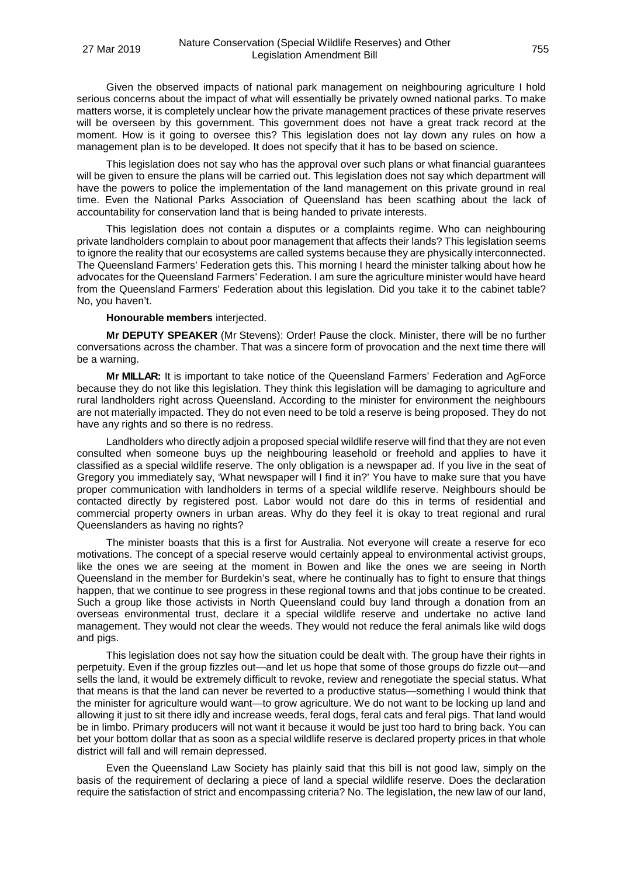Given the observed impacts of national park management on neighbouring agriculture I hold serious concerns about the impact of what will essentially be privately owned national parks. To make matters worse, it is completely unclear how the private management practices of these private reserves will be overseen by this government. This government does not have a great track record at the moment. How is it going to oversee this? This legislation does not lay down any rules on how a management plan is to be developed. It does not specify that it has to be based on science.

This legislation does not say who has the approval over such plans or what financial guarantees will be given to ensure the plans will be carried out. This legislation does not say which department will have the powers to police the implementation of the land management on this private ground in real time. Even the National Parks Association of Queensland has been scathing about the lack of accountability for conservation land that is being handed to private interests.

This legislation does not contain a disputes or a complaints regime. Who can neighbouring private landholders complain to about poor management that affects their lands? This legislation seems to ignore the reality that our ecosystems are called systems because they are physically interconnected. The Queensland Farmers' Federation gets this. This morning I heard the minister talking about how he advocates for the Queensland Farmers' Federation. I am sure the agriculture minister would have heard from the Queensland Farmers' Federation about this legislation. Did you take it to the cabinet table? No, you haven't.

### **Honourable members** interjected.

**Mr DEPUTY SPEAKER** (Mr Stevens): Order! Pause the clock. Minister, there will be no further conversations across the chamber. That was a sincere form of provocation and the next time there will be a warning.

**Mr MILLAR:** It is important to take notice of the Queensland Farmers' Federation and AgForce because they do not like this legislation. They think this legislation will be damaging to agriculture and rural landholders right across Queensland. According to the minister for environment the neighbours are not materially impacted. They do not even need to be told a reserve is being proposed. They do not have any rights and so there is no redress.

Landholders who directly adjoin a proposed special wildlife reserve will find that they are not even consulted when someone buys up the neighbouring leasehold or freehold and applies to have it classified as a special wildlife reserve. The only obligation is a newspaper ad. If you live in the seat of Gregory you immediately say, 'What newspaper will I find it in?' You have to make sure that you have proper communication with landholders in terms of a special wildlife reserve. Neighbours should be contacted directly by registered post. Labor would not dare do this in terms of residential and commercial property owners in urban areas. Why do they feel it is okay to treat regional and rural Queenslanders as having no rights?

The minister boasts that this is a first for Australia. Not everyone will create a reserve for eco motivations. The concept of a special reserve would certainly appeal to environmental activist groups, like the ones we are seeing at the moment in Bowen and like the ones we are seeing in North Queensland in the member for Burdekin's seat, where he continually has to fight to ensure that things happen, that we continue to see progress in these regional towns and that jobs continue to be created. Such a group like those activists in North Queensland could buy land through a donation from an overseas environmental trust, declare it a special wildlife reserve and undertake no active land management. They would not clear the weeds. They would not reduce the feral animals like wild dogs and pigs.

This legislation does not say how the situation could be dealt with. The group have their rights in perpetuity. Even if the group fizzles out—and let us hope that some of those groups do fizzle out—and sells the land, it would be extremely difficult to revoke, review and renegotiate the special status. What that means is that the land can never be reverted to a productive status—something I would think that the minister for agriculture would want—to grow agriculture. We do not want to be locking up land and allowing it just to sit there idly and increase weeds, feral dogs, feral cats and feral pigs. That land would be in limbo. Primary producers will not want it because it would be just too hard to bring back. You can bet your bottom dollar that as soon as a special wildlife reserve is declared property prices in that whole district will fall and will remain depressed.

Even the Queensland Law Society has plainly said that this bill is not good law, simply on the basis of the requirement of declaring a piece of land a special wildlife reserve. Does the declaration require the satisfaction of strict and encompassing criteria? No. The legislation, the new law of our land,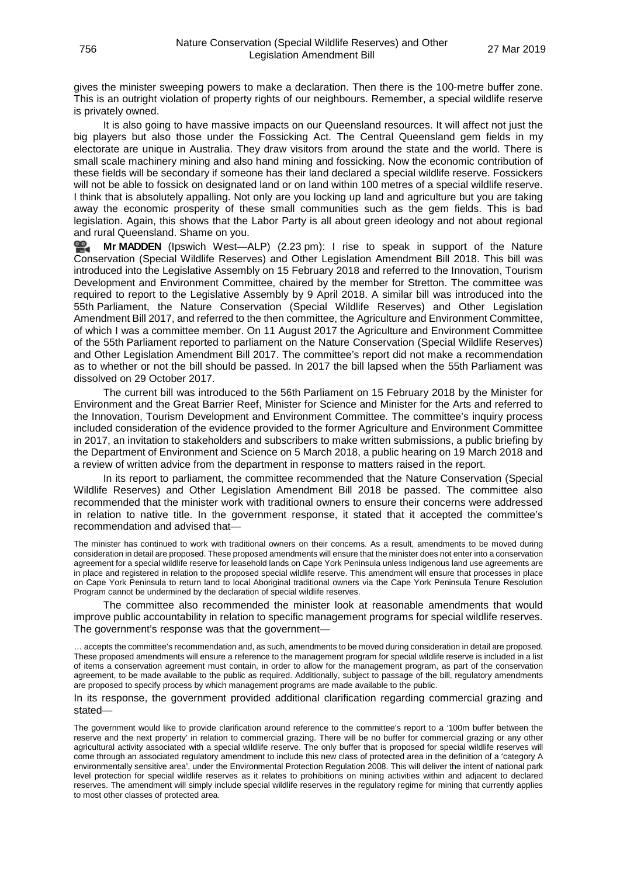gives the minister sweeping powers to make a declaration. Then there is the 100-metre buffer zone. This is an outright violation of property rights of our neighbours. Remember, a special wildlife reserve is privately owned.

It is also going to have massive impacts on our Queensland resources. It will affect not just the big players but also those under the Fossicking Act. The Central Queensland gem fields in my electorate are unique in Australia. They draw visitors from around the state and the world. There is small scale machinery mining and also hand mining and fossicking. Now the economic contribution of these fields will be secondary if someone has their land declared a special wildlife reserve. Fossickers will not be able to fossick on designated land or on land within 100 metres of a special wildlife reserve. I think that is absolutely appalling. Not only are you locking up land and agriculture but you are taking away the economic prosperity of these small communities such as the gem fields. This is bad legislation. Again, this shows that the Labor Party is all about green ideology and not about regional and rural Queensland. Shame on you.

**Mr [MADDEN](http://www.parliament.qld.gov.au/docs/find.aspx?id=0Mba20190327_142339)** (Ipswich West—ALP) (2.23 pm): I rise to speak in support of the Nature Conservation (Special Wildlife Reserves) and Other Legislation Amendment Bill 2018. This bill was introduced into the Legislative Assembly on 15 February 2018 and referred to the Innovation, Tourism Development and Environment Committee, chaired by the member for Stretton. The committee was required to report to the Legislative Assembly by 9 April 2018. A similar bill was introduced into the 55th Parliament, the Nature Conservation (Special Wildlife Reserves) and Other Legislation Amendment Bill 2017, and referred to the then committee, the Agriculture and Environment Committee, of which I was a committee member. On 11 August 2017 the Agriculture and Environment Committee of the 55th Parliament reported to parliament on the Nature Conservation (Special Wildlife Reserves) and Other Legislation Amendment Bill 2017. The committee's report did not make a recommendation as to whether or not the bill should be passed. In 2017 the bill lapsed when the 55th Parliament was dissolved on 29 October 2017.

The current bill was introduced to the 56th Parliament on 15 February 2018 by the Minister for Environment and the Great Barrier Reef, Minister for Science and Minister for the Arts and referred to the Innovation, Tourism Development and Environment Committee. The committee's inquiry process included consideration of the evidence provided to the former Agriculture and Environment Committee in 2017, an invitation to stakeholders and subscribers to make written submissions, a public briefing by the Department of Environment and Science on 5 March 2018, a public hearing on 19 March 2018 and a review of written advice from the department in response to matters raised in the report.

In its report to parliament, the committee recommended that the Nature Conservation (Special Wildlife Reserves) and Other Legislation Amendment Bill 2018 be passed. The committee also recommended that the minister work with traditional owners to ensure their concerns were addressed in relation to native title. In the government response, it stated that it accepted the committee's recommendation and advised that—

The minister has continued to work with traditional owners on their concerns. As a result, amendments to be moved during consideration in detail are proposed. These proposed amendments will ensure that the minister does not enter into a conservation agreement for a special wildlife reserve for leasehold lands on Cape York Peninsula unless Indigenous land use agreements are in place and registered in relation to the proposed special wildlife reserve. This amendment will ensure that processes in place on Cape York Peninsula to return land to local Aboriginal traditional owners via the Cape York Peninsula Tenure Resolution Program cannot be undermined by the declaration of special wildlife reserves.

The committee also recommended the minister look at reasonable amendments that would improve public accountability in relation to specific management programs for special wildlife reserves. The government's response was that the government—

… accepts the committee's recommendation and, as such, amendments to be moved during consideration in detail are proposed. These proposed amendments will ensure a reference to the management program for special wildlife reserve is included in a list of items a conservation agreement must contain, in order to allow for the management program, as part of the conservation agreement, to be made available to the public as required. Additionally, subject to passage of the bill, regulatory amendments are proposed to specify process by which management programs are made available to the public.

In its response, the government provided additional clarification regarding commercial grazing and stated—

The government would like to provide clarification around reference to the committee's report to a '100m buffer between the reserve and the next property' in relation to commercial grazing. There will be no buffer for commercial grazing or any other agricultural activity associated with a special wildlife reserve. The only buffer that is proposed for special wildlife reserves will come through an associated regulatory amendment to include this new class of protected area in the definition of a 'category A environmentally sensitive area', under the Environmental Protection Regulation 2008. This will deliver the intent of national park level protection for special wildlife reserves as it relates to prohibitions on mining activities within and adjacent to declared reserves. The amendment will simply include special wildlife reserves in the regulatory regime for mining that currently applies to most other classes of protected area.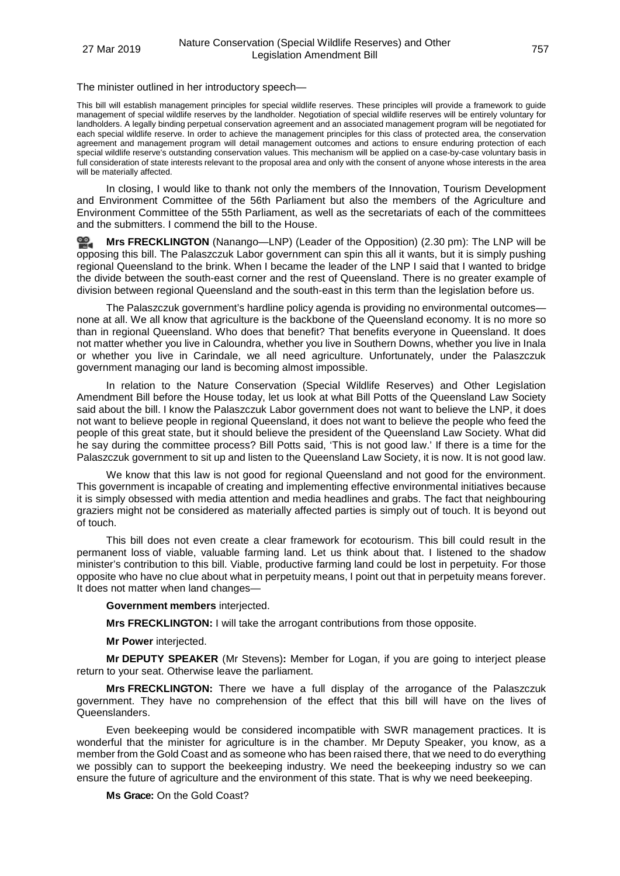The minister outlined in her introductory speech—

This bill will establish management principles for special wildlife reserves. These principles will provide a framework to guide management of special wildlife reserves by the landholder. Negotiation of special wildlife reserves will be entirely voluntary for landholders. A legally binding perpetual conservation agreement and an associated management program will be negotiated for each special wildlife reserve. In order to achieve the management principles for this class of protected area, the conservation agreement and management program will detail management outcomes and actions to ensure enduring protection of each special wildlife reserve's outstanding conservation values. This mechanism will be applied on a case-by-case voluntary basis in full consideration of state interests relevant to the proposal area and only with the consent of anyone whose interests in the area will be materially affected.

In closing, I would like to thank not only the members of the Innovation, Tourism Development and Environment Committee of the 56th Parliament but also the members of the Agriculture and Environment Committee of the 55th Parliament, as well as the secretariats of each of the committees and the submitters. I commend the bill to the House.

≌. **Mrs [FRECKLINGTON](http://www.parliament.qld.gov.au/docs/find.aspx?id=0Mba20190327_143053)** (Nanango—LNP) (Leader of the Opposition) (2.30 pm): The LNP will be opposing this bill. The Palaszczuk Labor government can spin this all it wants, but it is simply pushing regional Queensland to the brink. When I became the leader of the LNP I said that I wanted to bridge the divide between the south-east corner and the rest of Queensland. There is no greater example of division between regional Queensland and the south-east in this term than the legislation before us.

The Palaszczuk government's hardline policy agenda is providing no environmental outcomes none at all. We all know that agriculture is the backbone of the Queensland economy. It is no more so than in regional Queensland. Who does that benefit? That benefits everyone in Queensland. It does not matter whether you live in Caloundra, whether you live in Southern Downs, whether you live in Inala or whether you live in Carindale, we all need agriculture. Unfortunately, under the Palaszczuk government managing our land is becoming almost impossible.

In relation to the Nature Conservation (Special Wildlife Reserves) and Other Legislation Amendment Bill before the House today, let us look at what Bill Potts of the Queensland Law Society said about the bill. I know the Palaszczuk Labor government does not want to believe the LNP, it does not want to believe people in regional Queensland, it does not want to believe the people who feed the people of this great state, but it should believe the president of the Queensland Law Society. What did he say during the committee process? Bill Potts said, 'This is not good law.' If there is a time for the Palaszczuk government to sit up and listen to the Queensland Law Society, it is now. It is not good law.

We know that this law is not good for regional Queensland and not good for the environment. This government is incapable of creating and implementing effective environmental initiatives because it is simply obsessed with media attention and media headlines and grabs. The fact that neighbouring graziers might not be considered as materially affected parties is simply out of touch. It is beyond out of touch.

This bill does not even create a clear framework for ecotourism. This bill could result in the permanent loss of viable, valuable farming land. Let us think about that. I listened to the shadow minister's contribution to this bill. Viable, productive farming land could be lost in perpetuity. For those opposite who have no clue about what in perpetuity means, I point out that in perpetuity means forever. It does not matter when land changes-

#### **Government members** interjected.

**Mrs FRECKLINGTON:** I will take the arrogant contributions from those opposite.

**Mr Power** interjected.

**Mr DEPUTY SPEAKER** (Mr Stevens)**:** Member for Logan, if you are going to interject please return to your seat. Otherwise leave the parliament.

**Mrs FRECKLINGTON:** There we have a full display of the arrogance of the Palaszczuk government. They have no comprehension of the effect that this bill will have on the lives of Queenslanders.

Even beekeeping would be considered incompatible with SWR management practices. It is wonderful that the minister for agriculture is in the chamber. Mr Deputy Speaker, you know, as a member from the Gold Coast and as someone who has been raised there, that we need to do everything we possibly can to support the beekeeping industry. We need the beekeeping industry so we can ensure the future of agriculture and the environment of this state. That is why we need beekeeping.

**Ms Grace:** On the Gold Coast?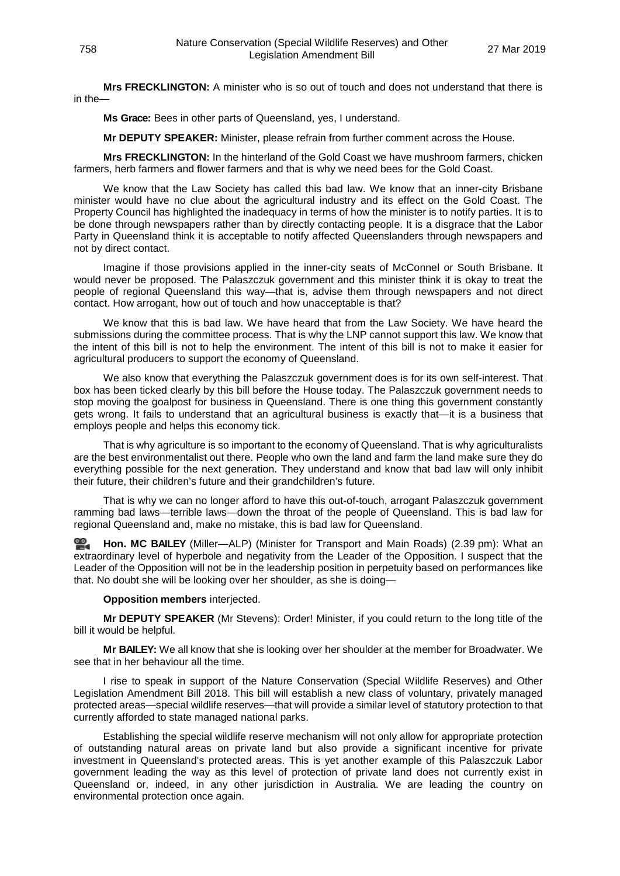**Mrs FRECKLINGTON:** A minister who is so out of touch and does not understand that there is in the—

**Ms Grace:** Bees in other parts of Queensland, yes, I understand.

**Mr DEPUTY SPEAKER:** Minister, please refrain from further comment across the House.

**Mrs FRECKLINGTON:** In the hinterland of the Gold Coast we have mushroom farmers, chicken farmers, herb farmers and flower farmers and that is why we need bees for the Gold Coast.

We know that the Law Society has called this bad law. We know that an inner-city Brisbane minister would have no clue about the agricultural industry and its effect on the Gold Coast. The Property Council has highlighted the inadequacy in terms of how the minister is to notify parties. It is to be done through newspapers rather than by directly contacting people. It is a disgrace that the Labor Party in Queensland think it is acceptable to notify affected Queenslanders through newspapers and not by direct contact.

Imagine if those provisions applied in the inner-city seats of McConnel or South Brisbane. It would never be proposed. The Palaszczuk government and this minister think it is okay to treat the people of regional Queensland this way—that is, advise them through newspapers and not direct contact. How arrogant, how out of touch and how unacceptable is that?

We know that this is bad law. We have heard that from the Law Society. We have heard the submissions during the committee process. That is why the LNP cannot support this law. We know that the intent of this bill is not to help the environment. The intent of this bill is not to make it easier for agricultural producers to support the economy of Queensland.

We also know that everything the Palaszczuk government does is for its own self-interest. That box has been ticked clearly by this bill before the House today. The Palaszczuk government needs to stop moving the goalpost for business in Queensland. There is one thing this government constantly gets wrong. It fails to understand that an agricultural business is exactly that—it is a business that employs people and helps this economy tick.

That is why agriculture is so important to the economy of Queensland. That is why agriculturalists are the best environmentalist out there. People who own the land and farm the land make sure they do everything possible for the next generation. They understand and know that bad law will only inhibit their future, their children's future and their grandchildren's future.

That is why we can no longer afford to have this out-of-touch, arrogant Palaszczuk government ramming bad laws—terrible laws—down the throat of the people of Queensland. This is bad law for regional Queensland and, make no mistake, this is bad law for Queensland.

**[Hon. MC BAILEY](http://www.parliament.qld.gov.au/docs/find.aspx?id=0Mba20190327_144016)** (Miller—ALP) (Minister for Transport and Main Roads) (2.39 pm): What an extraordinary level of hyperbole and negativity from the Leader of the Opposition. I suspect that the Leader of the Opposition will not be in the leadership position in perpetuity based on performances like that. No doubt she will be looking over her shoulder, as she is doing—

### **Opposition members** interjected.

**Mr DEPUTY SPEAKER** (Mr Stevens): Order! Minister, if you could return to the long title of the bill it would be helpful.

**Mr BAILEY:** We all know that she is looking over her shoulder at the member for Broadwater. We see that in her behaviour all the time.

I rise to speak in support of the Nature Conservation (Special Wildlife Reserves) and Other Legislation Amendment Bill 2018. This bill will establish a new class of voluntary, privately managed protected areas—special wildlife reserves—that will provide a similar level of statutory protection to that currently afforded to state managed national parks.

Establishing the special wildlife reserve mechanism will not only allow for appropriate protection of outstanding natural areas on private land but also provide a significant incentive for private investment in Queensland's protected areas. This is yet another example of this Palaszczuk Labor government leading the way as this level of protection of private land does not currently exist in Queensland or, indeed, in any other jurisdiction in Australia. We are leading the country on environmental protection once again.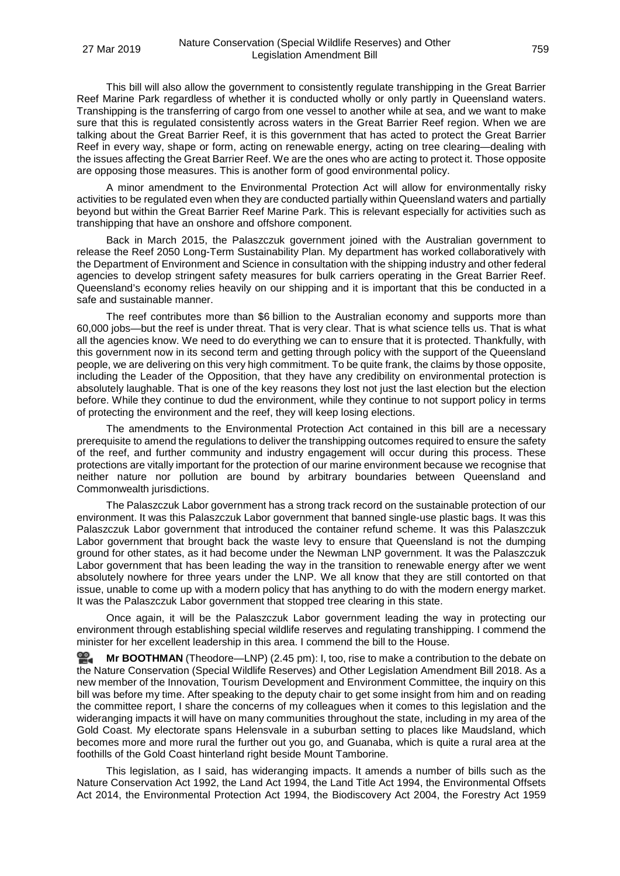This bill will also allow the government to consistently regulate transhipping in the Great Barrier Reef Marine Park regardless of whether it is conducted wholly or only partly in Queensland waters. Transhipping is the transferring of cargo from one vessel to another while at sea, and we want to make sure that this is regulated consistently across waters in the Great Barrier Reef region. When we are talking about the Great Barrier Reef, it is this government that has acted to protect the Great Barrier Reef in every way, shape or form, acting on renewable energy, acting on tree clearing—dealing with the issues affecting the Great Barrier Reef. We are the ones who are acting to protect it. Those opposite are opposing those measures. This is another form of good environmental policy.

A minor amendment to the Environmental Protection Act will allow for environmentally risky activities to be regulated even when they are conducted partially within Queensland waters and partially beyond but within the Great Barrier Reef Marine Park. This is relevant especially for activities such as transhipping that have an onshore and offshore component.

Back in March 2015, the Palaszczuk government joined with the Australian government to release the Reef 2050 Long-Term Sustainability Plan. My department has worked collaboratively with the Department of Environment and Science in consultation with the shipping industry and other federal agencies to develop stringent safety measures for bulk carriers operating in the Great Barrier Reef. Queensland's economy relies heavily on our shipping and it is important that this be conducted in a safe and sustainable manner.

The reef contributes more than \$6 billion to the Australian economy and supports more than 60,000 jobs—but the reef is under threat. That is very clear. That is what science tells us. That is what all the agencies know. We need to do everything we can to ensure that it is protected. Thankfully, with this government now in its second term and getting through policy with the support of the Queensland people, we are delivering on this very high commitment. To be quite frank, the claims by those opposite, including the Leader of the Opposition, that they have any credibility on environmental protection is absolutely laughable. That is one of the key reasons they lost not just the last election but the election before. While they continue to dud the environment, while they continue to not support policy in terms of protecting the environment and the reef, they will keep losing elections.

The amendments to the Environmental Protection Act contained in this bill are a necessary prerequisite to amend the regulations to deliver the transhipping outcomes required to ensure the safety of the reef, and further community and industry engagement will occur during this process. These protections are vitally important for the protection of our marine environment because we recognise that neither nature nor pollution are bound by arbitrary boundaries between Queensland and Commonwealth jurisdictions.

The Palaszczuk Labor government has a strong track record on the sustainable protection of our environment. It was this Palaszczuk Labor government that banned single-use plastic bags. It was this Palaszczuk Labor government that introduced the container refund scheme. It was this Palaszczuk Labor government that brought back the waste levy to ensure that Queensland is not the dumping ground for other states, as it had become under the Newman LNP government. It was the Palaszczuk Labor government that has been leading the way in the transition to renewable energy after we went absolutely nowhere for three years under the LNP. We all know that they are still contorted on that issue, unable to come up with a modern policy that has anything to do with the modern energy market. It was the Palaszczuk Labor government that stopped tree clearing in this state.

Once again, it will be the Palaszczuk Labor government leading the way in protecting our environment through establishing special wildlife reserves and regulating transhipping. I commend the minister for her excellent leadership in this area. I commend the bill to the House.

<u>ഇ</u> **Mr [BOOTHMAN](http://www.parliament.qld.gov.au/docs/find.aspx?id=0Mba20190327_144600)** (Theodore—LNP) (2.45 pm): I, too, rise to make a contribution to the debate on the Nature Conservation (Special Wildlife Reserves) and Other Legislation Amendment Bill 2018. As a new member of the Innovation, Tourism Development and Environment Committee, the inquiry on this bill was before my time. After speaking to the deputy chair to get some insight from him and on reading the committee report, I share the concerns of my colleagues when it comes to this legislation and the wideranging impacts it will have on many communities throughout the state, including in my area of the Gold Coast. My electorate spans Helensvale in a suburban setting to places like Maudsland, which becomes more and more rural the further out you go, and Guanaba, which is quite a rural area at the foothills of the Gold Coast hinterland right beside Mount Tamborine.

This legislation, as I said, has wideranging impacts. It amends a number of bills such as the Nature Conservation Act 1992, the Land Act 1994, the Land Title Act 1994, the Environmental Offsets Act 2014, the Environmental Protection Act 1994, the Biodiscovery Act 2004, the Forestry Act 1959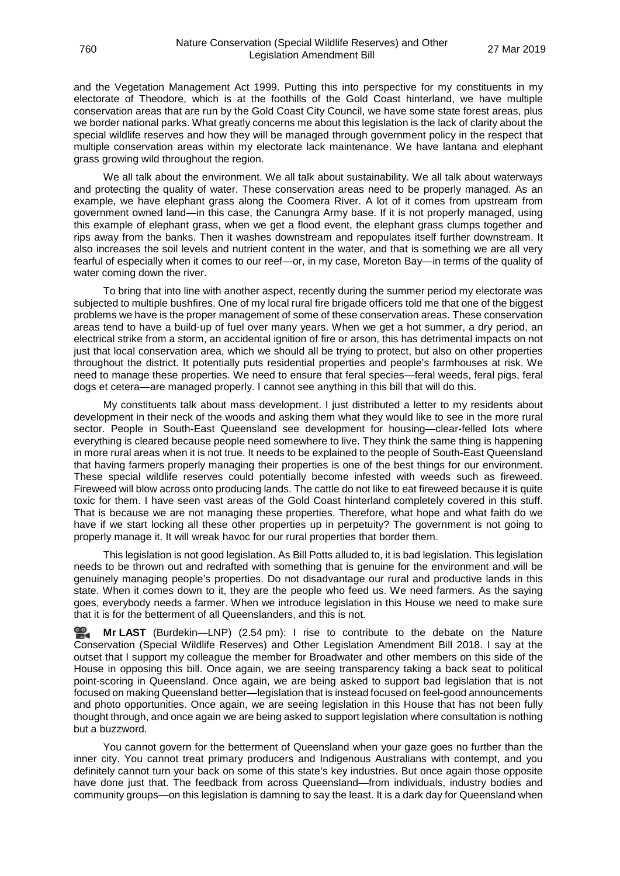and the Vegetation Management Act 1999. Putting this into perspective for my constituents in my electorate of Theodore, which is at the foothills of the Gold Coast hinterland, we have multiple conservation areas that are run by the Gold Coast City Council, we have some state forest areas, plus we border national parks. What greatly concerns me about this legislation is the lack of clarity about the special wildlife reserves and how they will be managed through government policy in the respect that multiple conservation areas within my electorate lack maintenance. We have lantana and elephant grass growing wild throughout the region.

We all talk about the environment. We all talk about sustainability. We all talk about waterways and protecting the quality of water. These conservation areas need to be properly managed. As an example, we have elephant grass along the Coomera River. A lot of it comes from upstream from government owned land—in this case, the Canungra Army base. If it is not properly managed, using this example of elephant grass, when we get a flood event, the elephant grass clumps together and rips away from the banks. Then it washes downstream and repopulates itself further downstream. It also increases the soil levels and nutrient content in the water, and that is something we are all very fearful of especially when it comes to our reef—or, in my case, Moreton Bay—in terms of the quality of water coming down the river.

To bring that into line with another aspect, recently during the summer period my electorate was subjected to multiple bushfires. One of my local rural fire brigade officers told me that one of the biggest problems we have is the proper management of some of these conservation areas. These conservation areas tend to have a build-up of fuel over many years. When we get a hot summer, a dry period, an electrical strike from a storm, an accidental ignition of fire or arson, this has detrimental impacts on not just that local conservation area, which we should all be trying to protect, but also on other properties throughout the district. It potentially puts residential properties and people's farmhouses at risk. We need to manage these properties. We need to ensure that feral species—feral weeds, feral pigs, feral dogs et cetera—are managed properly. I cannot see anything in this bill that will do this.

My constituents talk about mass development. I just distributed a letter to my residents about development in their neck of the woods and asking them what they would like to see in the more rural sector. People in South-East Queensland see development for housing—clear-felled lots where everything is cleared because people need somewhere to live. They think the same thing is happening in more rural areas when it is not true. It needs to be explained to the people of South-East Queensland that having farmers properly managing their properties is one of the best things for our environment. These special wildlife reserves could potentially become infested with weeds such as fireweed. Fireweed will blow across onto producing lands. The cattle do not like to eat fireweed because it is quite toxic for them. I have seen vast areas of the Gold Coast hinterland completely covered in this stuff. That is because we are not managing these properties. Therefore, what hope and what faith do we have if we start locking all these other properties up in perpetuity? The government is not going to properly manage it. It will wreak havoc for our rural properties that border them.

This legislation is not good legislation. As Bill Potts alluded to, it is bad legislation. This legislation needs to be thrown out and redrafted with something that is genuine for the environment and will be genuinely managing people's properties. Do not disadvantage our rural and productive lands in this state. When it comes down to it, they are the people who feed us. We need farmers. As the saying goes, everybody needs a farmer. When we introduce legislation in this House we need to make sure that it is for the betterment of all Queenslanders, and this is not.

**Mr [LAST](http://www.parliament.qld.gov.au/docs/find.aspx?id=0Mba20190327_145429)** (Burdekin—LNP) (2.54 pm): I rise to contribute to the debate on the Nature Conservation (Special Wildlife Reserves) and Other Legislation Amendment Bill 2018. I say at the outset that I support my colleague the member for Broadwater and other members on this side of the House in opposing this bill. Once again, we are seeing transparency taking a back seat to political point-scoring in Queensland. Once again, we are being asked to support bad legislation that is not focused on making Queensland better—legislation that is instead focused on feel-good announcements and photo opportunities. Once again, we are seeing legislation in this House that has not been fully thought through, and once again we are being asked to support legislation where consultation is nothing but a buzzword.

You cannot govern for the betterment of Queensland when your gaze goes no further than the inner city. You cannot treat primary producers and Indigenous Australians with contempt, and you definitely cannot turn your back on some of this state's key industries. But once again those opposite have done just that. The feedback from across Queensland—from individuals, industry bodies and community groups—on this legislation is damning to say the least. It is a dark day for Queensland when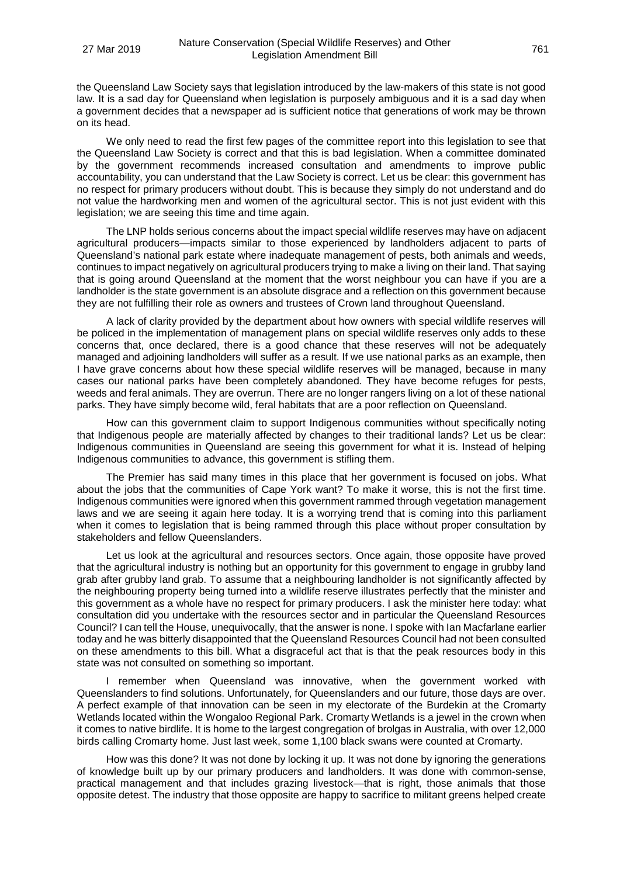the Queensland Law Society says that legislation introduced by the law-makers of this state is not good law. It is a sad day for Queensland when legislation is purposely ambiguous and it is a sad day when a government decides that a newspaper ad is sufficient notice that generations of work may be thrown on its head.

We only need to read the first few pages of the committee report into this legislation to see that the Queensland Law Society is correct and that this is bad legislation. When a committee dominated by the government recommends increased consultation and amendments to improve public accountability, you can understand that the Law Society is correct. Let us be clear: this government has no respect for primary producers without doubt. This is because they simply do not understand and do not value the hardworking men and women of the agricultural sector. This is not just evident with this legislation; we are seeing this time and time again.

The LNP holds serious concerns about the impact special wildlife reserves may have on adjacent agricultural producers—impacts similar to those experienced by landholders adjacent to parts of Queensland's national park estate where inadequate management of pests, both animals and weeds, continues to impact negatively on agricultural producers trying to make a living on their land. That saying that is going around Queensland at the moment that the worst neighbour you can have if you are a landholder is the state government is an absolute disgrace and a reflection on this government because they are not fulfilling their role as owners and trustees of Crown land throughout Queensland.

A lack of clarity provided by the department about how owners with special wildlife reserves will be policed in the implementation of management plans on special wildlife reserves only adds to these concerns that, once declared, there is a good chance that these reserves will not be adequately managed and adjoining landholders will suffer as a result. If we use national parks as an example, then I have grave concerns about how these special wildlife reserves will be managed, because in many cases our national parks have been completely abandoned. They have become refuges for pests, weeds and feral animals. They are overrun. There are no longer rangers living on a lot of these national parks. They have simply become wild, feral habitats that are a poor reflection on Queensland.

How can this government claim to support Indigenous communities without specifically noting that Indigenous people are materially affected by changes to their traditional lands? Let us be clear: Indigenous communities in Queensland are seeing this government for what it is. Instead of helping Indigenous communities to advance, this government is stifling them.

The Premier has said many times in this place that her government is focused on jobs. What about the jobs that the communities of Cape York want? To make it worse, this is not the first time. Indigenous communities were ignored when this government rammed through vegetation management laws and we are seeing it again here today. It is a worrying trend that is coming into this parliament when it comes to legislation that is being rammed through this place without proper consultation by stakeholders and fellow Queenslanders.

Let us look at the agricultural and resources sectors. Once again, those opposite have proved that the agricultural industry is nothing but an opportunity for this government to engage in grubby land grab after grubby land grab. To assume that a neighbouring landholder is not significantly affected by the neighbouring property being turned into a wildlife reserve illustrates perfectly that the minister and this government as a whole have no respect for primary producers. I ask the minister here today: what consultation did you undertake with the resources sector and in particular the Queensland Resources Council? I can tell the House, unequivocally, that the answer is none. I spoke with Ian Macfarlane earlier today and he was bitterly disappointed that the Queensland Resources Council had not been consulted on these amendments to this bill. What a disgraceful act that is that the peak resources body in this state was not consulted on something so important.

I remember when Queensland was innovative, when the government worked with Queenslanders to find solutions. Unfortunately, for Queenslanders and our future, those days are over. A perfect example of that innovation can be seen in my electorate of the Burdekin at the Cromarty Wetlands located within the Wongaloo Regional Park. Cromarty Wetlands is a jewel in the crown when it comes to native birdlife. It is home to the largest congregation of brolgas in Australia, with over 12,000 birds calling Cromarty home. Just last week, some 1,100 black swans were counted at Cromarty.

How was this done? It was not done by locking it up. It was not done by ignoring the generations of knowledge built up by our primary producers and landholders. It was done with common-sense, practical management and that includes grazing livestock—that is right, those animals that those opposite detest. The industry that those opposite are happy to sacrifice to militant greens helped create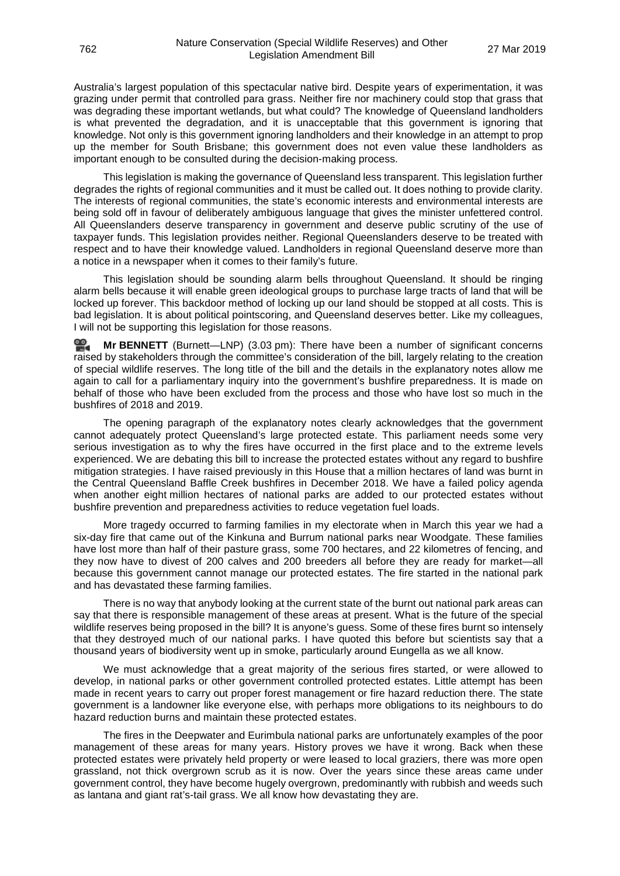Australia's largest population of this spectacular native bird. Despite years of experimentation, it was grazing under permit that controlled para grass. Neither fire nor machinery could stop that grass that was degrading these important wetlands, but what could? The knowledge of Queensland landholders is what prevented the degradation, and it is unacceptable that this government is ignoring that knowledge. Not only is this government ignoring landholders and their knowledge in an attempt to prop up the member for South Brisbane; this government does not even value these landholders as important enough to be consulted during the decision-making process.

This legislation is making the governance of Queensland less transparent. This legislation further degrades the rights of regional communities and it must be called out. It does nothing to provide clarity. The interests of regional communities, the state's economic interests and environmental interests are being sold off in favour of deliberately ambiguous language that gives the minister unfettered control. All Queenslanders deserve transparency in government and deserve public scrutiny of the use of taxpayer funds. This legislation provides neither. Regional Queenslanders deserve to be treated with respect and to have their knowledge valued. Landholders in regional Queensland deserve more than a notice in a newspaper when it comes to their family's future.

This legislation should be sounding alarm bells throughout Queensland. It should be ringing alarm bells because it will enable green ideological groups to purchase large tracts of land that will be locked up forever. This backdoor method of locking up our land should be stopped at all costs. This is bad legislation. It is about political pointscoring, and Queensland deserves better. Like my colleagues, I will not be supporting this legislation for those reasons.

**Mr [BENNETT](http://www.parliament.qld.gov.au/docs/find.aspx?id=0Mba20190327_150351)** (Burnett—LNP) (3.03 pm): There have been a number of significant concerns raised by stakeholders through the committee's consideration of the bill, largely relating to the creation of special wildlife reserves. The long title of the bill and the details in the explanatory notes allow me again to call for a parliamentary inquiry into the government's bushfire preparedness. It is made on behalf of those who have been excluded from the process and those who have lost so much in the bushfires of 2018 and 2019.

The opening paragraph of the explanatory notes clearly acknowledges that the government cannot adequately protect Queensland's large protected estate. This parliament needs some very serious investigation as to why the fires have occurred in the first place and to the extreme levels experienced. We are debating this bill to increase the protected estates without any regard to bushfire mitigation strategies. I have raised previously in this House that a million hectares of land was burnt in the Central Queensland Baffle Creek bushfires in December 2018. We have a failed policy agenda when another eight million hectares of national parks are added to our protected estates without bushfire prevention and preparedness activities to reduce vegetation fuel loads.

More tragedy occurred to farming families in my electorate when in March this year we had a six-day fire that came out of the Kinkuna and Burrum national parks near Woodgate. These families have lost more than half of their pasture grass, some 700 hectares, and 22 kilometres of fencing, and they now have to divest of 200 calves and 200 breeders all before they are ready for market—all because this government cannot manage our protected estates. The fire started in the national park and has devastated these farming families.

There is no way that anybody looking at the current state of the burnt out national park areas can say that there is responsible management of these areas at present. What is the future of the special wildlife reserves being proposed in the bill? It is anyone's guess. Some of these fires burnt so intensely that they destroyed much of our national parks. I have quoted this before but scientists say that a thousand years of biodiversity went up in smoke, particularly around Eungella as we all know.

We must acknowledge that a great majority of the serious fires started, or were allowed to develop, in national parks or other government controlled protected estates. Little attempt has been made in recent years to carry out proper forest management or fire hazard reduction there. The state government is a landowner like everyone else, with perhaps more obligations to its neighbours to do hazard reduction burns and maintain these protected estates.

The fires in the Deepwater and Eurimbula national parks are unfortunately examples of the poor management of these areas for many years. History proves we have it wrong. Back when these protected estates were privately held property or were leased to local graziers, there was more open grassland, not thick overgrown scrub as it is now. Over the years since these areas came under government control, they have become hugely overgrown, predominantly with rubbish and weeds such as lantana and giant rat's-tail grass. We all know how devastating they are.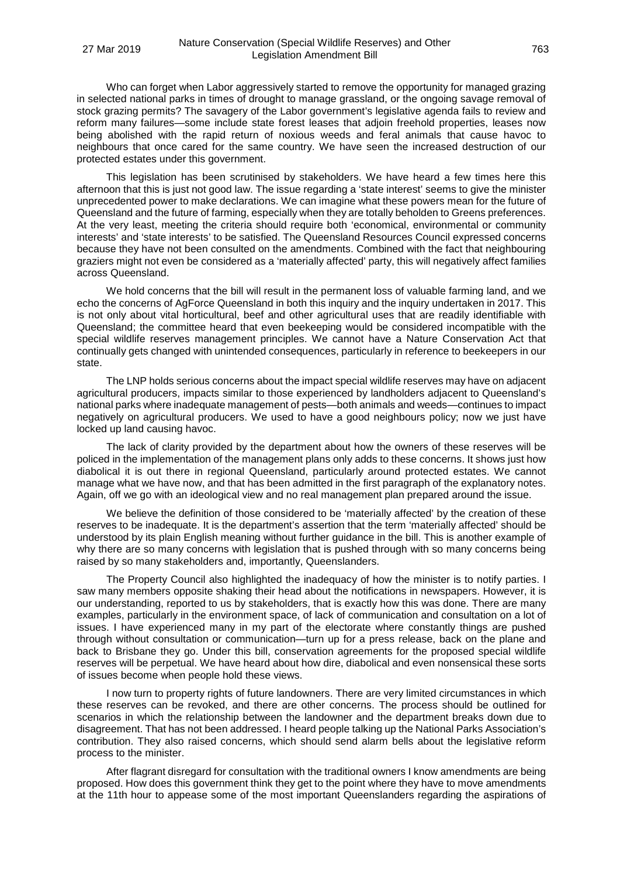Who can forget when Labor aggressively started to remove the opportunity for managed grazing in selected national parks in times of drought to manage grassland, or the ongoing savage removal of stock grazing permits? The savagery of the Labor government's legislative agenda fails to review and reform many failures—some include state forest leases that adjoin freehold properties, leases now being abolished with the rapid return of noxious weeds and feral animals that cause havoc to neighbours that once cared for the same country. We have seen the increased destruction of our protected estates under this government.

This legislation has been scrutinised by stakeholders. We have heard a few times here this afternoon that this is just not good law. The issue regarding a 'state interest' seems to give the minister unprecedented power to make declarations. We can imagine what these powers mean for the future of Queensland and the future of farming, especially when they are totally beholden to Greens preferences. At the very least, meeting the criteria should require both 'economical, environmental or community interests' and 'state interests' to be satisfied. The Queensland Resources Council expressed concerns because they have not been consulted on the amendments. Combined with the fact that neighbouring graziers might not even be considered as a 'materially affected' party, this will negatively affect families across Queensland.

We hold concerns that the bill will result in the permanent loss of valuable farming land, and we echo the concerns of AgForce Queensland in both this inquiry and the inquiry undertaken in 2017. This is not only about vital horticultural, beef and other agricultural uses that are readily identifiable with Queensland; the committee heard that even beekeeping would be considered incompatible with the special wildlife reserves management principles. We cannot have a Nature Conservation Act that continually gets changed with unintended consequences, particularly in reference to beekeepers in our state.

The LNP holds serious concerns about the impact special wildlife reserves may have on adjacent agricultural producers, impacts similar to those experienced by landholders adjacent to Queensland's national parks where inadequate management of pests—both animals and weeds—continues to impact negatively on agricultural producers. We used to have a good neighbours policy; now we just have locked up land causing havoc.

The lack of clarity provided by the department about how the owners of these reserves will be policed in the implementation of the management plans only adds to these concerns. It shows just how diabolical it is out there in regional Queensland, particularly around protected estates. We cannot manage what we have now, and that has been admitted in the first paragraph of the explanatory notes. Again, off we go with an ideological view and no real management plan prepared around the issue.

We believe the definition of those considered to be 'materially affected' by the creation of these reserves to be inadequate. It is the department's assertion that the term 'materially affected' should be understood by its plain English meaning without further guidance in the bill. This is another example of why there are so many concerns with legislation that is pushed through with so many concerns being raised by so many stakeholders and, importantly, Queenslanders.

The Property Council also highlighted the inadequacy of how the minister is to notify parties. I saw many members opposite shaking their head about the notifications in newspapers. However, it is our understanding, reported to us by stakeholders, that is exactly how this was done. There are many examples, particularly in the environment space, of lack of communication and consultation on a lot of issues. I have experienced many in my part of the electorate where constantly things are pushed through without consultation or communication—turn up for a press release, back on the plane and back to Brisbane they go. Under this bill, conservation agreements for the proposed special wildlife reserves will be perpetual. We have heard about how dire, diabolical and even nonsensical these sorts of issues become when people hold these views.

I now turn to property rights of future landowners. There are very limited circumstances in which these reserves can be revoked, and there are other concerns. The process should be outlined for scenarios in which the relationship between the landowner and the department breaks down due to disagreement. That has not been addressed. I heard people talking up the National Parks Association's contribution. They also raised concerns, which should send alarm bells about the legislative reform process to the minister.

After flagrant disregard for consultation with the traditional owners I know amendments are being proposed. How does this government think they get to the point where they have to move amendments at the 11th hour to appease some of the most important Queenslanders regarding the aspirations of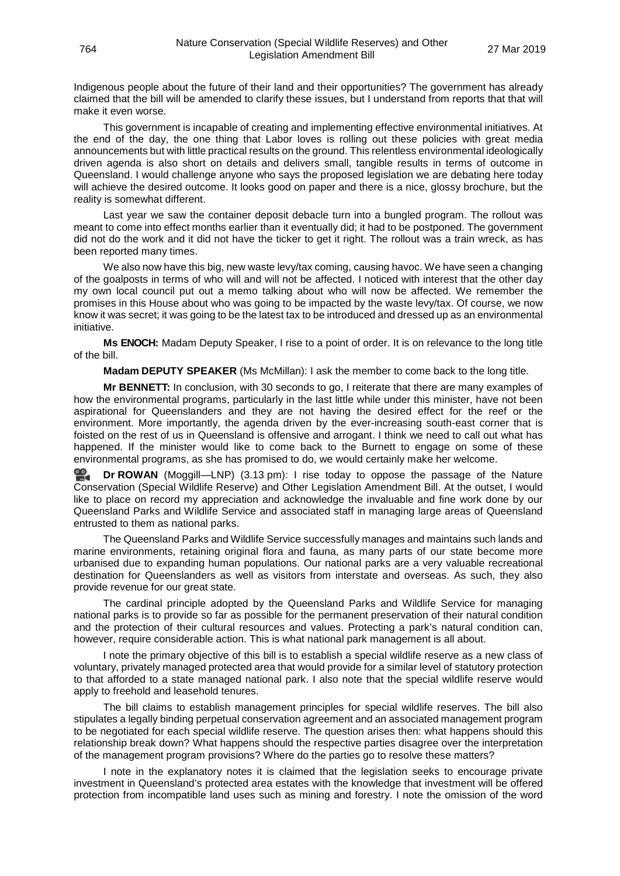Indigenous people about the future of their land and their opportunities? The government has already claimed that the bill will be amended to clarify these issues, but I understand from reports that that will make it even worse.

This government is incapable of creating and implementing effective environmental initiatives. At the end of the day, the one thing that Labor loves is rolling out these policies with great media announcements but with little practical results on the ground. This relentless environmental ideologically driven agenda is also short on details and delivers small, tangible results in terms of outcome in Queensland. I would challenge anyone who says the proposed legislation we are debating here today will achieve the desired outcome. It looks good on paper and there is a nice, glossy brochure, but the reality is somewhat different.

Last year we saw the container deposit debacle turn into a bungled program. The rollout was meant to come into effect months earlier than it eventually did; it had to be postponed. The government did not do the work and it did not have the ticker to get it right. The rollout was a train wreck, as has been reported many times.

We also now have this big, new waste levy/tax coming, causing havoc. We have seen a changing of the goalposts in terms of who will and will not be affected. I noticed with interest that the other day my own local council put out a memo talking about who will now be affected. We remember the promises in this House about who was going to be impacted by the waste levy/tax. Of course, we now know it was secret; it was going to be the latest tax to be introduced and dressed up as an environmental initiative.

**Ms ENOCH:** Madam Deputy Speaker, I rise to a point of order. It is on relevance to the long title of the bill.

**Madam DEPUTY SPEAKER** (Ms McMillan): I ask the member to come back to the long title.

**Mr BENNETT:** In conclusion, with 30 seconds to go, I reiterate that there are many examples of how the environmental programs, particularly in the last little while under this minister, have not been aspirational for Queenslanders and they are not having the desired effect for the reef or the environment. More importantly, the agenda driven by the ever-increasing south-east corner that is foisted on the rest of us in Queensland is offensive and arrogant. I think we need to call out what has happened. If the minister would like to come back to the Burnett to engage on some of these environmental programs, as she has promised to do, we would certainly make her welcome.

≌. **Dr [ROWAN](http://www.parliament.qld.gov.au/docs/find.aspx?id=0Mba20190327_151413)** (Moggill—LNP) (3.13 pm): I rise today to oppose the passage of the Nature Conservation (Special Wildlife Reserve) and Other Legislation Amendment Bill. At the outset, I would like to place on record my appreciation and acknowledge the invaluable and fine work done by our Queensland Parks and Wildlife Service and associated staff in managing large areas of Queensland entrusted to them as national parks.

The Queensland Parks and Wildlife Service successfully manages and maintains such lands and marine environments, retaining original flora and fauna, as many parts of our state become more urbanised due to expanding human populations. Our national parks are a very valuable recreational destination for Queenslanders as well as visitors from interstate and overseas. As such, they also provide revenue for our great state.

The cardinal principle adopted by the Queensland Parks and Wildlife Service for managing national parks is to provide so far as possible for the permanent preservation of their natural condition and the protection of their cultural resources and values. Protecting a park's natural condition can, however, require considerable action. This is what national park management is all about.

I note the primary objective of this bill is to establish a special wildlife reserve as a new class of voluntary, privately managed protected area that would provide for a similar level of statutory protection to that afforded to a state managed national park. I also note that the special wildlife reserve would apply to freehold and leasehold tenures.

The bill claims to establish management principles for special wildlife reserves. The bill also stipulates a legally binding perpetual conservation agreement and an associated management program to be negotiated for each special wildlife reserve. The question arises then: what happens should this relationship break down? What happens should the respective parties disagree over the interpretation of the management program provisions? Where do the parties go to resolve these matters?

I note in the explanatory notes it is claimed that the legislation seeks to encourage private investment in Queensland's protected area estates with the knowledge that investment will be offered protection from incompatible land uses such as mining and forestry. I note the omission of the word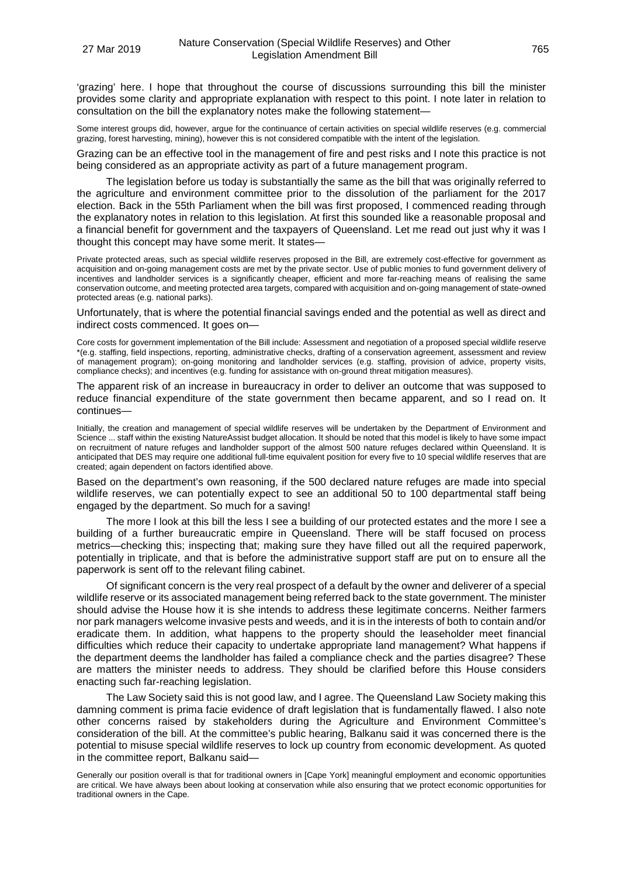'grazing' here. I hope that throughout the course of discussions surrounding this bill the minister provides some clarity and appropriate explanation with respect to this point. I note later in relation to consultation on the bill the explanatory notes make the following statement—

Some interest groups did, however, argue for the continuance of certain activities on special wildlife reserves (e.g. commercial grazing, forest harvesting, mining), however this is not considered compatible with the intent of the legislation.

Grazing can be an effective tool in the management of fire and pest risks and I note this practice is not being considered as an appropriate activity as part of a future management program.

The legislation before us today is substantially the same as the bill that was originally referred to the agriculture and environment committee prior to the dissolution of the parliament for the 2017 election. Back in the 55th Parliament when the bill was first proposed, I commenced reading through the explanatory notes in relation to this legislation. At first this sounded like a reasonable proposal and a financial benefit for government and the taxpayers of Queensland. Let me read out just why it was I thought this concept may have some merit. It states—

Private protected areas, such as special wildlife reserves proposed in the Bill, are extremely cost-effective for government as acquisition and on-going management costs are met by the private sector. Use of public monies to fund government delivery of incentives and landholder services is a significantly cheaper, efficient and more far-reaching means of realising the same conservation outcome, and meeting protected area targets, compared with acquisition and on-going management of state-owned protected areas (e.g. national parks).

Unfortunately, that is where the potential financial savings ended and the potential as well as direct and indirect costs commenced. It goes on-

Core costs for government implementation of the Bill include: Assessment and negotiation of a proposed special wildlife reserve \*(e.g. staffing, field inspections, reporting, administrative checks, drafting of a conservation agreement, assessment and review of management program); on-going monitoring and landholder services (e.g. staffing, provision of advice, property visits, compliance checks); and incentives (e.g. funding for assistance with on-ground threat mitigation measures).

The apparent risk of an increase in bureaucracy in order to deliver an outcome that was supposed to reduce financial expenditure of the state government then became apparent, and so I read on. It continues—

Initially, the creation and management of special wildlife reserves will be undertaken by the Department of Environment and Science ... staff within the existing NatureAssist budget allocation. It should be noted that this model is likely to have some impact on recruitment of nature refuges and landholder support of the almost 500 nature refuges declared within Queensland. It is anticipated that DES may require one additional full-time equivalent position for every five to 10 special wildlife reserves that are created; again dependent on factors identified above.

Based on the department's own reasoning, if the 500 declared nature refuges are made into special wildlife reserves, we can potentially expect to see an additional 50 to 100 departmental staff being engaged by the department. So much for a saving!

The more I look at this bill the less I see a building of our protected estates and the more I see a building of a further bureaucratic empire in Queensland. There will be staff focused on process metrics—checking this; inspecting that; making sure they have filled out all the required paperwork, potentially in triplicate, and that is before the administrative support staff are put on to ensure all the paperwork is sent off to the relevant filing cabinet.

Of significant concern is the very real prospect of a default by the owner and deliverer of a special wildlife reserve or its associated management being referred back to the state government. The minister should advise the House how it is she intends to address these legitimate concerns. Neither farmers nor park managers welcome invasive pests and weeds, and it is in the interests of both to contain and/or eradicate them. In addition, what happens to the property should the leaseholder meet financial difficulties which reduce their capacity to undertake appropriate land management? What happens if the department deems the landholder has failed a compliance check and the parties disagree? These are matters the minister needs to address. They should be clarified before this House considers enacting such far-reaching legislation.

The Law Society said this is not good law, and I agree. The Queensland Law Society making this damning comment is prima facie evidence of draft legislation that is fundamentally flawed. I also note other concerns raised by stakeholders during the Agriculture and Environment Committee's consideration of the bill. At the committee's public hearing, Balkanu said it was concerned there is the potential to misuse special wildlife reserves to lock up country from economic development. As quoted in the committee report, Balkanu said—

Generally our position overall is that for traditional owners in [Cape York] meaningful employment and economic opportunities are critical. We have always been about looking at conservation while also ensuring that we protect economic opportunities for traditional owners in the Cape.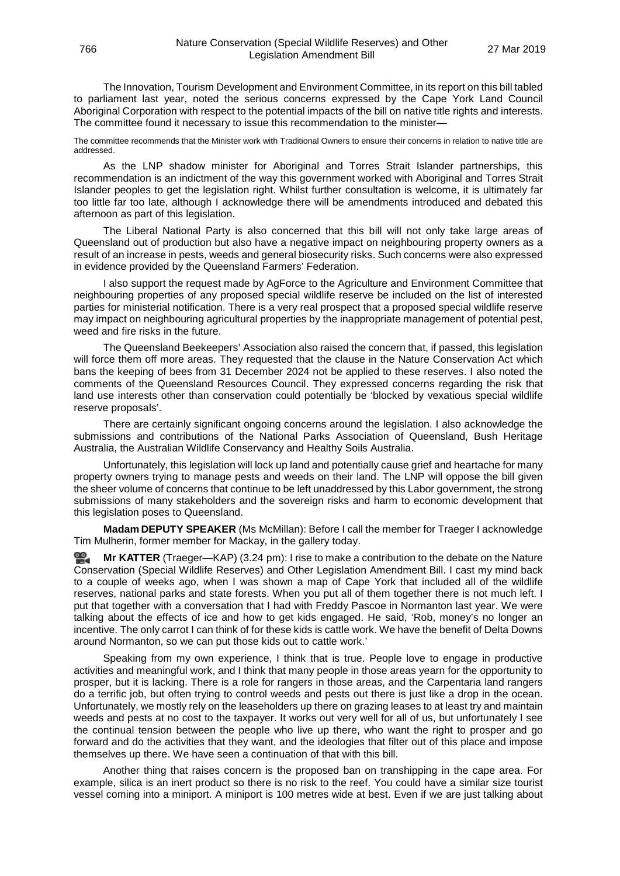The Innovation, Tourism Development and Environment Committee, in its report on this bill tabled to parliament last year, noted the serious concerns expressed by the Cape York Land Council Aboriginal Corporation with respect to the potential impacts of the bill on native title rights and interests. The committee found it necessary to issue this recommendation to the minister—

The committee recommends that the Minister work with Traditional Owners to ensure their concerns in relation to native title are addressed.

As the LNP shadow minister for Aboriginal and Torres Strait Islander partnerships, this recommendation is an indictment of the way this government worked with Aboriginal and Torres Strait Islander peoples to get the legislation right. Whilst further consultation is welcome, it is ultimately far too little far too late, although I acknowledge there will be amendments introduced and debated this afternoon as part of this legislation.

The Liberal National Party is also concerned that this bill will not only take large areas of Queensland out of production but also have a negative impact on neighbouring property owners as a result of an increase in pests, weeds and general biosecurity risks. Such concerns were also expressed in evidence provided by the Queensland Farmers' Federation.

I also support the request made by AgForce to the Agriculture and Environment Committee that neighbouring properties of any proposed special wildlife reserve be included on the list of interested parties for ministerial notification. There is a very real prospect that a proposed special wildlife reserve may impact on neighbouring agricultural properties by the inappropriate management of potential pest, weed and fire risks in the future.

The Queensland Beekeepers' Association also raised the concern that, if passed, this legislation will force them off more areas. They requested that the clause in the Nature Conservation Act which bans the keeping of bees from 31 December 2024 not be applied to these reserves. I also noted the comments of the Queensland Resources Council. They expressed concerns regarding the risk that land use interests other than conservation could potentially be 'blocked by vexatious special wildlife reserve proposals'.

There are certainly significant ongoing concerns around the legislation. I also acknowledge the submissions and contributions of the National Parks Association of Queensland, Bush Heritage Australia, the Australian Wildlife Conservancy and Healthy Soils Australia.

Unfortunately, this legislation will lock up land and potentially cause grief and heartache for many property owners trying to manage pests and weeds on their land. The LNP will oppose the bill given the sheer volume of concerns that continue to be left unaddressed by this Labor government, the strong submissions of many stakeholders and the sovereign risks and harm to economic development that this legislation poses to Queensland.

**Madam DEPUTY SPEAKER** (Ms McMillan): Before I call the member for Traeger I acknowledge Tim Mulherin, former member for Mackay, in the gallery today.

**Mr [KATTER](http://www.parliament.qld.gov.au/docs/find.aspx?id=0Mba20190327_152418)** (Traeger—KAP) (3.24 pm): I rise to make a contribution to the debate on the Nature Conservation (Special Wildlife Reserves) and Other Legislation Amendment Bill. I cast my mind back to a couple of weeks ago, when I was shown a map of Cape York that included all of the wildlife reserves, national parks and state forests. When you put all of them together there is not much left. I put that together with a conversation that I had with Freddy Pascoe in Normanton last year. We were talking about the effects of ice and how to get kids engaged. He said, 'Rob, money's no longer an incentive. The only carrot I can think of for these kids is cattle work. We have the benefit of Delta Downs around Normanton, so we can put those kids out to cattle work.'

Speaking from my own experience, I think that is true. People love to engage in productive activities and meaningful work, and I think that many people in those areas yearn for the opportunity to prosper, but it is lacking. There is a role for rangers in those areas, and the Carpentaria land rangers do a terrific job, but often trying to control weeds and pests out there is just like a drop in the ocean. Unfortunately, we mostly rely on the leaseholders up there on grazing leases to at least try and maintain weeds and pests at no cost to the taxpayer. It works out very well for all of us, but unfortunately I see the continual tension between the people who live up there, who want the right to prosper and go forward and do the activities that they want, and the ideologies that filter out of this place and impose themselves up there. We have seen a continuation of that with this bill.

Another thing that raises concern is the proposed ban on transhipping in the cape area. For example, silica is an inert product so there is no risk to the reef. You could have a similar size tourist vessel coming into a miniport. A miniport is 100 metres wide at best. Even if we are just talking about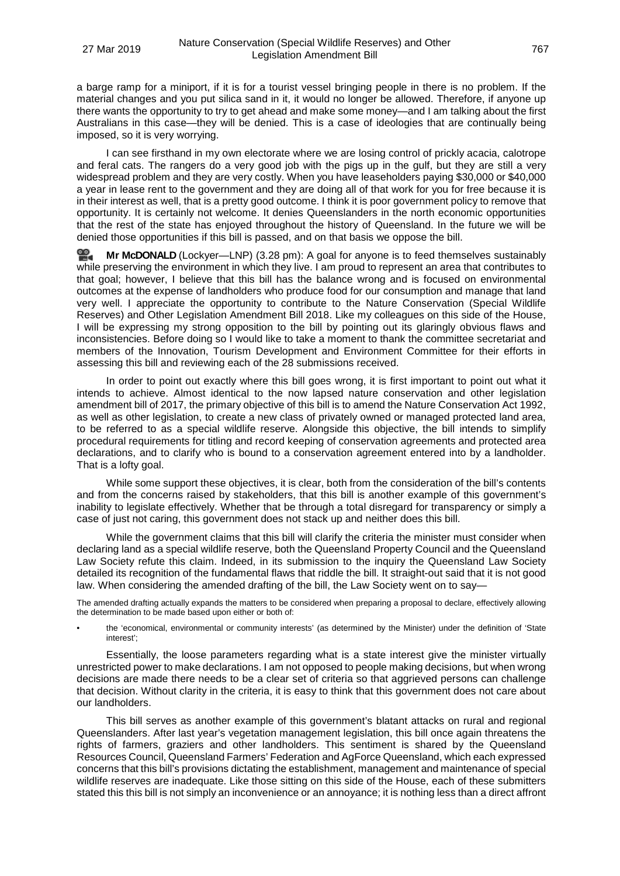a barge ramp for a miniport, if it is for a tourist vessel bringing people in there is no problem. If the material changes and you put silica sand in it, it would no longer be allowed. Therefore, if anyone up there wants the opportunity to try to get ahead and make some money—and I am talking about the first Australians in this case—they will be denied. This is a case of ideologies that are continually being imposed, so it is very worrying.

I can see firsthand in my own electorate where we are losing control of prickly acacia, calotrope and feral cats. The rangers do a very good job with the pigs up in the gulf, but they are still a very widespread problem and they are very costly. When you have leaseholders paying \$30,000 or \$40,000 a year in lease rent to the government and they are doing all of that work for you for free because it is in their interest as well, that is a pretty good outcome. I think it is poor government policy to remove that opportunity. It is certainly not welcome. It denies Queenslanders in the north economic opportunities that the rest of the state has enjoyed throughout the history of Queensland. In the future we will be denied those opportunities if this bill is passed, and on that basis we oppose the bill.

**Mr [McDONALD](http://www.parliament.qld.gov.au/docs/find.aspx?id=0Mba20190327_152824)** (Lockyer—LNP) (3.28 pm): A goal for anyone is to feed themselves sustainably while preserving the environment in which they live. I am proud to represent an area that contributes to that goal; however, I believe that this bill has the balance wrong and is focused on environmental outcomes at the expense of landholders who produce food for our consumption and manage that land very well. I appreciate the opportunity to contribute to the Nature Conservation (Special Wildlife Reserves) and Other Legislation Amendment Bill 2018. Like my colleagues on this side of the House, I will be expressing my strong opposition to the bill by pointing out its glaringly obvious flaws and inconsistencies. Before doing so I would like to take a moment to thank the committee secretariat and members of the Innovation, Tourism Development and Environment Committee for their efforts in assessing this bill and reviewing each of the 28 submissions received.

In order to point out exactly where this bill goes wrong, it is first important to point out what it intends to achieve. Almost identical to the now lapsed nature conservation and other legislation amendment bill of 2017, the primary objective of this bill is to amend the Nature Conservation Act 1992, as well as other legislation, to create a new class of privately owned or managed protected land area, to be referred to as a special wildlife reserve. Alongside this objective, the bill intends to simplify procedural requirements for titling and record keeping of conservation agreements and protected area declarations, and to clarify who is bound to a conservation agreement entered into by a landholder. That is a lofty goal.

While some support these objectives, it is clear, both from the consideration of the bill's contents and from the concerns raised by stakeholders, that this bill is another example of this government's inability to legislate effectively. Whether that be through a total disregard for transparency or simply a case of just not caring, this government does not stack up and neither does this bill.

While the government claims that this bill will clarify the criteria the minister must consider when declaring land as a special wildlife reserve, both the Queensland Property Council and the Queensland Law Society refute this claim. Indeed, in its submission to the inquiry the Queensland Law Society detailed its recognition of the fundamental flaws that riddle the bill. It straight-out said that it is not good law. When considering the amended drafting of the bill, the Law Society went on to say—

The amended drafting actually expands the matters to be considered when preparing a proposal to declare, effectively allowing the determination to be made based upon either or both of:

• the 'economical, environmental or community interests' (as determined by the Minister) under the definition of 'State interest'

Essentially, the loose parameters regarding what is a state interest give the minister virtually unrestricted power to make declarations. I am not opposed to people making decisions, but when wrong decisions are made there needs to be a clear set of criteria so that aggrieved persons can challenge that decision. Without clarity in the criteria, it is easy to think that this government does not care about our landholders.

This bill serves as another example of this government's blatant attacks on rural and regional Queenslanders. After last year's vegetation management legislation, this bill once again threatens the rights of farmers, graziers and other landholders. This sentiment is shared by the Queensland Resources Council, Queensland Farmers' Federation and AgForce Queensland, which each expressed concerns that this bill's provisions dictating the establishment, management and maintenance of special wildlife reserves are inadequate. Like those sitting on this side of the House, each of these submitters stated this this bill is not simply an inconvenience or an annoyance; it is nothing less than a direct affront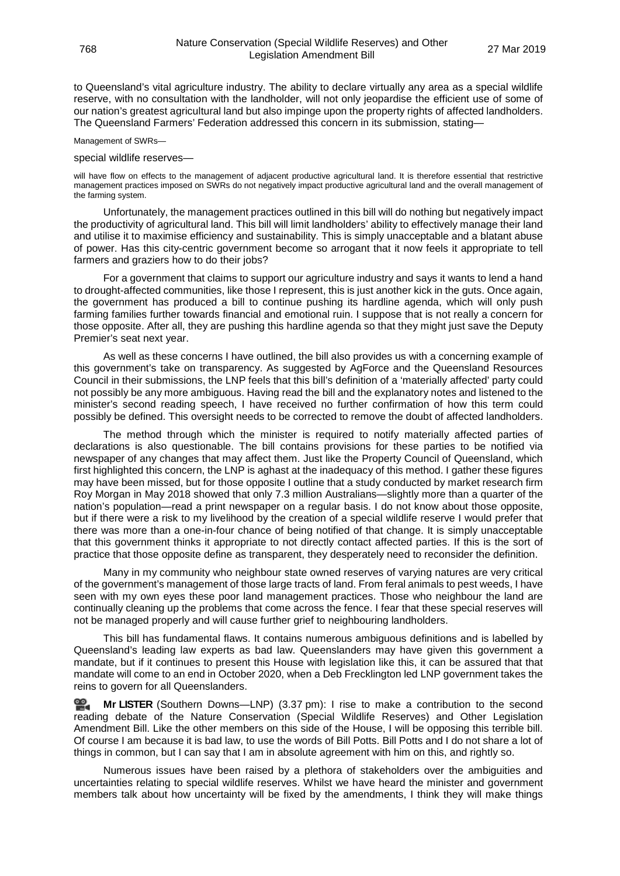to Queensland's vital agriculture industry. The ability to declare virtually any area as a special wildlife reserve, with no consultation with the landholder, will not only jeopardise the efficient use of some of our nation's greatest agricultural land but also impinge upon the property rights of affected landholders. The Queensland Farmers' Federation addressed this concern in its submission, stating—

Management of SWRs—

#### special wildlife reserves—

will have flow on effects to the management of adjacent productive agricultural land. It is therefore essential that restrictive management practices imposed on SWRs do not negatively impact productive agricultural land and the overall management of the farming system.

Unfortunately, the management practices outlined in this bill will do nothing but negatively impact the productivity of agricultural land. This bill will limit landholders' ability to effectively manage their land and utilise it to maximise efficiency and sustainability. This is simply unacceptable and a blatant abuse of power. Has this city-centric government become so arrogant that it now feels it appropriate to tell farmers and graziers how to do their jobs?

For a government that claims to support our agriculture industry and says it wants to lend a hand to drought-affected communities, like those I represent, this is just another kick in the guts. Once again, the government has produced a bill to continue pushing its hardline agenda, which will only push farming families further towards financial and emotional ruin. I suppose that is not really a concern for those opposite. After all, they are pushing this hardline agenda so that they might just save the Deputy Premier's seat next year.

As well as these concerns I have outlined, the bill also provides us with a concerning example of this government's take on transparency. As suggested by AgForce and the Queensland Resources Council in their submissions, the LNP feels that this bill's definition of a 'materially affected' party could not possibly be any more ambiguous. Having read the bill and the explanatory notes and listened to the minister's second reading speech, I have received no further confirmation of how this term could possibly be defined. This oversight needs to be corrected to remove the doubt of affected landholders.

The method through which the minister is required to notify materially affected parties of declarations is also questionable. The bill contains provisions for these parties to be notified via newspaper of any changes that may affect them. Just like the Property Council of Queensland, which first highlighted this concern, the LNP is aghast at the inadequacy of this method. I gather these figures may have been missed, but for those opposite I outline that a study conducted by market research firm Roy Morgan in May 2018 showed that only 7.3 million Australians—slightly more than a quarter of the nation's population—read a print newspaper on a regular basis. I do not know about those opposite, but if there were a risk to my livelihood by the creation of a special wildlife reserve I would prefer that there was more than a one-in-four chance of being notified of that change. It is simply unacceptable that this government thinks it appropriate to not directly contact affected parties. If this is the sort of practice that those opposite define as transparent, they desperately need to reconsider the definition.

Many in my community who neighbour state owned reserves of varying natures are very critical of the government's management of those large tracts of land. From feral animals to pest weeds, I have seen with my own eyes these poor land management practices. Those who neighbour the land are continually cleaning up the problems that come across the fence. I fear that these special reserves will not be managed properly and will cause further grief to neighbouring landholders.

This bill has fundamental flaws. It contains numerous ambiguous definitions and is labelled by Queensland's leading law experts as bad law. Queenslanders may have given this government a mandate, but if it continues to present this House with legislation like this, it can be assured that that mandate will come to an end in October 2020, when a Deb Frecklington led LNP government takes the reins to govern for all Queenslanders.

≌. **Mr [LISTER](http://www.parliament.qld.gov.au/docs/find.aspx?id=0Mba20190327_153803)** (Southern Downs—LNP) (3.37 pm): I rise to make a contribution to the second reading debate of the Nature Conservation (Special Wildlife Reserves) and Other Legislation Amendment Bill. Like the other members on this side of the House, I will be opposing this terrible bill. Of course I am because it is bad law, to use the words of Bill Potts. Bill Potts and I do not share a lot of things in common, but I can say that I am in absolute agreement with him on this, and rightly so.

Numerous issues have been raised by a plethora of stakeholders over the ambiguities and uncertainties relating to special wildlife reserves. Whilst we have heard the minister and government members talk about how uncertainty will be fixed by the amendments, I think they will make things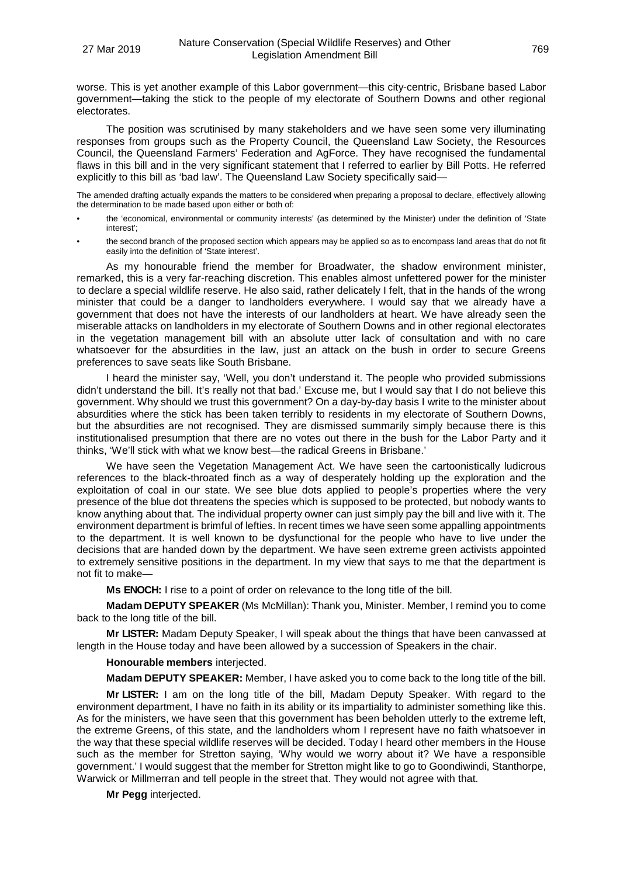worse. This is yet another example of this Labor government—this city-centric, Brisbane based Labor government—taking the stick to the people of my electorate of Southern Downs and other regional electorates.

The position was scrutinised by many stakeholders and we have seen some very illuminating responses from groups such as the Property Council, the Queensland Law Society, the Resources Council, the Queensland Farmers' Federation and AgForce. They have recognised the fundamental flaws in this bill and in the very significant statement that I referred to earlier by Bill Potts. He referred explicitly to this bill as 'bad law'. The Queensland Law Society specifically said—

The amended drafting actually expands the matters to be considered when preparing a proposal to declare, effectively allowing the determination to be made based upon either or both of:

- the 'economical, environmental or community interests' (as determined by the Minister) under the definition of 'State interest';
- the second branch of the proposed section which appears may be applied so as to encompass land areas that do not fit easily into the definition of 'State interest'.

As my honourable friend the member for Broadwater, the shadow environment minister, remarked, this is a very far-reaching discretion. This enables almost unfettered power for the minister to declare a special wildlife reserve. He also said, rather delicately I felt, that in the hands of the wrong minister that could be a danger to landholders everywhere. I would say that we already have a government that does not have the interests of our landholders at heart. We have already seen the miserable attacks on landholders in my electorate of Southern Downs and in other regional electorates in the vegetation management bill with an absolute utter lack of consultation and with no care whatsoever for the absurdities in the law, just an attack on the bush in order to secure Greens preferences to save seats like South Brisbane.

I heard the minister say, 'Well, you don't understand it. The people who provided submissions didn't understand the bill. It's really not that bad.' Excuse me, but I would say that I do not believe this government. Why should we trust this government? On a day-by-day basis I write to the minister about absurdities where the stick has been taken terribly to residents in my electorate of Southern Downs, but the absurdities are not recognised. They are dismissed summarily simply because there is this institutionalised presumption that there are no votes out there in the bush for the Labor Party and it thinks, 'We'll stick with what we know best—the radical Greens in Brisbane.'

We have seen the Vegetation Management Act. We have seen the cartoonistically ludicrous references to the black-throated finch as a way of desperately holding up the exploration and the exploitation of coal in our state. We see blue dots applied to people's properties where the very presence of the blue dot threatens the species which is supposed to be protected, but nobody wants to know anything about that. The individual property owner can just simply pay the bill and live with it. The environment department is brimful of lefties. In recent times we have seen some appalling appointments to the department. It is well known to be dysfunctional for the people who have to live under the decisions that are handed down by the department. We have seen extreme green activists appointed to extremely sensitive positions in the department. In my view that says to me that the department is not fit to make—

**Ms ENOCH:** I rise to a point of order on relevance to the long title of the bill.

**Madam DEPUTY SPEAKER** (Ms McMillan): Thank you, Minister. Member, I remind you to come back to the long title of the bill.

**Mr LISTER:** Madam Deputy Speaker, I will speak about the things that have been canvassed at length in the House today and have been allowed by a succession of Speakers in the chair.

### **Honourable members** interjected.

**Madam DEPUTY SPEAKER:** Member, I have asked you to come back to the long title of the bill.

**Mr LISTER:** I am on the long title of the bill, Madam Deputy Speaker. With regard to the environment department, I have no faith in its ability or its impartiality to administer something like this. As for the ministers, we have seen that this government has been beholden utterly to the extreme left, the extreme Greens, of this state, and the landholders whom I represent have no faith whatsoever in the way that these special wildlife reserves will be decided. Today I heard other members in the House such as the member for Stretton saying, 'Why would we worry about it? We have a responsible government.' I would suggest that the member for Stretton might like to go to Goondiwindi, Stanthorpe, Warwick or Millmerran and tell people in the street that. They would not agree with that.

**Mr Pegg** interjected.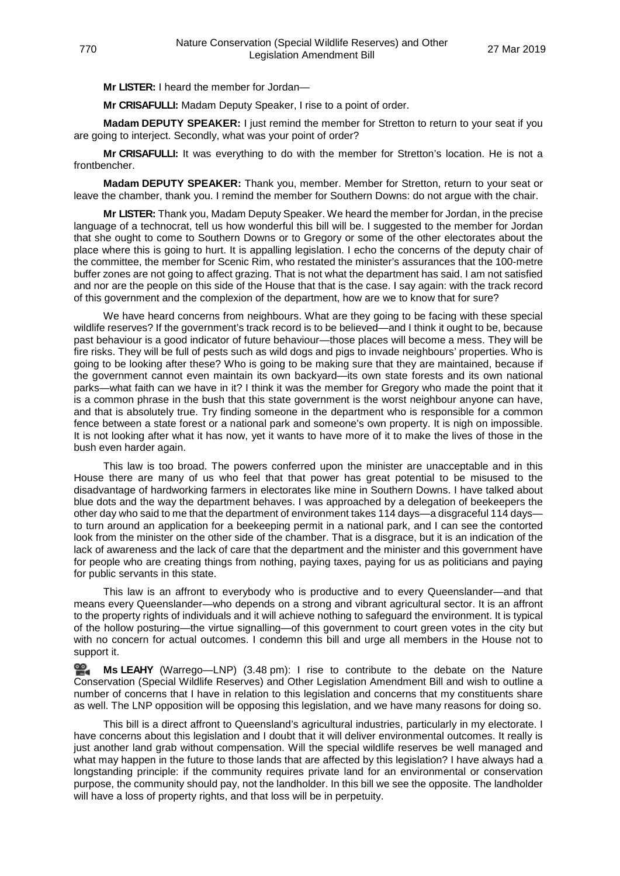**Mr LISTER:** I heard the member for Jordan—

**Mr CRISAFULLI:** Madam Deputy Speaker, I rise to a point of order.

**Madam DEPUTY SPEAKER:** I just remind the member for Stretton to return to your seat if you are going to interject. Secondly, what was your point of order?

**Mr CRISAFULLI:** It was everything to do with the member for Stretton's location. He is not a frontbencher.

**Madam DEPUTY SPEAKER:** Thank you, member. Member for Stretton, return to your seat or leave the chamber, thank you. I remind the member for Southern Downs: do not argue with the chair.

**Mr LISTER:** Thank you, Madam Deputy Speaker. We heard the member for Jordan, in the precise language of a technocrat, tell us how wonderful this bill will be. I suggested to the member for Jordan that she ought to come to Southern Downs or to Gregory or some of the other electorates about the place where this is going to hurt. It is appalling legislation. I echo the concerns of the deputy chair of the committee, the member for Scenic Rim, who restated the minister's assurances that the 100-metre buffer zones are not going to affect grazing. That is not what the department has said. I am not satisfied and nor are the people on this side of the House that that is the case. I say again: with the track record of this government and the complexion of the department, how are we to know that for sure?

We have heard concerns from neighbours. What are they going to be facing with these special wildlife reserves? If the government's track record is to be believed—and I think it ought to be, because past behaviour is a good indicator of future behaviour—those places will become a mess. They will be fire risks. They will be full of pests such as wild dogs and pigs to invade neighbours' properties. Who is going to be looking after these? Who is going to be making sure that they are maintained, because if the government cannot even maintain its own backyard—its own state forests and its own national parks—what faith can we have in it? I think it was the member for Gregory who made the point that it is a common phrase in the bush that this state government is the worst neighbour anyone can have, and that is absolutely true. Try finding someone in the department who is responsible for a common fence between a state forest or a national park and someone's own property. It is nigh on impossible. It is not looking after what it has now, yet it wants to have more of it to make the lives of those in the bush even harder again.

This law is too broad. The powers conferred upon the minister are unacceptable and in this House there are many of us who feel that that power has great potential to be misused to the disadvantage of hardworking farmers in electorates like mine in Southern Downs. I have talked about blue dots and the way the department behaves. I was approached by a delegation of beekeepers the other day who said to me that the department of environment takes 114 days—a disgraceful 114 days to turn around an application for a beekeeping permit in a national park, and I can see the contorted look from the minister on the other side of the chamber. That is a disgrace, but it is an indication of the lack of awareness and the lack of care that the department and the minister and this government have for people who are creating things from nothing, paying taxes, paying for us as politicians and paying for public servants in this state.

This law is an affront to everybody who is productive and to every Queenslander—and that means every Queenslander—who depends on a strong and vibrant agricultural sector. It is an affront to the property rights of individuals and it will achieve nothing to safeguard the environment. It is typical of the hollow posturing—the virtue signalling—of this government to court green votes in the city but with no concern for actual outcomes. I condemn this bill and urge all members in the House not to support it.

<u>ഇ</u> **Ms [LEAHY](http://www.parliament.qld.gov.au/docs/find.aspx?id=0Mba20190327_154825)** (Warrego—LNP) (3.48 pm): I rise to contribute to the debate on the Nature Conservation (Special Wildlife Reserves) and Other Legislation Amendment Bill and wish to outline a number of concerns that I have in relation to this legislation and concerns that my constituents share as well. The LNP opposition will be opposing this legislation, and we have many reasons for doing so.

This bill is a direct affront to Queensland's agricultural industries, particularly in my electorate. I have concerns about this legislation and I doubt that it will deliver environmental outcomes. It really is just another land grab without compensation. Will the special wildlife reserves be well managed and what may happen in the future to those lands that are affected by this legislation? I have always had a longstanding principle: if the community requires private land for an environmental or conservation purpose, the community should pay, not the landholder. In this bill we see the opposite. The landholder will have a loss of property rights, and that loss will be in perpetuity.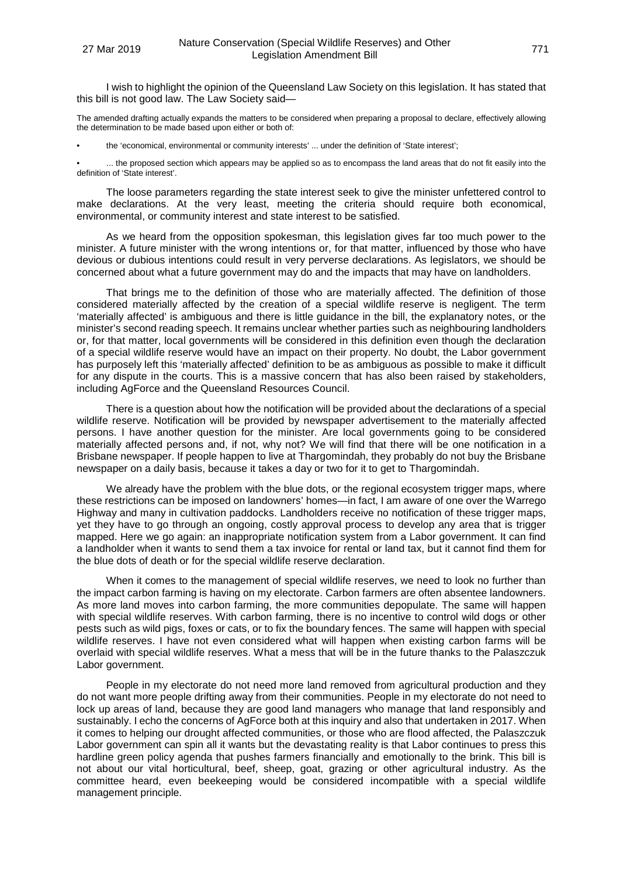I wish to highlight the opinion of the Queensland Law Society on this legislation. It has stated that this bill is not good law. The Law Society said—

The amended drafting actually expands the matters to be considered when preparing a proposal to declare, effectively allowing the determination to be made based upon either or both of:

• the 'economical, environmental or community interests' ... under the definition of 'State interest';

... the proposed section which appears may be applied so as to encompass the land areas that do not fit easily into the definition of 'State interest'.

The loose parameters regarding the state interest seek to give the minister unfettered control to make declarations. At the very least, meeting the criteria should require both economical, environmental, or community interest and state interest to be satisfied.

As we heard from the opposition spokesman, this legislation gives far too much power to the minister. A future minister with the wrong intentions or, for that matter, influenced by those who have devious or dubious intentions could result in very perverse declarations. As legislators, we should be concerned about what a future government may do and the impacts that may have on landholders.

That brings me to the definition of those who are materially affected. The definition of those considered materially affected by the creation of a special wildlife reserve is negligent. The term 'materially affected' is ambiguous and there is little guidance in the bill, the explanatory notes, or the minister's second reading speech. It remains unclear whether parties such as neighbouring landholders or, for that matter, local governments will be considered in this definition even though the declaration of a special wildlife reserve would have an impact on their property. No doubt, the Labor government has purposely left this 'materially affected' definition to be as ambiguous as possible to make it difficult for any dispute in the courts. This is a massive concern that has also been raised by stakeholders, including AgForce and the Queensland Resources Council.

There is a question about how the notification will be provided about the declarations of a special wildlife reserve. Notification will be provided by newspaper advertisement to the materially affected persons. I have another question for the minister. Are local governments going to be considered materially affected persons and, if not, why not? We will find that there will be one notification in a Brisbane newspaper. If people happen to live at Thargomindah, they probably do not buy the Brisbane newspaper on a daily basis, because it takes a day or two for it to get to Thargomindah.

We already have the problem with the blue dots, or the regional ecosystem trigger maps, where these restrictions can be imposed on landowners' homes—in fact, I am aware of one over the Warrego Highway and many in cultivation paddocks. Landholders receive no notification of these trigger maps, yet they have to go through an ongoing, costly approval process to develop any area that is trigger mapped. Here we go again: an inappropriate notification system from a Labor government. It can find a landholder when it wants to send them a tax invoice for rental or land tax, but it cannot find them for the blue dots of death or for the special wildlife reserve declaration.

When it comes to the management of special wildlife reserves, we need to look no further than the impact carbon farming is having on my electorate. Carbon farmers are often absentee landowners. As more land moves into carbon farming, the more communities depopulate. The same will happen with special wildlife reserves. With carbon farming, there is no incentive to control wild dogs or other pests such as wild pigs, foxes or cats, or to fix the boundary fences. The same will happen with special wildlife reserves. I have not even considered what will happen when existing carbon farms will be overlaid with special wildlife reserves. What a mess that will be in the future thanks to the Palaszczuk Labor government.

People in my electorate do not need more land removed from agricultural production and they do not want more people drifting away from their communities. People in my electorate do not need to lock up areas of land, because they are good land managers who manage that land responsibly and sustainably. I echo the concerns of AgForce both at this inquiry and also that undertaken in 2017. When it comes to helping our drought affected communities, or those who are flood affected, the Palaszczuk Labor government can spin all it wants but the devastating reality is that Labor continues to press this hardline green policy agenda that pushes farmers financially and emotionally to the brink. This bill is not about our vital horticultural, beef, sheep, goat, grazing or other agricultural industry. As the committee heard, even beekeeping would be considered incompatible with a special wildlife management principle.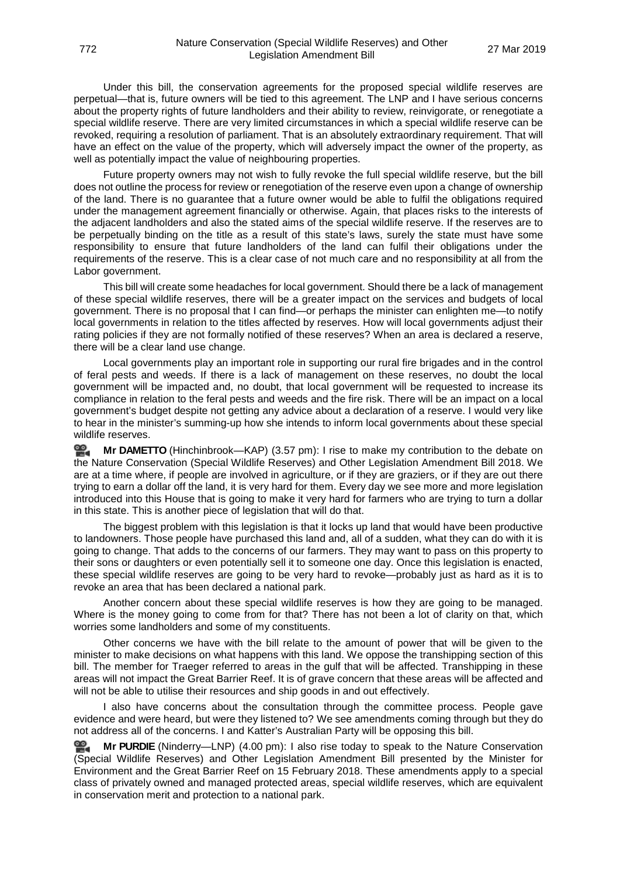Under this bill, the conservation agreements for the proposed special wildlife reserves are perpetual—that is, future owners will be tied to this agreement. The LNP and I have serious concerns about the property rights of future landholders and their ability to review, reinvigorate, or renegotiate a special wildlife reserve. There are very limited circumstances in which a special wildlife reserve can be revoked, requiring a resolution of parliament. That is an absolutely extraordinary requirement. That will have an effect on the value of the property, which will adversely impact the owner of the property, as well as potentially impact the value of neighbouring properties.

Future property owners may not wish to fully revoke the full special wildlife reserve, but the bill does not outline the process for review or renegotiation of the reserve even upon a change of ownership of the land. There is no guarantee that a future owner would be able to fulfil the obligations required under the management agreement financially or otherwise. Again, that places risks to the interests of the adjacent landholders and also the stated aims of the special wildlife reserve. If the reserves are to be perpetually binding on the title as a result of this state's laws, surely the state must have some responsibility to ensure that future landholders of the land can fulfil their obligations under the requirements of the reserve. This is a clear case of not much care and no responsibility at all from the Labor government.

This bill will create some headaches for local government. Should there be a lack of management of these special wildlife reserves, there will be a greater impact on the services and budgets of local government. There is no proposal that I can find—or perhaps the minister can enlighten me—to notify local governments in relation to the titles affected by reserves. How will local governments adjust their rating policies if they are not formally notified of these reserves? When an area is declared a reserve, there will be a clear land use change.

Local governments play an important role in supporting our rural fire brigades and in the control of feral pests and weeds. If there is a lack of management on these reserves, no doubt the local government will be impacted and, no doubt, that local government will be requested to increase its compliance in relation to the feral pests and weeds and the fire risk. There will be an impact on a local government's budget despite not getting any advice about a declaration of a reserve. I would very like to hear in the minister's summing-up how she intends to inform local governments about these special wildlife reserves.

≌. **Mr [DAMETTO](http://www.parliament.qld.gov.au/docs/find.aspx?id=0Mba20190327_155801)** (Hinchinbrook—KAP) (3.57 pm): I rise to make my contribution to the debate on the Nature Conservation (Special Wildlife Reserves) and Other Legislation Amendment Bill 2018. We are at a time where, if people are involved in agriculture, or if they are graziers, or if they are out there trying to earn a dollar off the land, it is very hard for them. Every day we see more and more legislation introduced into this House that is going to make it very hard for farmers who are trying to turn a dollar in this state. This is another piece of legislation that will do that.

The biggest problem with this legislation is that it locks up land that would have been productive to landowners. Those people have purchased this land and, all of a sudden, what they can do with it is going to change. That adds to the concerns of our farmers. They may want to pass on this property to their sons or daughters or even potentially sell it to someone one day. Once this legislation is enacted, these special wildlife reserves are going to be very hard to revoke—probably just as hard as it is to revoke an area that has been declared a national park.

Another concern about these special wildlife reserves is how they are going to be managed. Where is the money going to come from for that? There has not been a lot of clarity on that, which worries some landholders and some of my constituents.

Other concerns we have with the bill relate to the amount of power that will be given to the minister to make decisions on what happens with this land. We oppose the transhipping section of this bill. The member for Traeger referred to areas in the gulf that will be affected. Transhipping in these areas will not impact the Great Barrier Reef. It is of grave concern that these areas will be affected and will not be able to utilise their resources and ship goods in and out effectively.

I also have concerns about the consultation through the committee process. People gave evidence and were heard, but were they listened to? We see amendments coming through but they do not address all of the concerns. I and Katter's Australian Party will be opposing this bill.

≌. **Mr [PURDIE](http://www.parliament.qld.gov.au/docs/find.aspx?id=0Mba20190327_160056)** (Ninderry—LNP) (4.00 pm): I also rise today to speak to the Nature Conservation (Special Wildlife Reserves) and Other Legislation Amendment Bill presented by the Minister for Environment and the Great Barrier Reef on 15 February 2018. These amendments apply to a special class of privately owned and managed protected areas, special wildlife reserves, which are equivalent in conservation merit and protection to a national park.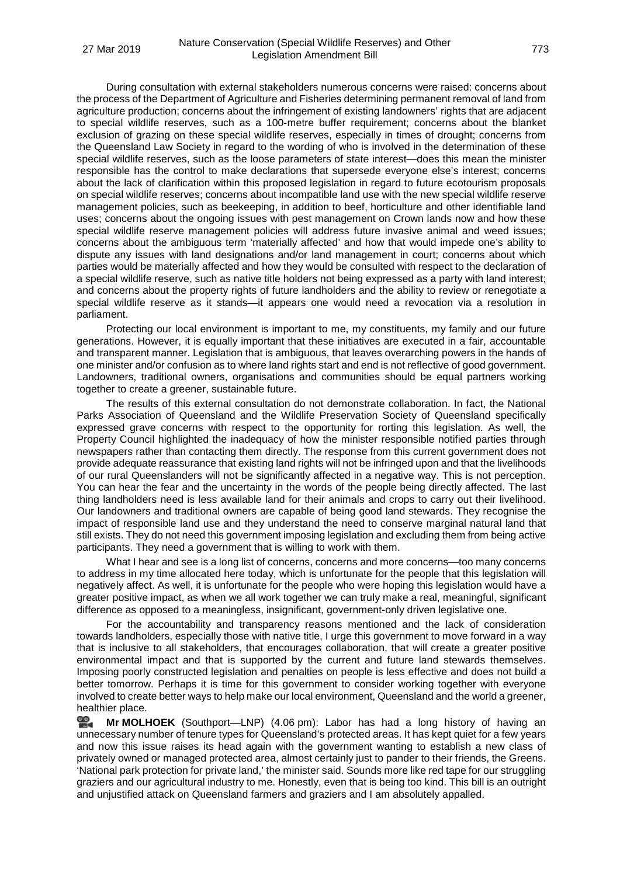During consultation with external stakeholders numerous concerns were raised: concerns about the process of the Department of Agriculture and Fisheries determining permanent removal of land from agriculture production; concerns about the infringement of existing landowners' rights that are adjacent to special wildlife reserves, such as a 100-metre buffer requirement; concerns about the blanket exclusion of grazing on these special wildlife reserves, especially in times of drought; concerns from the Queensland Law Society in regard to the wording of who is involved in the determination of these special wildlife reserves, such as the loose parameters of state interest—does this mean the minister responsible has the control to make declarations that supersede everyone else's interest; concerns about the lack of clarification within this proposed legislation in regard to future ecotourism proposals on special wildlife reserves; concerns about incompatible land use with the new special wildlife reserve management policies, such as beekeeping, in addition to beef, horticulture and other identifiable land uses; concerns about the ongoing issues with pest management on Crown lands now and how these special wildlife reserve management policies will address future invasive animal and weed issues; concerns about the ambiguous term 'materially affected' and how that would impede one's ability to dispute any issues with land designations and/or land management in court; concerns about which parties would be materially affected and how they would be consulted with respect to the declaration of a special wildlife reserve, such as native title holders not being expressed as a party with land interest; and concerns about the property rights of future landholders and the ability to review or renegotiate a special wildlife reserve as it stands—it appears one would need a revocation via a resolution in parliament.

Protecting our local environment is important to me, my constituents, my family and our future generations. However, it is equally important that these initiatives are executed in a fair, accountable and transparent manner. Legislation that is ambiguous, that leaves overarching powers in the hands of one minister and/or confusion as to where land rights start and end is not reflective of good government. Landowners, traditional owners, organisations and communities should be equal partners working together to create a greener, sustainable future.

The results of this external consultation do not demonstrate collaboration. In fact, the National Parks Association of Queensland and the Wildlife Preservation Society of Queensland specifically expressed grave concerns with respect to the opportunity for rorting this legislation. As well, the Property Council highlighted the inadequacy of how the minister responsible notified parties through newspapers rather than contacting them directly. The response from this current government does not provide adequate reassurance that existing land rights will not be infringed upon and that the livelihoods of our rural Queenslanders will not be significantly affected in a negative way. This is not perception. You can hear the fear and the uncertainty in the words of the people being directly affected. The last thing landholders need is less available land for their animals and crops to carry out their livelihood. Our landowners and traditional owners are capable of being good land stewards. They recognise the impact of responsible land use and they understand the need to conserve marginal natural land that still exists. They do not need this government imposing legislation and excluding them from being active participants. They need a government that is willing to work with them.

What I hear and see is a long list of concerns, concerns and more concerns—too many concerns to address in my time allocated here today, which is unfortunate for the people that this legislation will negatively affect. As well, it is unfortunate for the people who were hoping this legislation would have a greater positive impact, as when we all work together we can truly make a real, meaningful, significant difference as opposed to a meaningless, insignificant, government-only driven legislative one.

For the accountability and transparency reasons mentioned and the lack of consideration towards landholders, especially those with native title, I urge this government to move forward in a way that is inclusive to all stakeholders, that encourages collaboration, that will create a greater positive environmental impact and that is supported by the current and future land stewards themselves. Imposing poorly constructed legislation and penalties on people is less effective and does not build a better tomorrow. Perhaps it is time for this government to consider working together with everyone involved to create better ways to help make our local environment, Queensland and the world a greener, healthier place.

쓺. **Mr [MOLHOEK](http://www.parliament.qld.gov.au/docs/find.aspx?id=0Mba20190327_160704)** (Southport—LNP) (4.06 pm): Labor has had a long history of having an unnecessary number of tenure types for Queensland's protected areas. It has kept quiet for a few years and now this issue raises its head again with the government wanting to establish a new class of privately owned or managed protected area, almost certainly just to pander to their friends, the Greens. 'National park protection for private land,' the minister said. Sounds more like red tape for our struggling graziers and our agricultural industry to me. Honestly, even that is being too kind. This bill is an outright and unjustified attack on Queensland farmers and graziers and I am absolutely appalled.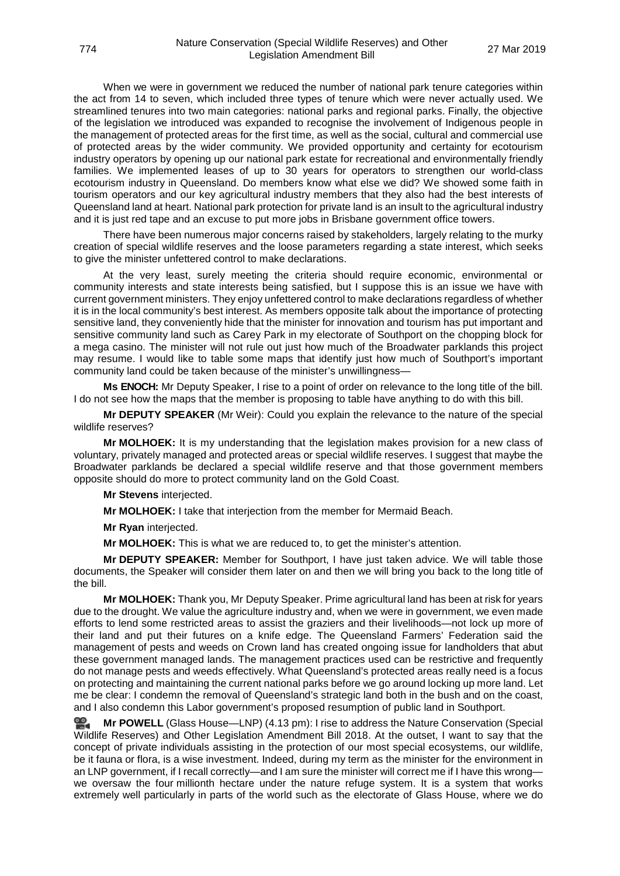When we were in government we reduced the number of national park tenure categories within the act from 14 to seven, which included three types of tenure which were never actually used. We streamlined tenures into two main categories: national parks and regional parks. Finally, the objective of the legislation we introduced was expanded to recognise the involvement of Indigenous people in the management of protected areas for the first time, as well as the social, cultural and commercial use of protected areas by the wider community. We provided opportunity and certainty for ecotourism industry operators by opening up our national park estate for recreational and environmentally friendly families. We implemented leases of up to 30 years for operators to strengthen our world-class ecotourism industry in Queensland. Do members know what else we did? We showed some faith in tourism operators and our key agricultural industry members that they also had the best interests of Queensland land at heart. National park protection for private land is an insult to the agricultural industry and it is just red tape and an excuse to put more jobs in Brisbane government office towers.

There have been numerous major concerns raised by stakeholders, largely relating to the murky creation of special wildlife reserves and the loose parameters regarding a state interest, which seeks to give the minister unfettered control to make declarations.

At the very least, surely meeting the criteria should require economic, environmental or community interests and state interests being satisfied, but I suppose this is an issue we have with current government ministers. They enjoy unfettered control to make declarations regardless of whether it is in the local community's best interest. As members opposite talk about the importance of protecting sensitive land, they conveniently hide that the minister for innovation and tourism has put important and sensitive community land such as Carey Park in my electorate of Southport on the chopping block for a mega casino. The minister will not rule out just how much of the Broadwater parklands this project may resume. I would like to table some maps that identify just how much of Southport's important community land could be taken because of the minister's unwillingness—

**Ms ENOCH:** Mr Deputy Speaker, I rise to a point of order on relevance to the long title of the bill. I do not see how the maps that the member is proposing to table have anything to do with this bill.

**Mr DEPUTY SPEAKER** (Mr Weir): Could you explain the relevance to the nature of the special wildlife reserves?

**Mr MOLHOEK:** It is my understanding that the legislation makes provision for a new class of voluntary, privately managed and protected areas or special wildlife reserves. I suggest that maybe the Broadwater parklands be declared a special wildlife reserve and that those government members opposite should do more to protect community land on the Gold Coast.

**Mr Stevens** interjected.

**Mr MOLHOEK:** I take that interjection from the member for Mermaid Beach.

**Mr Ryan** interjected.

**Mr MOLHOEK:** This is what we are reduced to, to get the minister's attention.

**Mr DEPUTY SPEAKER:** Member for Southport, I have just taken advice. We will table those documents, the Speaker will consider them later on and then we will bring you back to the long title of the bill.

**Mr MOLHOEK:** Thank you, Mr Deputy Speaker. Prime agricultural land has been at risk for years due to the drought. We value the agriculture industry and, when we were in government, we even made efforts to lend some restricted areas to assist the graziers and their livelihoods—not lock up more of their land and put their futures on a knife edge. The Queensland Farmers' Federation said the management of pests and weeds on Crown land has created ongoing issue for landholders that abut these government managed lands. The management practices used can be restrictive and frequently do not manage pests and weeds effectively. What Queensland's protected areas really need is a focus on protecting and maintaining the current national parks before we go around locking up more land. Let me be clear: I condemn the removal of Queensland's strategic land both in the bush and on the coast, and I also condemn this Labor government's proposed resumption of public land in Southport.

**Mr [POWELL](http://www.parliament.qld.gov.au/docs/find.aspx?id=0Mba20190327_161317)** (Glass House—LNP) (4.13 pm): I rise to address the Nature Conservation (Special Wildlife Reserves) and Other Legislation Amendment Bill 2018. At the outset, I want to say that the concept of private individuals assisting in the protection of our most special ecosystems, our wildlife, be it fauna or flora, is a wise investment. Indeed, during my term as the minister for the environment in an LNP government, if I recall correctly—and I am sure the minister will correct me if I have this wrong we oversaw the four millionth hectare under the nature refuge system. It is a system that works extremely well particularly in parts of the world such as the electorate of Glass House, where we do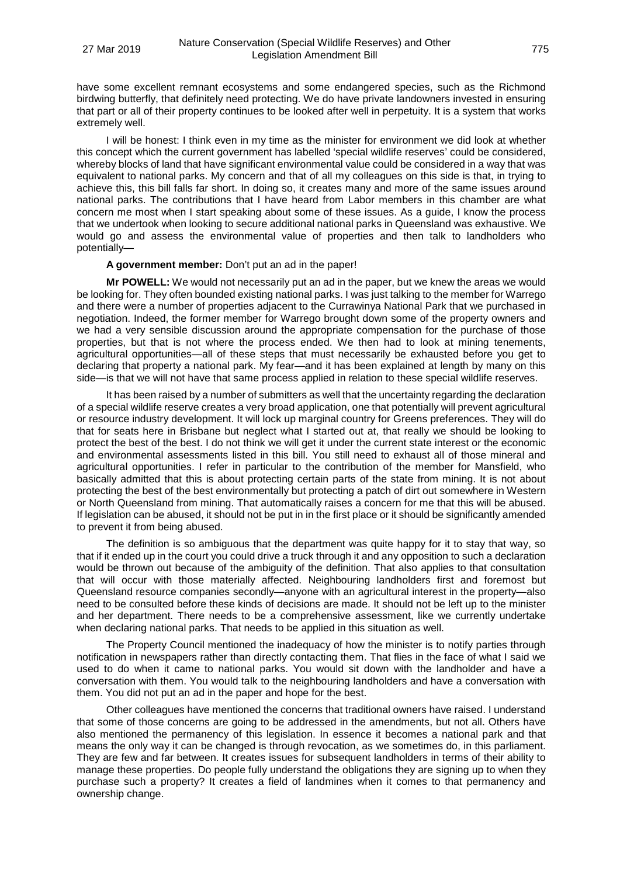have some excellent remnant ecosystems and some endangered species, such as the Richmond birdwing butterfly, that definitely need protecting. We do have private landowners invested in ensuring that part or all of their property continues to be looked after well in perpetuity. It is a system that works extremely well.

I will be honest: I think even in my time as the minister for environment we did look at whether this concept which the current government has labelled 'special wildlife reserves' could be considered, whereby blocks of land that have significant environmental value could be considered in a way that was equivalent to national parks. My concern and that of all my colleagues on this side is that, in trying to achieve this, this bill falls far short. In doing so, it creates many and more of the same issues around national parks. The contributions that I have heard from Labor members in this chamber are what concern me most when I start speaking about some of these issues. As a guide, I know the process that we undertook when looking to secure additional national parks in Queensland was exhaustive. We would go and assess the environmental value of properties and then talk to landholders who potentially—

### **A government member:** Don't put an ad in the paper!

**Mr POWELL:** We would not necessarily put an ad in the paper, but we knew the areas we would be looking for. They often bounded existing national parks. I was just talking to the member for Warrego and there were a number of properties adjacent to the Currawinya National Park that we purchased in negotiation. Indeed, the former member for Warrego brought down some of the property owners and we had a very sensible discussion around the appropriate compensation for the purchase of those properties, but that is not where the process ended. We then had to look at mining tenements, agricultural opportunities—all of these steps that must necessarily be exhausted before you get to declaring that property a national park. My fear—and it has been explained at length by many on this side—is that we will not have that same process applied in relation to these special wildlife reserves.

It has been raised by a number of submitters as well that the uncertainty regarding the declaration of a special wildlife reserve creates a very broad application, one that potentially will prevent agricultural or resource industry development. It will lock up marginal country for Greens preferences. They will do that for seats here in Brisbane but neglect what I started out at, that really we should be looking to protect the best of the best. I do not think we will get it under the current state interest or the economic and environmental assessments listed in this bill. You still need to exhaust all of those mineral and agricultural opportunities. I refer in particular to the contribution of the member for Mansfield, who basically admitted that this is about protecting certain parts of the state from mining. It is not about protecting the best of the best environmentally but protecting a patch of dirt out somewhere in Western or North Queensland from mining. That automatically raises a concern for me that this will be abused. If legislation can be abused, it should not be put in in the first place or it should be significantly amended to prevent it from being abused.

The definition is so ambiguous that the department was quite happy for it to stay that way, so that if it ended up in the court you could drive a truck through it and any opposition to such a declaration would be thrown out because of the ambiguity of the definition. That also applies to that consultation that will occur with those materially affected. Neighbouring landholders first and foremost but Queensland resource companies secondly—anyone with an agricultural interest in the property—also need to be consulted before these kinds of decisions are made. It should not be left up to the minister and her department. There needs to be a comprehensive assessment, like we currently undertake when declaring national parks. That needs to be applied in this situation as well.

The Property Council mentioned the inadequacy of how the minister is to notify parties through notification in newspapers rather than directly contacting them. That flies in the face of what I said we used to do when it came to national parks. You would sit down with the landholder and have a conversation with them. You would talk to the neighbouring landholders and have a conversation with them. You did not put an ad in the paper and hope for the best.

Other colleagues have mentioned the concerns that traditional owners have raised. I understand that some of those concerns are going to be addressed in the amendments, but not all. Others have also mentioned the permanency of this legislation. In essence it becomes a national park and that means the only way it can be changed is through revocation, as we sometimes do, in this parliament. They are few and far between. It creates issues for subsequent landholders in terms of their ability to manage these properties. Do people fully understand the obligations they are signing up to when they purchase such a property? It creates a field of landmines when it comes to that permanency and ownership change.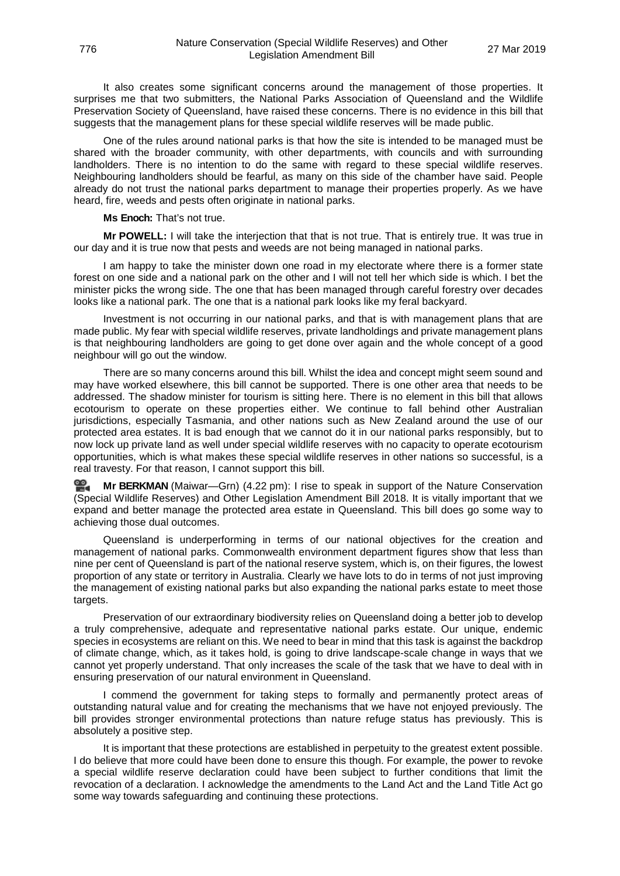It also creates some significant concerns around the management of those properties. It surprises me that two submitters, the National Parks Association of Queensland and the Wildlife Preservation Society of Queensland, have raised these concerns. There is no evidence in this bill that suggests that the management plans for these special wildlife reserves will be made public.

One of the rules around national parks is that how the site is intended to be managed must be shared with the broader community, with other departments, with councils and with surrounding landholders. There is no intention to do the same with regard to these special wildlife reserves. Neighbouring landholders should be fearful, as many on this side of the chamber have said. People already do not trust the national parks department to manage their properties properly. As we have heard, fire, weeds and pests often originate in national parks.

**Ms Enoch:** That's not true.

**Mr POWELL:** I will take the interjection that that is not true. That is entirely true. It was true in our day and it is true now that pests and weeds are not being managed in national parks.

I am happy to take the minister down one road in my electorate where there is a former state forest on one side and a national park on the other and I will not tell her which side is which. I bet the minister picks the wrong side. The one that has been managed through careful forestry over decades looks like a national park. The one that is a national park looks like my feral backyard.

Investment is not occurring in our national parks, and that is with management plans that are made public. My fear with special wildlife reserves, private landholdings and private management plans is that neighbouring landholders are going to get done over again and the whole concept of a good neighbour will go out the window.

There are so many concerns around this bill. Whilst the idea and concept might seem sound and may have worked elsewhere, this bill cannot be supported. There is one other area that needs to be addressed. The shadow minister for tourism is sitting here. There is no element in this bill that allows ecotourism to operate on these properties either. We continue to fall behind other Australian jurisdictions, especially Tasmania, and other nations such as New Zealand around the use of our protected area estates. It is bad enough that we cannot do it in our national parks responsibly, but to now lock up private land as well under special wildlife reserves with no capacity to operate ecotourism opportunities, which is what makes these special wildlife reserves in other nations so successful, is a real travesty. For that reason, I cannot support this bill.

**Mr [BERKMAN](http://www.parliament.qld.gov.au/docs/find.aspx?id=0Mba20190327_162303)** (Maiwar—Grn) (4.22 pm): I rise to speak in support of the Nature Conservation (Special Wildlife Reserves) and Other Legislation Amendment Bill 2018. It is vitally important that we expand and better manage the protected area estate in Queensland. This bill does go some way to achieving those dual outcomes.

Queensland is underperforming in terms of our national objectives for the creation and management of national parks. Commonwealth environment department figures show that less than nine per cent of Queensland is part of the national reserve system, which is, on their figures, the lowest proportion of any state or territory in Australia. Clearly we have lots to do in terms of not just improving the management of existing national parks but also expanding the national parks estate to meet those targets.

Preservation of our extraordinary biodiversity relies on Queensland doing a better job to develop a truly comprehensive, adequate and representative national parks estate. Our unique, endemic species in ecosystems are reliant on this. We need to bear in mind that this task is against the backdrop of climate change, which, as it takes hold, is going to drive landscape-scale change in ways that we cannot yet properly understand. That only increases the scale of the task that we have to deal with in ensuring preservation of our natural environment in Queensland.

I commend the government for taking steps to formally and permanently protect areas of outstanding natural value and for creating the mechanisms that we have not enjoyed previously. The bill provides stronger environmental protections than nature refuge status has previously. This is absolutely a positive step.

It is important that these protections are established in perpetuity to the greatest extent possible. I do believe that more could have been done to ensure this though. For example, the power to revoke a special wildlife reserve declaration could have been subject to further conditions that limit the revocation of a declaration. I acknowledge the amendments to the Land Act and the Land Title Act go some way towards safeguarding and continuing these protections.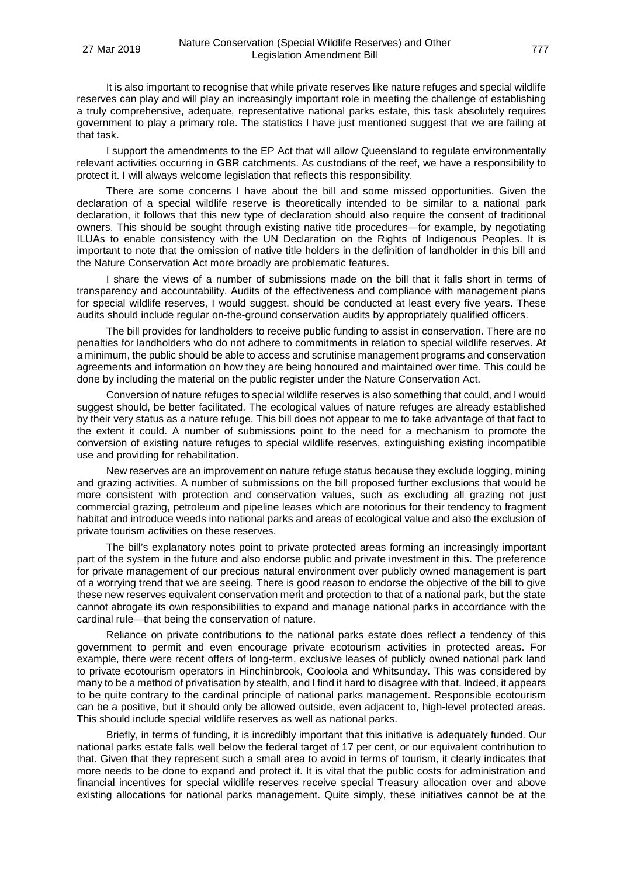It is also important to recognise that while private reserves like nature refuges and special wildlife reserves can play and will play an increasingly important role in meeting the challenge of establishing a truly comprehensive, adequate, representative national parks estate, this task absolutely requires government to play a primary role. The statistics I have just mentioned suggest that we are failing at that task.

I support the amendments to the EP Act that will allow Queensland to regulate environmentally relevant activities occurring in GBR catchments. As custodians of the reef, we have a responsibility to protect it. I will always welcome legislation that reflects this responsibility.

There are some concerns I have about the bill and some missed opportunities. Given the declaration of a special wildlife reserve is theoretically intended to be similar to a national park declaration, it follows that this new type of declaration should also require the consent of traditional owners. This should be sought through existing native title procedures—for example, by negotiating ILUAs to enable consistency with the UN Declaration on the Rights of Indigenous Peoples. It is important to note that the omission of native title holders in the definition of landholder in this bill and the Nature Conservation Act more broadly are problematic features.

I share the views of a number of submissions made on the bill that it falls short in terms of transparency and accountability. Audits of the effectiveness and compliance with management plans for special wildlife reserves, I would suggest, should be conducted at least every five years. These audits should include regular on-the-ground conservation audits by appropriately qualified officers.

The bill provides for landholders to receive public funding to assist in conservation. There are no penalties for landholders who do not adhere to commitments in relation to special wildlife reserves. At a minimum, the public should be able to access and scrutinise management programs and conservation agreements and information on how they are being honoured and maintained over time. This could be done by including the material on the public register under the Nature Conservation Act.

Conversion of nature refuges to special wildlife reserves is also something that could, and I would suggest should, be better facilitated. The ecological values of nature refuges are already established by their very status as a nature refuge. This bill does not appear to me to take advantage of that fact to the extent it could. A number of submissions point to the need for a mechanism to promote the conversion of existing nature refuges to special wildlife reserves, extinguishing existing incompatible use and providing for rehabilitation.

New reserves are an improvement on nature refuge status because they exclude logging, mining and grazing activities. A number of submissions on the bill proposed further exclusions that would be more consistent with protection and conservation values, such as excluding all grazing not just commercial grazing, petroleum and pipeline leases which are notorious for their tendency to fragment habitat and introduce weeds into national parks and areas of ecological value and also the exclusion of private tourism activities on these reserves.

The bill's explanatory notes point to private protected areas forming an increasingly important part of the system in the future and also endorse public and private investment in this. The preference for private management of our precious natural environment over publicly owned management is part of a worrying trend that we are seeing. There is good reason to endorse the objective of the bill to give these new reserves equivalent conservation merit and protection to that of a national park, but the state cannot abrogate its own responsibilities to expand and manage national parks in accordance with the cardinal rule—that being the conservation of nature.

Reliance on private contributions to the national parks estate does reflect a tendency of this government to permit and even encourage private ecotourism activities in protected areas. For example, there were recent offers of long-term, exclusive leases of publicly owned national park land to private ecotourism operators in Hinchinbrook, Cooloola and Whitsunday. This was considered by many to be a method of privatisation by stealth, and I find it hard to disagree with that. Indeed, it appears to be quite contrary to the cardinal principle of national parks management. Responsible ecotourism can be a positive, but it should only be allowed outside, even adjacent to, high-level protected areas. This should include special wildlife reserves as well as national parks.

Briefly, in terms of funding, it is incredibly important that this initiative is adequately funded. Our national parks estate falls well below the federal target of 17 per cent, or our equivalent contribution to that. Given that they represent such a small area to avoid in terms of tourism, it clearly indicates that more needs to be done to expand and protect it. It is vital that the public costs for administration and financial incentives for special wildlife reserves receive special Treasury allocation over and above existing allocations for national parks management. Quite simply, these initiatives cannot be at the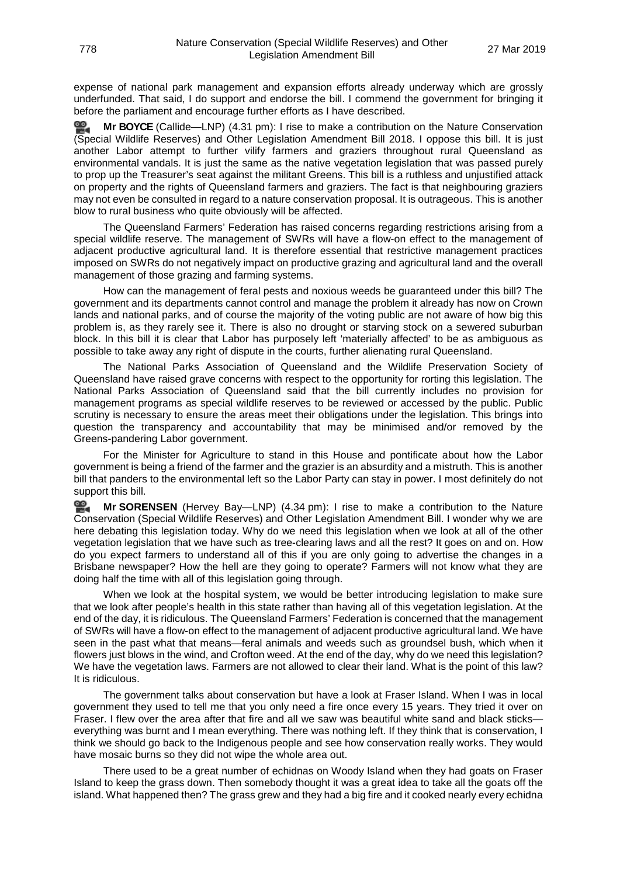expense of national park management and expansion efforts already underway which are grossly underfunded. That said, I do support and endorse the bill. I commend the government for bringing it before the parliament and encourage further efforts as I have described.

**Mr [BOYCE](http://www.parliament.qld.gov.au/docs/find.aspx?id=0Mba20190327_163125)** (Callide—LNP) (4.31 pm): I rise to make a contribution on the Nature Conservation (Special Wildlife Reserves) and Other Legislation Amendment Bill 2018. I oppose this bill. It is just another Labor attempt to further vilify farmers and graziers throughout rural Queensland as environmental vandals. It is just the same as the native vegetation legislation that was passed purely to prop up the Treasurer's seat against the militant Greens. This bill is a ruthless and unjustified attack on property and the rights of Queensland farmers and graziers. The fact is that neighbouring graziers may not even be consulted in regard to a nature conservation proposal. It is outrageous. This is another blow to rural business who quite obviously will be affected.

The Queensland Farmers' Federation has raised concerns regarding restrictions arising from a special wildlife reserve. The management of SWRs will have a flow-on effect to the management of adjacent productive agricultural land. It is therefore essential that restrictive management practices imposed on SWRs do not negatively impact on productive grazing and agricultural land and the overall management of those grazing and farming systems.

How can the management of feral pests and noxious weeds be guaranteed under this bill? The government and its departments cannot control and manage the problem it already has now on Crown lands and national parks, and of course the majority of the voting public are not aware of how big this problem is, as they rarely see it. There is also no drought or starving stock on a sewered suburban block. In this bill it is clear that Labor has purposely left 'materially affected' to be as ambiguous as possible to take away any right of dispute in the courts, further alienating rural Queensland.

The National Parks Association of Queensland and the Wildlife Preservation Society of Queensland have raised grave concerns with respect to the opportunity for rorting this legislation. The National Parks Association of Queensland said that the bill currently includes no provision for management programs as special wildlife reserves to be reviewed or accessed by the public. Public scrutiny is necessary to ensure the areas meet their obligations under the legislation. This brings into question the transparency and accountability that may be minimised and/or removed by the Greens-pandering Labor government.

For the Minister for Agriculture to stand in this House and pontificate about how the Labor government is being a friend of the farmer and the grazier is an absurdity and a mistruth. This is another bill that panders to the environmental left so the Labor Party can stay in power. I most definitely do not support this bill.

<u>ഇ</u> **Mr [SORENSEN](http://www.parliament.qld.gov.au/docs/find.aspx?id=0Mba20190327_163500)** (Hervey Bay—LNP) (4.34 pm): I rise to make a contribution to the Nature Conservation (Special Wildlife Reserves) and Other Legislation Amendment Bill. I wonder why we are here debating this legislation today. Why do we need this legislation when we look at all of the other vegetation legislation that we have such as tree-clearing laws and all the rest? It goes on and on. How do you expect farmers to understand all of this if you are only going to advertise the changes in a Brisbane newspaper? How the hell are they going to operate? Farmers will not know what they are doing half the time with all of this legislation going through.

When we look at the hospital system, we would be better introducing legislation to make sure that we look after people's health in this state rather than having all of this vegetation legislation. At the end of the day, it is ridiculous. The Queensland Farmers' Federation is concerned that the management of SWRs will have a flow-on effect to the management of adjacent productive agricultural land. We have seen in the past what that means—feral animals and weeds such as groundsel bush, which when it flowers just blows in the wind, and Crofton weed. At the end of the day, why do we need this legislation? We have the vegetation laws. Farmers are not allowed to clear their land. What is the point of this law? It is ridiculous.

The government talks about conservation but have a look at Fraser Island. When I was in local government they used to tell me that you only need a fire once every 15 years. They tried it over on Fraser. I flew over the area after that fire and all we saw was beautiful white sand and black sticks everything was burnt and I mean everything. There was nothing left. If they think that is conservation, I think we should go back to the Indigenous people and see how conservation really works. They would have mosaic burns so they did not wipe the whole area out.

There used to be a great number of echidnas on Woody Island when they had goats on Fraser Island to keep the grass down. Then somebody thought it was a great idea to take all the goats off the island. What happened then? The grass grew and they had a big fire and it cooked nearly every echidna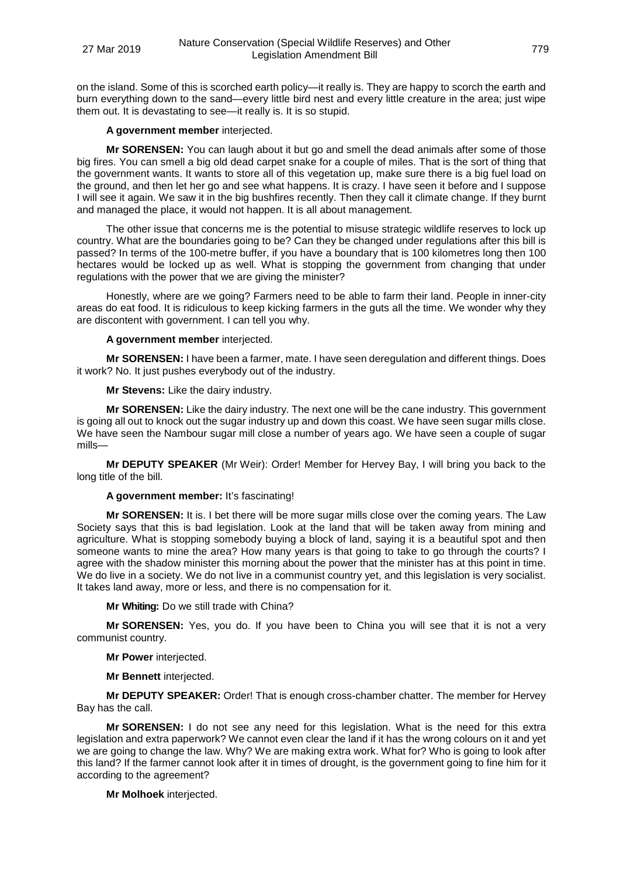on the island. Some of this is scorched earth policy—it really is. They are happy to scorch the earth and burn everything down to the sand—every little bird nest and every little creature in the area; just wipe them out. It is devastating to see—it really is. It is so stupid.

## **A government member** interjected.

**Mr SORENSEN:** You can laugh about it but go and smell the dead animals after some of those big fires. You can smell a big old dead carpet snake for a couple of miles. That is the sort of thing that the government wants. It wants to store all of this vegetation up, make sure there is a big fuel load on the ground, and then let her go and see what happens. It is crazy. I have seen it before and I suppose I will see it again. We saw it in the big bushfires recently. Then they call it climate change. If they burnt and managed the place, it would not happen. It is all about management.

The other issue that concerns me is the potential to misuse strategic wildlife reserves to lock up country. What are the boundaries going to be? Can they be changed under regulations after this bill is passed? In terms of the 100-metre buffer, if you have a boundary that is 100 kilometres long then 100 hectares would be locked up as well. What is stopping the government from changing that under regulations with the power that we are giving the minister?

Honestly, where are we going? Farmers need to be able to farm their land. People in inner-city areas do eat food. It is ridiculous to keep kicking farmers in the guts all the time. We wonder why they are discontent with government. I can tell you why.

## **A government member** interjected.

**Mr SORENSEN:** I have been a farmer, mate. I have seen deregulation and different things. Does it work? No. It just pushes everybody out of the industry.

**Mr Stevens:** Like the dairy industry.

**Mr SORENSEN:** Like the dairy industry. The next one will be the cane industry. This government is going all out to knock out the sugar industry up and down this coast. We have seen sugar mills close. We have seen the Nambour sugar mill close a number of years ago. We have seen a couple of sugar mills—

**Mr DEPUTY SPEAKER** (Mr Weir): Order! Member for Hervey Bay, I will bring you back to the long title of the bill.

# **A government member:** It's fascinating!

**Mr SORENSEN:** It is. I bet there will be more sugar mills close over the coming years. The Law Society says that this is bad legislation. Look at the land that will be taken away from mining and agriculture. What is stopping somebody buying a block of land, saying it is a beautiful spot and then someone wants to mine the area? How many years is that going to take to go through the courts? I agree with the shadow minister this morning about the power that the minister has at this point in time. We do live in a society. We do not live in a communist country yet, and this legislation is very socialist. It takes land away, more or less, and there is no compensation for it.

# **Mr Whiting:** Do we still trade with China?

**Mr SORENSEN:** Yes, you do. If you have been to China you will see that it is not a very communist country.

**Mr Power** interjected.

**Mr Bennett** interjected.

**Mr DEPUTY SPEAKER:** Order! That is enough cross-chamber chatter. The member for Hervey Bay has the call.

**Mr SORENSEN:** I do not see any need for this legislation. What is the need for this extra legislation and extra paperwork? We cannot even clear the land if it has the wrong colours on it and yet we are going to change the law. Why? We are making extra work. What for? Who is going to look after this land? If the farmer cannot look after it in times of drought, is the government going to fine him for it according to the agreement?

**Mr Molhoek** interjected.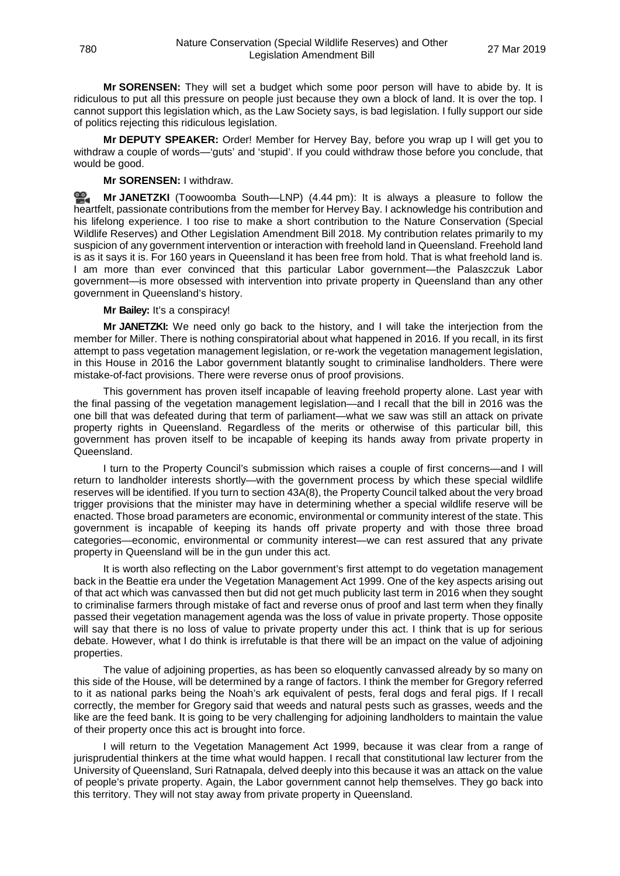**Mr SORENSEN:** They will set a budget which some poor person will have to abide by. It is ridiculous to put all this pressure on people just because they own a block of land. It is over the top. I cannot support this legislation which, as the Law Society says, is bad legislation. I fully support our side of politics rejecting this ridiculous legislation.

**Mr DEPUTY SPEAKER:** Order! Member for Hervey Bay, before you wrap up I will get you to withdraw a couple of words—'guts' and 'stupid'. If you could withdraw those before you conclude, that would be good.

### **Mr SORENSEN:** I withdraw.

≌. **Mr [JANETZKI](http://www.parliament.qld.gov.au/docs/find.aspx?id=0Mba20190327_164346)** (Toowoomba South—LNP) (4.44 pm): It is always a pleasure to follow the heartfelt, passionate contributions from the member for Hervey Bay. I acknowledge his contribution and his lifelong experience. I too rise to make a short contribution to the Nature Conservation (Special Wildlife Reserves) and Other Legislation Amendment Bill 2018. My contribution relates primarily to my suspicion of any government intervention or interaction with freehold land in Queensland. Freehold land is as it says it is. For 160 years in Queensland it has been free from hold. That is what freehold land is. I am more than ever convinced that this particular Labor government—the Palaszczuk Labor government—is more obsessed with intervention into private property in Queensland than any other government in Queensland's history.

### **Mr Bailey:** It's a conspiracy!

**Mr JANETZKI:** We need only go back to the history, and I will take the interjection from the member for Miller. There is nothing conspiratorial about what happened in 2016. If you recall, in its first attempt to pass vegetation management legislation, or re-work the vegetation management legislation, in this House in 2016 the Labor government blatantly sought to criminalise landholders. There were mistake-of-fact provisions. There were reverse onus of proof provisions.

This government has proven itself incapable of leaving freehold property alone. Last year with the final passing of the vegetation management legislation—and I recall that the bill in 2016 was the one bill that was defeated during that term of parliament—what we saw was still an attack on private property rights in Queensland. Regardless of the merits or otherwise of this particular bill, this government has proven itself to be incapable of keeping its hands away from private property in Queensland.

I turn to the Property Council's submission which raises a couple of first concerns—and I will return to landholder interests shortly—with the government process by which these special wildlife reserves will be identified. If you turn to section 43A(8), the Property Council talked about the very broad trigger provisions that the minister may have in determining whether a special wildlife reserve will be enacted. Those broad parameters are economic, environmental or community interest of the state. This government is incapable of keeping its hands off private property and with those three broad categories—economic, environmental or community interest—we can rest assured that any private property in Queensland will be in the gun under this act.

It is worth also reflecting on the Labor government's first attempt to do vegetation management back in the Beattie era under the Vegetation Management Act 1999. One of the key aspects arising out of that act which was canvassed then but did not get much publicity last term in 2016 when they sought to criminalise farmers through mistake of fact and reverse onus of proof and last term when they finally passed their vegetation management agenda was the loss of value in private property. Those opposite will say that there is no loss of value to private property under this act. I think that is up for serious debate. However, what I do think is irrefutable is that there will be an impact on the value of adjoining properties.

The value of adjoining properties, as has been so eloquently canvassed already by so many on this side of the House, will be determined by a range of factors. I think the member for Gregory referred to it as national parks being the Noah's ark equivalent of pests, feral dogs and feral pigs. If I recall correctly, the member for Gregory said that weeds and natural pests such as grasses, weeds and the like are the feed bank. It is going to be very challenging for adjoining landholders to maintain the value of their property once this act is brought into force.

I will return to the Vegetation Management Act 1999, because it was clear from a range of jurisprudential thinkers at the time what would happen. I recall that constitutional law lecturer from the University of Queensland, Suri Ratnapala, delved deeply into this because it was an attack on the value of people's private property. Again, the Labor government cannot help themselves. They go back into this territory. They will not stay away from private property in Queensland.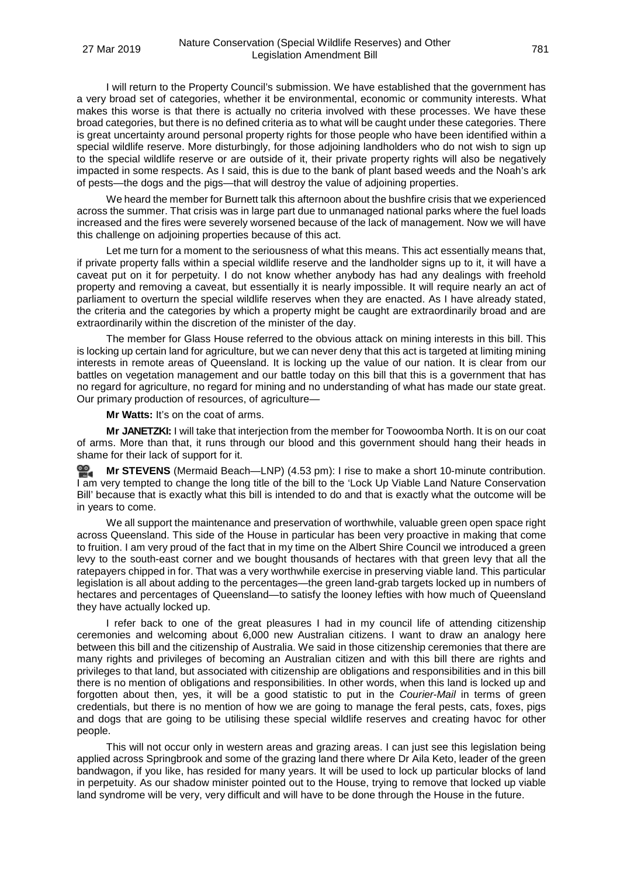I will return to the Property Council's submission. We have established that the government has a very broad set of categories, whether it be environmental, economic or community interests. What makes this worse is that there is actually no criteria involved with these processes. We have these broad categories, but there is no defined criteria as to what will be caught under these categories. There is great uncertainty around personal property rights for those people who have been identified within a special wildlife reserve. More disturbingly, for those adjoining landholders who do not wish to sign up to the special wildlife reserve or are outside of it, their private property rights will also be negatively impacted in some respects. As I said, this is due to the bank of plant based weeds and the Noah's ark of pests—the dogs and the pigs—that will destroy the value of adjoining properties.

We heard the member for Burnett talk this afternoon about the bushfire crisis that we experienced across the summer. That crisis was in large part due to unmanaged national parks where the fuel loads increased and the fires were severely worsened because of the lack of management. Now we will have this challenge on adjoining properties because of this act.

Let me turn for a moment to the seriousness of what this means. This act essentially means that, if private property falls within a special wildlife reserve and the landholder signs up to it, it will have a caveat put on it for perpetuity. I do not know whether anybody has had any dealings with freehold property and removing a caveat, but essentially it is nearly impossible. It will require nearly an act of parliament to overturn the special wildlife reserves when they are enacted. As I have already stated, the criteria and the categories by which a property might be caught are extraordinarily broad and are extraordinarily within the discretion of the minister of the day.

The member for Glass House referred to the obvious attack on mining interests in this bill. This is locking up certain land for agriculture, but we can never deny that this act is targeted at limiting mining interests in remote areas of Queensland. It is locking up the value of our nation. It is clear from our battles on vegetation management and our battle today on this bill that this is a government that has no regard for agriculture, no regard for mining and no understanding of what has made our state great. Our primary production of resources, of agriculture—

**Mr Watts:** It's on the coat of arms.

**Mr JANETZKI:** I will take that interjection from the member for Toowoomba North. It is on our coat of arms. More than that, it runs through our blood and this government should hang their heads in shame for their lack of support for it.

**Mr STEVENS** (Mermaid Beach—LNP) (4.53 pm): I rise to make a short 10-minute contribution. I am very tempted to change the long title of the bill to the 'Lock Up Viable Land Nature Conservation Bill' because that is exactly what this bill is intended to do and that is exactly what the outcome will be in years to come.

We all support the maintenance and preservation of worthwhile, valuable green open space right across Queensland. This side of the House in particular has been very proactive in making that come to fruition. I am very proud of the fact that in my time on the Albert Shire Council we introduced a green levy to the south-east corner and we bought thousands of hectares with that green levy that all the ratepayers chipped in for. That was a very worthwhile exercise in preserving viable land. This particular legislation is all about adding to the percentages—the green land-grab targets locked up in numbers of hectares and percentages of Queensland—to satisfy the looney lefties with how much of Queensland they have actually locked up.

I refer back to one of the great pleasures I had in my council life of attending citizenship ceremonies and welcoming about 6,000 new Australian citizens. I want to draw an analogy here between this bill and the citizenship of Australia. We said in those citizenship ceremonies that there are many rights and privileges of becoming an Australian citizen and with this bill there are rights and privileges to that land, but associated with citizenship are obligations and responsibilities and in this bill there is no mention of obligations and responsibilities. In other words, when this land is locked up and forgotten about then, yes, it will be a good statistic to put in the *Courier-Mail* in terms of green credentials, but there is no mention of how we are going to manage the feral pests, cats, foxes, pigs and dogs that are going to be utilising these special wildlife reserves and creating havoc for other people.

This will not occur only in western areas and grazing areas. I can just see this legislation being applied across Springbrook and some of the grazing land there where Dr Aila Keto, leader of the green bandwagon, if you like, has resided for many years. It will be used to lock up particular blocks of land in perpetuity. As our shadow minister pointed out to the House, trying to remove that locked up viable land syndrome will be very, very difficult and will have to be done through the House in the future.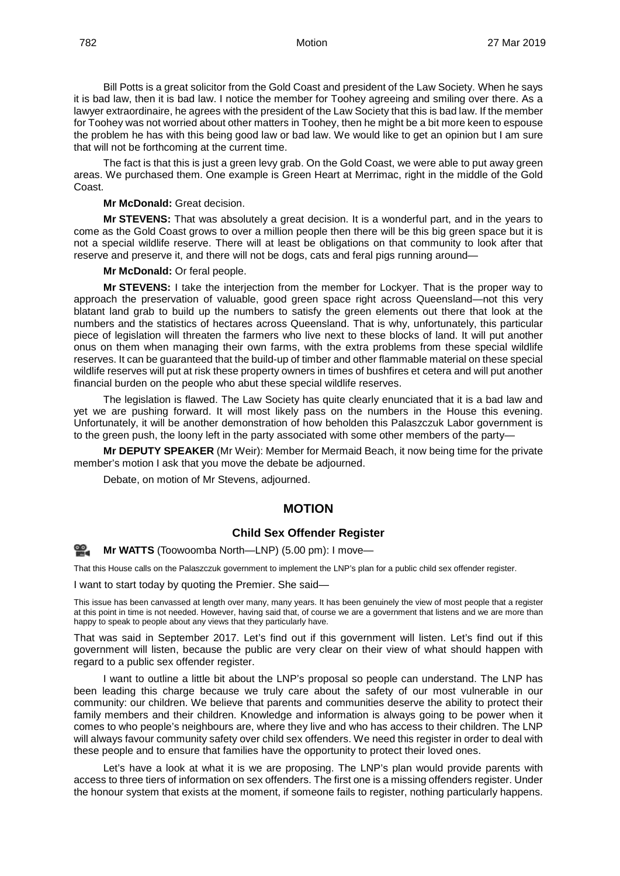Bill Potts is a great solicitor from the Gold Coast and president of the Law Society. When he says it is bad law, then it is bad law. I notice the member for Toohey agreeing and smiling over there. As a lawyer extraordinaire, he agrees with the president of the Law Society that this is bad law. If the member for Toohey was not worried about other matters in Toohey, then he might be a bit more keen to espouse the problem he has with this being good law or bad law. We would like to get an opinion but I am sure that will not be forthcoming at the current time.

The fact is that this is just a green levy grab. On the Gold Coast, we were able to put away green areas. We purchased them. One example is Green Heart at Merrimac, right in the middle of the Gold Coast.

**Mr McDonald:** Great decision.

**Mr STEVENS:** That was absolutely a great decision. It is a wonderful part, and in the years to come as the Gold Coast grows to over a million people then there will be this big green space but it is not a special wildlife reserve. There will at least be obligations on that community to look after that reserve and preserve it, and there will not be dogs, cats and feral pigs running around—

**Mr McDonald:** Or feral people.

**Mr STEVENS:** I take the interjection from the member for Lockyer. That is the proper way to approach the preservation of valuable, good green space right across Queensland—not this very blatant land grab to build up the numbers to satisfy the green elements out there that look at the numbers and the statistics of hectares across Queensland. That is why, unfortunately, this particular piece of legislation will threaten the farmers who live next to these blocks of land. It will put another onus on them when managing their own farms, with the extra problems from these special wildlife reserves. It can be guaranteed that the build-up of timber and other flammable material on these special wildlife reserves will put at risk these property owners in times of bushfires et cetera and will put another financial burden on the people who abut these special wildlife reserves.

The legislation is flawed. The Law Society has quite clearly enunciated that it is a bad law and yet we are pushing forward. It will most likely pass on the numbers in the House this evening. Unfortunately, it will be another demonstration of how beholden this Palaszczuk Labor government is to the green push, the loony left in the party associated with some other members of the party—

**Mr DEPUTY SPEAKER** (Mr Weir): Member for Mermaid Beach, it now being time for the private member's motion I ask that you move the debate be adjourned.

Debate, on motion of Mr Stevens, adjourned.

## **MOTION**

## **Child Sex Offender Register**

≌. **Mr [WATTS](http://www.parliament.qld.gov.au/docs/find.aspx?id=0Mba20190327_170041)** (Toowoomba North—LNP) (5.00 pm): I move—

That this House calls on the Palaszczuk government to implement the LNP's plan for a public child sex offender register.

I want to start today by quoting the Premier. She said—

This issue has been canvassed at length over many, many years. It has been genuinely the view of most people that a register at this point in time is not needed. However, having said that, of course we are a government that listens and we are more than happy to speak to people about any views that they particularly have.

That was said in September 2017. Let's find out if this government will listen. Let's find out if this government will listen, because the public are very clear on their view of what should happen with regard to a public sex offender register.

I want to outline a little bit about the LNP's proposal so people can understand. The LNP has been leading this charge because we truly care about the safety of our most vulnerable in our community: our children. We believe that parents and communities deserve the ability to protect their family members and their children. Knowledge and information is always going to be power when it comes to who people's neighbours are, where they live and who has access to their children. The LNP will always favour community safety over child sex offenders. We need this register in order to deal with these people and to ensure that families have the opportunity to protect their loved ones.

Let's have a look at what it is we are proposing. The LNP's plan would provide parents with access to three tiers of information on sex offenders. The first one is a missing offenders register. Under the honour system that exists at the moment, if someone fails to register, nothing particularly happens.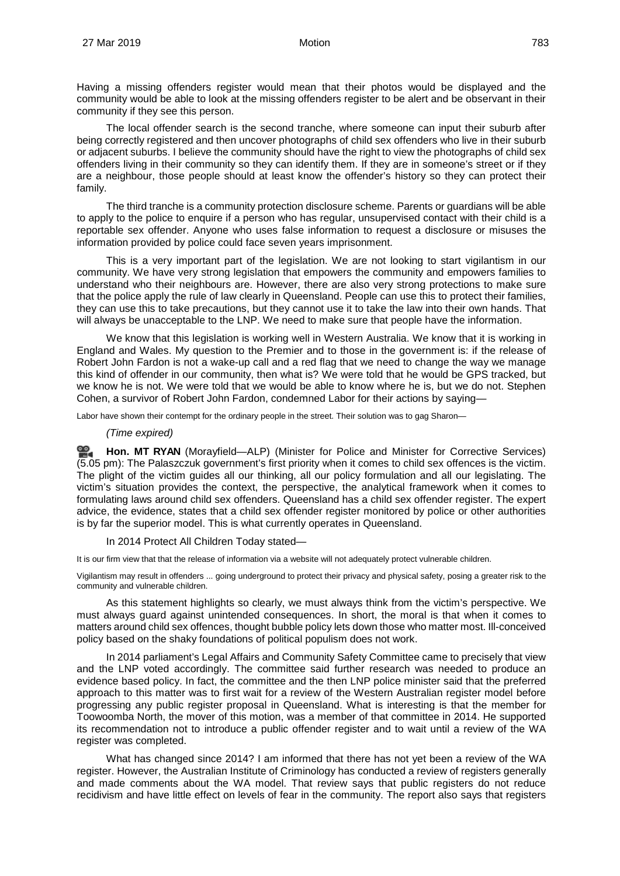Having a missing offenders register would mean that their photos would be displayed and the community would be able to look at the missing offenders register to be alert and be observant in their community if they see this person.

The local offender search is the second tranche, where someone can input their suburb after being correctly registered and then uncover photographs of child sex offenders who live in their suburb or adjacent suburbs. I believe the community should have the right to view the photographs of child sex offenders living in their community so they can identify them. If they are in someone's street or if they are a neighbour, those people should at least know the offender's history so they can protect their family.

The third tranche is a community protection disclosure scheme. Parents or guardians will be able to apply to the police to enquire if a person who has regular, unsupervised contact with their child is a reportable sex offender. Anyone who uses false information to request a disclosure or misuses the information provided by police could face seven years imprisonment.

This is a very important part of the legislation. We are not looking to start vigilantism in our community. We have very strong legislation that empowers the community and empowers families to understand who their neighbours are. However, there are also very strong protections to make sure that the police apply the rule of law clearly in Queensland. People can use this to protect their families, they can use this to take precautions, but they cannot use it to take the law into their own hands. That will always be unacceptable to the LNP. We need to make sure that people have the information.

We know that this legislation is working well in Western Australia. We know that it is working in England and Wales. My question to the Premier and to those in the government is: if the release of Robert John Fardon is not a wake-up call and a red flag that we need to change the way we manage this kind of offender in our community, then what is? We were told that he would be GPS tracked, but we know he is not. We were told that we would be able to know where he is, but we do not. Stephen Cohen, a survivor of Robert John Fardon, condemned Labor for their actions by saying—

Labor have shown their contempt for the ordinary people in the street. Their solution was to gag Sharon-

## *(Time expired)*

≌. **[Hon. MT](http://www.parliament.qld.gov.au/docs/find.aspx?id=0Mba20190327_170549) RYAN** (Morayfield—ALP) (Minister for Police and Minister for Corrective Services) (5.05 pm): The Palaszczuk government's first priority when it comes to child sex offences is the victim. The plight of the victim guides all our thinking, all our policy formulation and all our legislating. The victim's situation provides the context, the perspective, the analytical framework when it comes to formulating laws around child sex offenders. Queensland has a child sex offender register. The expert advice, the evidence, states that a child sex offender register monitored by police or other authorities is by far the superior model. This is what currently operates in Queensland.

In 2014 Protect All Children Today stated—

It is our firm view that that the release of information via a website will not adequately protect vulnerable children.

Vigilantism may result in offenders ... going underground to protect their privacy and physical safety, posing a greater risk to the community and vulnerable children.

As this statement highlights so clearly, we must always think from the victim's perspective. We must always guard against unintended consequences. In short, the moral is that when it comes to matters around child sex offences, thought bubble policy lets down those who matter most. Ill-conceived policy based on the shaky foundations of political populism does not work.

In 2014 parliament's Legal Affairs and Community Safety Committee came to precisely that view and the LNP voted accordingly. The committee said further research was needed to produce an evidence based policy. In fact, the committee and the then LNP police minister said that the preferred approach to this matter was to first wait for a review of the Western Australian register model before progressing any public register proposal in Queensland. What is interesting is that the member for Toowoomba North, the mover of this motion, was a member of that committee in 2014. He supported its recommendation not to introduce a public offender register and to wait until a review of the WA register was completed.

What has changed since 2014? I am informed that there has not yet been a review of the WA register. However, the Australian Institute of Criminology has conducted a review of registers generally and made comments about the WA model. That review says that public registers do not reduce recidivism and have little effect on levels of fear in the community. The report also says that registers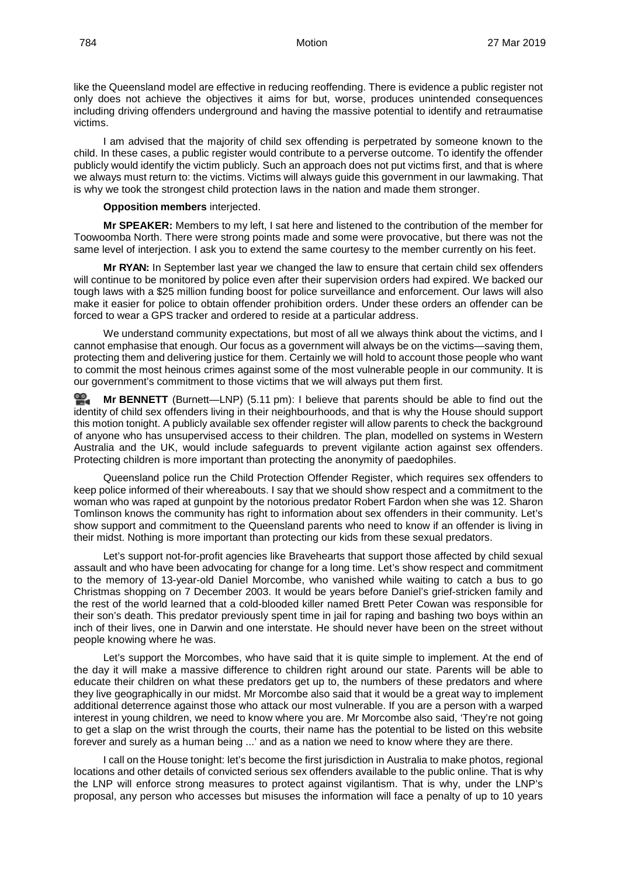like the Queensland model are effective in reducing reoffending. There is evidence a public register not only does not achieve the objectives it aims for but, worse, produces unintended consequences including driving offenders underground and having the massive potential to identify and retraumatise victims.

I am advised that the majority of child sex offending is perpetrated by someone known to the child. In these cases, a public register would contribute to a perverse outcome. To identify the offender publicly would identify the victim publicly. Such an approach does not put victims first, and that is where we always must return to: the victims. Victims will always guide this government in our lawmaking. That is why we took the strongest child protection laws in the nation and made them stronger.

## **Opposition members** interjected.

**Mr SPEAKER:** Members to my left, I sat here and listened to the contribution of the member for Toowoomba North. There were strong points made and some were provocative, but there was not the same level of interjection. I ask you to extend the same courtesy to the member currently on his feet.

**Mr RYAN:** In September last year we changed the law to ensure that certain child sex offenders will continue to be monitored by police even after their supervision orders had expired. We backed our tough laws with a \$25 million funding boost for police surveillance and enforcement. Our laws will also make it easier for police to obtain offender prohibition orders. Under these orders an offender can be forced to wear a GPS tracker and ordered to reside at a particular address.

We understand community expectations, but most of all we always think about the victims, and I cannot emphasise that enough. Our focus as a government will always be on the victims—saving them, protecting them and delivering justice for them. Certainly we will hold to account those people who want to commit the most heinous crimes against some of the most vulnerable people in our community. It is our government's commitment to those victims that we will always put them first.

**Mr [BENNETT](http://www.parliament.qld.gov.au/docs/find.aspx?id=0Mba20190327_171105)** (Burnett—LNP) (5.11 pm): I believe that parents should be able to find out the identity of child sex offenders living in their neighbourhoods, and that is why the House should support this motion tonight. A publicly available sex offender register will allow parents to check the background of anyone who has unsupervised access to their children. The plan, modelled on systems in Western Australia and the UK, would include safeguards to prevent vigilante action against sex offenders. Protecting children is more important than protecting the anonymity of paedophiles.

Queensland police run the Child Protection Offender Register, which requires sex offenders to keep police informed of their whereabouts. I say that we should show respect and a commitment to the woman who was raped at gunpoint by the notorious predator Robert Fardon when she was 12. Sharon Tomlinson knows the community has right to information about sex offenders in their community. Let's show support and commitment to the Queensland parents who need to know if an offender is living in their midst. Nothing is more important than protecting our kids from these sexual predators.

Let's support not-for-profit agencies like Bravehearts that support those affected by child sexual assault and who have been advocating for change for a long time. Let's show respect and commitment to the memory of 13-year-old Daniel Morcombe, who vanished while waiting to catch a bus to go Christmas shopping on 7 December 2003. It would be years before Daniel's grief-stricken family and the rest of the world learned that a cold-blooded killer named Brett Peter Cowan was responsible for their son's death. This predator previously spent time in jail for raping and bashing two boys within an inch of their lives, one in Darwin and one interstate. He should never have been on the street without people knowing where he was.

Let's support the Morcombes, who have said that it is quite simple to implement. At the end of the day it will make a massive difference to children right around our state. Parents will be able to educate their children on what these predators get up to, the numbers of these predators and where they live geographically in our midst. Mr Morcombe also said that it would be a great way to implement additional deterrence against those who attack our most vulnerable. If you are a person with a warped interest in young children, we need to know where you are. Mr Morcombe also said, 'They're not going to get a slap on the wrist through the courts, their name has the potential to be listed on this website forever and surely as a human being ...' and as a nation we need to know where they are there.

I call on the House tonight: let's become the first jurisdiction in Australia to make photos, regional locations and other details of convicted serious sex offenders available to the public online. That is why the LNP will enforce strong measures to protect against vigilantism. That is why, under the LNP's proposal, any person who accesses but misuses the information will face a penalty of up to 10 years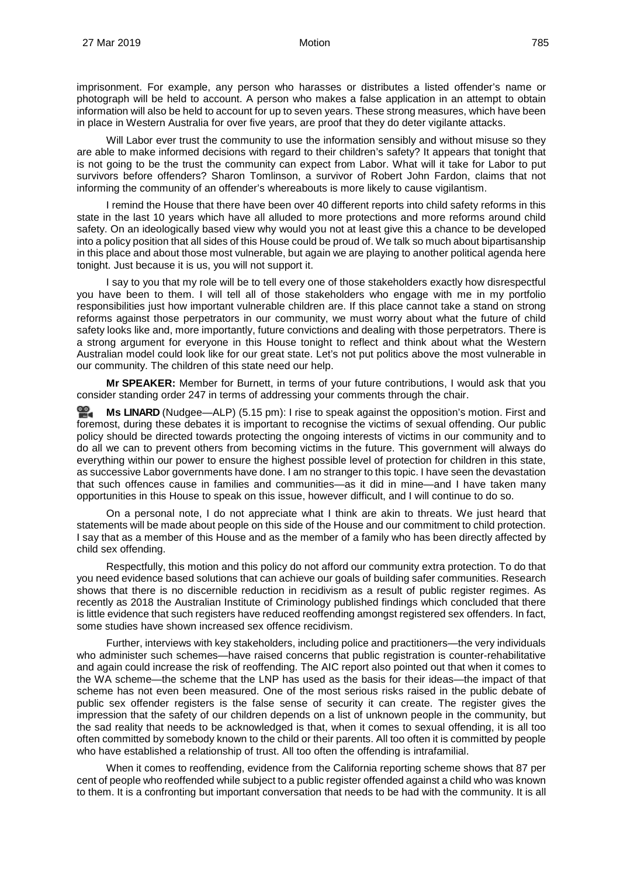imprisonment. For example, any person who harasses or distributes a listed offender's name or photograph will be held to account. A person who makes a false application in an attempt to obtain information will also be held to account for up to seven years. These strong measures, which have been in place in Western Australia for over five years, are proof that they do deter vigilante attacks.

Will Labor ever trust the community to use the information sensibly and without misuse so they are able to make informed decisions with regard to their children's safety? It appears that tonight that is not going to be the trust the community can expect from Labor. What will it take for Labor to put survivors before offenders? Sharon Tomlinson, a survivor of Robert John Fardon, claims that not informing the community of an offender's whereabouts is more likely to cause vigilantism.

I remind the House that there have been over 40 different reports into child safety reforms in this state in the last 10 years which have all alluded to more protections and more reforms around child safety. On an ideologically based view why would you not at least give this a chance to be developed into a policy position that all sides of this House could be proud of. We talk so much about bipartisanship in this place and about those most vulnerable, but again we are playing to another political agenda here tonight. Just because it is us, you will not support it.

I say to you that my role will be to tell every one of those stakeholders exactly how disrespectful you have been to them. I will tell all of those stakeholders who engage with me in my portfolio responsibilities just how important vulnerable children are. If this place cannot take a stand on strong reforms against those perpetrators in our community, we must worry about what the future of child safety looks like and, more importantly, future convictions and dealing with those perpetrators. There is a strong argument for everyone in this House tonight to reflect and think about what the Western Australian model could look like for our great state. Let's not put politics above the most vulnerable in our community. The children of this state need our help.

**Mr SPEAKER:** Member for Burnett, in terms of your future contributions, I would ask that you consider standing order 247 in terms of addressing your comments through the chair.

**Ms [LINARD](http://www.parliament.qld.gov.au/docs/find.aspx?id=0Mba20190327_171555)** (Nudgee—ALP) (5.15 pm): I rise to speak against the opposition's motion. First and foremost, during these debates it is important to recognise the victims of sexual offending. Our public policy should be directed towards protecting the ongoing interests of victims in our community and to do all we can to prevent others from becoming victims in the future. This government will always do everything within our power to ensure the highest possible level of protection for children in this state, as successive Labor governments have done. I am no stranger to this topic. I have seen the devastation that such offences cause in families and communities—as it did in mine—and I have taken many opportunities in this House to speak on this issue, however difficult, and I will continue to do so.

On a personal note, I do not appreciate what I think are akin to threats. We just heard that statements will be made about people on this side of the House and our commitment to child protection. I say that as a member of this House and as the member of a family who has been directly affected by child sex offending.

Respectfully, this motion and this policy do not afford our community extra protection. To do that you need evidence based solutions that can achieve our goals of building safer communities. Research shows that there is no discernible reduction in recidivism as a result of public register regimes. As recently as 2018 the Australian Institute of Criminology published findings which concluded that there is little evidence that such registers have reduced reoffending amongst registered sex offenders. In fact, some studies have shown increased sex offence recidivism.

Further, interviews with key stakeholders, including police and practitioners—the very individuals who administer such schemes—have raised concerns that public registration is counter-rehabilitative and again could increase the risk of reoffending. The AIC report also pointed out that when it comes to the WA scheme—the scheme that the LNP has used as the basis for their ideas—the impact of that scheme has not even been measured. One of the most serious risks raised in the public debate of public sex offender registers is the false sense of security it can create. The register gives the impression that the safety of our children depends on a list of unknown people in the community, but the sad reality that needs to be acknowledged is that, when it comes to sexual offending, it is all too often committed by somebody known to the child or their parents. All too often it is committed by people who have established a relationship of trust. All too often the offending is intrafamilial.

When it comes to reoffending, evidence from the California reporting scheme shows that 87 per cent of people who reoffended while subject to a public register offended against a child who was known to them. It is a confronting but important conversation that needs to be had with the community. It is all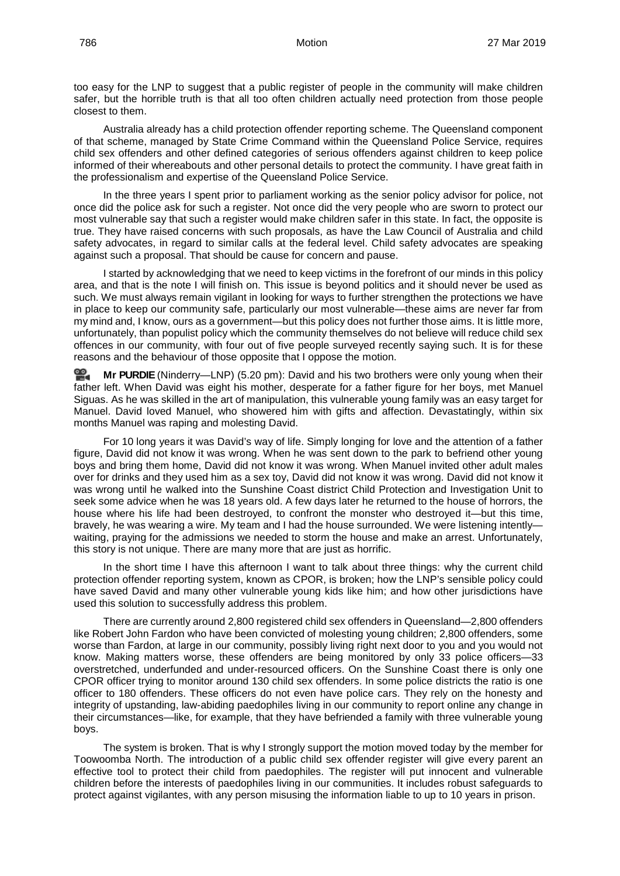too easy for the LNP to suggest that a public register of people in the community will make children safer, but the horrible truth is that all too often children actually need protection from those people closest to them.

Australia already has a child protection offender reporting scheme. The Queensland component of that scheme, managed by State Crime Command within the Queensland Police Service, requires child sex offenders and other defined categories of serious offenders against children to keep police informed of their whereabouts and other personal details to protect the community. I have great faith in the professionalism and expertise of the Queensland Police Service.

In the three years I spent prior to parliament working as the senior policy advisor for police, not once did the police ask for such a register. Not once did the very people who are sworn to protect our most vulnerable say that such a register would make children safer in this state. In fact, the opposite is true. They have raised concerns with such proposals, as have the Law Council of Australia and child safety advocates, in regard to similar calls at the federal level. Child safety advocates are speaking against such a proposal. That should be cause for concern and pause.

I started by acknowledging that we need to keep victims in the forefront of our minds in this policy area, and that is the note I will finish on. This issue is beyond politics and it should never be used as such. We must always remain vigilant in looking for ways to further strengthen the protections we have in place to keep our community safe, particularly our most vulnerable—these aims are never far from my mind and, I know, ours as a government—but this policy does not further those aims. It is little more, unfortunately, than populist policy which the community themselves do not believe will reduce child sex offences in our community, with four out of five people surveyed recently saying such. It is for these reasons and the behaviour of those opposite that I oppose the motion.

**Mr [PURDIE](http://www.parliament.qld.gov.au/docs/find.aspx?id=0Mba20190327_172048)** (Ninderry—LNP) (5.20 pm): David and his two brothers were only young when their father left. When David was eight his mother, desperate for a father figure for her boys, met Manuel Siguas. As he was skilled in the art of manipulation, this vulnerable young family was an easy target for Manuel. David loved Manuel, who showered him with gifts and affection. Devastatingly, within six months Manuel was raping and molesting David.

For 10 long years it was David's way of life. Simply longing for love and the attention of a father figure, David did not know it was wrong. When he was sent down to the park to befriend other young boys and bring them home, David did not know it was wrong. When Manuel invited other adult males over for drinks and they used him as a sex toy, David did not know it was wrong. David did not know it was wrong until he walked into the Sunshine Coast district Child Protection and Investigation Unit to seek some advice when he was 18 years old. A few days later he returned to the house of horrors, the house where his life had been destroyed, to confront the monster who destroyed it—but this time, bravely, he was wearing a wire. My team and I had the house surrounded. We were listening intently waiting, praying for the admissions we needed to storm the house and make an arrest. Unfortunately, this story is not unique. There are many more that are just as horrific.

In the short time I have this afternoon I want to talk about three things: why the current child protection offender reporting system, known as CPOR, is broken; how the LNP's sensible policy could have saved David and many other vulnerable young kids like him; and how other jurisdictions have used this solution to successfully address this problem.

There are currently around 2,800 registered child sex offenders in Queensland—2,800 offenders like Robert John Fardon who have been convicted of molesting young children; 2,800 offenders, some worse than Fardon, at large in our community, possibly living right next door to you and you would not know. Making matters worse, these offenders are being monitored by only 33 police officers—33 overstretched, underfunded and under-resourced officers. On the Sunshine Coast there is only one CPOR officer trying to monitor around 130 child sex offenders. In some police districts the ratio is one officer to 180 offenders. These officers do not even have police cars. They rely on the honesty and integrity of upstanding, law-abiding paedophiles living in our community to report online any change in their circumstances—like, for example, that they have befriended a family with three vulnerable young boys.

The system is broken. That is why I strongly support the motion moved today by the member for Toowoomba North. The introduction of a public child sex offender register will give every parent an effective tool to protect their child from paedophiles. The register will put innocent and vulnerable children before the interests of paedophiles living in our communities. It includes robust safeguards to protect against vigilantes, with any person misusing the information liable to up to 10 years in prison.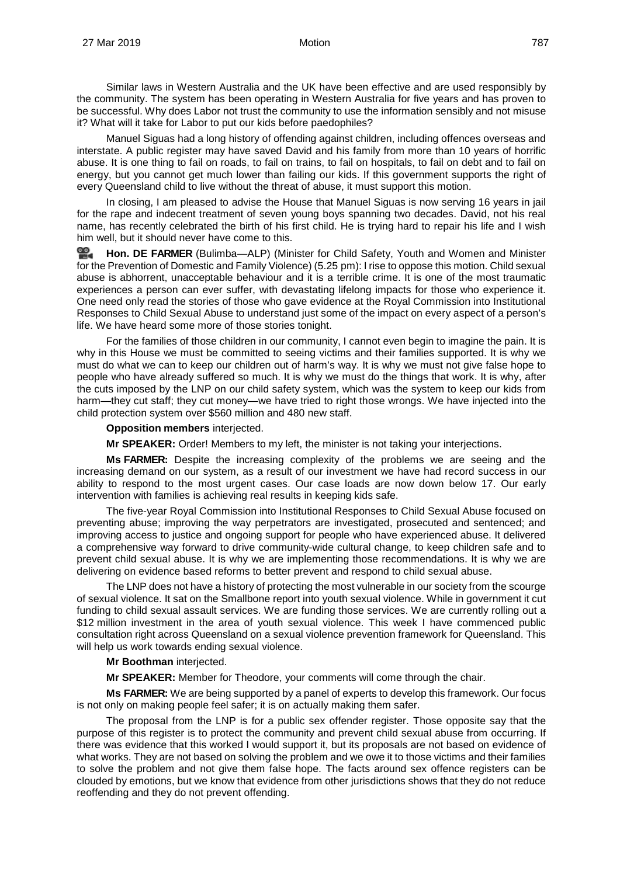Similar laws in Western Australia and the UK have been effective and are used responsibly by the community. The system has been operating in Western Australia for five years and has proven to be successful. Why does Labor not trust the community to use the information sensibly and not misuse it? What will it take for Labor to put our kids before paedophiles?

Manuel Siguas had a long history of offending against children, including offences overseas and interstate. A public register may have saved David and his family from more than 10 years of horrific abuse. It is one thing to fail on roads, to fail on trains, to fail on hospitals, to fail on debt and to fail on energy, but you cannot get much lower than failing our kids. If this government supports the right of every Queensland child to live without the threat of abuse, it must support this motion.

In closing, I am pleased to advise the House that Manuel Siguas is now serving 16 years in jail for the rape and indecent treatment of seven young boys spanning two decades. David, not his real name, has recently celebrated the birth of his first child. He is trying hard to repair his life and I wish him well, but it should never have come to this.

쓺. **[Hon. DE FARMER](http://www.parliament.qld.gov.au/docs/find.aspx?id=0Mba20190327_172552)** (Bulimba—ALP) (Minister for Child Safety, Youth and Women and Minister for the Prevention of Domestic and Family Violence) (5.25 pm): I rise to oppose this motion. Child sexual abuse is abhorrent, unacceptable behaviour and it is a terrible crime. It is one of the most traumatic experiences a person can ever suffer, with devastating lifelong impacts for those who experience it. One need only read the stories of those who gave evidence at the Royal Commission into Institutional Responses to Child Sexual Abuse to understand just some of the impact on every aspect of a person's life. We have heard some more of those stories tonight.

For the families of those children in our community, I cannot even begin to imagine the pain. It is why in this House we must be committed to seeing victims and their families supported. It is why we must do what we can to keep our children out of harm's way. It is why we must not give false hope to people who have already suffered so much. It is why we must do the things that work. It is why, after the cuts imposed by the LNP on our child safety system, which was the system to keep our kids from harm—they cut staff; they cut money—we have tried to right those wrongs. We have injected into the child protection system over \$560 million and 480 new staff.

## **Opposition members** interjected.

**Mr SPEAKER:** Order! Members to my left, the minister is not taking your interjections.

**Ms FARMER:** Despite the increasing complexity of the problems we are seeing and the increasing demand on our system, as a result of our investment we have had record success in our ability to respond to the most urgent cases. Our case loads are now down below 17. Our early intervention with families is achieving real results in keeping kids safe.

The five-year Royal Commission into Institutional Responses to Child Sexual Abuse focused on preventing abuse; improving the way perpetrators are investigated, prosecuted and sentenced; and improving access to justice and ongoing support for people who have experienced abuse. It delivered a comprehensive way forward to drive community-wide cultural change, to keep children safe and to prevent child sexual abuse. It is why we are implementing those recommendations. It is why we are delivering on evidence based reforms to better prevent and respond to child sexual abuse.

The LNP does not have a history of protecting the most vulnerable in our society from the scourge of sexual violence. It sat on the Smallbone report into youth sexual violence. While in government it cut funding to child sexual assault services. We are funding those services. We are currently rolling out a \$12 million investment in the area of youth sexual violence. This week I have commenced public consultation right across Queensland on a sexual violence prevention framework for Queensland. This will help us work towards ending sexual violence.

**Mr Boothman** interjected.

**Mr SPEAKER:** Member for Theodore, your comments will come through the chair.

**Ms FARMER:** We are being supported by a panel of experts to develop this framework. Our focus is not only on making people feel safer; it is on actually making them safer.

The proposal from the LNP is for a public sex offender register. Those opposite say that the purpose of this register is to protect the community and prevent child sexual abuse from occurring. If there was evidence that this worked I would support it, but its proposals are not based on evidence of what works. They are not based on solving the problem and we owe it to those victims and their families to solve the problem and not give them false hope. The facts around sex offence registers can be clouded by emotions, but we know that evidence from other jurisdictions shows that they do not reduce reoffending and they do not prevent offending.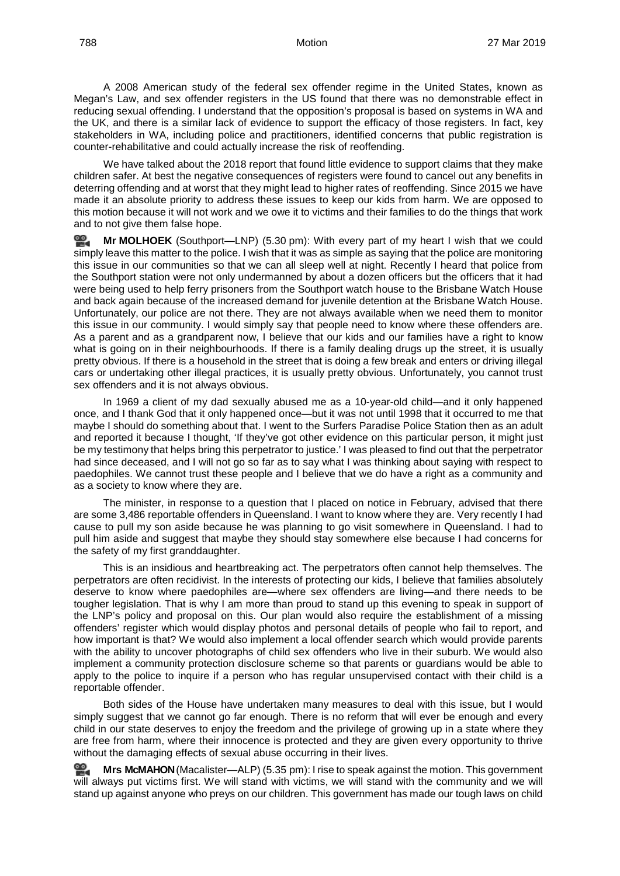A 2008 American study of the federal sex offender regime in the United States, known as Megan's Law, and sex offender registers in the US found that there was no demonstrable effect in reducing sexual offending. I understand that the opposition's proposal is based on systems in WA and the UK, and there is a similar lack of evidence to support the efficacy of those registers. In fact, key stakeholders in WA, including police and practitioners, identified concerns that public registration is counter-rehabilitative and could actually increase the risk of reoffending.

We have talked about the 2018 report that found little evidence to support claims that they make children safer. At best the negative consequences of registers were found to cancel out any benefits in deterring offending and at worst that they might lead to higher rates of reoffending. Since 2015 we have made it an absolute priority to address these issues to keep our kids from harm. We are opposed to this motion because it will not work and we owe it to victims and their families to do the things that work and to not give them false hope.

**Mr [MOLHOEK](http://www.parliament.qld.gov.au/docs/find.aspx?id=0Mba20190327_173101)** (Southport—LNP) (5.30 pm): With every part of my heart I wish that we could simply leave this matter to the police. I wish that it was as simple as saying that the police are monitoring this issue in our communities so that we can all sleep well at night. Recently I heard that police from the Southport station were not only undermanned by about a dozen officers but the officers that it had were being used to help ferry prisoners from the Southport watch house to the Brisbane Watch House and back again because of the increased demand for juvenile detention at the Brisbane Watch House. Unfortunately, our police are not there. They are not always available when we need them to monitor this issue in our community. I would simply say that people need to know where these offenders are. As a parent and as a grandparent now, I believe that our kids and our families have a right to know what is going on in their neighbourhoods. If there is a family dealing drugs up the street, it is usually pretty obvious. If there is a household in the street that is doing a few break and enters or driving illegal cars or undertaking other illegal practices, it is usually pretty obvious. Unfortunately, you cannot trust sex offenders and it is not always obvious.

In 1969 a client of my dad sexually abused me as a 10-year-old child—and it only happened once, and I thank God that it only happened once—but it was not until 1998 that it occurred to me that maybe I should do something about that. I went to the Surfers Paradise Police Station then as an adult and reported it because I thought, 'If they've got other evidence on this particular person, it might just be my testimony that helps bring this perpetrator to justice.' I was pleased to find out that the perpetrator had since deceased, and I will not go so far as to say what I was thinking about saying with respect to paedophiles. We cannot trust these people and I believe that we do have a right as a community and as a society to know where they are.

The minister, in response to a question that I placed on notice in February, advised that there are some 3,486 reportable offenders in Queensland. I want to know where they are. Very recently I had cause to pull my son aside because he was planning to go visit somewhere in Queensland. I had to pull him aside and suggest that maybe they should stay somewhere else because I had concerns for the safety of my first granddaughter.

This is an insidious and heartbreaking act. The perpetrators often cannot help themselves. The perpetrators are often recidivist. In the interests of protecting our kids, I believe that families absolutely deserve to know where paedophiles are—where sex offenders are living—and there needs to be tougher legislation. That is why I am more than proud to stand up this evening to speak in support of the LNP's policy and proposal on this. Our plan would also require the establishment of a missing offenders' register which would display photos and personal details of people who fail to report, and how important is that? We would also implement a local offender search which would provide parents with the ability to uncover photographs of child sex offenders who live in their suburb. We would also implement a community protection disclosure scheme so that parents or guardians would be able to apply to the police to inquire if a person who has regular unsupervised contact with their child is a reportable offender.

Both sides of the House have undertaken many measures to deal with this issue, but I would simply suggest that we cannot go far enough. There is no reform that will ever be enough and every child in our state deserves to enjoy the freedom and the privilege of growing up in a state where they are free from harm, where their innocence is protected and they are given every opportunity to thrive without the damaging effects of sexual abuse occurring in their lives.

**Mrs [McMAHON](http://www.parliament.qld.gov.au/docs/find.aspx?id=0Mba20190327_173600)** (Macalister—ALP) (5.35 pm): I rise to speak against the motion. This government will always put victims first. We will stand with victims, we will stand with the community and we will stand up against anyone who preys on our children. This government has made our tough laws on child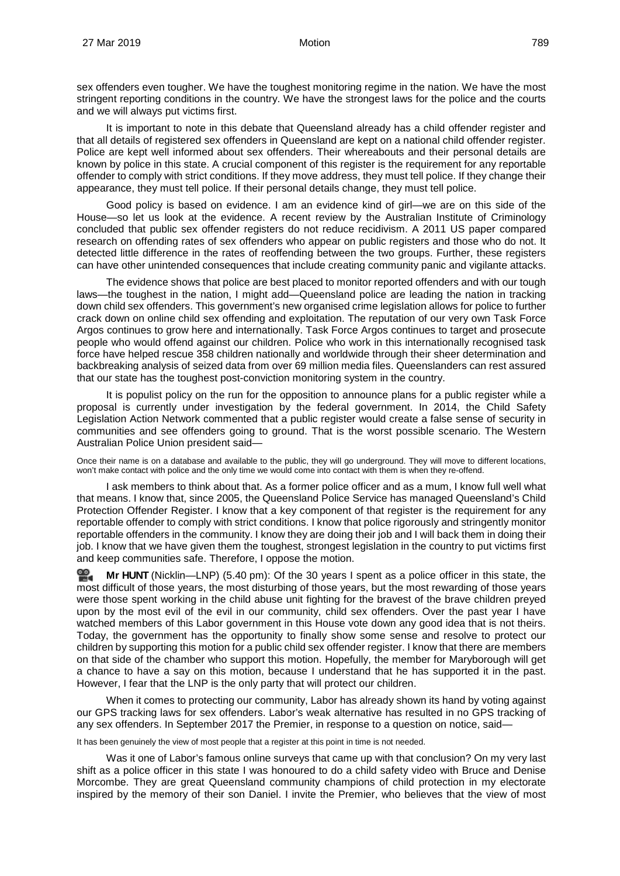sex offenders even tougher. We have the toughest monitoring regime in the nation. We have the most stringent reporting conditions in the country. We have the strongest laws for the police and the courts and we will always put victims first.

It is important to note in this debate that Queensland already has a child offender register and that all details of registered sex offenders in Queensland are kept on a national child offender register. Police are kept well informed about sex offenders. Their whereabouts and their personal details are known by police in this state. A crucial component of this register is the requirement for any reportable offender to comply with strict conditions. If they move address, they must tell police. If they change their appearance, they must tell police. If their personal details change, they must tell police.

Good policy is based on evidence. I am an evidence kind of girl—we are on this side of the House—so let us look at the evidence. A recent review by the Australian Institute of Criminology concluded that public sex offender registers do not reduce recidivism. A 2011 US paper compared research on offending rates of sex offenders who appear on public registers and those who do not. It detected little difference in the rates of reoffending between the two groups. Further, these registers can have other unintended consequences that include creating community panic and vigilante attacks.

The evidence shows that police are best placed to monitor reported offenders and with our tough laws—the toughest in the nation, I might add—Queensland police are leading the nation in tracking down child sex offenders. This government's new organised crime legislation allows for police to further crack down on online child sex offending and exploitation. The reputation of our very own Task Force Argos continues to grow here and internationally. Task Force Argos continues to target and prosecute people who would offend against our children. Police who work in this internationally recognised task force have helped rescue 358 children nationally and worldwide through their sheer determination and backbreaking analysis of seized data from over 69 million media files. Queenslanders can rest assured that our state has the toughest post-conviction monitoring system in the country.

It is populist policy on the run for the opposition to announce plans for a public register while a proposal is currently under investigation by the federal government. In 2014, the Child Safety Legislation Action Network commented that a public register would create a false sense of security in communities and see offenders going to ground. That is the worst possible scenario. The Western Australian Police Union president said—

Once their name is on a database and available to the public, they will go underground. They will move to different locations, won't make contact with police and the only time we would come into contact with them is when they re-offend.

I ask members to think about that. As a former police officer and as a mum, I know full well what that means. I know that, since 2005, the Queensland Police Service has managed Queensland's Child Protection Offender Register. I know that a key component of that register is the requirement for any reportable offender to comply with strict conditions. I know that police rigorously and stringently monitor reportable offenders in the community. I know they are doing their job and I will back them in doing their job. I know that we have given them the toughest, strongest legislation in the country to put victims first and keep communities safe. Therefore, I oppose the motion.

≌. **Mr [HUNT](http://www.parliament.qld.gov.au/docs/find.aspx?id=0Mba20190327_174102)** (Nicklin—LNP) (5.40 pm): Of the 30 years I spent as a police officer in this state, the most difficult of those years, the most disturbing of those years, but the most rewarding of those years were those spent working in the child abuse unit fighting for the bravest of the brave children preyed upon by the most evil of the evil in our community, child sex offenders. Over the past year I have watched members of this Labor government in this House vote down any good idea that is not theirs. Today, the government has the opportunity to finally show some sense and resolve to protect our children by supporting this motion for a public child sex offender register. I know that there are members on that side of the chamber who support this motion. Hopefully, the member for Maryborough will get a chance to have a say on this motion, because I understand that he has supported it in the past. However, I fear that the LNP is the only party that will protect our children.

When it comes to protecting our community, Labor has already shown its hand by voting against our GPS tracking laws for sex offenders. Labor's weak alternative has resulted in no GPS tracking of any sex offenders. In September 2017 the Premier, in response to a question on notice, said—

It has been genuinely the view of most people that a register at this point in time is not needed.

Was it one of Labor's famous online surveys that came up with that conclusion? On my very last shift as a police officer in this state I was honoured to do a child safety video with Bruce and Denise Morcombe. They are great Queensland community champions of child protection in my electorate inspired by the memory of their son Daniel. I invite the Premier, who believes that the view of most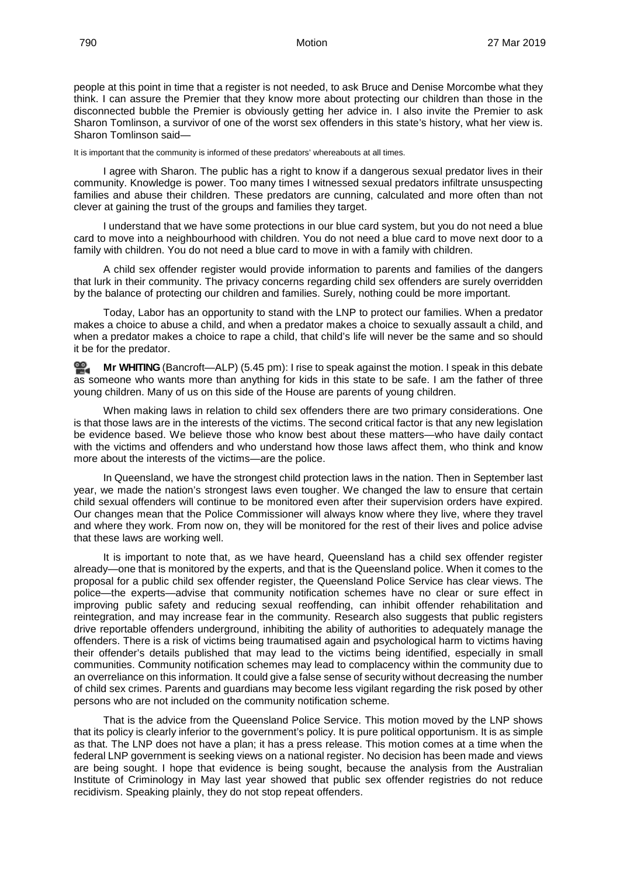people at this point in time that a register is not needed, to ask Bruce and Denise Morcombe what they think. I can assure the Premier that they know more about protecting our children than those in the disconnected bubble the Premier is obviously getting her advice in. I also invite the Premier to ask Sharon Tomlinson, a survivor of one of the worst sex offenders in this state's history, what her view is. Sharon Tomlinson said—

It is important that the community is informed of these predators' whereabouts at all times.

I agree with Sharon. The public has a right to know if a dangerous sexual predator lives in their community. Knowledge is power. Too many times I witnessed sexual predators infiltrate unsuspecting families and abuse their children. These predators are cunning, calculated and more often than not clever at gaining the trust of the groups and families they target.

I understand that we have some protections in our blue card system, but you do not need a blue card to move into a neighbourhood with children. You do not need a blue card to move next door to a family with children. You do not need a blue card to move in with a family with children.

A child sex offender register would provide information to parents and families of the dangers that lurk in their community. The privacy concerns regarding child sex offenders are surely overridden by the balance of protecting our children and families. Surely, nothing could be more important.

Today, Labor has an opportunity to stand with the LNP to protect our families. When a predator makes a choice to abuse a child, and when a predator makes a choice to sexually assault a child, and when a predator makes a choice to rape a child, that child's life will never be the same and so should it be for the predator.

**Mr [WHITING](http://www.parliament.qld.gov.au/docs/find.aspx?id=0Mba20190327_174545)** (Bancroft—ALP) (5.45 pm): I rise to speak against the motion. I speak in this debate as someone who wants more than anything for kids in this state to be safe. I am the father of three young children. Many of us on this side of the House are parents of young children.

When making laws in relation to child sex offenders there are two primary considerations. One is that those laws are in the interests of the victims. The second critical factor is that any new legislation be evidence based. We believe those who know best about these matters—who have daily contact with the victims and offenders and who understand how those laws affect them, who think and know more about the interests of the victims—are the police.

In Queensland, we have the strongest child protection laws in the nation. Then in September last year, we made the nation's strongest laws even tougher. We changed the law to ensure that certain child sexual offenders will continue to be monitored even after their supervision orders have expired. Our changes mean that the Police Commissioner will always know where they live, where they travel and where they work. From now on, they will be monitored for the rest of their lives and police advise that these laws are working well.

It is important to note that, as we have heard, Queensland has a child sex offender register already—one that is monitored by the experts, and that is the Queensland police. When it comes to the proposal for a public child sex offender register, the Queensland Police Service has clear views. The police—the experts—advise that community notification schemes have no clear or sure effect in improving public safety and reducing sexual reoffending, can inhibit offender rehabilitation and reintegration, and may increase fear in the community. Research also suggests that public registers drive reportable offenders underground, inhibiting the ability of authorities to adequately manage the offenders. There is a risk of victims being traumatised again and psychological harm to victims having their offender's details published that may lead to the victims being identified, especially in small communities. Community notification schemes may lead to complacency within the community due to an overreliance on this information. It could give a false sense of security without decreasing the number of child sex crimes. Parents and guardians may become less vigilant regarding the risk posed by other persons who are not included on the community notification scheme.

That is the advice from the Queensland Police Service. This motion moved by the LNP shows that its policy is clearly inferior to the government's policy. It is pure political opportunism. It is as simple as that. The LNP does not have a plan; it has a press release. This motion comes at a time when the federal LNP government is seeking views on a national register. No decision has been made and views are being sought. I hope that evidence is being sought, because the analysis from the Australian Institute of Criminology in May last year showed that public sex offender registries do not reduce recidivism. Speaking plainly, they do not stop repeat offenders.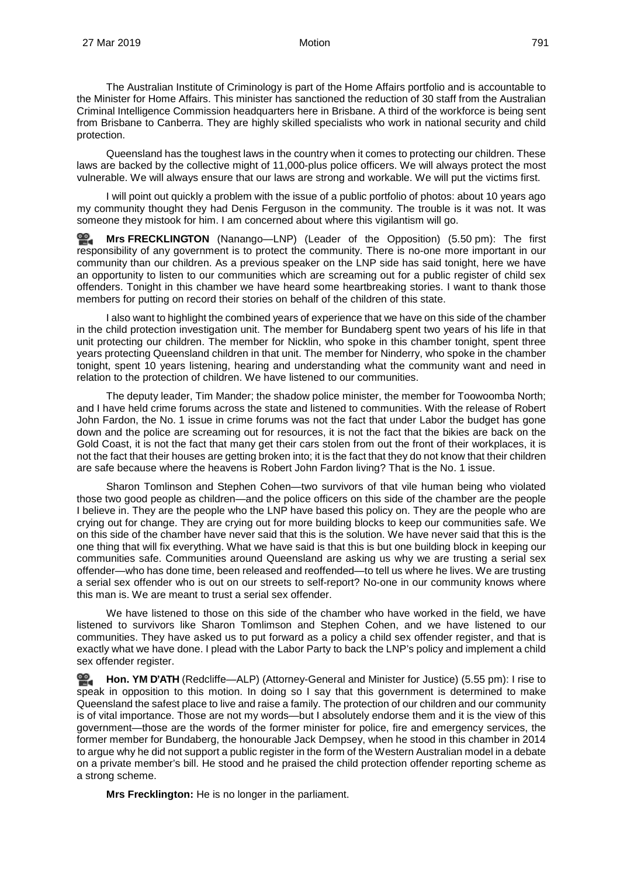The Australian Institute of Criminology is part of the Home Affairs portfolio and is accountable to the Minister for Home Affairs. This minister has sanctioned the reduction of 30 staff from the Australian Criminal Intelligence Commission headquarters here in Brisbane. A third of the workforce is being sent from Brisbane to Canberra. They are highly skilled specialists who work in national security and child protection.

Queensland has the toughest laws in the country when it comes to protecting our children. These laws are backed by the collective might of 11,000-plus police officers. We will always protect the most vulnerable. We will always ensure that our laws are strong and workable. We will put the victims first.

I will point out quickly a problem with the issue of a public portfolio of photos: about 10 years ago my community thought they had Denis Ferguson in the community. The trouble is it was not. It was someone they mistook for him. I am concerned about where this vigilantism will go.

엺. **Mrs [FRECKLINGTON](http://www.parliament.qld.gov.au/docs/find.aspx?id=0Mba20190327_175053)** (Nanango—LNP) (Leader of the Opposition) (5.50 pm): The first responsibility of any government is to protect the community. There is no-one more important in our community than our children. As a previous speaker on the LNP side has said tonight, here we have an opportunity to listen to our communities which are screaming out for a public register of child sex offenders. Tonight in this chamber we have heard some heartbreaking stories. I want to thank those members for putting on record their stories on behalf of the children of this state.

I also want to highlight the combined years of experience that we have on this side of the chamber in the child protection investigation unit. The member for Bundaberg spent two years of his life in that unit protecting our children. The member for Nicklin, who spoke in this chamber tonight, spent three years protecting Queensland children in that unit. The member for Ninderry, who spoke in the chamber tonight, spent 10 years listening, hearing and understanding what the community want and need in relation to the protection of children. We have listened to our communities.

The deputy leader, Tim Mander; the shadow police minister, the member for Toowoomba North; and I have held crime forums across the state and listened to communities. With the release of Robert John Fardon, the No. 1 issue in crime forums was not the fact that under Labor the budget has gone down and the police are screaming out for resources, it is not the fact that the bikies are back on the Gold Coast, it is not the fact that many get their cars stolen from out the front of their workplaces, it is not the fact that their houses are getting broken into; it is the fact that they do not know that their children are safe because where the heavens is Robert John Fardon living? That is the No. 1 issue.

Sharon Tomlinson and Stephen Cohen—two survivors of that vile human being who violated those two good people as children—and the police officers on this side of the chamber are the people I believe in. They are the people who the LNP have based this policy on. They are the people who are crying out for change. They are crying out for more building blocks to keep our communities safe. We on this side of the chamber have never said that this is the solution. We have never said that this is the one thing that will fix everything. What we have said is that this is but one building block in keeping our communities safe. Communities around Queensland are asking us why we are trusting a serial sex offender—who has done time, been released and reoffended—to tell us where he lives. We are trusting a serial sex offender who is out on our streets to self-report? No-one in our community knows where this man is. We are meant to trust a serial sex offender.

We have listened to those on this side of the chamber who have worked in the field, we have listened to survivors like Sharon Tomlimson and Stephen Cohen, and we have listened to our communities. They have asked us to put forward as a policy a child sex offender register, and that is exactly what we have done. I plead with the Labor Party to back the LNP's policy and implement a child sex offender register.

≌. **[Hon. YM](http://www.parliament.qld.gov.au/docs/find.aspx?id=0Mba20190327_175555) D'ATH** (Redcliffe—ALP) (Attorney-General and Minister for Justice) (5.55 pm): I rise to speak in opposition to this motion. In doing so I say that this government is determined to make Queensland the safest place to live and raise a family. The protection of our children and our community is of vital importance. Those are not my words—but I absolutely endorse them and it is the view of this government—those are the words of the former minister for police, fire and emergency services, the former member for Bundaberg, the honourable Jack Dempsey, when he stood in this chamber in 2014 to argue why he did not support a public register in the form of the Western Australian model in a debate on a private member's bill. He stood and he praised the child protection offender reporting scheme as a strong scheme.

**Mrs Frecklington:** He is no longer in the parliament.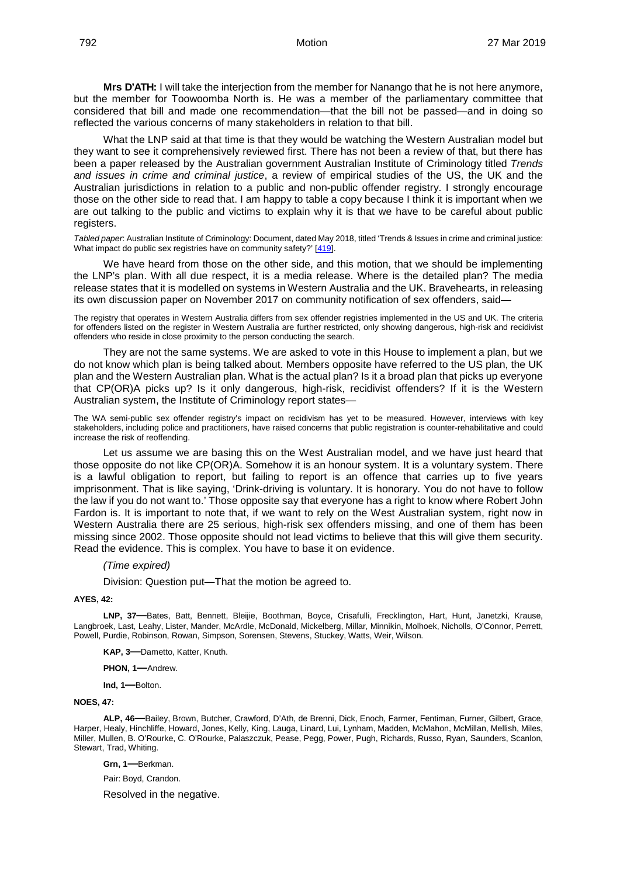**Mrs D'ATH:** I will take the interjection from the member for Nanango that he is not here anymore, but the member for Toowoomba North is. He was a member of the parliamentary committee that considered that bill and made one recommendation—that the bill not be passed—and in doing so reflected the various concerns of many stakeholders in relation to that bill.

What the LNP said at that time is that they would be watching the Western Australian model but they want to see it comprehensively reviewed first. There has not been a review of that, but there has been a paper released by the Australian government Australian Institute of Criminology titled *Trends and issues in crime and criminal justice*, a review of empirical studies of the US, the UK and the Australian jurisdictions in relation to a public and non-public offender registry. I strongly encourage those on the other side to read that. I am happy to table a copy because I think it is important when we are out talking to the public and victims to explain why it is that we have to be careful about public registers.

*Tabled paper*: Australian Institute of Criminology: Document, dated May 2018, titled 'Trends & Issues in crime and criminal justice: What impact do public sex registries have on community safety?' [\[419\]](http://www.parliament.qld.gov.au/docs/find.aspx?id=5619T419).

We have heard from those on the other side, and this motion, that we should be implementing the LNP's plan. With all due respect, it is a media release. Where is the detailed plan? The media release states that it is modelled on systems in Western Australia and the UK. Bravehearts, in releasing its own discussion paper on November 2017 on community notification of sex offenders, said—

The registry that operates in Western Australia differs from sex offender registries implemented in the US and UK. The criteria for offenders listed on the register in Western Australia are further restricted, only showing dangerous, high-risk and recidivist offenders who reside in close proximity to the person conducting the search.

They are not the same systems. We are asked to vote in this House to implement a plan, but we do not know which plan is being talked about. Members opposite have referred to the US plan, the UK plan and the Western Australian plan. What is the actual plan? Is it a broad plan that picks up everyone that CP(OR)A picks up? Is it only dangerous, high-risk, recidivist offenders? If it is the Western Australian system, the Institute of Criminology report states—

The WA semi-public sex offender registry's impact on recidivism has yet to be measured. However, interviews with key stakeholders, including police and practitioners, have raised concerns that public registration is counter-rehabilitative and could increase the risk of reoffending.

Let us assume we are basing this on the West Australian model, and we have just heard that those opposite do not like CP(OR)A. Somehow it is an honour system. It is a voluntary system. There is a lawful obligation to report, but failing to report is an offence that carries up to five years imprisonment. That is like saying, 'Drink-driving is voluntary. It is honorary. You do not have to follow the law if you do not want to.' Those opposite say that everyone has a right to know where Robert John Fardon is. It is important to note that, if we want to rely on the West Australian system, right now in Western Australia there are 25 serious, high-risk sex offenders missing, and one of them has been missing since 2002. Those opposite should not lead victims to believe that this will give them security. Read the evidence. This is complex. You have to base it on evidence.

### *(Time expired)*

Division: Question put—That the motion be agreed to.

### **AYES, 42:**

**LNP, 37—**Bates, Batt, Bennett, Bleijie, Boothman, Boyce, Crisafulli, Frecklington, Hart, Hunt, Janetzki, Krause, Langbroek, Last, Leahy, Lister, Mander, McArdle, McDonald, Mickelberg, Millar, Minnikin, Molhoek, Nicholls, O'Connor, Perrett, Powell, Purdie, Robinson, Rowan, Simpson, Sorensen, Stevens, Stuckey, Watts, Weir, Wilson.

**KAP, 3—**Dametto, Katter, Knuth.

**PHON, 1—**Andrew.

**Ind, 1—**Bolton.

#### **NOES, 47:**

**ALP, 46—**Bailey, Brown, Butcher, Crawford, D'Ath, de Brenni, Dick, Enoch, Farmer, Fentiman, Furner, Gilbert, Grace, Harper, Healy, Hinchliffe, Howard, Jones, Kelly, King, Lauga, Linard, Lui, Lynham, Madden, McMahon, McMillan, Mellish, Miles, Miller, Mullen, B. O'Rourke, C. O'Rourke, Palaszczuk, Pease, Pegg, Power, Pugh, Richards, Russo, Ryan, Saunders, Scanlon, Stewart, Trad, Whiting.

**Grn, 1—**Berkman.

Pair: Boyd, Crandon.

Resolved in the negative.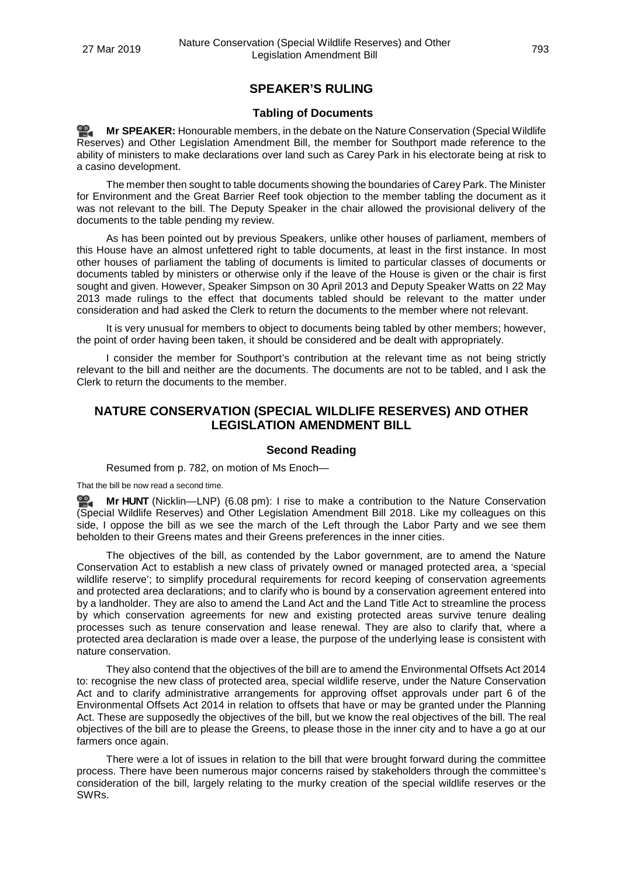# **SPEAKER'S RULING**

## **Tabling of Documents**

**Mr [SPEAKER:](http://www.parliament.qld.gov.au/docs/find.aspx?id=0Mba20190327_180624)** Honourable members, in the debate on the Nature Conservation (Special Wildlife Reserves) and Other Legislation Amendment Bill, the member for Southport made reference to the ability of ministers to make declarations over land such as Carey Park in his electorate being at risk to a casino development.

The member then sought to table documents showing the boundaries of Carey Park. The Minister for Environment and the Great Barrier Reef took objection to the member tabling the document as it was not relevant to the bill. The Deputy Speaker in the chair allowed the provisional delivery of the documents to the table pending my review.

As has been pointed out by previous Speakers, unlike other houses of parliament, members of this House have an almost unfettered right to table documents, at least in the first instance. In most other houses of parliament the tabling of documents is limited to particular classes of documents or documents tabled by ministers or otherwise only if the leave of the House is given or the chair is first sought and given. However, Speaker Simpson on 30 April 2013 and Deputy Speaker Watts on 22 May 2013 made rulings to the effect that documents tabled should be relevant to the matter under consideration and had asked the Clerk to return the documents to the member where not relevant.

It is very unusual for members to object to documents being tabled by other members; however, the point of order having been taken, it should be considered and be dealt with appropriately.

I consider the member for Southport's contribution at the relevant time as not being strictly relevant to the bill and neither are the documents. The documents are not to be tabled, and I ask the Clerk to return the documents to the member.

# **NATURE CONSERVATION (SPECIAL WILDLIFE RESERVES) AND OTHER LEGISLATION AMENDMENT BILL**

## **Second Reading**

Resumed from p. 782, on motion of Ms Enoch—

That the bill be now read a second time.

**Mr [HUNT](http://www.parliament.qld.gov.au/docs/find.aspx?id=0Mba20190327_180838)** (Nicklin—LNP) (6.08 pm): I rise to make a contribution to the Nature Conservation <u>ൈ</u> (Special Wildlife Reserves) and Other Legislation Amendment Bill 2018. Like my colleagues on this side, I oppose the bill as we see the march of the Left through the Labor Party and we see them beholden to their Greens mates and their Greens preferences in the inner cities.

The objectives of the bill, as contended by the Labor government, are to amend the Nature Conservation Act to establish a new class of privately owned or managed protected area, a 'special wildlife reserve'; to simplify procedural requirements for record keeping of conservation agreements and protected area declarations; and to clarify who is bound by a conservation agreement entered into by a landholder. They are also to amend the Land Act and the Land Title Act to streamline the process by which conservation agreements for new and existing protected areas survive tenure dealing processes such as tenure conservation and lease renewal. They are also to clarify that, where a protected area declaration is made over a lease, the purpose of the underlying lease is consistent with nature conservation.

They also contend that the objectives of the bill are to amend the Environmental Offsets Act 2014 to: recognise the new class of protected area, special wildlife reserve, under the Nature Conservation Act and to clarify administrative arrangements for approving offset approvals under part 6 of the Environmental Offsets Act 2014 in relation to offsets that have or may be granted under the Planning Act. These are supposedly the objectives of the bill, but we know the real objectives of the bill. The real objectives of the bill are to please the Greens, to please those in the inner city and to have a go at our farmers once again.

There were a lot of issues in relation to the bill that were brought forward during the committee process. There have been numerous major concerns raised by stakeholders through the committee's consideration of the bill, largely relating to the murky creation of the special wildlife reserves or the SWRs.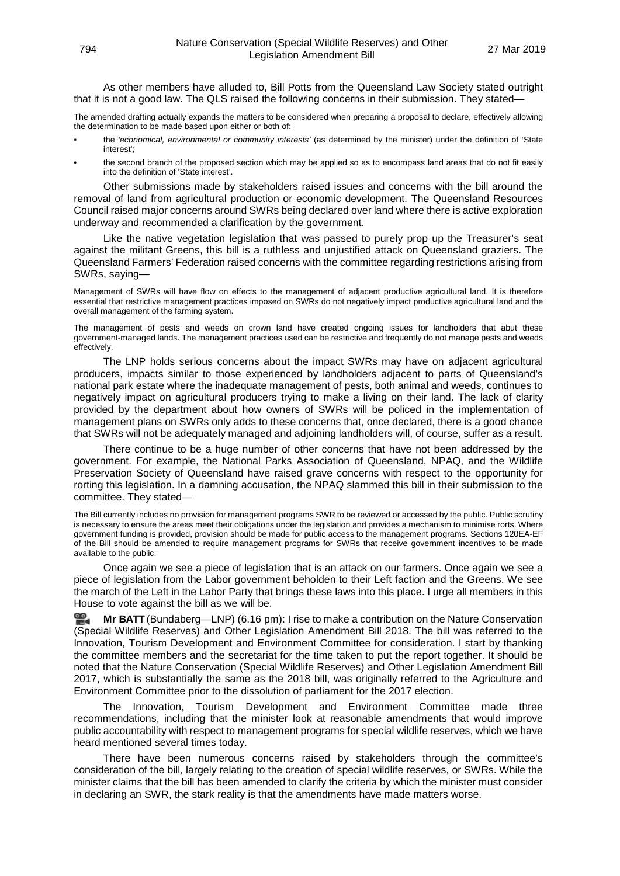As other members have alluded to, Bill Potts from the Queensland Law Society stated outright that it is not a good law. The QLS raised the following concerns in their submission. They stated—

The amended drafting actually expands the matters to be considered when preparing a proposal to declare, effectively allowing the determination to be made based upon either or both of:

- the *'economical, environmental or community interests'* (as determined by the minister) under the definition of 'State interest';
- the second branch of the proposed section which may be applied so as to encompass land areas that do not fit easily into the definition of 'State interest'.

Other submissions made by stakeholders raised issues and concerns with the bill around the removal of land from agricultural production or economic development. The Queensland Resources Council raised major concerns around SWRs being declared over land where there is active exploration underway and recommended a clarification by the government.

Like the native vegetation legislation that was passed to purely prop up the Treasurer's seat against the militant Greens, this bill is a ruthless and unjustified attack on Queensland graziers. The Queensland Farmers' Federation raised concerns with the committee regarding restrictions arising from SWRs, saying—

Management of SWRs will have flow on effects to the management of adjacent productive agricultural land. It is therefore essential that restrictive management practices imposed on SWRs do not negatively impact productive agricultural land and the overall management of the farming system.

The management of pests and weeds on crown land have created ongoing issues for landholders that abut these government-managed lands. The management practices used can be restrictive and frequently do not manage pests and weeds effectively.

The LNP holds serious concerns about the impact SWRs may have on adjacent agricultural producers, impacts similar to those experienced by landholders adjacent to parts of Queensland's national park estate where the inadequate management of pests, both animal and weeds, continues to negatively impact on agricultural producers trying to make a living on their land. The lack of clarity provided by the department about how owners of SWRs will be policed in the implementation of management plans on SWRs only adds to these concerns that, once declared, there is a good chance that SWRs will not be adequately managed and adjoining landholders will, of course, suffer as a result.

There continue to be a huge number of other concerns that have not been addressed by the government. For example, the National Parks Association of Queensland, NPAQ, and the Wildlife Preservation Society of Queensland have raised grave concerns with respect to the opportunity for rorting this legislation. In a damning accusation, the NPAQ slammed this bill in their submission to the committee. They stated—

The Bill currently includes no provision for management programs SWR to be reviewed or accessed by the public. Public scrutiny is necessary to ensure the areas meet their obligations under the legislation and provides a mechanism to minimise rorts. Where government funding is provided, provision should be made for public access to the management programs. Sections 120EA-EF of the Bill should be amended to require management programs for SWRs that receive government incentives to be made available to the public.

Once again we see a piece of legislation that is an attack on our farmers. Once again we see a piece of legislation from the Labor government beholden to their Left faction and the Greens. We see the march of the Left in the Labor Party that brings these laws into this place. I urge all members in this House to vote against the bill as we will be.

**Mr [BATT](http://www.parliament.qld.gov.au/docs/find.aspx?id=0Mba20190327_181706)** (Bundaberg—LNP) (6.16 pm): I rise to make a contribution on the Nature Conservation (Special Wildlife Reserves) and Other Legislation Amendment Bill 2018. The bill was referred to the Innovation, Tourism Development and Environment Committee for consideration. I start by thanking the committee members and the secretariat for the time taken to put the report together. It should be noted that the Nature Conservation (Special Wildlife Reserves) and Other Legislation Amendment Bill 2017, which is substantially the same as the 2018 bill, was originally referred to the Agriculture and Environment Committee prior to the dissolution of parliament for the 2017 election.

The Innovation, Tourism Development and Environment Committee made three recommendations, including that the minister look at reasonable amendments that would improve public accountability with respect to management programs for special wildlife reserves, which we have heard mentioned several times today.

There have been numerous concerns raised by stakeholders through the committee's consideration of the bill, largely relating to the creation of special wildlife reserves, or SWRs. While the minister claims that the bill has been amended to clarify the criteria by which the minister must consider in declaring an SWR, the stark reality is that the amendments have made matters worse.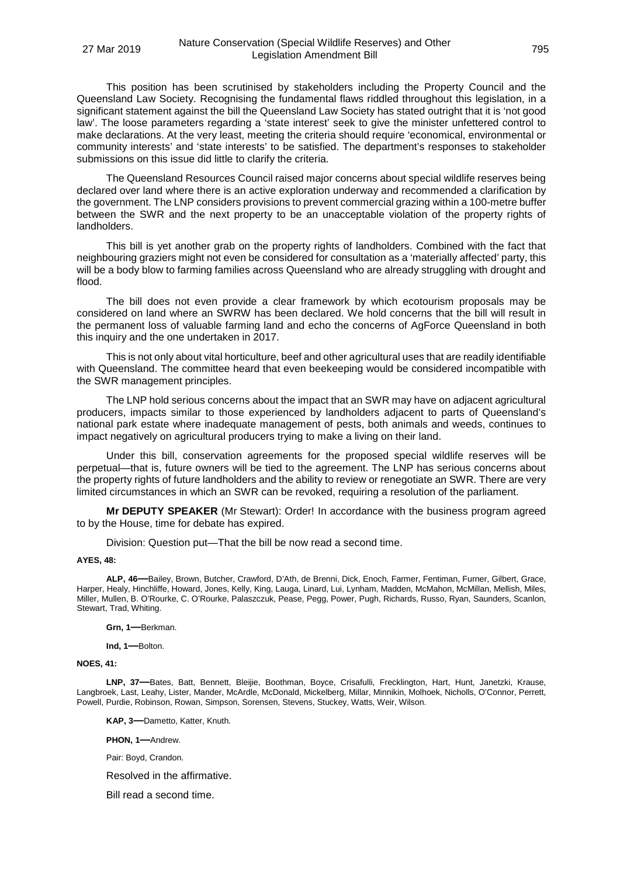This position has been scrutinised by stakeholders including the Property Council and the Queensland Law Society. Recognising the fundamental flaws riddled throughout this legislation, in a significant statement against the bill the Queensland Law Society has stated outright that it is 'not good law'. The loose parameters regarding a 'state interest' seek to give the minister unfettered control to make declarations. At the very least, meeting the criteria should require 'economical, environmental or community interests' and 'state interests' to be satisfied. The department's responses to stakeholder submissions on this issue did little to clarify the criteria.

The Queensland Resources Council raised major concerns about special wildlife reserves being declared over land where there is an active exploration underway and recommended a clarification by the government. The LNP considers provisions to prevent commercial grazing within a 100-metre buffer between the SWR and the next property to be an unacceptable violation of the property rights of landholders.

This bill is yet another grab on the property rights of landholders. Combined with the fact that neighbouring graziers might not even be considered for consultation as a 'materially affected' party, this will be a body blow to farming families across Queensland who are already struggling with drought and flood.

The bill does not even provide a clear framework by which ecotourism proposals may be considered on land where an SWRW has been declared. We hold concerns that the bill will result in the permanent loss of valuable farming land and echo the concerns of AgForce Queensland in both this inquiry and the one undertaken in 2017.

This is not only about vital horticulture, beef and other agricultural uses that are readily identifiable with Queensland. The committee heard that even beekeeping would be considered incompatible with the SWR management principles.

The LNP hold serious concerns about the impact that an SWR may have on adjacent agricultural producers, impacts similar to those experienced by landholders adjacent to parts of Queensland's national park estate where inadequate management of pests, both animals and weeds, continues to impact negatively on agricultural producers trying to make a living on their land.

Under this bill, conservation agreements for the proposed special wildlife reserves will be perpetual—that is, future owners will be tied to the agreement. The LNP has serious concerns about the property rights of future landholders and the ability to review or renegotiate an SWR. There are very limited circumstances in which an SWR can be revoked, requiring a resolution of the parliament.

**Mr DEPUTY SPEAKER** (Mr Stewart): Order! In accordance with the business program agreed to by the House, time for debate has expired.

Division: Question put—That the bill be now read a second time.

#### **AYES, 48:**

**ALP, 46—**Bailey, Brown, Butcher, Crawford, D'Ath, de Brenni, Dick, Enoch, Farmer, Fentiman, Furner, Gilbert, Grace, Harper, Healy, Hinchliffe, Howard, Jones, Kelly, King, Lauga, Linard, Lui, Lynham, Madden, McMahon, McMillan, Mellish, Miles, Miller, Mullen, B. O'Rourke, C. O'Rourke, Palaszczuk, Pease, Pegg, Power, Pugh, Richards, Russo, Ryan, Saunders, Scanlon, Stewart, Trad, Whiting.

**Grn, 1—**Berkman.

**Ind, 1—**Bolton.

#### **NOES, 41:**

**LNP, 37—**Bates, Batt, Bennett, Bleijie, Boothman, Boyce, Crisafulli, Frecklington, Hart, Hunt, Janetzki, Krause, Langbroek, Last, Leahy, Lister, Mander, McArdle, McDonald, Mickelberg, Millar, Minnikin, Molhoek, Nicholls, O'Connor, Perrett, Powell, Purdie, Robinson, Rowan, Simpson, Sorensen, Stevens, Stuckey, Watts, Weir, Wilson.

**KAP, 3—**Dametto, Katter, Knuth.

**PHON, 1—**Andrew.

Pair: Boyd, Crandon.

Resolved in the affirmative.

Bill read a second time.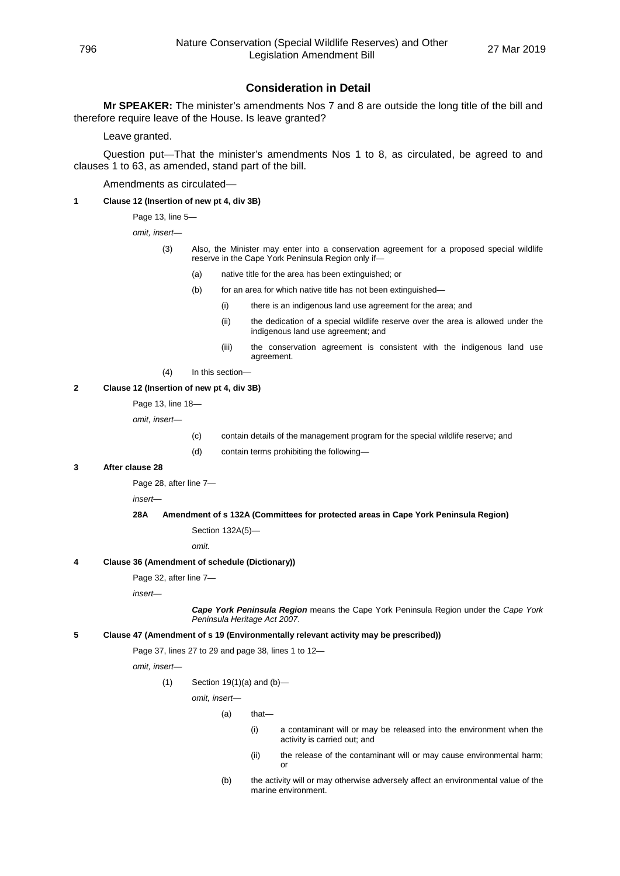# **Consideration in Detail**

**Mr SPEAKER:** The minister's amendments Nos 7 and 8 are outside the long title of the bill and therefore require leave of the House. Is leave granted?

Leave granted.

Question put—That the minister's amendments Nos 1 to 8, as circulated, be agreed to and clauses 1 to 63, as amended, stand part of the bill.

Amendments as circulated—

**1 Clause 12 (Insertion of new pt 4, div 3B)**

Page 13, line 5—

*omit, insert—*

- (3) Also, the Minister may enter into a conservation agreement for a proposed special wildlife reserve in the Cape York Peninsula Region only if—
	- (a) native title for the area has been extinguished; or
	- (b) for an area for which native title has not been extinguished—
		- (i) there is an indigenous land use agreement for the area; and
		- (ii) the dedication of a special wildlife reserve over the area is allowed under the indigenous land use agreement; and
		- (iii) the conservation agreement is consistent with the indigenous land use agreement.
- (4) In this section—

#### **2 Clause 12 (Insertion of new pt 4, div 3B)**

Page 13, line 18—

*omit, insert—*

- (c) contain details of the management program for the special wildlife reserve; and
- (d) contain terms prohibiting the following—

#### **3 After clause 28**

Page 28, after line 7—

*insert—*

**28A Amendment of s 132A (Committees for protected areas in Cape York Peninsula Region)**

Section 132A(5)—

*omit.*

### **4 Clause 36 (Amendment of schedule (Dictionary))**

Page 32, after line 7—

*insert—*

*Cape York Peninsula Region* means the Cape York Peninsula Region under the *Cape York Peninsula Heritage Act 2007*.

#### **5 Clause 47 (Amendment of s 19 (Environmentally relevant activity may be prescribed))**

Page 37, lines 27 to 29 and page 38, lines 1 to 12—

*omit, insert—*

 $(1)$  Section 19 $(1)(a)$  and  $(b)$ —

*omit, insert—*

(a) that—

- (i) a contaminant will or may be released into the environment when the activity is carried out; and
- (ii) the release of the contaminant will or may cause environmental harm; o<sup>1</sup>
- (b) the activity will or may otherwise adversely affect an environmental value of the marine environment.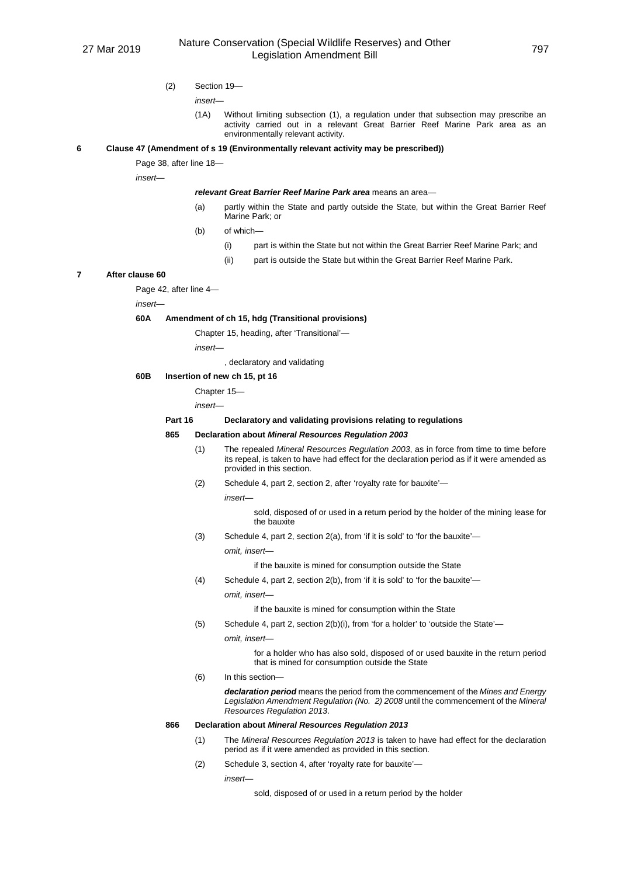(2) Section 19—

*insert—*

(1A) Without limiting subsection (1), a regulation under that subsection may prescribe an activity carried out in a relevant Great Barrier Reef Marine Park area as an environmentally relevant activity.

#### **6 Clause 47 (Amendment of s 19 (Environmentally relevant activity may be prescribed))**

Page 38, after line 18—

*insert—*

*relevant Great Barrier Reef Marine Park area* means an area—

- (a) partly within the State and partly outside the State, but within the Great Barrier Reef Marine Park; or
- (b) of which—
	- (i) part is within the State but not within the Great Barrier Reef Marine Park; and
	- (ii) part is outside the State but within the Great Barrier Reef Marine Park.

### **7 After clause 60**

Page 42, after line 4—

*insert—*

#### **60A Amendment of ch 15, hdg (Transitional provisions)**

Chapter 15, heading, after 'Transitional'—

*insert—*

, declaratory and validating

#### **60B Insertion of new ch 15, pt 16**

Chapter 15—

*insert—*

#### **Part 16 Declaratory and validating provisions relating to regulations**

#### **865 Declaration about** *Mineral Resources Regulation 2003*

- (1) The repealed *Mineral Resources Regulation 2003*, as in force from time to time before its repeal, is taken to have had effect for the declaration period as if it were amended as provided in this section.
- (2) Schedule 4, part 2, section 2, after 'royalty rate for bauxite'—

*insert—*

sold, disposed of or used in a return period by the holder of the mining lease for the bauxite

(3) Schedule 4, part 2, section 2(a), from 'if it is sold' to 'for the bauxite'—

*omit, insert—*

if the bauxite is mined for consumption outside the State

- (4) Schedule 4, part 2, section 2(b), from 'if it is sold' to 'for the bauxite'
	- *omit, insert—*

if the bauxite is mined for consumption within the State

- (5) Schedule 4, part 2, section 2(b)(i), from 'for a holder' to 'outside the State'
	- *omit, insert—*

for a holder who has also sold, disposed of or used bauxite in the return period that is mined for consumption outside the State

(6) In this section—

*declaration period* means the period from the commencement of the *Mines and Energy Legislation Amendment Regulation (No. 2) 2008* until the commencement of the *Mineral Resources Regulation 2013*.

### **866 Declaration about** *Mineral Resources Regulation 2013*

- (1) The *Mineral Resources Regulation 2013* is taken to have had effect for the declaration period as if it were amended as provided in this section.
- (2) Schedule 3, section 4, after 'royalty rate for bauxite'—

*insert—*

sold, disposed of or used in a return period by the holder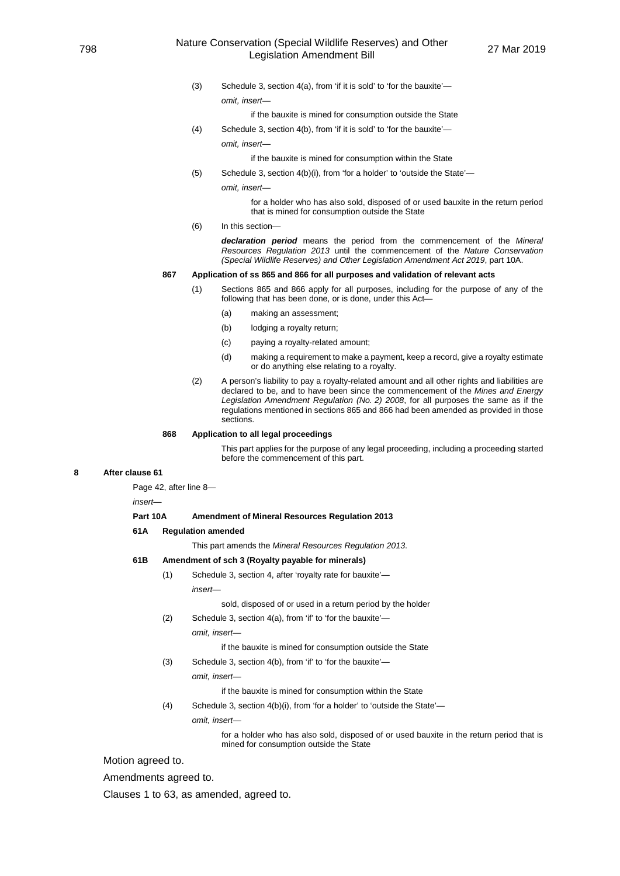### <sup>798</sup> Nature Conservation (Special Wildlife Reserves) and Other ation (Special Wildlife Reserves) and Other 27 Mar 2019<br>Legislation Amendment Bill

(3) Schedule 3, section 4(a), from 'if it is sold' to 'for the bauxite' *omit, insert—*

if the bauxite is mined for consumption outside the State

(4) Schedule 3, section 4(b), from 'if it is sold' to 'for the bauxite'—

*omit, insert—*

if the bauxite is mined for consumption within the State

- (5) Schedule 3, section 4(b)(i), from 'for a holder' to 'outside the State'
	- *omit, insert—*

for a holder who has also sold, disposed of or used bauxite in the return period that is mined for consumption outside the State

(6) In this section—

*declaration period* means the period from the commencement of the *Mineral Resources Regulation 2013* until the commencement of the *Nature Conservation (Special Wildlife Reserves) and Other Legislation Amendment Act 2019*, part 10A.

#### **867 Application of ss 865 and 866 for all purposes and validation of relevant acts**

- (1) Sections 865 and 866 apply for all purposes, including for the purpose of any of the following that has been done, or is done, under this Act—
	- (a) making an assessment;
	- (b) lodging a royalty return;
	- (c) paying a royalty-related amount;
	- (d) making a requirement to make a payment, keep a record, give a royalty estimate or do anything else relating to a royalty.
- (2) A person's liability to pay a royalty-related amount and all other rights and liabilities are declared to be, and to have been since the commencement of the *Mines and Energy Legislation Amendment Regulation (No. 2) 2008*, for all purposes the same as if the regulations mentioned in sections 865 and 866 had been amended as provided in those sections.

#### **868 Application to all legal proceedings**

This part applies for the purpose of any legal proceeding, including a proceeding started before the commencement of this part.

#### **8 After clause 61**

Page 42, after line 8—

*insert—*

#### **Part 10A Amendment of Mineral Resources Regulation 2013**

**61A Regulation amended**

This part amends the *Mineral Resources Regulation 2013*.

#### **61B Amendment of sch 3 (Royalty payable for minerals)**

(1) Schedule 3, section 4, after 'royalty rate for bauxite' *insert—*

sold, disposed of or used in a return period by the holder

(2) Schedule 3, section 4(a), from 'if' to 'for the bauxite' *omit, insert—*

if the bauxite is mined for consumption outside the State

(3) Schedule 3, section 4(b), from 'if' to 'for the bauxite' *omit, insert—*

if the bauxite is mined for consumption within the State

(4) Schedule 3, section 4(b)(i), from 'for a holder' to 'outside the State' *omit, insert—*

> for a holder who has also sold, disposed of or used bauxite in the return period that is mined for consumption outside the State

Motion agreed to.

Amendments agreed to.

Clauses 1 to 63, as amended, agreed to.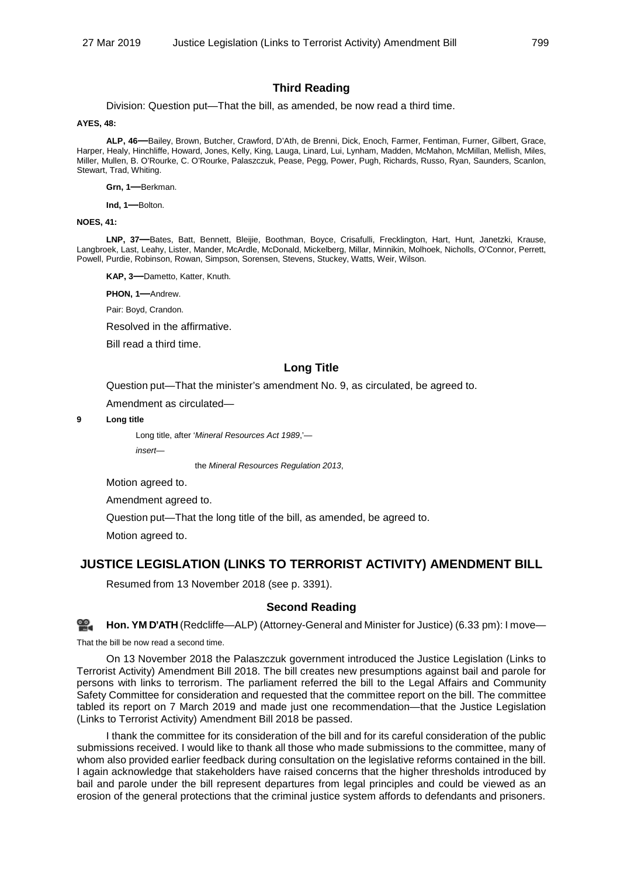# **Third Reading**

Division: Question put—That the bill, as amended, be now read a third time.

#### **AYES, 48:**

**ALP, 46—**Bailey, Brown, Butcher, Crawford, D'Ath, de Brenni, Dick, Enoch, Farmer, Fentiman, Furner, Gilbert, Grace, Harper, Healy, Hinchliffe, Howard, Jones, Kelly, King, Lauga, Linard, Lui, Lynham, Madden, McMahon, McMillan, Mellish, Miles, Miller, Mullen, B. O'Rourke, C. O'Rourke, Palaszczuk, Pease, Pegg, Power, Pugh, Richards, Russo, Ryan, Saunders, Scanlon, Stewart, Trad, Whiting.

**Grn, 1—**Berkman.

**Ind, 1—**Bolton.

### **NOES, 41:**

**LNP, 37—**Bates, Batt, Bennett, Bleijie, Boothman, Boyce, Crisafulli, Frecklington, Hart, Hunt, Janetzki, Krause, Langbroek, Last, Leahy, Lister, Mander, McArdle, McDonald, Mickelberg, Millar, Minnikin, Molhoek, Nicholls, O'Connor, Perrett, Powell, Purdie, Robinson, Rowan, Simpson, Sorensen, Stevens, Stuckey, Watts, Weir, Wilson.

**KAP, 3—**Dametto, Katter, Knuth.

**PHON, 1—**Andrew.

Pair: Boyd, Crandon.

Resolved in the affirmative.

Bill read a third time.

## **Long Title**

Question put—That the minister's amendment No. 9, as circulated, be agreed to.

Amendment as circulated—

**9 Long title**

Long title, after '*Mineral Resources Act 1989*,' *insert—*

the *Mineral Resources Regulation 2013*,

Motion agreed to.

Amendment agreed to.

Question put—That the long title of the bill, as amended, be agreed to.

Motion agreed to.

# **JUSTICE LEGISLATION (LINKS TO TERRORIST ACTIVITY) AMENDMENT BILL**

Resumed from 13 November 2018 (see p. 3391).

## **Second Reading**

ഇ **[Hon. YM](http://www.parliament.qld.gov.au/docs/find.aspx?id=0Mba20190327_183338) D'ATH** (Redcliffe—ALP) (Attorney-General and Minister for Justice) (6.33 pm): I move—

That the bill be now read a second time.

On 13 November 2018 the Palaszczuk government introduced the Justice Legislation (Links to Terrorist Activity) Amendment Bill 2018. The bill creates new presumptions against bail and parole for persons with links to terrorism. The parliament referred the bill to the Legal Affairs and Community Safety Committee for consideration and requested that the committee report on the bill. The committee tabled its report on 7 March 2019 and made just one recommendation—that the Justice Legislation (Links to Terrorist Activity) Amendment Bill 2018 be passed.

I thank the committee for its consideration of the bill and for its careful consideration of the public submissions received. I would like to thank all those who made submissions to the committee, many of whom also provided earlier feedback during consultation on the legislative reforms contained in the bill. I again acknowledge that stakeholders have raised concerns that the higher thresholds introduced by bail and parole under the bill represent departures from legal principles and could be viewed as an erosion of the general protections that the criminal justice system affords to defendants and prisoners.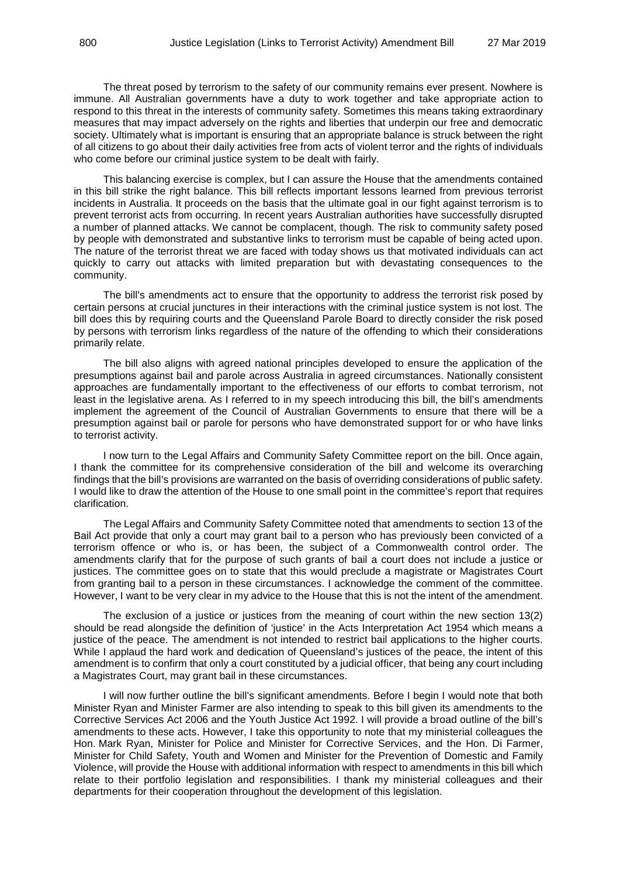The threat posed by terrorism to the safety of our community remains ever present. Nowhere is immune. All Australian governments have a duty to work together and take appropriate action to respond to this threat in the interests of community safety. Sometimes this means taking extraordinary measures that may impact adversely on the rights and liberties that underpin our free and democratic society. Ultimately what is important is ensuring that an appropriate balance is struck between the right of all citizens to go about their daily activities free from acts of violent terror and the rights of individuals who come before our criminal justice system to be dealt with fairly.

This balancing exercise is complex, but I can assure the House that the amendments contained in this bill strike the right balance. This bill reflects important lessons learned from previous terrorist incidents in Australia. It proceeds on the basis that the ultimate goal in our fight against terrorism is to prevent terrorist acts from occurring. In recent years Australian authorities have successfully disrupted a number of planned attacks. We cannot be complacent, though. The risk to community safety posed by people with demonstrated and substantive links to terrorism must be capable of being acted upon. The nature of the terrorist threat we are faced with today shows us that motivated individuals can act quickly to carry out attacks with limited preparation but with devastating consequences to the community.

The bill's amendments act to ensure that the opportunity to address the terrorist risk posed by certain persons at crucial junctures in their interactions with the criminal justice system is not lost. The bill does this by requiring courts and the Queensland Parole Board to directly consider the risk posed by persons with terrorism links regardless of the nature of the offending to which their considerations primarily relate.

The bill also aligns with agreed national principles developed to ensure the application of the presumptions against bail and parole across Australia in agreed circumstances. Nationally consistent approaches are fundamentally important to the effectiveness of our efforts to combat terrorism, not least in the legislative arena. As I referred to in my speech introducing this bill, the bill's amendments implement the agreement of the Council of Australian Governments to ensure that there will be a presumption against bail or parole for persons who have demonstrated support for or who have links to terrorist activity.

I now turn to the Legal Affairs and Community Safety Committee report on the bill. Once again, I thank the committee for its comprehensive consideration of the bill and welcome its overarching findings that the bill's provisions are warranted on the basis of overriding considerations of public safety. I would like to draw the attention of the House to one small point in the committee's report that requires clarification.

The Legal Affairs and Community Safety Committee noted that amendments to section 13 of the Bail Act provide that only a court may grant bail to a person who has previously been convicted of a terrorism offence or who is, or has been, the subject of a Commonwealth control order. The amendments clarify that for the purpose of such grants of bail a court does not include a justice or justices. The committee goes on to state that this would preclude a magistrate or Magistrates Court from granting bail to a person in these circumstances. I acknowledge the comment of the committee. However, I want to be very clear in my advice to the House that this is not the intent of the amendment.

The exclusion of a justice or justices from the meaning of court within the new section 13(2) should be read alongside the definition of 'justice' in the Acts Interpretation Act 1954 which means a justice of the peace. The amendment is not intended to restrict bail applications to the higher courts. While I applaud the hard work and dedication of Queensland's justices of the peace, the intent of this amendment is to confirm that only a court constituted by a judicial officer, that being any court including a Magistrates Court, may grant bail in these circumstances.

I will now further outline the bill's significant amendments. Before I begin I would note that both Minister Ryan and Minister Farmer are also intending to speak to this bill given its amendments to the Corrective Services Act 2006 and the Youth Justice Act 1992. I will provide a broad outline of the bill's amendments to these acts. However, I take this opportunity to note that my ministerial colleagues the Hon. Mark Ryan, Minister for Police and Minister for Corrective Services, and the Hon. Di Farmer, Minister for Child Safety, Youth and Women and Minister for the Prevention of Domestic and Family Violence, will provide the House with additional information with respect to amendments in this bill which relate to their portfolio legislation and responsibilities. I thank my ministerial colleagues and their departments for their cooperation throughout the development of this legislation.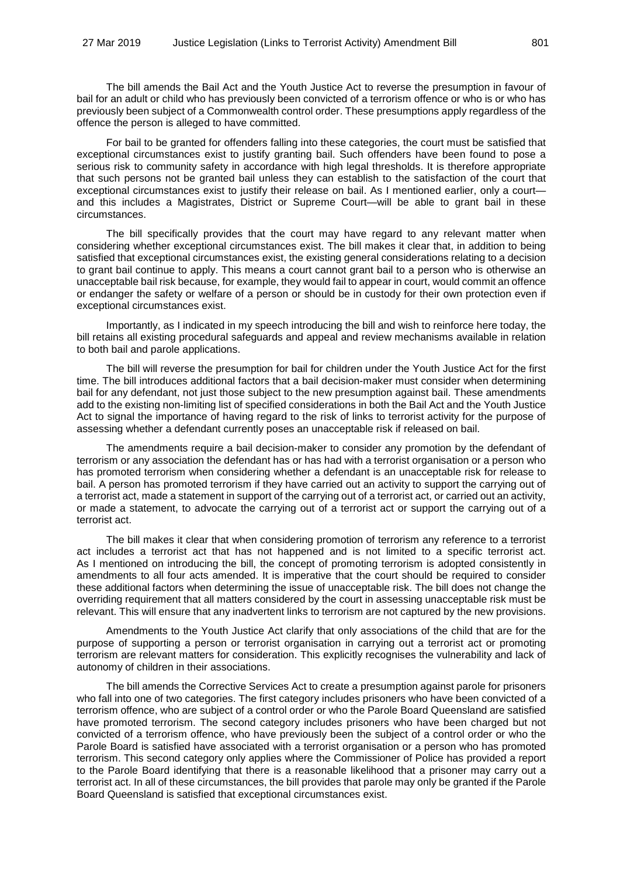The bill amends the Bail Act and the Youth Justice Act to reverse the presumption in favour of bail for an adult or child who has previously been convicted of a terrorism offence or who is or who has previously been subject of a Commonwealth control order. These presumptions apply regardless of the offence the person is alleged to have committed.

For bail to be granted for offenders falling into these categories, the court must be satisfied that exceptional circumstances exist to justify granting bail. Such offenders have been found to pose a serious risk to community safety in accordance with high legal thresholds. It is therefore appropriate that such persons not be granted bail unless they can establish to the satisfaction of the court that exceptional circumstances exist to justify their release on bail. As I mentioned earlier, only a court and this includes a Magistrates, District or Supreme Court—will be able to grant bail in these circumstances.

The bill specifically provides that the court may have regard to any relevant matter when considering whether exceptional circumstances exist. The bill makes it clear that, in addition to being satisfied that exceptional circumstances exist, the existing general considerations relating to a decision to grant bail continue to apply. This means a court cannot grant bail to a person who is otherwise an unacceptable bail risk because, for example, they would fail to appear in court, would commit an offence or endanger the safety or welfare of a person or should be in custody for their own protection even if exceptional circumstances exist.

Importantly, as I indicated in my speech introducing the bill and wish to reinforce here today, the bill retains all existing procedural safeguards and appeal and review mechanisms available in relation to both bail and parole applications.

The bill will reverse the presumption for bail for children under the Youth Justice Act for the first time. The bill introduces additional factors that a bail decision-maker must consider when determining bail for any defendant, not just those subject to the new presumption against bail. These amendments add to the existing non-limiting list of specified considerations in both the Bail Act and the Youth Justice Act to signal the importance of having regard to the risk of links to terrorist activity for the purpose of assessing whether a defendant currently poses an unacceptable risk if released on bail.

The amendments require a bail decision-maker to consider any promotion by the defendant of terrorism or any association the defendant has or has had with a terrorist organisation or a person who has promoted terrorism when considering whether a defendant is an unacceptable risk for release to bail. A person has promoted terrorism if they have carried out an activity to support the carrying out of a terrorist act, made a statement in support of the carrying out of a terrorist act, or carried out an activity, or made a statement, to advocate the carrying out of a terrorist act or support the carrying out of a terrorist act.

The bill makes it clear that when considering promotion of terrorism any reference to a terrorist act includes a terrorist act that has not happened and is not limited to a specific terrorist act. As I mentioned on introducing the bill, the concept of promoting terrorism is adopted consistently in amendments to all four acts amended. It is imperative that the court should be required to consider these additional factors when determining the issue of unacceptable risk. The bill does not change the overriding requirement that all matters considered by the court in assessing unacceptable risk must be relevant. This will ensure that any inadvertent links to terrorism are not captured by the new provisions.

Amendments to the Youth Justice Act clarify that only associations of the child that are for the purpose of supporting a person or terrorist organisation in carrying out a terrorist act or promoting terrorism are relevant matters for consideration. This explicitly recognises the vulnerability and lack of autonomy of children in their associations.

The bill amends the Corrective Services Act to create a presumption against parole for prisoners who fall into one of two categories. The first category includes prisoners who have been convicted of a terrorism offence, who are subject of a control order or who the Parole Board Queensland are satisfied have promoted terrorism. The second category includes prisoners who have been charged but not convicted of a terrorism offence, who have previously been the subject of a control order or who the Parole Board is satisfied have associated with a terrorist organisation or a person who has promoted terrorism. This second category only applies where the Commissioner of Police has provided a report to the Parole Board identifying that there is a reasonable likelihood that a prisoner may carry out a terrorist act. In all of these circumstances, the bill provides that parole may only be granted if the Parole Board Queensland is satisfied that exceptional circumstances exist.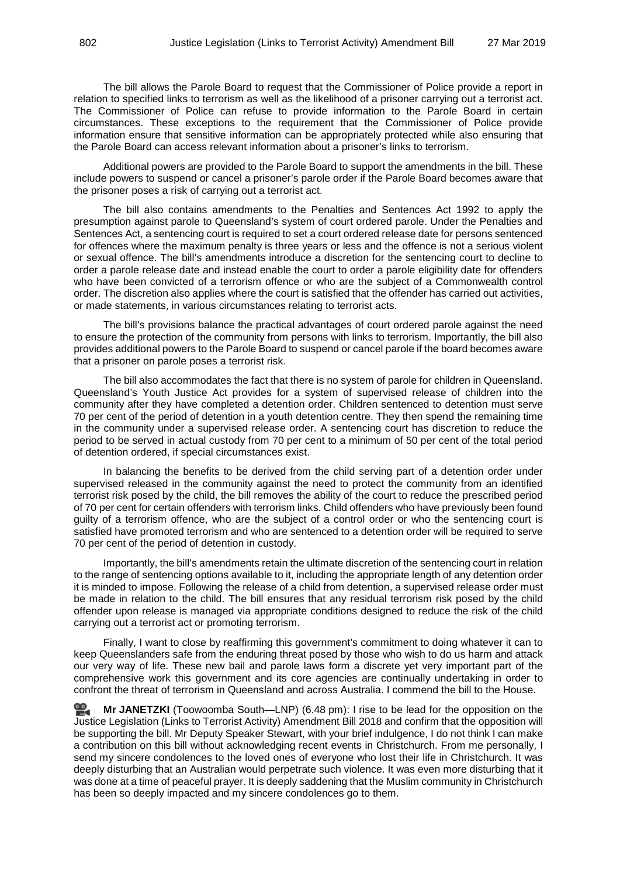The bill allows the Parole Board to request that the Commissioner of Police provide a report in relation to specified links to terrorism as well as the likelihood of a prisoner carrying out a terrorist act. The Commissioner of Police can refuse to provide information to the Parole Board in certain circumstances. These exceptions to the requirement that the Commissioner of Police provide information ensure that sensitive information can be appropriately protected while also ensuring that the Parole Board can access relevant information about a prisoner's links to terrorism.

Additional powers are provided to the Parole Board to support the amendments in the bill. These include powers to suspend or cancel a prisoner's parole order if the Parole Board becomes aware that the prisoner poses a risk of carrying out a terrorist act.

The bill also contains amendments to the Penalties and Sentences Act 1992 to apply the presumption against parole to Queensland's system of court ordered parole. Under the Penalties and Sentences Act, a sentencing court is required to set a court ordered release date for persons sentenced for offences where the maximum penalty is three years or less and the offence is not a serious violent or sexual offence. The bill's amendments introduce a discretion for the sentencing court to decline to order a parole release date and instead enable the court to order a parole eligibility date for offenders who have been convicted of a terrorism offence or who are the subject of a Commonwealth control order. The discretion also applies where the court is satisfied that the offender has carried out activities, or made statements, in various circumstances relating to terrorist acts.

The bill's provisions balance the practical advantages of court ordered parole against the need to ensure the protection of the community from persons with links to terrorism. Importantly, the bill also provides additional powers to the Parole Board to suspend or cancel parole if the board becomes aware that a prisoner on parole poses a terrorist risk.

The bill also accommodates the fact that there is no system of parole for children in Queensland. Queensland's Youth Justice Act provides for a system of supervised release of children into the community after they have completed a detention order. Children sentenced to detention must serve 70 per cent of the period of detention in a youth detention centre. They then spend the remaining time in the community under a supervised release order. A sentencing court has discretion to reduce the period to be served in actual custody from 70 per cent to a minimum of 50 per cent of the total period of detention ordered, if special circumstances exist.

In balancing the benefits to be derived from the child serving part of a detention order under supervised released in the community against the need to protect the community from an identified terrorist risk posed by the child, the bill removes the ability of the court to reduce the prescribed period of 70 per cent for certain offenders with terrorism links. Child offenders who have previously been found guilty of a terrorism offence, who are the subject of a control order or who the sentencing court is satisfied have promoted terrorism and who are sentenced to a detention order will be required to serve 70 per cent of the period of detention in custody.

Importantly, the bill's amendments retain the ultimate discretion of the sentencing court in relation to the range of sentencing options available to it, including the appropriate length of any detention order it is minded to impose. Following the release of a child from detention, a supervised release order must be made in relation to the child. The bill ensures that any residual terrorism risk posed by the child offender upon release is managed via appropriate conditions designed to reduce the risk of the child carrying out a terrorist act or promoting terrorism.

Finally, I want to close by reaffirming this government's commitment to doing whatever it can to keep Queenslanders safe from the enduring threat posed by those who wish to do us harm and attack our very way of life. These new bail and parole laws form a discrete yet very important part of the comprehensive work this government and its core agencies are continually undertaking in order to confront the threat of terrorism in Queensland and across Australia. I commend the bill to the House.

≌. **Mr [JANETZKI](http://www.parliament.qld.gov.au/docs/find.aspx?id=0Mba20190327_184833)** (Toowoomba South—LNP) (6.48 pm): I rise to be lead for the opposition on the Justice Legislation (Links to Terrorist Activity) Amendment Bill 2018 and confirm that the opposition will be supporting the bill. Mr Deputy Speaker Stewart, with your brief indulgence, I do not think I can make a contribution on this bill without acknowledging recent events in Christchurch. From me personally, I send my sincere condolences to the loved ones of everyone who lost their life in Christchurch. It was deeply disturbing that an Australian would perpetrate such violence. It was even more disturbing that it was done at a time of peaceful prayer. It is deeply saddening that the Muslim community in Christchurch has been so deeply impacted and my sincere condolences go to them.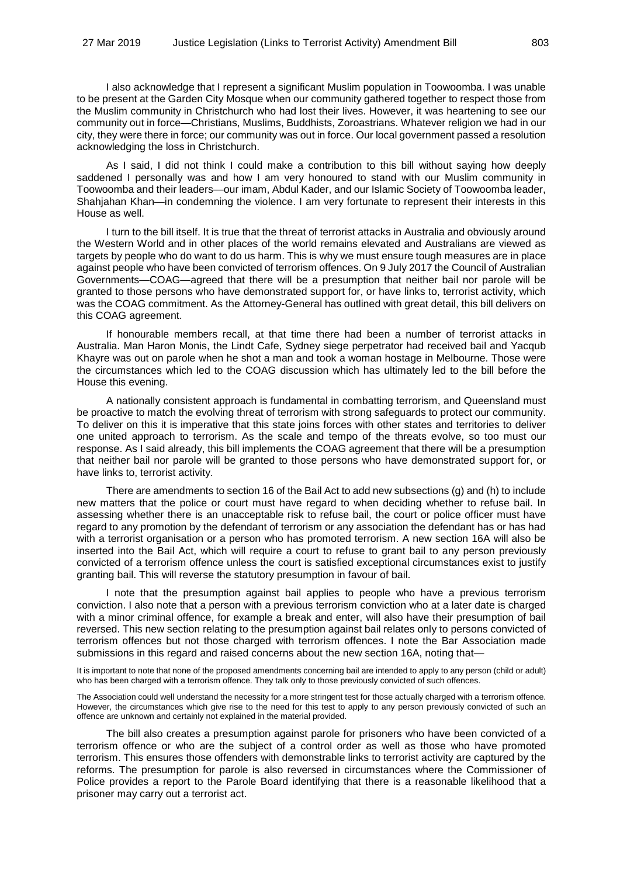I also acknowledge that I represent a significant Muslim population in Toowoomba. I was unable to be present at the Garden City Mosque when our community gathered together to respect those from the Muslim community in Christchurch who had lost their lives. However, it was heartening to see our community out in force—Christians, Muslims, Buddhists, Zoroastrians. Whatever religion we had in our city, they were there in force; our community was out in force. Our local government passed a resolution acknowledging the loss in Christchurch.

As I said, I did not think I could make a contribution to this bill without saying how deeply saddened I personally was and how I am very honoured to stand with our Muslim community in Toowoomba and their leaders—our imam, Abdul Kader, and our Islamic Society of Toowoomba leader, Shahiahan Khan—in condemning the violence. I am very fortunate to represent their interests in this House as well.

I turn to the bill itself. It is true that the threat of terrorist attacks in Australia and obviously around the Western World and in other places of the world remains elevated and Australians are viewed as targets by people who do want to do us harm. This is why we must ensure tough measures are in place against people who have been convicted of terrorism offences. On 9 July 2017 the Council of Australian Governments—COAG—agreed that there will be a presumption that neither bail nor parole will be granted to those persons who have demonstrated support for, or have links to, terrorist activity, which was the COAG commitment. As the Attorney-General has outlined with great detail, this bill delivers on this COAG agreement.

If honourable members recall, at that time there had been a number of terrorist attacks in Australia. Man Haron Monis, the Lindt Cafe, Sydney siege perpetrator had received bail and Yacqub Khayre was out on parole when he shot a man and took a woman hostage in Melbourne. Those were the circumstances which led to the COAG discussion which has ultimately led to the bill before the House this evening.

A nationally consistent approach is fundamental in combatting terrorism, and Queensland must be proactive to match the evolving threat of terrorism with strong safeguards to protect our community. To deliver on this it is imperative that this state joins forces with other states and territories to deliver one united approach to terrorism. As the scale and tempo of the threats evolve, so too must our response. As I said already, this bill implements the COAG agreement that there will be a presumption that neither bail nor parole will be granted to those persons who have demonstrated support for, or have links to, terrorist activity.

There are amendments to section 16 of the Bail Act to add new subsections (g) and (h) to include new matters that the police or court must have regard to when deciding whether to refuse bail. In assessing whether there is an unacceptable risk to refuse bail, the court or police officer must have regard to any promotion by the defendant of terrorism or any association the defendant has or has had with a terrorist organisation or a person who has promoted terrorism. A new section 16A will also be inserted into the Bail Act, which will require a court to refuse to grant bail to any person previously convicted of a terrorism offence unless the court is satisfied exceptional circumstances exist to justify granting bail. This will reverse the statutory presumption in favour of bail.

I note that the presumption against bail applies to people who have a previous terrorism conviction. I also note that a person with a previous terrorism conviction who at a later date is charged with a minor criminal offence, for example a break and enter, will also have their presumption of bail reversed. This new section relating to the presumption against bail relates only to persons convicted of terrorism offences but not those charged with terrorism offences. I note the Bar Association made submissions in this regard and raised concerns about the new section 16A, noting that—

It is important to note that none of the proposed amendments concerning bail are intended to apply to any person (child or adult) who has been charged with a terrorism offence. They talk only to those previously convicted of such offences.

The Association could well understand the necessity for a more stringent test for those actually charged with a terrorism offence. However, the circumstances which give rise to the need for this test to apply to any person previously convicted of such an offence are unknown and certainly not explained in the material provided.

The bill also creates a presumption against parole for prisoners who have been convicted of a terrorism offence or who are the subject of a control order as well as those who have promoted terrorism. This ensures those offenders with demonstrable links to terrorist activity are captured by the reforms. The presumption for parole is also reversed in circumstances where the Commissioner of Police provides a report to the Parole Board identifying that there is a reasonable likelihood that a prisoner may carry out a terrorist act.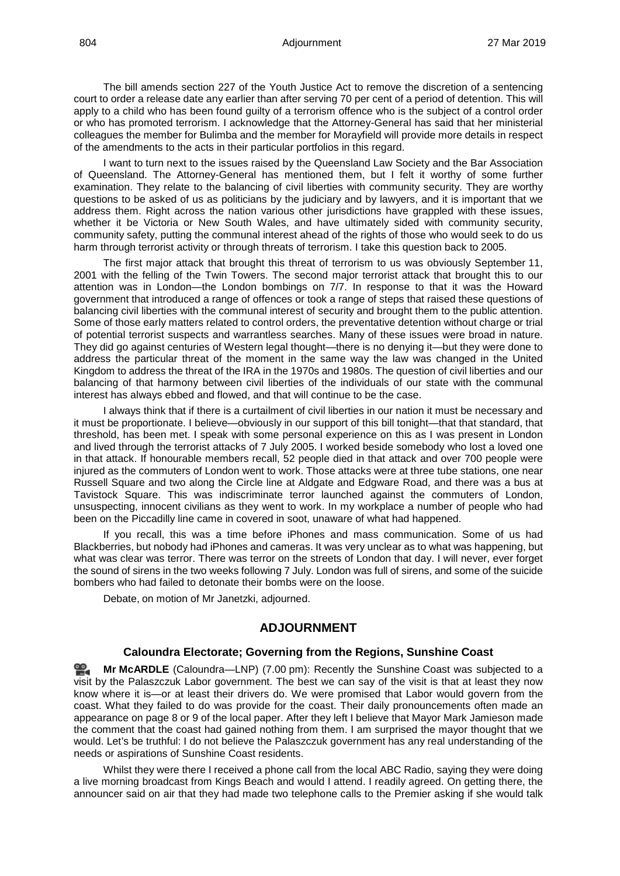The bill amends section 227 of the Youth Justice Act to remove the discretion of a sentencing court to order a release date any earlier than after serving 70 per cent of a period of detention. This will apply to a child who has been found guilty of a terrorism offence who is the subject of a control order or who has promoted terrorism. I acknowledge that the Attorney-General has said that her ministerial colleagues the member for Bulimba and the member for Morayfield will provide more details in respect of the amendments to the acts in their particular portfolios in this regard.

I want to turn next to the issues raised by the Queensland Law Society and the Bar Association of Queensland. The Attorney-General has mentioned them, but I felt it worthy of some further examination. They relate to the balancing of civil liberties with community security. They are worthy questions to be asked of us as politicians by the judiciary and by lawyers, and it is important that we address them. Right across the nation various other jurisdictions have grappled with these issues, whether it be Victoria or New South Wales, and have ultimately sided with community security, community safety, putting the communal interest ahead of the rights of those who would seek to do us harm through terrorist activity or through threats of terrorism. I take this question back to 2005.

The first major attack that brought this threat of terrorism to us was obviously September 11, 2001 with the felling of the Twin Towers. The second major terrorist attack that brought this to our attention was in London—the London bombings on 7/7. In response to that it was the Howard government that introduced a range of offences or took a range of steps that raised these questions of balancing civil liberties with the communal interest of security and brought them to the public attention. Some of those early matters related to control orders, the preventative detention without charge or trial of potential terrorist suspects and warrantless searches. Many of these issues were broad in nature. They did go against centuries of Western legal thought—there is no denying it—but they were done to address the particular threat of the moment in the same way the law was changed in the United Kingdom to address the threat of the IRA in the 1970s and 1980s. The question of civil liberties and our balancing of that harmony between civil liberties of the individuals of our state with the communal interest has always ebbed and flowed, and that will continue to be the case.

I always think that if there is a curtailment of civil liberties in our nation it must be necessary and it must be proportionate. I believe—obviously in our support of this bill tonight—that that standard, that threshold, has been met. I speak with some personal experience on this as I was present in London and lived through the terrorist attacks of 7 July 2005. I worked beside somebody who lost a loved one in that attack. If honourable members recall, 52 people died in that attack and over 700 people were injured as the commuters of London went to work. Those attacks were at three tube stations, one near Russell Square and two along the Circle line at Aldgate and Edgware Road, and there was a bus at Tavistock Square. This was indiscriminate terror launched against the commuters of London, unsuspecting, innocent civilians as they went to work. In my workplace a number of people who had been on the Piccadilly line came in covered in soot, unaware of what had happened.

If you recall, this was a time before iPhones and mass communication. Some of us had Blackberries, but nobody had iPhones and cameras. It was very unclear as to what was happening, but what was clear was terror. There was terror on the streets of London that day. I will never, ever forget the sound of sirens in the two weeks following 7 July. London was full of sirens, and some of the suicide bombers who had failed to detonate their bombs were on the loose.

Debate, on motion of Mr Janetzki, adjourned.

# **ADJOURNMENT**

### **Caloundra Electorate; Governing from the Regions, Sunshine Coast**

**Mr [McARDLE](http://www.parliament.qld.gov.au/docs/find.aspx?id=0Mba20190327_190045)** (Caloundra—LNP) (7.00 pm): Recently the Sunshine Coast was subjected to a visit by the Palaszczuk Labor government. The best we can say of the visit is that at least they now know where it is—or at least their drivers do. We were promised that Labor would govern from the coast. What they failed to do was provide for the coast. Their daily pronouncements often made an appearance on page 8 or 9 of the local paper. After they left I believe that Mayor Mark Jamieson made the comment that the coast had gained nothing from them. I am surprised the mayor thought that we would. Let's be truthful: I do not believe the Palaszczuk government has any real understanding of the needs or aspirations of Sunshine Coast residents.

Whilst they were there I received a phone call from the local ABC Radio, saying they were doing a live morning broadcast from Kings Beach and would I attend. I readily agreed. On getting there, the announcer said on air that they had made two telephone calls to the Premier asking if she would talk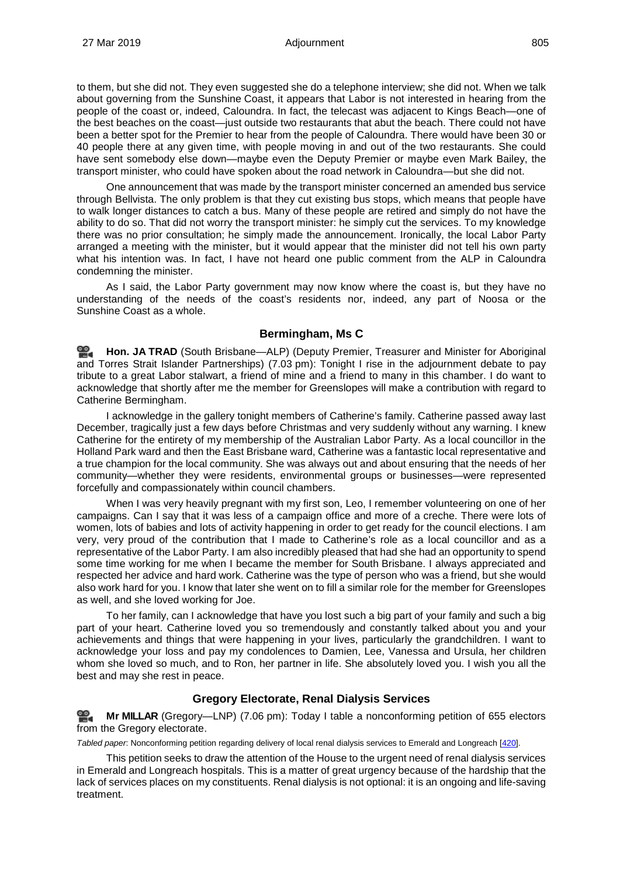to them, but she did not. They even suggested she do a telephone interview; she did not. When we talk about governing from the Sunshine Coast, it appears that Labor is not interested in hearing from the people of the coast or, indeed, Caloundra. In fact, the telecast was adjacent to Kings Beach—one of the best beaches on the coast—just outside two restaurants that abut the beach. There could not have been a better spot for the Premier to hear from the people of Caloundra. There would have been 30 or 40 people there at any given time, with people moving in and out of the two restaurants. She could have sent somebody else down—maybe even the Deputy Premier or maybe even Mark Bailey, the transport minister, who could have spoken about the road network in Caloundra—but she did not.

One announcement that was made by the transport minister concerned an amended bus service through Bellvista. The only problem is that they cut existing bus stops, which means that people have to walk longer distances to catch a bus. Many of these people are retired and simply do not have the ability to do so. That did not worry the transport minister: he simply cut the services. To my knowledge there was no prior consultation; he simply made the announcement. Ironically, the local Labor Party arranged a meeting with the minister, but it would appear that the minister did not tell his own party what his intention was. In fact, I have not heard one public comment from the ALP in Caloundra condemning the minister.

As I said, the Labor Party government may now know where the coast is, but they have no understanding of the needs of the coast's residents nor, indeed, any part of Noosa or the Sunshine Coast as a whole.

## **Bermingham, Ms C**

≌. **[Hon. JA](http://www.parliament.qld.gov.au/docs/find.aspx?id=0Mba20190327_190345) TRAD** (South Brisbane—ALP) (Deputy Premier, Treasurer and Minister for Aboriginal and Torres Strait Islander Partnerships) (7.03 pm): Tonight I rise in the adjournment debate to pay tribute to a great Labor stalwart, a friend of mine and a friend to many in this chamber. I do want to acknowledge that shortly after me the member for Greenslopes will make a contribution with regard to Catherine Bermingham.

I acknowledge in the gallery tonight members of Catherine's family. Catherine passed away last December, tragically just a few days before Christmas and very suddenly without any warning. I knew Catherine for the entirety of my membership of the Australian Labor Party. As a local councillor in the Holland Park ward and then the East Brisbane ward, Catherine was a fantastic local representative and a true champion for the local community. She was always out and about ensuring that the needs of her community—whether they were residents, environmental groups or businesses—were represented forcefully and compassionately within council chambers.

When I was very heavily pregnant with my first son, Leo, I remember volunteering on one of her campaigns. Can I say that it was less of a campaign office and more of a creche. There were lots of women, lots of babies and lots of activity happening in order to get ready for the council elections. I am very, very proud of the contribution that I made to Catherine's role as a local councillor and as a representative of the Labor Party. I am also incredibly pleased that had she had an opportunity to spend some time working for me when I became the member for South Brisbane. I always appreciated and respected her advice and hard work. Catherine was the type of person who was a friend, but she would also work hard for you. I know that later she went on to fill a similar role for the member for Greenslopes as well, and she loved working for Joe.

To her family, can I acknowledge that have you lost such a big part of your family and such a big part of your heart. Catherine loved you so tremendously and constantly talked about you and your achievements and things that were happening in your lives, particularly the grandchildren. I want to acknowledge your loss and pay my condolences to Damien, Lee, Vanessa and Ursula, her children whom she loved so much, and to Ron, her partner in life. She absolutely loved you. I wish you all the best and may she rest in peace.

# **Gregory Electorate, Renal Dialysis Services**

<u>ൈ</u> **Mr [MILLAR](http://www.parliament.qld.gov.au/docs/find.aspx?id=0Mba20190327_190652)** (Gregory—LNP) (7.06 pm): Today I table a nonconforming petition of 655 electors from the Gregory electorate.

*Tabled paper*: Nonconforming petition regarding delivery of local renal dialysis services to Emerald and Longreach [\[420\].](http://www.parliament.qld.gov.au/docs/find.aspx?id=5619T420)

This petition seeks to draw the attention of the House to the urgent need of renal dialysis services in Emerald and Longreach hospitals. This is a matter of great urgency because of the hardship that the lack of services places on my constituents. Renal dialysis is not optional: it is an ongoing and life-saving treatment.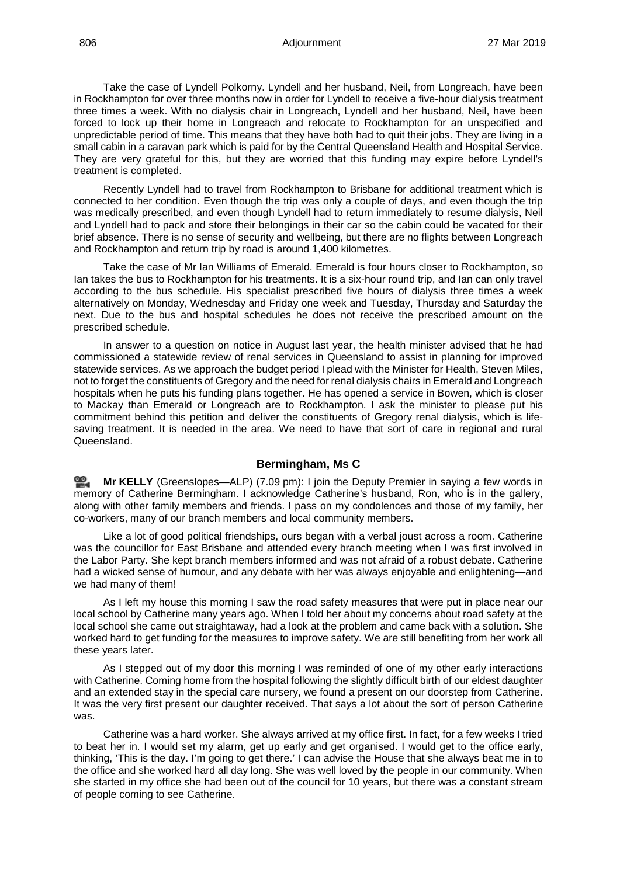Take the case of Lyndell Polkorny. Lyndell and her husband, Neil, from Longreach, have been in Rockhampton for over three months now in order for Lyndell to receive a five-hour dialysis treatment three times a week. With no dialysis chair in Longreach, Lyndell and her husband, Neil, have been forced to lock up their home in Longreach and relocate to Rockhampton for an unspecified and unpredictable period of time. This means that they have both had to quit their jobs. They are living in a small cabin in a caravan park which is paid for by the Central Queensland Health and Hospital Service. They are very grateful for this, but they are worried that this funding may expire before Lyndell's treatment is completed.

Recently Lyndell had to travel from Rockhampton to Brisbane for additional treatment which is connected to her condition. Even though the trip was only a couple of days, and even though the trip was medically prescribed, and even though Lyndell had to return immediately to resume dialysis, Neil and Lyndell had to pack and store their belongings in their car so the cabin could be vacated for their brief absence. There is no sense of security and wellbeing, but there are no flights between Longreach and Rockhampton and return trip by road is around 1,400 kilometres.

Take the case of Mr Ian Williams of Emerald. Emerald is four hours closer to Rockhampton, so Ian takes the bus to Rockhampton for his treatments. It is a six-hour round trip, and Ian can only travel according to the bus schedule. His specialist prescribed five hours of dialysis three times a week alternatively on Monday, Wednesday and Friday one week and Tuesday, Thursday and Saturday the next. Due to the bus and hospital schedules he does not receive the prescribed amount on the prescribed schedule.

In answer to a question on notice in August last year, the health minister advised that he had commissioned a statewide review of renal services in Queensland to assist in planning for improved statewide services. As we approach the budget period I plead with the Minister for Health, Steven Miles, not to forget the constituents of Gregory and the need for renal dialysis chairs in Emerald and Longreach hospitals when he puts his funding plans together. He has opened a service in Bowen, which is closer to Mackay than Emerald or Longreach are to Rockhampton. I ask the minister to please put his commitment behind this petition and deliver the constituents of Gregory renal dialysis, which is lifesaving treatment. It is needed in the area. We need to have that sort of care in regional and rural Queensland.

### **Bermingham, Ms C**

≌. **Mr [KELLY](http://www.parliament.qld.gov.au/docs/find.aspx?id=0Mba20190327_190956)** (Greenslopes—ALP) (7.09 pm): I join the Deputy Premier in saying a few words in memory of Catherine Bermingham. I acknowledge Catherine's husband, Ron, who is in the gallery, along with other family members and friends. I pass on my condolences and those of my family, her co-workers, many of our branch members and local community members.

Like a lot of good political friendships, ours began with a verbal joust across a room. Catherine was the councillor for East Brisbane and attended every branch meeting when I was first involved in the Labor Party. She kept branch members informed and was not afraid of a robust debate. Catherine had a wicked sense of humour, and any debate with her was always enjoyable and enlightening—and we had many of them!

As I left my house this morning I saw the road safety measures that were put in place near our local school by Catherine many years ago. When I told her about my concerns about road safety at the local school she came out straightaway, had a look at the problem and came back with a solution. She worked hard to get funding for the measures to improve safety. We are still benefiting from her work all these years later.

As I stepped out of my door this morning I was reminded of one of my other early interactions with Catherine. Coming home from the hospital following the slightly difficult birth of our eldest daughter and an extended stay in the special care nursery, we found a present on our doorstep from Catherine. It was the very first present our daughter received. That says a lot about the sort of person Catherine was.

Catherine was a hard worker. She always arrived at my office first. In fact, for a few weeks I tried to beat her in. I would set my alarm, get up early and get organised. I would get to the office early, thinking, 'This is the day. I'm going to get there.' I can advise the House that she always beat me in to the office and she worked hard all day long. She was well loved by the people in our community. When she started in my office she had been out of the council for 10 years, but there was a constant stream of people coming to see Catherine.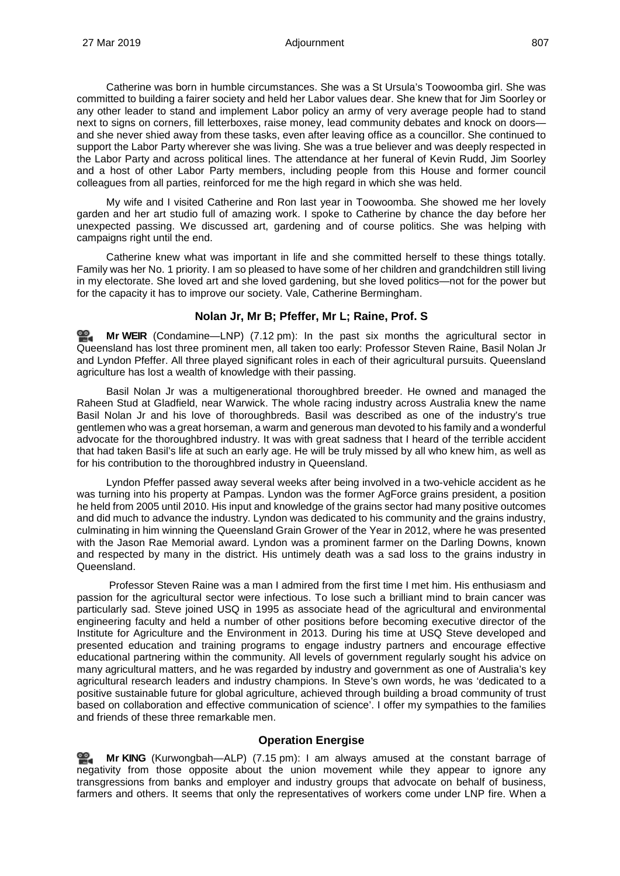Catherine was born in humble circumstances. She was a St Ursula's Toowoomba girl. She was committed to building a fairer society and held her Labor values dear. She knew that for Jim Soorley or any other leader to stand and implement Labor policy an army of very average people had to stand next to signs on corners, fill letterboxes, raise money, lead community debates and knock on doors and she never shied away from these tasks, even after leaving office as a councillor. She continued to support the Labor Party wherever she was living. She was a true believer and was deeply respected in the Labor Party and across political lines. The attendance at her funeral of Kevin Rudd, Jim Soorley and a host of other Labor Party members, including people from this House and former council colleagues from all parties, reinforced for me the high regard in which she was held.

My wife and I visited Catherine and Ron last year in Toowoomba. She showed me her lovely garden and her art studio full of amazing work. I spoke to Catherine by chance the day before her unexpected passing. We discussed art, gardening and of course politics. She was helping with campaigns right until the end.

Catherine knew what was important in life and she committed herself to these things totally. Family was her No. 1 priority. I am so pleased to have some of her children and grandchildren still living in my electorate. She loved art and she loved gardening, but she loved politics—not for the power but for the capacity it has to improve our society. Vale, Catherine Bermingham.

# **Nolan Jr, Mr B; Pfeffer, Mr L; Raine, Prof. S**

≌. **Mr [WEIR](http://www.parliament.qld.gov.au/docs/find.aspx?id=0Mba20190327_191305)** (Condamine—LNP) (7.12 pm): In the past six months the agricultural sector in Queensland has lost three prominent men, all taken too early: Professor Steven Raine, Basil Nolan Jr and Lyndon Pfeffer. All three played significant roles in each of their agricultural pursuits. Queensland agriculture has lost a wealth of knowledge with their passing.

Basil Nolan Jr was a multigenerational thoroughbred breeder. He owned and managed the Raheen Stud at Gladfield, near Warwick. The whole racing industry across Australia knew the name Basil Nolan Jr and his love of thoroughbreds. Basil was described as one of the industry's true gentlemen who was a great horseman, a warm and generous man devoted to his family and a wonderful advocate for the thoroughbred industry. It was with great sadness that I heard of the terrible accident that had taken Basil's life at such an early age. He will be truly missed by all who knew him, as well as for his contribution to the thoroughbred industry in Queensland.

Lyndon Pfeffer passed away several weeks after being involved in a two-vehicle accident as he was turning into his property at Pampas. Lyndon was the former AgForce grains president, a position he held from 2005 until 2010. His input and knowledge of the grains sector had many positive outcomes and did much to advance the industry. Lyndon was dedicated to his community and the grains industry, culminating in him winning the Queensland Grain Grower of the Year in 2012, where he was presented with the Jason Rae Memorial award. Lyndon was a prominent farmer on the Darling Downs, known and respected by many in the district. His untimely death was a sad loss to the grains industry in Queensland.

Professor Steven Raine was a man I admired from the first time I met him. His enthusiasm and passion for the agricultural sector were infectious. To lose such a brilliant mind to brain cancer was particularly sad. Steve joined USQ in 1995 as associate head of the agricultural and environmental engineering faculty and held a number of other positions before becoming executive director of the Institute for Agriculture and the Environment in 2013. During his time at USQ Steve developed and presented education and training programs to engage industry partners and encourage effective educational partnering within the community. All levels of government regularly sought his advice on many agricultural matters, and he was regarded by industry and government as one of Australia's key agricultural research leaders and industry champions. In Steve's own words, he was 'dedicated to a positive sustainable future for global agriculture, achieved through building a broad community of trust based on collaboration and effective communication of science'. I offer my sympathies to the families and friends of these three remarkable men.

# **Operation Energise**

≌. **Mr [KING](http://www.parliament.qld.gov.au/docs/find.aspx?id=0Mba20190327_191610)** (Kurwongbah—ALP) (7.15 pm): I am always amused at the constant barrage of negativity from those opposite about the union movement while they appear to ignore any transgressions from banks and employer and industry groups that advocate on behalf of business, farmers and others. It seems that only the representatives of workers come under LNP fire. When a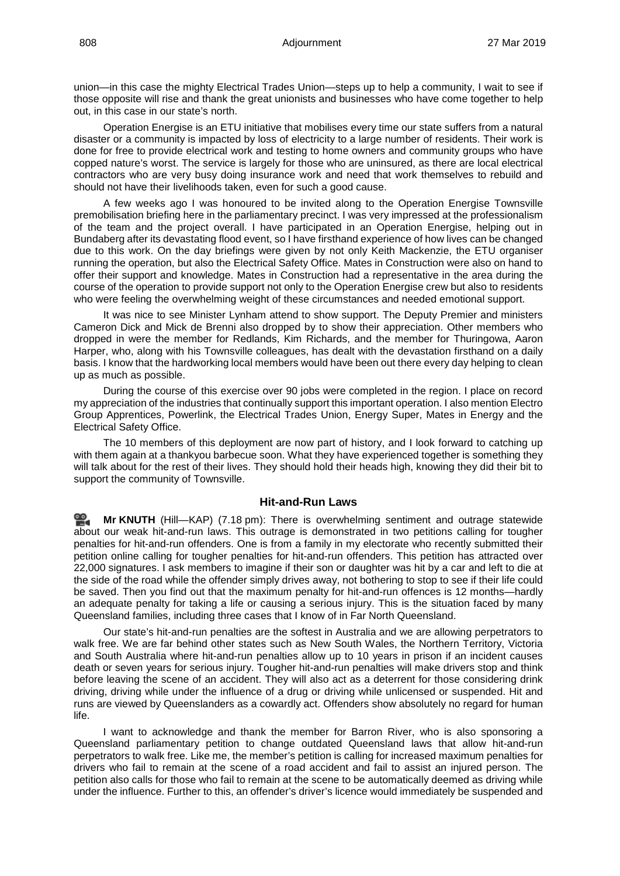union—in this case the mighty Electrical Trades Union—steps up to help a community, I wait to see if those opposite will rise and thank the great unionists and businesses who have come together to help out, in this case in our state's north.

Operation Energise is an ETU initiative that mobilises every time our state suffers from a natural disaster or a community is impacted by loss of electricity to a large number of residents. Their work is done for free to provide electrical work and testing to home owners and community groups who have copped nature's worst. The service is largely for those who are uninsured, as there are local electrical contractors who are very busy doing insurance work and need that work themselves to rebuild and should not have their livelihoods taken, even for such a good cause.

A few weeks ago I was honoured to be invited along to the Operation Energise Townsville premobilisation briefing here in the parliamentary precinct. I was very impressed at the professionalism of the team and the project overall. I have participated in an Operation Energise, helping out in Bundaberg after its devastating flood event, so I have firsthand experience of how lives can be changed due to this work. On the day briefings were given by not only Keith Mackenzie, the ETU organiser running the operation, but also the Electrical Safety Office. Mates in Construction were also on hand to offer their support and knowledge. Mates in Construction had a representative in the area during the course of the operation to provide support not only to the Operation Energise crew but also to residents who were feeling the overwhelming weight of these circumstances and needed emotional support.

It was nice to see Minister Lynham attend to show support. The Deputy Premier and ministers Cameron Dick and Mick de Brenni also dropped by to show their appreciation. Other members who dropped in were the member for Redlands, Kim Richards, and the member for Thuringowa, Aaron Harper, who, along with his Townsville colleagues, has dealt with the devastation firsthand on a daily basis. I know that the hardworking local members would have been out there every day helping to clean up as much as possible.

During the course of this exercise over 90 jobs were completed in the region. I place on record my appreciation of the industries that continually support this important operation. I also mention Electro Group Apprentices, Powerlink, the Electrical Trades Union, Energy Super, Mates in Energy and the Electrical Safety Office.

The 10 members of this deployment are now part of history, and I look forward to catching up with them again at a thankyou barbecue soon. What they have experienced together is something they will talk about for the rest of their lives. They should hold their heads high, knowing they did their bit to support the community of Townsville.

## **Hit-and-Run Laws**

≌. **Mr [KNUTH](http://www.parliament.qld.gov.au/docs/find.aspx?id=0Mba20190327_191911)** (Hill—KAP) (7.18 pm): There is overwhelming sentiment and outrage statewide about our weak hit-and-run laws. This outrage is demonstrated in two petitions calling for tougher penalties for hit-and-run offenders. One is from a family in my electorate who recently submitted their petition online calling for tougher penalties for hit-and-run offenders. This petition has attracted over 22,000 signatures. I ask members to imagine if their son or daughter was hit by a car and left to die at the side of the road while the offender simply drives away, not bothering to stop to see if their life could be saved. Then you find out that the maximum penalty for hit-and-run offences is 12 months—hardly an adequate penalty for taking a life or causing a serious injury. This is the situation faced by many Queensland families, including three cases that I know of in Far North Queensland.

Our state's hit-and-run penalties are the softest in Australia and we are allowing perpetrators to walk free. We are far behind other states such as New South Wales, the Northern Territory, Victoria and South Australia where hit-and-run penalties allow up to 10 years in prison if an incident causes death or seven years for serious injury. Tougher hit-and-run penalties will make drivers stop and think before leaving the scene of an accident. They will also act as a deterrent for those considering drink driving, driving while under the influence of a drug or driving while unlicensed or suspended. Hit and runs are viewed by Queenslanders as a cowardly act. Offenders show absolutely no regard for human life.

I want to acknowledge and thank the member for Barron River, who is also sponsoring a Queensland parliamentary petition to change outdated Queensland laws that allow hit-and-run perpetrators to walk free. Like me, the member's petition is calling for increased maximum penalties for drivers who fail to remain at the scene of a road accident and fail to assist an injured person. The petition also calls for those who fail to remain at the scene to be automatically deemed as driving while under the influence. Further to this, an offender's driver's licence would immediately be suspended and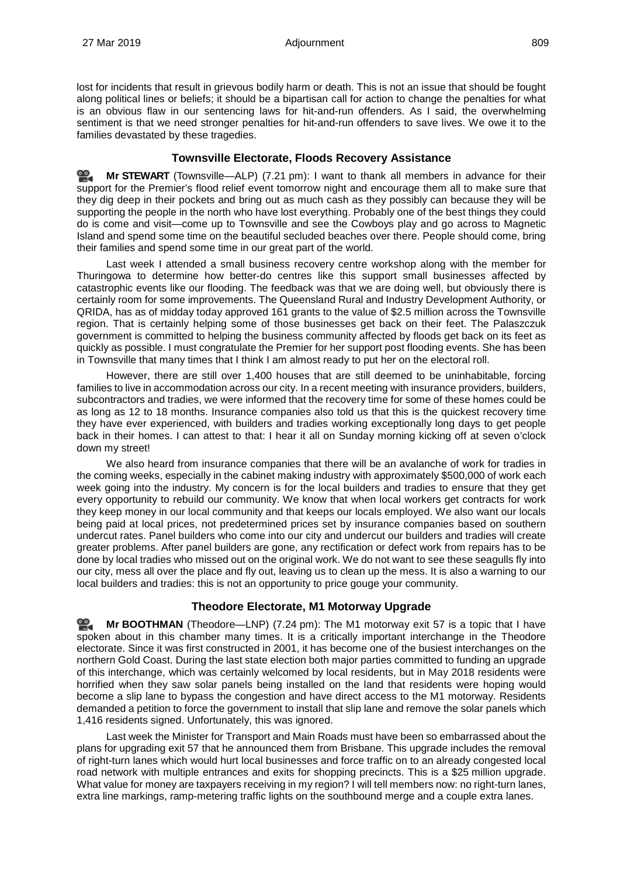lost for incidents that result in grievous bodily harm or death. This is not an issue that should be fought along political lines or beliefs; it should be a bipartisan call for action to change the penalties for what is an obvious flaw in our sentencing laws for hit-and-run offenders. As I said, the overwhelming sentiment is that we need stronger penalties for hit-and-run offenders to save lives. We owe it to the families devastated by these tragedies.

# **Townsville Electorate, Floods Recovery Assistance**

≌. **Mr [STEWART](http://www.parliament.qld.gov.au/docs/find.aspx?id=0Mba20190327_192200)** (Townsville—ALP) (7.21 pm): I want to thank all members in advance for their support for the Premier's flood relief event tomorrow night and encourage them all to make sure that they dig deep in their pockets and bring out as much cash as they possibly can because they will be supporting the people in the north who have lost everything. Probably one of the best things they could do is come and visit—come up to Townsville and see the Cowboys play and go across to Magnetic Island and spend some time on the beautiful secluded beaches over there. People should come, bring their families and spend some time in our great part of the world.

Last week I attended a small business recovery centre workshop along with the member for Thuringowa to determine how better-do centres like this support small businesses affected by catastrophic events like our flooding. The feedback was that we are doing well, but obviously there is certainly room for some improvements. The Queensland Rural and Industry Development Authority, or QRIDA, has as of midday today approved 161 grants to the value of \$2.5 million across the Townsville region. That is certainly helping some of those businesses get back on their feet. The Palaszczuk government is committed to helping the business community affected by floods get back on its feet as quickly as possible. I must congratulate the Premier for her support post flooding events. She has been in Townsville that many times that I think I am almost ready to put her on the electoral roll.

However, there are still over 1,400 houses that are still deemed to be uninhabitable, forcing families to live in accommodation across our city. In a recent meeting with insurance providers, builders, subcontractors and tradies, we were informed that the recovery time for some of these homes could be as long as 12 to 18 months. Insurance companies also told us that this is the quickest recovery time they have ever experienced, with builders and tradies working exceptionally long days to get people back in their homes. I can attest to that: I hear it all on Sunday morning kicking off at seven o'clock down my street!

We also heard from insurance companies that there will be an avalanche of work for tradies in the coming weeks, especially in the cabinet making industry with approximately \$500,000 of work each week going into the industry. My concern is for the local builders and tradies to ensure that they get every opportunity to rebuild our community. We know that when local workers get contracts for work they keep money in our local community and that keeps our locals employed. We also want our locals being paid at local prices, not predetermined prices set by insurance companies based on southern undercut rates. Panel builders who come into our city and undercut our builders and tradies will create greater problems. After panel builders are gone, any rectification or defect work from repairs has to be done by local tradies who missed out on the original work. We do not want to see these seagulls fly into our city, mess all over the place and fly out, leaving us to clean up the mess. It is also a warning to our local builders and tradies: this is not an opportunity to price gouge your community.

# **Theodore Electorate, M1 Motorway Upgrade**

≌. **Mr [BOOTHMAN](http://www.parliament.qld.gov.au/docs/find.aspx?id=0Mba20190327_192503)** (Theodore—LNP) (7.24 pm): The M1 motorway exit 57 is a topic that I have spoken about in this chamber many times. It is a critically important interchange in the Theodore electorate. Since it was first constructed in 2001, it has become one of the busiest interchanges on the northern Gold Coast. During the last state election both major parties committed to funding an upgrade of this interchange, which was certainly welcomed by local residents, but in May 2018 residents were horrified when they saw solar panels being installed on the land that residents were hoping would become a slip lane to bypass the congestion and have direct access to the M1 motorway. Residents demanded a petition to force the government to install that slip lane and remove the solar panels which 1,416 residents signed. Unfortunately, this was ignored.

Last week the Minister for Transport and Main Roads must have been so embarrassed about the plans for upgrading exit 57 that he announced them from Brisbane. This upgrade includes the removal of right-turn lanes which would hurt local businesses and force traffic on to an already congested local road network with multiple entrances and exits for shopping precincts. This is a \$25 million upgrade. What value for money are taxpayers receiving in my region? I will tell members now: no right-turn lanes, extra line markings, ramp-metering traffic lights on the southbound merge and a couple extra lanes.